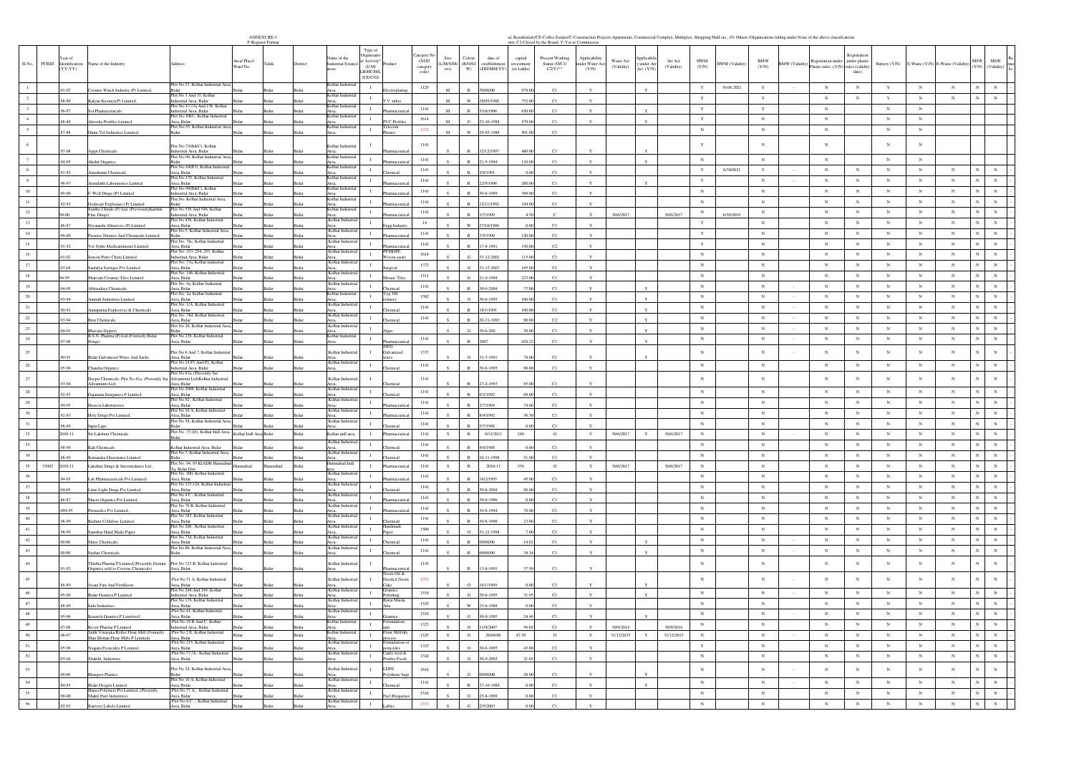| <b>ANNEXURE-1</b>            |  |  |  |
|------------------------------|--|--|--|
| P. Photo State of Planty and |  |  |  |

|                |       |                          |                                                                                    | ANNEXURE-1<br>F-Register Format                                                                      |               |                                                                                                           |                                       |                                         |               |                                  |                                      |                                   | wn, C2-Closed by the Board, Y-Yet to Commission          | al, Residential)/CE-Coffee Estates/C-Construction Project        |                              |                       |                           |                |                               |                                                           |                                          |                          |                          |                                  |                                                      |                           |
|----------------|-------|--------------------------|------------------------------------------------------------------------------------|------------------------------------------------------------------------------------------------------|---------------|-----------------------------------------------------------------------------------------------------------|---------------------------------------|-----------------------------------------|---------------|----------------------------------|--------------------------------------|-----------------------------------|----------------------------------------------------------|------------------------------------------------------------------|------------------------------|-----------------------|---------------------------|----------------|-------------------------------|-----------------------------------------------------------|------------------------------------------|--------------------------|--------------------------|----------------------------------|------------------------------------------------------|---------------------------|
| Sl.No.         | PCBID | Identificatio<br>(YY-YY) | ame of the Industry                                                                | Irea/ Place/<br>'aluk<br>ddrew<br>Ward No.                                                           | District      | Type of<br>reanisat<br>me of the<br>/ Activity<br><b>Industrial Esta</b><br>(1/M)<br>LB/HC/H/I<br>/CE/C/O |                                       | ategory N<br>(XGN)<br>category<br>code) | Size<br>cro)  | Colour<br>L/M/S/Mi (R/O/G/<br>W) | date of<br>stablishmen<br>(DD/MM/YY) | capital<br>avestmen<br>(in Lakhs) | Present Working<br>Status (O/C1/<br>$C2/Y$ <sup>**</sup> | Applicabilit<br>Water Act<br>ader Water A<br>(Validity)<br>(Y/N) | under Air<br>Act (Y/N)       | Air Act<br>(Validity) | <b>HWM</b><br>(Y/N)       | HWM (Validity) | $_{\rm BMW}$<br>(Y/N)         | Registration under<br>3MW (Validity<br>lastic rules (Y/N) | under plastic<br>rules (validit<br>date) | Battery (Y/N)            |                          | E-Waste (Y/N) E-Waste (Validity) | MSW<br>MSW<br>(Y/N)                                  | (Validity)                |
|                |       |                          |                                                                                    | Plot No 27, Kolhar Industrial Area                                                                   |               | Kolhar Ind<br>$\mathbf{I}$                                                                                |                                       | 1125                                    |               |                                  |                                      |                                   |                                                          |                                                                  |                              |                       | $\mathbf Y$               | 30.06.2021     | $\mathbf Y$                   | $_{\rm N}$                                                | $_{\rm N}$                               | Y                        | $_{\rm N}$               | $_{\rm N}$                       | $_{\rm N}$                                           |                           |
| $\overline{2}$ |       |                          | mos Watch Industry (P) Limited,                                                    | Plot No 3 And 15, Kolhar                                                                             |               | Area.<br>Kolhar Indu<br>$\mathbf{I}$                                                                      |                                       |                                         | $\mathbf{M}$  | w                                | 90/06/00                             | 978.0                             | C1                                                       |                                                                  |                              |                       | $\mathbf Y$               |                | Y                             | $_{\rm N}$                                                | $_{\rm N}$                               | Y                        | $_{\rm N}$               | $_{\rm N}$                       | $_{\rm N}$<br>$_{\rm N}$                             |                           |
|                |       | 8-89<br>96-97            | Kalyan Keonics(P) Limited,<br>Sol Phamacetuicals                                   | dustrial Area, Bidar<br>lot No-13,13a And 13b, Kolhar<br>ndustrial Area, Bidar<br>idar               | sida<br>Bidar | Area,<br>Kolhar Indus                                                                                     | V. tubes                              | 1141                                    | $_{\rm M}$    | $\mathbb{R}$                     | 3/05/198<br>/10/1996                 | 752<br>650.00                     | C1<br>C1                                                 | $\mathbf{Y}$                                                     | Y                            |                       | $\mathbf Y$               |                | $\mathbf Y$                   | $_{\rm N}$                                                |                                          | $_{\rm N}$               | $_{\rm N}$               |                                  |                                                      |                           |
|                |       | 8-89                     | Akrosha Profiles Limited                                                           | lot No-10b1,, Kolhar Industrial<br>Area, Bidar                                                       | sida          | Area.<br>Kolhar Indust<br>$\mathbf{I}$                                                                    | VC Profiles                           | 1614                                    | $\mathbf{M}$  | G                                | 2-10-1988                            | 579.0                             | C1                                                       |                                                                  |                              |                       | $\mathbf Y$               |                | $\,$ N $\,$                   | $_{\rm N}$                                                |                                          | N                        | $_{\rm N}$               |                                  |                                                      |                           |
| $\sim$         |       | 37-88                    | Omni Tel Industries Limited                                                        | lot No-55, Kolhar Industrial Area<br><b>Sidar</b><br><b>Sidar</b>                                    | Bidar         | Area,<br>Kolhar Indus<br>$\mathbf{I}$<br>Area,                                                            | elecom<br>hones <sup></sup>           | 1371                                    | $\mathbf{M}$  | w                                | 9-03-1988                            | 501.0                             | C1                                                       |                                                                  |                              |                       | $_{\rm N}$                |                | $_{\rm N}$                    | $_{\rm N}$                                                |                                          | $_{\rm N}$               | $_{\rm N}$               |                                  |                                                      |                           |
|                |       |                          |                                                                                    |                                                                                                      |               |                                                                                                           |                                       | 1141                                    |               |                                  |                                      |                                   |                                                          |                                                                  |                              |                       | $\mathbf Y$               |                | $_{\rm N}$                    | N                                                         |                                          |                          | $_{\rm N}$               |                                  |                                                      |                           |
|                |       | 97-98                    | Agipi Chemicals                                                                    | Plot No-73(B&C), Kolhar<br>dustrial Area, Bidar                                                      |               | Kolhar Industr<br>Area.                                                                                   |                                       |                                         |               |                                  | 12/199                               | 480.0                             | C1                                                       |                                                                  |                              |                       |                           |                |                               |                                                           |                                          |                          |                          |                                  |                                                      |                           |
|                |       | 94-95                    | Akshit Organics                                                                    | lot No-98, Kolhar Industrial Ar<br><b>Sidar</b><br>lot No-10(R3) Kolbar Indu                         | Bidar         | Kolhar Indu<br>- 11<br>Area,<br>Kolbar Indu                                                               |                                       | 1141                                    |               | $\mathbb{R}$                     | 1-5-1994                             | 110.0                             | C1                                                       | $\mathbf{v}$                                                     | $\mathbf{v}$                 |                       | ${\bf N}$                 |                | $_{\rm N}$                    | $_{\rm N}$                                                |                                          | ${\bf N}$                | $_{\rm N}$               |                                  |                                                      |                           |
| 8              |       | 0.02                     | ushumn Chemicals                                                                   | nea Ridar<br>lot, No-135, Kolhar Industrial                                                          |               | Area,<br>Kolhar Indu                                                                                      |                                       | 1141                                    |               | $\mathbf{p}$                     | /8/1991                              |                                   | C1                                                       | $\mathbf{v}$                                                     |                              |                       | $\mathbf Y$               | 6/30/2021      | $\mathbf Y$                   | $_{\rm N}$                                                | $_{\rm N}$                               | $_{\rm N}$               | $_{\rm N}$               | $_{\rm N}$                       | $_{\rm N}$                                           |                           |
| 9              |       | 96-97                    | Arundathi Laboratories Limited                                                     | <b>Area</b> , Bidar<br>lot No-50(B&C), Kolha                                                         | Bidar         | olhar Ind                                                                                                 |                                       | 1141                                    |               |                                  | 2/5/1996                             | 260.0                             | C1                                                       |                                                                  |                              |                       | $\mathbf Y$               |                | $_{\rm N}$                    | $_{\rm N}$                                                | $_{\rm N}$                               | $_{\rm N}$               | $_{\rm N}$               | $_{\rm N}$                       | $_{\rm N}$                                           |                           |
| $10\,$         |       | 29.00                    | C-Well Drugs (P) Limited                                                           | ndustrial Area, Bidar<br>'lot,No, Kolhar Indus                                                       |               | $\mathbf{I}$<br>Area,<br>Kolhar Indu                                                                      |                                       | 1141                                    |               | $\mathbf{p}$                     | 1-6-1999                             | 389.0                             | C1                                                       | Y                                                                |                              |                       | $_{\rm N}$                |                | $_{\rm N}$                    | $_{\rm N}$                                                | $_{\rm N}$                               | N                        | $_{\rm N}$               | $_{\rm N}$                       | $_{\rm N}$<br>$_{\rm N}$                             |                           |
| 11             |       | 92.93                    | Godavari Explosues (P) Limited<br>Syntho Chirals (P) Ltd, (PreviouslyKarthik       | Plot No 53b And 54b. Kolhar                                                                          |               | $\mathbf{I}$<br>Area,<br>Kolbar Indu                                                                      |                                       | 1141                                    |               |                                  | /11/199                              | 194.0                             | C1                                                       |                                                                  |                              |                       | $_{\rm N}$                |                | $\,$ N $\,$                   | $_{\rm N}$                                                | $_{\rm N}$                               | $\,$ N                   | $_{\rm N}$               | ${\bf N}$                        | $_{\rm N}$<br>$_{\rm N}$                             |                           |
| $12\,$         |       |                          | Fine Drugs)                                                                        | Industrial Area, Bidar<br>Plot No 43b, Kolhar Industrial                                             |               | $\mathbf{I}$<br>urea,<br>Kolhar Indu                                                                      |                                       | 1141                                    |               | $\mathbb{R}$                     | 7/1999                               |                                   |                                                          | 30/6/2017                                                        |                              | 30/6/2017             | $_{\rm N}$                | 6/30/2018      | $_{\rm N}$                    | $_{\rm N}$                                                | $_{\rm N}$                               | $_{\rm N}$               | $_{\rm N}$               | $_{\rm N}$                       | $_{\rm N}$<br>$_{\rm N}$                             |                           |
| $13\,$         |       | 6-87                     | Nivanashi Abrasives (P) Limited                                                    | rea, Bidar<br>lot No 5, Kolhar Industrial Area                                                       | sida          | $\mathbf{I}$<br>Area<br>Kolhar Ind                                                                        | agg Indus                             | 14                                      |               | W                                | /10/198                              |                                   | C1                                                       |                                                                  |                              |                       | $\mathbf Y$               |                | $_{\rm N}$                    | $_{\rm N}$                                                | $_{\rm N}$                               | $_{\rm N}$               | $_{\rm N}$               | $_{\rm N}$                       | $_{\rm N}$<br>$_{\rm N}$<br>$_{\rm N}$               |                           |
| $14\,$         |       | 29.00                    | Premier Nitrates And Chemicals Limited                                             | <b>Sidar</b><br>Ridar<br>lot No: 78c. Kolhar Industrial                                              | Ridar         | $\mathbf{I}$<br>Area,<br>Kolhar Ind                                                                       |                                       | 1141                                    |               |                                  | 5/1999                               | 120.0                             | C1                                                       |                                                                  |                              |                       | $\mathbf Y$               |                | $_{\rm N}$                    | $_{\rm N}$<br>$_{\rm N}$                                  | $_{\rm N}$                               | N                        | $_{\rm N}$               | $_{\rm N}$                       | $_{\rm N}$                                           |                           |
| 15<br>16       |       | 1-92                     | Vet Sytho Medicamments Limited                                                     | <b>Area</b> , Bidar<br>lot No: 253, 254, 255, Kolhar                                                 | sida          | $\mathbf{I}$<br>Area,<br>Kolhar Ind<br>$\mathbf{I}$                                                       | P/HDPI                                | 1141<br>1614                            |               |                                  | $-8-1991$                            | 150.0                             | C <sub>2</sub>                                           |                                                                  |                              |                       | $\mathbf Y$<br>$_{\rm N}$ |                | $_{\rm N}$<br>$_{\mathrm{N}}$ | $_{\rm N}$                                                | $_{\rm N}$<br>N                          | $_{\rm N}$<br>$_{\rm N}$ | $_{\rm N}$<br>$_{\rm N}$ | $_{\rm N}$<br>$_{\rm N}$         | $_{\rm N}$<br>$_{\rm N}$<br>$_{\rm N}$<br>$_{\rm N}$ |                           |
| $17\,$         |       | 1.02                     | nson Petro Chem Limited                                                            | dustrial Area, Bidar<br>Plot No: 73a, Kolhar Industrial                                              | Rida          | Kolhar Indi                                                                                               | oven sack                             | 1372                                    |               | G.                               | $1 - 12 - 2001$                      | 115.0                             | C1                                                       | $\mathbf{v}$                                                     |                              |                       | $_{\rm N}$                |                | $_{\rm N}$                    | $_{\rm N}$                                                | $_{\rm N}$                               | $_{\rm N}$               | $_{\rm N}$               | $_{\rm N}$                       | $_{\rm N}$                                           |                           |
| $18\,$         |       | 13-04                    | Saafalya Syringes Pvt Limited                                                      | <b>Area</b> , Bidar<br>sidar<br>lot No: 146, Kolhar Industrial                                       | Bidar         | trea,<br>Kolhar Indi<br>$\mathbf{I}$                                                                      | ırgical                               | 1511                                    |               | $\circ$                          | $1 - 12 - 2003$                      | 185.00                            | C1                                                       |                                                                  |                              |                       | $_{\rm N}$                |                | $_{\rm N}$                    | $_{\rm N}$                                                | $_{\rm N}$                               | $_{\rm N}$               | $_{\rm N}$               | $_{\rm N}$                       | $_{\rm N}$<br>$_{\rm N}$                             |                           |
| 19             |       | 20.1                     | rvani Ceramic Tiles Limited                                                        | rea. Bidar<br>lot No: 4a Kolbar Industrial                                                           |               | Kolhar Ind<br>$\mathbf{I}$                                                                                | osaic Tile                            | 1141                                    |               | $\alpha$                         | 1.0.1994                             | 223.0                             | C1                                                       | Y                                                                |                              |                       | $_{\rm N}$                |                | $_{\rm N}$                    | $_{\rm N}$                                                | $_{\rm N}$                               | $_{\rm N}$               | $_{\rm N}$               | $_{\rm N}$                       | $_{\rm N}$<br>$_{\rm N}$                             |                           |
| $20\,$         |       | 14-05                    | Abhyudaya Chemicals                                                                | <b>Area</b> , Bidar<br>sidar<br>lot No: 2a, Kolhar                                                   | Bidar         | Area,<br>elhar Inc<br>$\mathbf{I}$                                                                        | emical<br>Veg. Oil                    | 1382                                    |               | $\overline{\mathbb{R}}$          | $0 - 6 - 2004$                       |                                   | C1                                                       |                                                                  |                              |                       | $_{\rm N}$                |                | $_{\rm N}$                    | $_{\rm N}$<br>$\sim$                                      | N                                        | N                        | $_{\rm N}$               | $_{\rm N}$                       | $_{\rm N}$<br>${\bf N}$                              |                           |
| $21\,$         |       | 33.94                    | Amruth Industries Limited                                                          | rea, Bidar<br>lot No: 1/A. Kolhar Industrial                                                         |               | Area,<br>Kolhar Indust                                                                                    | inery                                 | $1141\,$                                |               | $\Omega$                         | 0-6-1995                             | 100.0                             | C1                                                       |                                                                  | $\mathbf{v}$<br>$\mathbf{Y}$ |                       | $_{\rm N}$                |                | $_{\rm N}$                    | $_{\rm N}$<br>$\sim$                                      | $_{\rm N}$                               | $_{\rm N}$               | $_{\rm N}$               | $_{\rm N}$                       | $_{\rm N}$                                           | $_{\rm N}$                |
| $22\,$         |       | 90-91                    | Annapurna Explosives & Chemicals                                                   | <b>Area</b> , Bidar<br>lot No: 78d. Kolhar Industrial                                                | sida          | Colhar Ind<br>$\mathbf{I}$                                                                                | emical                                | 1141                                    |               | R                                | 8/1/1991                             | 100.00<br>90f                     | C1                                                       | $\mathbf{v}$                                                     |                              |                       | $_{\rm N}$                |                | $_{\rm N}$                    | $_{\rm N}$                                                | $_{\rm N}$                               | N                        | $_{\rm N}$               | $_{\rm N}$                       | $_{\rm N}$<br>$_{\rm N}$                             |                           |
| $23\,$         |       | 33-94                    | <b>Bms</b> Chemicals                                                               | Area, Bidar<br>Plot No 26, Kolhar Industrial Area<br><b>Girlar</b>                                   | Sidar         | Area,<br>Kolhar Indu<br>$\mathbf{I}$                                                                      |                                       |                                         |               | G.                               | 6-11-1993<br>$0 - 6 - 200$           | 30.0                              | C2<br>C1                                                 |                                                                  |                              |                       | $_{\rm N}$                |                | $_{\rm N}$                    | $_{\rm N}$<br>$\sim$                                      | $_{\rm N}$                               | $_{\rm N}$               | $_{\rm N}$               | $_{\rm N}$                       | $_{\rm N}$<br>$_{\rm N}$                             |                           |
| $24\,$         |       | 00-01<br>17-08           | Bhavani Zippers<br>B.S.N. Pharma (P) Ltd.(Formerly Bidar<br>Drugs)                 | lot No 23b, Kolhar Industrial                                                                        |               | Area,<br>Kolhar Ind<br>$\mathbf{I}$                                                                       |                                       | 1141                                    |               | $\mathbb{R}$                     |                                      | 428.2                             | C1                                                       |                                                                  |                              |                       | $_{\rm N}$                |                | $\,$ N $\,$                   | $_{\rm N}$                                                | $_{\rm N}$                               | N                        | $_{\rm N}$               | $_{\rm N}$                       | $_{\rm N}$<br>$_{\rm N}$                             |                           |
| $25\,$         |       |                          |                                                                                    | Irea, Bidar<br>Plot No 6 And 7, Kolhar Industria                                                     |               | Kolhar Industr<br>$\mathbf{I}$                                                                            | rmaceu<br>Galvanized                  | 1337                                    |               |                                  |                                      |                                   |                                                          |                                                                  |                              |                       | $_{\rm N}$                |                | $_{\rm N}$                    | $_{\rm N}$                                                | $_{\rm N}$                               | $_{\rm N}$               | $_{\rm N}$               | $_{\rm N}$                       | $_{\rm N}$                                           |                           |
|                |       | 90-91                    | <b>Bidar Galvanised Wires And Sacks</b>                                            | <b>Area</b> , Bidar<br>lot No 14 P1 And P2, Kolha                                                    | Bida          | Area,<br>Kolhar Ind                                                                                       |                                       |                                         |               |                                  | 1-3-1991                             |                                   | C1                                                       |                                                                  |                              |                       |                           |                |                               |                                                           |                                          |                          |                          |                                  |                                                      |                           |
| $26\,$         |       | 95.96                    | Chandra Organic                                                                    | ndustrial Area, Bidar<br>Plot No 81a. (Presently Sai                                                 | Rida          | $\mathbf{L}$                                                                                              |                                       | 1141                                    |               | R                                | 0-6-1995                             | 90.00                             | C1                                                       | $\mathbf{v}$                                                     |                              |                       | $_{\rm N}$                |                | $_{\rm N}$                    | $_{\rm N}$                                                | N                                        | N                        | $_{\rm N}$               | N                                | $_{\rm N}$<br>${\bf N}$                              |                           |
| $27\,$         |       | 3-94                     | Deepu Chemicals, Plot No 81a, (Presently Sai<br>Advantium Ltd)                     | Advantium Ltd) Kolhar Industrial                                                                     |               | Kolhar Indust                                                                                             |                                       | 1141                                    |               |                                  | $7 - 4 - 1993$                       | 85.0                              | C1                                                       |                                                                  |                              |                       | $_{\rm N}$                |                | $_{\rm N}$                    | $_{\rm N}$                                                |                                          | $_{\rm N}$               | $_{\rm N}$               | $_{\rm N}$                       | $_{\rm N}$<br>$_{\rm N}$                             |                           |
| $\bf 28$       |       | 12.93                    | Gajanana Inorganics P Limited                                                      | Area, Bidar<br>Plot No 200b, Kolhar Industrial<br><b>Inta Ridar</b>                                  |               | Area,<br>Kolhar Indu<br>$\mathbf{I}$                                                                      |                                       | 1141                                    |               | $\mathbf{D}$                     | 2/1992                               | 68.0                              | C1                                                       | $\mathbf{v}$                                                     |                              |                       | $_{\rm N}$                |                | $_{\rm N}$                    | $_{\rm N}$                                                | $_{\rm N}$                               | $_{\rm N}$               | $_{\rm N}$               | $_{\rm N}$                       | $_{\rm N}$<br>$_{\rm N}$                             |                           |
| $\, 29$        |       | 94-95                    | Heaven Laboratories                                                                | lot No 92 . Kolhar Industrial<br><b>Area</b> , Bidar                                                 | Bidar         | vrea,<br>Kolhar Indu                                                                                      |                                       | 1141                                    |               |                                  | 2/7/1994                             | 74.6                              | C1                                                       |                                                                  |                              |                       | $_{\rm N}$                |                | $_{\rm N}$                    | $_{\rm N}$                                                | $_{\rm N}$                               | $_{\rm N}$               | $_{\rm N}$               | $_{\rm N}$                       | $_{\rm N}$<br>$_{\rm N}$                             |                           |
| 30             |       | 2.93                     | Holy Drugs Pvt Limited                                                             | lot No 10 A, Kolhar Industria<br>Area, Bidar<br>Plot No 58, Kolhar Industrial Are                    |               | $\mathbf{I}$<br>vrea,<br>Kolhar Ind                                                                       |                                       | 1141                                    |               |                                  | 4/1997                               |                                   | C1                                                       | $\mathbf{Y}$                                                     |                              |                       | $_{\rm N}$                |                | $_{\rm N}$                    | $_{\rm N}$                                                | $_{\rm N}$                               | N                        | $_{\rm N}$               | $_{\rm N}$                       | $_{\rm N}$<br>$_{\rm N}$                             |                           |
| 31             |       | 8-89                     | par Laps                                                                           |                                                                                                      |               | $\mathbf{I}$                                                                                              |                                       | 1141                                    |               |                                  | 1988                                 |                                   | C1                                                       |                                                                  |                              |                       | $_{\rm N}$                |                | $\,$ N $\,$                   | $_{\rm N}$                                                | $_{\rm N}$                               | ${\bf N}$                | $_{\rm N}$               | ${\bf N}$                        | $_{\rm N}$<br>$\,$ N                                 |                           |
| 32             |       | 2010-11                  | Sri Lakshmi Chemicals                                                              | lot No. 73 (D), Kolhar Indl Area,<br>Kolhar Indl Area Bidar                                          | Bidar         | Kolhar indl area<br>$\blacksquare$                                                                        | Pharmaceutica                         | 1141                                    | S             | R                                | 9/12/2011                            | 240                               | $\circ$                                                  | Y<br>30/6/2017                                                   | Y                            | 30/6/2017             | $_{\rm N}$                |                | $_{\rm N}$                    | $_{\rm N}$                                                | N                                        | N                        | $_{\rm N}$               | $_{\rm N}$                       | $_{\rm N}$<br>$_{\rm N}$                             |                           |
| 33             |       | 38-99                    | Kali Chemicals                                                                     | olhar Industrial Area, Bidar                                                                         |               | Kolhar Indust                                                                                             |                                       | 1141                                    |               |                                  | 1/1988                               |                                   | C1                                                       |                                                                  |                              |                       | $_{\rm N}$                |                | $_{\rm N}$                    | $_{\rm N}$                                                | $_{\rm N}$                               | $_{\rm N}$               | $_{\rm N}$               | $_{\rm N}$                       | $_{\rm N}$<br>$_{\rm N}$                             |                           |
| 34             |       | 98.8                     | Karnataka Gluconates Limited                                                       | Plot No 7, Kolhar Industrial Area,                                                                   | Sida          | Kolhar Indi<br>$\mathbf{I}$<br>Area,                                                                      | emical                                | 1141                                    |               |                                  | $-11 - 1998$                         | 516                               | C1                                                       |                                                                  |                              |                       | $\mathbf N$               |                | $_{\rm N}$                    | $_{\rm N}$                                                | $_{\rm N}$                               | N                        | $_{\rm N}$               | $_{\rm N}$                       | $_{\rm N}$<br>$_{\rm N}$                             |                           |
| 35             | 33902 | 2010-11                  | Lakshmi Drugs & Intermediates Ltd.,                                                | Plot No. 94, 95 KIADB Humnabad<br>hadam<br>hadamma<br>q, Bidar Dist<br>lot No 200, Kolhar Industrial | Bidar         | Humnabad Ind<br>$\mathbf{I}$<br>rea<br>Kolhar Indu                                                        | harmaceutic                           | 1141                                    | ${\bf S}$     | $\,$ R                           | $2010 - 11$                          | 359                               | $\circ$                                                  | 30/6/2017<br>$\mathbf Y$                                         |                              | 30/6/2017             | $_{\rm N}$                |                | $_{\rm N}$                    | $_{\rm N}$                                                | $_{\rm N}$                               | $_{\rm N}$               | $_{\rm N}$               | $_{\rm N}$                       | $_{\rm N}$<br>$_{\rm N}$                             |                           |
| 36             |       | 20.11                    | Lsk Pharmacueticals Pvt Limited                                                    | <b>Inea</b> Ridar<br>Plot No 123.124. Kolhar Industri                                                |               | - 11<br>Kolhar Indi                                                                                       |                                       | 1141                                    |               |                                  | 77/1005                              | 450                               | C1                                                       | $\mathbf{v}$                                                     |                              |                       | $_{\rm N}$                |                | $_{\rm N}$                    | $_{\rm N}$                                                | $_{\rm N}$                               | $_{\rm N}$               | $_{\rm N}$               | $_{\rm N}$                       | $_{\rm N}$<br>$_{\rm N}$                             |                           |
| 37             |       | 04-05                    | Lime Light Drugs Pvt Limited                                                       | \rea, Bidar<br>idar<br>lot No 4 C, Kolhar Industrial                                                 | Bidar         | urea.<br>Kolhar Indu                                                                                      | emical                                | 1141                                    |               |                                  | 30-6-2004                            | 86.0                              | C1                                                       |                                                                  |                              |                       | $_{\rm N}$                |                | $_{\rm N}$                    | $_{\rm N}$                                                | $_{\rm N}$                               | $_{\rm N}$               | $_{\rm N}$               | $_{\rm N}$                       | $_{\rm N}$                                           |                           |
| $38\,$         |       | 6-87                     | Macro Organics Pvt Limited                                                         | <b>Inta Ridar</b><br>idar<br>lot No 76 B. Kolhar Industria                                           | Rida          | $\mathbf{I}$<br>Kolhar Ind                                                                                |                                       | 1141                                    |               | $\mathbb{R}$                     | 30-6-1986                            |                                   | C1                                                       | Y                                                                |                              |                       | $_{\rm N}$                |                | $_{\rm N}$                    | $_{\rm N}$                                                | $_{\rm N}$                               | $_{\rm N}$               | $_{\rm N}$               | $_{\rm N}$                       | $_{\rm N}$<br>$_{\rm N}$                             |                           |
| 39             |       | 194-95                   | Premedics Pvt Limited,                                                             | rea. Bidar<br>ot No 183. Kolhar Indu                                                                 | Sida          | $\;$ I<br>Area,<br>Kolhar I                                                                               |                                       | 1141                                    |               |                                  | $0 - 6 - 1994$                       | 78.0                              | C1                                                       |                                                                  |                              |                       | $_{\rm N}$                |                | $\,$ N $\,$                   | $_{\rm N}$                                                | $_{\rm N}$                               | $_{\rm N}$               | $_{\rm N}$               | ${\bf N}$                        | $_{\rm N}$<br>$_{\rm N}$                             |                           |
| $40\,$         |       | 00.8                     | Rashmi Cellulose Limited                                                           | Area, Bidar<br>Plot No 20b , Kolhar Industrial                                                       |               | $\blacksquare$<br>Area,<br>Kolhar Indus<br>$\mathbf{I}$                                                   |                                       | 1141                                    |               |                                  | $0 - 6 - 1996$                       | 23(                               | C1                                                       |                                                                  |                              |                       | $_{\rm N}$                |                | ${\bf N}$                     | ${\bf N}$<br>$_{\rm N}$                                   | N                                        | N                        | $_{\rm N}$               | $_{\rm N}$                       | $_{\rm N}$<br>${\bf N}$<br>$_{\rm N}$                |                           |
| $41\,$<br>42   |       | 98-99                    | Samskar Hand Made Paper                                                            | <b>Area</b> , Bidar<br>lot No 73d, Kolhar Industrial                                                 | Bidar         | ¦olhar Ind<br>$\mathbf{I}$                                                                                |                                       | 1509<br>1141                            |               | $\circ$                          | $1 - 12 - 1998$                      | 7.0                               | C1                                                       | $\mathbf{v}$                                                     |                              |                       | $_{\rm N}$<br>$_{\rm N}$  |                | ${\bf N}$<br>$_{\mathrm{N}}$  | $_{\rm N}$                                                | $_{\rm N}$<br>$_{\rm N}$                 | $_{\rm N}$<br>N          | $_{\rm N}$<br>$_{\rm N}$ | $_{\rm N}$<br>$_{\rm N}$         | $_{\rm N}$<br>$_{\rm N}$                             | $_{\rm N}$                |
| 43             |       | 00.00                    | Shree Chemicals,                                                                   | Area, Bidar<br>"Iot No 8b, Kolhar Industrial Area                                                    |               | Area,<br>Kolhar Indu<br>$\mathbf{I}$                                                                      | emica                                 | $1141\,$                                |               |                                  | 00/00/00                             | 14.6                              | C1                                                       |                                                                  | $\mathbf{v}$                 |                       | $_{\rm N}$                |                | $_{\rm N}$                    | $_{\rm N}$                                                | $_{\rm N}$                               | $_{\rm N}$               | $_{\rm N}$               | $_{\rm N}$                       | $_{\rm N}$<br>${\bf N}$                              |                           |
|                |       | 00.00                    | <b>Sushas Chemicals</b>                                                            | <b>Sidar</b><br>idar.                                                                                | Ridar         | Area.                                                                                                     |                                       |                                         |               |                                  | 00/00/00                             | 38.1                              | C1                                                       | $\mathbf{v}$                                                     |                              |                       |                           |                |                               |                                                           |                                          |                          |                          |                                  |                                                      |                           |
| $44\,$         |       | 1.92                     | Thirtha Pharma P Limited, (Presently Gemini<br>Organics sold to Corvine Chemicals) | Plot No 123 B, Kolhar Industrial<br>Area, Bidar                                                      |               | Kolhar Industi                                                                                            |                                       | $1141\,$                                |               |                                  | 3-8-1991                             |                                   | C1                                                       |                                                                  |                              |                       | $_{\rm N}$                |                | $_{\rm N}$                    | $_{\rm N}$                                                |                                          | $_{\rm N}$               | $_{\rm N}$               | $_{\rm N}$                       | $_{\rm N}$                                           |                           |
| 45             |       |                          |                                                                                    | Plot No 51 A, Kolhar Industrial                                                                      |               | Kolhar Industri<br>$\mathbf{I}$                                                                           | leem Oil &<br>Deoiled Neem            | 1371                                    |               |                                  |                                      |                                   |                                                          |                                                                  |                              |                       | $_{\rm N}$                |                | $_{\rm N}$                    | $_{\rm N}$                                                |                                          | $_{\rm N}$               | $_{\rm N}$               | $_{\rm N}$                       |                                                      |                           |
| 46             |       | 88-89                    | Avani Fats And Fertilisers                                                         | Irea, Bidar<br>Plot No 248 And 249. Kolhar                                                           | Bidar         | Kolhar Indu<br>$\mathbf{I}$                                                                               | ranite                                | 1518                                    |               | $\circ$                          | 6/1/1989                             |                                   | C1                                                       |                                                                  |                              |                       | $_{\rm N}$                |                | $_{\rm N}$                    | $_{\rm N}$                                                |                                          | $_{\rm N}$               | $_{\rm N}$               | $_{\rm N}$                       |                                                      |                           |
| 47             |       | 29.26<br>88-89           | <b>Bidar Granites P Limited</b>                                                    | dustrial Area, Bidar<br>lot No 176, Kolhar Indu                                                      | Ridar         | Area<br>Kolhar Ind<br>$\mathbf{I}$                                                                        | blishir<br>lawa Maida                 | 1525                                    |               | w                                | 0-6-1995<br>5-1988                   |                                   | C1<br>C1                                                 |                                                                  |                              |                       | $_{\rm N}$                |                | $_{\rm N}$                    | $_{\rm N}$                                                | $_{\rm N}$                               | $\,$ N                   | $_{\rm N}$               | $_{\rm N}$                       | $_{\rm N}$                                           |                           |
| 48             |       | 95.96                    | Indu Industries                                                                    | rea, Bidar<br>Plot No 41, Kolhar Industrial                                                          | Rida          | Area,<br>Kolbar Ind<br>$\mathbf{I}$                                                                       |                                       | 1518                                    |               | $\alpha$                         | 30-9-1995                            | 24.46                             | C1                                                       |                                                                  |                              |                       | $_{\rm N}$                |                | $_{\rm N}$                    | $_{\rm N}$                                                | $_{\rm N}$                               | $_{\rm N}$               | $_{\rm N}$               | $_{\rm N}$                       | $_{\rm N}$                                           | ${\bf N}$                 |
| 49             |       | 07-08                    | Konarch Granites P Limitwed<br>Kever Pharma P Limited                              | Area, Bidar<br>Plot No 18 B And C, Kolhar<br>dustrial Area, Bidar<br>Bidar                           | Bidar         | Area,<br>Kolhar Indus<br>$\mathbf{I}$                                                                     | mulation                              | 1323                                    |               | $\circ$                          | 1/9/2007                             | 56.65                             | C1                                                       | 30/9/2014                                                        |                              | 30/9/2014             | $_{\rm N}$                |                | $_{\rm N}$                    | $_{\rm N}$                                                | $_{\rm N}$                               | $_{\rm N}$               | $_{\rm N}$               | $_{\rm N}$                       | $_{\rm N}$                                           | $\,$ N                    |
| 50             |       | .06-07                   | Siddi Vinayaka Roller Flour Mill (Formerly                                         | Plot No 2 E, Kolhar Industrial<br>Bidar<br>Bidar                                                     | Bidar         | Area,<br>Kolhar Industri<br>$\mathbbm{1}$                                                                 | Flour Mill/dry                        | 1525                                    | S             | $\mathbf{G}$                     | 26/04/06                             | 47.58                             | $\circ$                                                  | 31/12/2015<br>$\mathbf Y$                                        | $\mathbf Y$                  | 31/12/2015            | $_{\rm N}$                |                | $_{\rm N}$                    | $_{\rm N}$<br>$\sim$                                      | $_{\rm N}$                               | $_{\rm N}$               | ${\bf N}$                | ${\bf N}$                        | $_{\rm N}$<br>$_{\rm N}$                             |                           |
| 51             |       | 5-96                     | Man Mohan Flour Mills P Limited)<br>Viagara Pesticides P Limited                   | Area, Bidar<br>Plot No 215, Kolhar Industrial<br>Area, Bidar                                         | Bidar         | Area,<br>Kolhar Indus<br>$\mathbf{I}$<br>Area,                                                            | rocess<br>ormulation o<br>esticides   | 1323                                    |               | $\circ$                          | 30-6-1995                            | 43.0                              | C1                                                       | $\mathbf Y$                                                      |                              |                       | $\mathbf Y$               |                | ${\bf N}$                     | $_{\rm N}$                                                | $_{\rm N}$                               | $_{\rm N}$               | $_{\rm N}$               | ${\bf N}$                        | $_{\rm N}$                                           | ${\bf N}$                 |
| 52             |       | 03.04                    | Shakthi Industries                                                                 | Plot No 77/A, Kolhar Industrial<br>Area, Bidar<br>Bidar                                              | Bidar         | Kolhar Indust<br>$\mathbf{I}$<br>Area,                                                                    | Cattle feed &<br><b>Poultry Feeds</b> | 1324                                    |               | $\circ$                          | 30-9-2003                            | 21.6                              | C1                                                       | $\mathbf Y$                                                      |                              |                       | $_{\rm N}$                |                | $_{\mathrm{N}}$               | $_{\rm N}$                                                | N                                        | N                        | $_{\rm N}$               | N                                | $_{\rm N}$<br>$_{\rm N}$                             |                           |
| 53             |       |                          |                                                                                    | Plot No 24, Kolhar Industrial Area,                                                                  |               | Kolhar Indust<br>$\mathbf{I}$                                                                             | <b>LDPE</b>                           | 1614                                    |               |                                  |                                      |                                   |                                                          |                                                                  |                              |                       | $_{\rm N}$                |                | $_{\rm N}$                    | $_{\rm N}$                                                | $_{\rm N}$                               | $_{\rm N}$               | $_{\rm N}$               | $_{\rm N}$                       | $_{\rm N}$<br>$_{\rm N}$                             |                           |
|                |       | 0.00                     | <b>Bhargavi Plastics</b>                                                           | <b>Sidar</b><br>Plot No 10 A. Kolhar Industrial                                                      | Bidar         | Area,<br>Kolhar Indust                                                                                    | olythene ba                           |                                         |               | G                                | 00/00/00                             |                                   | C1                                                       |                                                                  |                              |                       |                           |                |                               |                                                           |                                          |                          |                          |                                  |                                                      |                           |
| 54<br>55       |       | 84-85                    | Bidar Oxygen Limited<br>Hansa Polymers Pvt.Limited.,(Presently                     | Sidar<br>Area, Bidar<br>Plot No.77 A, , Kolhar Industrial                                            | Bidar         | $\mathbf{I}$<br>Area,<br>Kolhar Indu<br>$\mathbf{I}$                                                      | hemical                               | 1141                                    | $\mathcal{S}$ | $\mathbb R$                      | 27-10-1984                           | 0.00                              | C1                                                       | $\mathbf Y$                                                      | $\mathbf Y$                  |                       | $_{\rm N}$                |                | $_{\rm N}$                    | $_{\rm N}$<br>$\sim$                                      | $_{\rm N}$                               | $_{\rm N}$               | $_{\rm N}$               | ${\bf N}$                        | $_{\rm N}$<br>$_{\rm N}$                             | $_{\rm N}$                |
| $56\,$         |       | 99-00                    | Shakti Fuel Industries)                                                            | Area, Bidar<br>Plot No.4 C , , Kolhar Industrial<br>sidar                                            | Bidar         | Area,<br>Kolhar Industr<br>$\mathbf{I}$                                                                   | Fuel Briquette                        | 1516<br>1371                            |               | G                                | 25-8-1999                            |                                   | C1                                                       |                                                                  |                              |                       | $\,$ N<br>$_{\rm N}$      |                | $\,$ N $\,$<br>$_{\rm N}$     | $_{\rm N}$<br>$_{\rm N}$                                  | ${\bf N}$<br>$_{\rm N}$                  | ${\bf N}$<br>$_{\rm N}$  | $_{\rm N}$<br>$_{\rm N}$ | ${\bf N}$<br>$_{\rm N}$          | $_{\rm N}$                                           | $\,$ N $\,$<br>$_{\rm N}$ |
|                |       | $02 - 03$                | Kauvery Labels Limited                                                             | .<br>Ridar<br>Area, Bidar                                                                            | Bidar         | Area,                                                                                                     |                                       |                                         |               | G                                | 2/5/2003                             |                                   | C1                                                       | $\mathbf{Y}$                                                     |                              |                       |                           |                |                               |                                                           |                                          |                          |                          |                                  |                                                      |                           |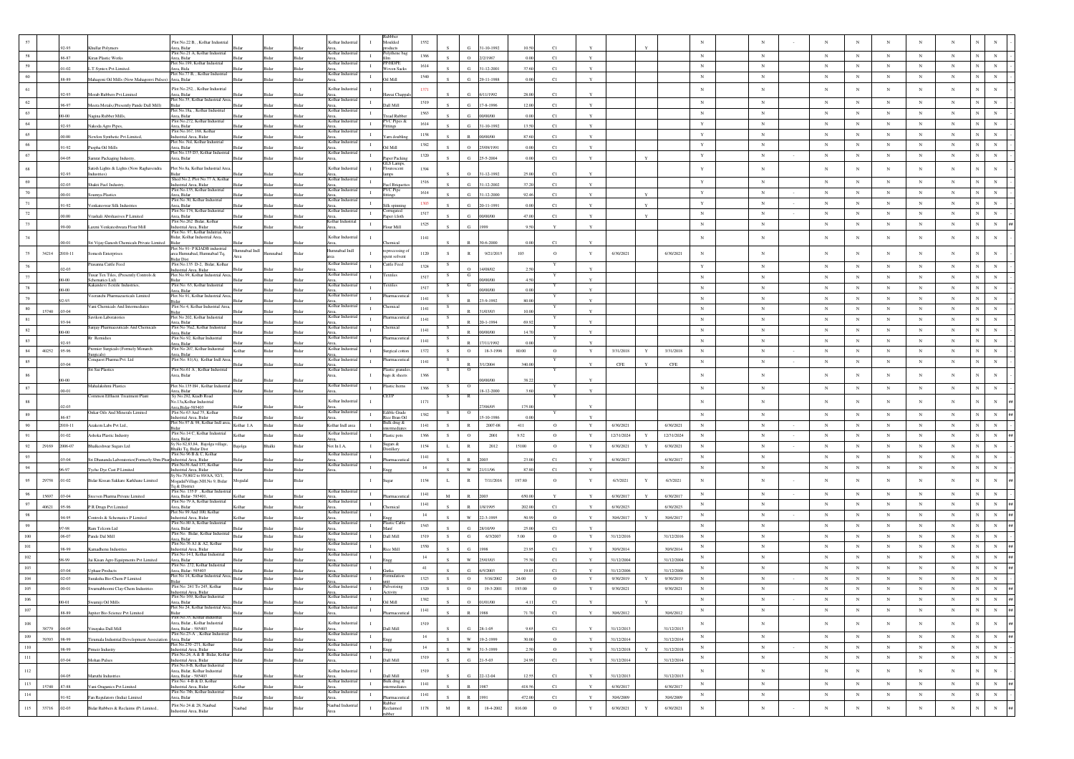|                  |              |                                                                          | Plot No.22 B, , Kolhar Industrial                                      |             |              |              | Kolhar Indus                     |                | Moulded                       | 1552     |               |                         |                         |                  |              |                        |   |                                           |              |            |            |            |            |              |                            |                                            |
|------------------|--------------|--------------------------------------------------------------------------|------------------------------------------------------------------------|-------------|--------------|--------------|----------------------------------|----------------|-------------------------------|----------|---------------|-------------------------|-------------------------|------------------|--------------|------------------------|---|-------------------------------------------|--------------|------------|------------|------------|------------|--------------|----------------------------|--------------------------------------------|
| 58               | 92.93        | hullar Polymers                                                          | rea, Bidar<br>Plot No.21 A. Kolhar Industrial                          |             |              |              | Kolhar Indus                     | $\mathbf{I}$   | oducts<br>olythene ba         | 1366     |               |                         | $1 - 10 - 199$          |                  |              |                        |   | $_{\rm N}$                                | $_{\rm N}$   | $_{\rm N}$ | $_{\rm N}$ | $_{\rm N}$ | $_{\rm N}$ | $_{\rm N}$   | $_{\rm N}$                 |                                            |
|                  | 86-87        | Gran Plastic Works                                                       | Area, Bidar<br>ot No.199, Kolhar Industrial                            |             |              |              | Area,<br>Kolhar Indu             |                | P/HDPI                        |          |               | $\circ$                 | 2/2/1987                | C1<br>0.00       | Y            |                        |   |                                           |              |            |            |            |            |              |                            |                                            |
| 59               | $.01 - 02$   | T.Syntex Pvt.Limited                                                     | Area, Bida<br>Plot No.77 B, , Kolhar Industrial                        |             |              |              | Area,<br>Kolhar Indus            | $\mathbf{I}$   | Voven Sack                    | 1614     |               | G.                      | 31-12-2001<br>37.60     | C1               | $\mathbf{Y}$ |                        |   | $_{\rm N}$                                | N            | $_{\rm N}$ | N          | N          | $_{\rm N}$ | $_{\rm N}$   | $_{\rm N}$<br>$_{\rm N}$   |                                            |
| 60               | 88-89        | Mahagoni Oil Mills (Now Mahagonvi Pulses) Area, Bidar                    |                                                                        |             |              |              |                                  | $\mathbf{I}$   | Oil Mill                      | $1540\,$ |               | ${\bf G}$               | 29-11-1988              | C1<br>0.00       | $\mathbf{Y}$ |                        |   | $_{\rm N}$                                | $_{\rm N}$   | $_{\rm N}$ | $_{\rm N}$ | $_{\rm N}$ | $_{\rm N}$ | $_{\rm N}$   | $_{\rm N}$<br>$_{\rm N}$   |                                            |
| 61               |              |                                                                          | Plot No.252. Kolhar Industrial                                         |             |              |              | Kolhar Industri                  | - 11           |                               | 1371     |               |                         |                         |                  |              |                        |   | $_{\rm N}$                                | $_{\rm N}$   | $_{\rm N}$ | $_{\rm N}$ | $_{\rm N}$ | $_{\rm N}$ | $_{\rm N}$   | $_{\rm N}$                 |                                            |
|                  | 92-93        | Morab Rubbers Pvt.Limited                                                | Area, Bidar<br>ot No.35, Kolhar Industrial Area                        |             |              |              | Kolhar Indu                      |                | wai Cha                       |          |               | G.                      | 6/11/1992               | 28.00<br>C1      |              |                        |   |                                           |              |            |            |            |            |              |                            |                                            |
| 62               | 96-97        | Meera Metals, (Presently Pande Dall Mill)                                | Plot No.18a., Kolhar Industrial                                        |             |              |              | Area,<br>Kolhar Indus            | $\mathbf{I}$   | liiM lla                      | 1519     |               | G.                      | 17-8-1996               | 12.00<br>C1      | Y            |                        |   | $_{\rm N}$                                | $_{\rm N}$   | $_{\rm N}$ | $_{\rm N}$ | $_{\rm N}$ | $_{\rm N}$ | $_{\rm N}$   | $\mathbf N$<br>$_{\rm N}$  |                                            |
| 63               | $00-00$      | lagina Rubber Mills,                                                     | rea, Bidar                                                             |             |              |              |                                  | $\mathbf{I}$   | ead Rubbe                     | 1563     |               | G.                      | 00/00/00                | C1<br>000        | $\mathbf{v}$ |                        |   | $_{\rm N}$                                | $_{\rm N}$   | $_{\rm N}$ | $_{\rm N}$ | $_{\rm N}$ | $_{\rm N}$ | $_{\rm N}$   | $_{\rm N}$<br>$_{\rm N}$   |                                            |
| 64               | 92-93        | Nakoda Agro Pipes,                                                       | lot No.272, Kolhar Indu<br>rea, Bidar                                  |             |              |              | olhar Ind                        | $\mathbf{I}$   | VC Pipes 2<br>tings           | 1614     |               | G.                      | 31-10-1992<br>13.50     | C1               |              |                        |   | $\mathbf Y$                               | $_{\rm N}$   | $_{\rm N}$ | $_{\rm N}$ | N          | $_{\rm N}$ | $_{\rm N}$   | $_{\rm N}$<br>$_{\rm N}$   |                                            |
| 65               | 00.00        | Newlon Synthetic Pvt.Limited,                                            | Plot No.167, 168, Kolhar<br>ndustrial Area, Bidar                      |             |              | Ridar        | Area,<br>Kolhar Indust           | $\mathbf{I}$   | ram doubli                    | 1158     |               | R                       | 00/00/00                | 87.60<br>C1      | $\mathbf{Y}$ |                        |   | $\mathbf Y$                               | $_{\rm N}$   | $_{\rm N}$ | $_{\rm N}$ | $_{\rm N}$ | $_{\rm N}$ | $_{\rm N}$   | $_{\rm N}$<br>$_{\rm N}$   |                                            |
| 66               |              |                                                                          | Plot No. Nil, Kolhar Industrial                                        |             |              |              | Kolhar Indus                     | $\mathbf{L}$   |                               | 1382     |               |                         |                         |                  |              |                        |   | $\mathbf Y$                               | $_{\rm N}$   | $_{\rm N}$ | $_{\rm N}$ | $_{\rm N}$ | $_{\rm N}$ | $_{\rm N}$   | $_{\rm N}$                 |                                            |
| 67               | 91-92        | Puspha Oil Mills                                                         | Area, Bidar<br>Plot No.135 D3, Kolhar Industria                        |             |              |              | Kolhar Indus                     | $\mathbf{I}$   | lil Mil                       | 1320     |               | $\circ$                 | 25/09/1991              | 0.00<br>C1       |              |                        |   | $\mathbf Y$                               | $_{\rm N}$   | $_{\rm N}$ | $_{\rm N}$ | $_{\rm N}$ | $_{\rm N}$ | $_{\rm N}$   | $_{\rm N}$<br>$_{\rm N}$   |                                            |
|                  | .04-05       | Samrat Packaging Industry,                                               | Area, Bidar                                                            |             |              |              | Area.                            |                | aper Packin<br>GLS Lamps,     |          |               | $\alpha$                | 25-5-2004               | C1<br>0.00       | Y            |                        |   |                                           |              |            |            |            |            |              |                            |                                            |
| 68               | 92.93        | Satish Lights & Lights (Now Raghavendra                                  | Plot No.8a, Kolhar Industrial Area                                     |             |              |              | Kolhar Industr                   | л.             | lourescent                    | 1394     |               | $\Omega$                | 31-12-1997              | C1<br>25.00      |              |                        |   | $\mathbf Y$                               | $_{\rm N}$   | $_{\rm N}$ | $_{\rm N}$ | $_{\rm N}$ | $_{\rm N}$ | $_{\rm N}$   |                            |                                            |
| 69               |              |                                                                          | Shed No.2, Plot No.77 A, Kolha                                         |             |              |              | Kolhar Indus                     | $\mathbf{I}$   |                               | 1516     |               |                         |                         |                  |              |                        |   | $\mathbf Y$                               | $_{\rm N}$   | $_{\rm N}$ | $_{\rm N}$ | $_{\rm N}$ | $_{\rm N}$ | $_{\rm N}$   | $_{\rm N}$<br>$_{\rm N}$   |                                            |
| 70               | $02-03$      | Shakti Fuel Industry                                                     | ndustrial Area, Bidar<br>Plot No.135, Kolhar Industrial                |             |              |              | Kolhar Indu                      | $\mathbf{I}$   | uel Brique<br>VC Pipe         | 1614     |               |                         | 31-12-2002              | C1<br>37.20      |              |                        |   |                                           | $_{\rm N}$   | $_{\rm N}$ | $_{\rm N}$ | N          | $_{\rm N}$ | $_{\rm N}$   | $_{\rm N}$<br>$_{\rm N}$   |                                            |
|                  | $00-01$      | sumya Plastics                                                           | rea, Bidar<br>Plot No.30 Kolbar Industrial                             |             |              |              | Area,<br>Kolhar Indust           |                | ttings                        |          |               | G.                      | 31-12-2000<br>92.4      | C1               | Y            |                        |   | $\mathbf Y$                               |              |            |            |            |            |              |                            |                                            |
|                  | 91-92        | /enkateswar Silk Industries                                              | rea, Bidar<br>lot No 174, Kolhar Industrial                            |             |              |              | Kolhar Indi                      | $\mathbf{I}$   | ilk spin                      | 1303     |               | G.                      | 20-11-1991              | C1<br>0.00       | Y            |                        |   | $\mathbf Y$                               | $_{\rm N}$   | $_{\rm N}$ | $_{\rm N}$ | $_{\rm N}$ | $_{\rm N}$ | $_{\rm N}$   | $_{\rm N}$<br>$_{\rm N}$   |                                            |
| 72               | 00.00        | Vrashali Abrshasives P Limited                                           | Area, Bidar<br>Plot No.262 Bidar, Kolhar                               |             |              |              |                                  | $\mathbf{I}$   | mugateo<br>aper/cloth         | 1517     |               | G.                      | 00/00/00<br>47.00       | C1               | $\mathbf{Y}$ |                        |   | $_{\rm N}$                                | $_{\rm N}$   | $_{\rm N}$ | $_{\rm N}$ | N          | $_{\rm N}$ | $_{\rm N}$   | $\mathbf{N}$<br>$_{\rm N}$ |                                            |
| 73               | 99-00        | Laxmi Venkateshwara Flour Mill                                           | ndustrial Area, Bidar                                                  |             |              | <b>Sidar</b> | Kolhar Indust<br>Area,           | $\;$ I         | lour Mill                     | 1525     |               | $\alpha$                | 1999                    | 9.50             |              |                        |   | $_{\rm N}$                                | $_{\rm N}$   | $_{\rm N}$ | $_{\rm N}$ | ${\bf N}$  | $_{\rm N}$ | $_{\rm N}$   | $_{\rm N}$<br>$_{\rm N}$   |                                            |
|                  |              |                                                                          | Plot No. 97, Kolhar Indutrial A<br>Bidar, Kolhar Industrial Area,      |             |              |              | Kolhar Industri                  |                |                               | 1141     |               |                         |                         |                  |              |                        |   | $_{\rm N}$                                | $_{\rm N}$   | $_{\rm N}$ | $_{\rm N}$ | $_{\rm N}$ | $_{\rm N}$ | $_{\rm N}$   | $_{\rm N}$                 |                                            |
|                  | 00-01        | Sri Vijay Ganesh Chemicals Private Limited                               |                                                                        |             |              |              |                                  |                | remica                        |          |               |                         | 30-6-2000               | C1               |              |                        |   |                                           |              |            |            |            |            |              |                            |                                            |
| 34214<br>75      | 2010-11      | Somesh Enterprises                                                       | Plot No 91- P KIADB industrial<br>irea Humnabad, Humnabad Tq,          | IbnI badanm | mnabad       | Rida         | Humnabad Indl                    | л.             | processing o<br>ent solvent   | 1120     | S.            | R                       | 9/21/2015<br>103        | $\circ$          | Y            | 6/30/2021              |   | 6/30/2021<br>$_{\rm N}$                   | $_{\rm N}$   | $_{\rm N}$ | N          | $_{\rm N}$ | $_{\rm N}$ | $_{\rm N}$   |                            |                                            |
|                  |              | rasanna Cattle Feed                                                      | idar Dist<br>Plot No.135 D-2, Bidar, Kolhar                            |             |              |              | Kolhar Indus                     |                | Cattle Feed                   |          |               |                         |                         |                  |              |                        |   |                                           |              |            |            |            |            |              |                            |                                            |
|                  | 02-03        |                                                                          | ndustrial Area, Bidar<br>Plot No.99, Kolhar Industrial Are             |             |              |              | Area,<br>Kolhar Indi             | $\mathbf{I}$   |                               | 1324     |               |                         | 14/08/02                |                  |              |                        |   | $\mathbf Y$                               | $_{\rm N}$   | $_{\rm N}$ | $_{\rm N}$ | $_{\rm N}$ | $_{\rm N}$ | $_{\rm N}$   | $_{\rm N}$<br>$_{\rm N}$   |                                            |
|                  |              | Tusar Tex Tiles, (Presently Controls &<br>Schematics Ltd)                | idar                                                                   |             |              |              | Area,<br>Kolhar Indust           | $\mathbf{I}$   | extiles                       | 1517     |               | G                       | 00/00/00                | 4.50             |              |                        |   | $_{\rm N}$                                | $_{\rm N}$   | $_{\rm N}$ | $_{\rm N}$ | ${\bf N}$  | $_{\rm N}$ | $_{\rm N}$   | $_{\rm N}$<br>$_{\rm N}$   |                                            |
|                  | 00.00        | Kakandevi Textile Industries,                                            | Plot No: 63, Kolhar Industrial<br>rea, Bidar                           |             |              |              |                                  | л.             | extiles                       | 1517     |               | G                       | 00/00/00                | 0.00             | Y            |                        |   | $_{\rm N}$                                | $_{\rm N}$   | $_{\rm N}$ | $_{\rm N}$ | $_{\rm N}$ | $_{\rm N}$ | $_{\rm N}$   | $_{\rm N}$<br>$_{\rm N}$   |                                            |
|                  |              | /eeranchi Pharmacueticals Limited                                        | Plot No.91 Kolbar Industrial And                                       |             |              |              | Kolhar Indu                      | $\mathbf{L}$   | armaceu                       | 1141     |               |                         | 23-9-1992               | 80.00            |              |                        |   | $_{\rm N}$                                | $_{\rm N}$   | $_{\rm N}$ | $_{\rm N}$ | $_{\rm N}$ | $_{\rm N}$ | $_{\rm N}$   | $_{\rm N}$<br>N            |                                            |
| $80\,$<br>15740  | 03-04        | /ani Chemicals And Intermediates                                         | Plot No 4, Kolhar Industrial Area                                      |             |              |              | Kolhar Indu                      | $\mathbf{I}$   | aemical                       | 1141     |               |                         | 31/03/03                | 10.00            | $\mathbf{v}$ |                        |   | $_{\rm N}$                                | $_{\rm N}$   | $_{\rm N}$ | $_{\rm N}$ | $_{\rm N}$ | $_{\rm N}$ | $_{\rm N}$   | $_{\rm N}$<br>$_{\rm N}$   |                                            |
| 81               |              | Savikon Laboratories                                                     | Plot No 202, Kolhar Industrial                                         |             |              |              | Area,<br>Kolhar Indus            | $\mathbf{I}$   | rmaceut                       | 1141     |               |                         |                         |                  |              |                        |   | $_{\rm N}$                                | $_{\rm N}$   | $_{\rm N}$ | $_{\rm N}$ | $_{\rm N}$ | $_{\rm N}$ | $_{\rm N}$   | $_{\rm N}$<br>$_{\rm N}$   |                                            |
| 82               | 93-94        | Sanjay Pharmaceuticals And Chemical                                      | rea, Bidar<br>Plot No 76a2, Kolhar<br>Industria                        |             |              | Bidar        | Area,<br>Kolhar Indus            | $\mathbf{I}$   | hemical                       | 1141     |               |                         | 20-1-1994<br>69.92      |                  |              |                        |   | $_{\rm N}$                                | $_{\rm N}$   | $_{\rm N}$ | $_{\rm N}$ | N          | $_{\rm N}$ | $_{\rm N}$   | $_{\rm N}$<br>$_{\rm N}$   |                                            |
|                  | nn.nr        | Rr Remidies                                                              | rea, Bidar<br>Plot No 92, Kolhar Industrial                            |             |              |              | Kolhar Indus                     |                | armaceu                       |          |               |                         | 00/00/00<br>14.70       |                  | $\mathbf{v}$ |                        |   |                                           |              |            |            |            |            |              |                            |                                            |
|                  | 92-93        |                                                                          | rea. Bidar                                                             |             |              | 3idar        | Area.                            | $\mathbf{I}$   |                               | 1141     |               |                         | 17/11/1992              | 0.00             |              |                        |   | $_{\rm N}$                                | $_{\rm N}$   | $_{\rm N}$ | $_{\rm N}$ | $_{\rm N}$ | $_{\rm N}$ | $_{\rm N}$   | $_{\rm N}$<br>$_{\rm N}$   |                                            |
| 40252<br>84      | .95-96       | Premier Surgicals (Formely Monarch<br>Surgicals)                         | Plot No 207, Kolhar Industrial<br>rea, Bidar                           | Kolbar      | Bidar        | Bidar        | Kolhar Indust                    | $\mathbf{I}$   | urgical cotto                 | 1372     | $\mathcal{S}$ | $\circ$                 | 18-3-1996<br>80.00      | $^{\circ}$       | Y            | 3/31/2018              | Y | $_{\rm N}$<br>3/31/2018                   | $_{\rm N}$   | $_{\rm N}$ | $_{\rm N}$ | N          | $_{\rm N}$ | $_{\rm N}$   | $_{\rm N}$<br>$_{\rm N}$   |                                            |
| 85               | 03-04        | onquest Pharma Pvt. Ltd                                                  | Plot No. 81(A), Kolhar Indi Are                                        |             |              |              | Kolhar Indus                     | $\mathbf{I}$   | armaceuti                     | 1141     |               |                         | 3/1/2004<br>340.0       |                  |              | CFE                    |   | $_{\rm N}$<br>$\ensuremath{\mathsf{CFE}}$ | $_{\rm N}$   | $_{\rm N}$ | $_{\rm N}$ | $_{\rm N}$ | $_{\rm N}$ | $_{\rm N}$   | $_{\rm N}$<br>$_{\rm N}$   |                                            |
|                  |              | Sri Sai Plastics                                                         | Plot No.61 A, Kolhar Industrial<br>rea, Bidar                          |             |              |              | Kolhar Indus                     | $\blacksquare$ | lastic granul<br>ags & sheets | 1366     |               | $\circ$                 |                         |                  |              |                        |   | $_{\rm N}$                                | $_{\rm N}$   | $_{\rm N}$ | $_{\rm N}$ | $_{\rm N}$ | $_{\rm N}$ | $_{\rm N}$   |                            |                                            |
|                  |              |                                                                          | Plot No.135 H4, Kolhar Industri                                        |             |              |              | Kolhar Indu                      |                |                               |          |               |                         | 0/00/00                 |                  |              |                        |   |                                           |              |            |            |            |            |              |                            |                                            |
| 87               | $00-01$      | Mahalakshmi Plastics                                                     | Area, Bidar                                                            |             |              |              |                                  | $\mathbf{I}$   | lastic Items                  | 1366     |               | $\circ$                 | 18-12-200               | 3.60             |              |                        |   | $_{\rm N}$                                | ${\bf N}$    | $_{\rm N}$ | $_{\rm N}$ | ${\bf N}$  | $\,$ N     | $_{\rm N}$   | $_{\rm N}$<br>$_{\rm N}$   |                                            |
|                  |              | Common Effluent Treatment Plant                                          | y No.292, Kiadb Road                                                   |             |              |              |                                  |                | ETP                           |          |               |                         |                         |                  |              |                        |   |                                           |              |            |            |            |            |              |                            |                                            |
|                  |              |                                                                          |                                                                        |             |              |              | Kolhar Indust                    |                |                               | 1171     |               |                         |                         |                  |              |                        |   |                                           | $_{\rm N}$   | $_{\rm N}$ |            | $_{\rm N}$ |            | $_{\rm N}$   |                            |                                            |
|                  | $.02 - 03$   |                                                                          | No.13a, Kolhar Industrial<br>rea, Bidar-585403                         |             |              |              |                                  |                |                               |          |               |                         | 7/06/05<br>175.00       |                  |              |                        |   | $_{\rm N}$                                |              |            | $_{\rm N}$ |            | $_{\rm N}$ |              | $_{\rm N}$                 |                                            |
| 89               | 86-87        | Onkar Oils And Minerals Limited                                          | Plot No 63 And 75, Kolha<br>ndustrial Area, Bidar                      |             |              |              | Kolhar Indus<br>Area,            | $\mathbf{I}$   | Edible Grade<br>tice Bran Oi  | 1382     |               | $\circ$                 | $5 - 10 - 198$          |                  |              |                        |   | $_{\rm N}$                                | $_{\rm N}$   | $_{\rm N}$ | N          | N          | $_{\rm N}$ | $_{\rm N}$   | $_{\rm N}$<br>$_{\rm N}$   |                                            |
| 90               | 2010-11      | Azakem Labs Pvt Ltd.,                                                    | Plot No.97 & 98, Kolhar Indl area,                                     | Colhar I.A  | idar         | Bidar        | Kolhar Indi area                 | $\mathbf{I}$   | Bulk drug &<br>:mediat        | 1141     | -S            | R                       | 2007-08<br>411          | $\circ$          | $\mathbf Y$  | 6/30/2021              |   | $_{\rm N}$<br>6/30/2021                   | $_{\rm N}$   | $_{\rm N}$ | $_{\rm N}$ | $_{\rm N}$ | $_{\rm N}$ | $_{\rm N}$   | $_{\rm N}$<br>$_{\rm N}$   |                                            |
|                  | $.01 - 02$   | <b>Ashoka</b> Plastic Industry                                           | Plot No.14 C, Kolhar Industrial<br>Area, Bidar                         |             |              |              | Kolhar Industr                   |                | Plastic pots                  | 1366     | $\mathcal{S}$ | $\circ$                 | 2001<br>9.52            | $\circ$          | Y            | 12/31/2024             | Y | 12/31/2024<br>$_{\rm N}$                  | $_{\rm N}$   | $_{\rm N}$ | $_{\rm N}$ | $_{\rm N}$ | $_{\rm N}$ | $_{\rm N}$   | $_{\rm N}$<br>N            |                                            |
| 92<br>29169      | 2006-07      | Bhalkeshwar Sugars Ltd                                                   | y No 82,83,84, Bajolga village,                                        | Bajolga     | Bhalki       | Bidar        | Not In I.A,                      | $\;$ I         | Sugars &                      | 1154     | L             | $\,$ R                  | 2012<br>15100           | $\circ$          | $\mathbf Y$  | 6/30/2021              | Y | $_{\rm N}$<br>6/30/2021                   | $_{\rm N}$   | $_{\rm N}$ | $_{\rm N}$ | $_{\rm N}$ | $_{\rm N}$ | $_{\rm N}$   | $_{\rm N}$<br>$_{\rm N}$   |                                            |
|                  |              |                                                                          | halki Tq, Bidar Dist<br>Plot No 96 B & C, Kolhar                       |             |              |              | Kolhar Indus                     | $\mathbf{I}$   | stiller                       |          |               |                         |                         |                  |              |                        |   |                                           | $_{\rm N}$   | $_{\rm N}$ | $_{\rm N}$ | $_{\rm N}$ |            | $_{\rm N}$   |                            |                                            |
|                  | 03-04        | Sri Dhananda Laboratories (Formerly Sbm Pha                              | ndustrial Area, Bida<br>Plot No36 And 137, Kolhar                      |             |              |              | Area,<br>Kolhar Indus            |                |                               | 1141     |               |                         | 2003<br>23.0            | C1               |              | 6/30/2017              |   | $_{\rm N}$<br>6/30/2017                   |              |            |            |            | $_{\rm N}$ |              | $_{\rm N}$<br>$_{\rm N}$   |                                            |
|                  | 96-97        | Tyche Dye Cast P Limited                                                 | ndustrial Area, Bidar<br>v No.79.80/2 to 89/AA, 92/1.                  |             | <b>Sidar</b> | Rida         | Area                             | $\mathbf{I}$   |                               | 14       |               | W                       | 87.80<br>21/11/96       | C1               | Y            |                        |   | $_{\rm N}$                                | $_{\rm N}$   | $_{\rm N}$ | $_{\rm N}$ | $_{\rm N}$ | $_{\rm N}$ | $_{\rm N}$   | $_{\rm N}$<br>$_{\rm N}$   |                                            |
| 29758<br>95      | $.01 - 02$   | Bidar Kissan Sakkare Karkhane Limited                                    | IogadaIVillage,NH.No 9, Bidar                                          | logadal     |              | Bida         |                                  | $\mathbf{I}$   |                               | 1154     | L             | $\mathbb{R}$            | 7/11/2016<br>197.80     | $\circ$          | Y            | 6/3/2021               | Y | 6/3/2021<br>$_{\rm N}$                    | $\mathbb{N}$ | $_{\rm N}$ | $_{\rm N}$ | $_{\rm N}$ | $_{\rm N}$ | $_{\rm N}$   | $_{\rm N}$<br>$_{\rm N}$   |                                            |
| 96               |              |                                                                          | l'q & District<br>Plot No. 135 F), Kolhar Industria                    |             |              |              | Kolhar Indus                     | $\mathbf{I}$   |                               | 1141     |               |                         |                         |                  |              |                        |   | $_{\rm N}$                                | $_{\rm N}$   | $_{\rm N}$ | $_{\rm N}$ | $_{\rm N}$ | $_{\rm N}$ | $_{\rm N}$   | $_{\rm N}$<br>$_{\rm N}$   |                                            |
| 15697<br>97      | .03-04       | Sreeven Pharma Private Limited                                           | Area, Bidar- 585401.<br>lot No 79 A, Kolhar Industria                  |             |              |              | Kolhar Indu                      | $\mathbf{I}$   |                               |          | M             |                         | 650.00<br>2003          | $\mathbf{Y}$     | Y            | 6/30/2017              |   | 6/30/2017                                 | $_{\rm N}$   | $_{\rm N}$ | $_{\rm N}$ | N          | $_{\rm N}$ | $_{\rm N}$   | $_{\rm N}$                 |                                            |
| 40621            | .95-96       | PR Drugs Pvt Limited                                                     | Area, Bidar<br>Plot No 99 And 100, Kolhar                              |             |              | 3ida         | Kolhar Indu                      |                |                               | 1141     |               |                         | 1/8/1995<br>202.00      | C1               |              | 6/30/2023              |   | $_{\rm N}$<br>6/30/2023                   |              |            |            |            |            |              | $_{\rm N}$                 |                                            |
| 98               | 94-95        | ontrols & Schematics P Limited                                           | Industrial Area, Bidar                                                 |             |              | <b>Sida</b>  | Area                             | $\;$ I         |                               | 14       |               | w                       | 22-3-1995<br>50.99      | $\circ$          |              | 30/6/2017              |   | $_{\rm N}$<br>30/6/2017                   | $_{\rm N}$   | $_{\rm N}$ | $_{\rm N}$ | $_{\rm N}$ | $_{\rm N}$ | $_{\rm N}$   | $_{\rm N}$<br>$_{\rm N}$   |                                            |
|                  | 07.08        | am Telcom Ltd                                                            | Plot No.80 A, Kolhar Industrial<br>Area, Bidar                         |             |              |              | Kolhar Indus<br>Area,            | $\mathbf{I}$   | Plastic Cable                 | 1543     |               | G                       | 28/10/99<br>25.00       | C1               | $\mathbf{v}$ |                        |   | $_{\rm N}$                                | $_{\rm N}$   | $_{\rm N}$ | $_{\rm N}$ | $_{\rm N}$ | $_{\rm N}$ | $_{\rm N}$   | $_{\rm N}$<br>$\,$ N       | ##                                         |
| $100\,$          | .06-07       | Pande Dal Mill                                                           | Plot No. Bidar, Kolhar Industrial                                      |             | 3idar        | Bidar        | Kolhar Indus                     | $\mathbf{I}$   | Dall Mill                     | 1519     | -S            | ${\bf G}$               | 6/3/2007<br>5.00        | $\circ$          | $\mathbf Y$  | 31/12/2016             |   | $_{\rm N}$<br>31/12/2016                  | $_{\rm N}$   | $_{\rm N}$ | $_{\rm N}$ | $_{\rm N}$ | $_{\rm N}$ | $_{\rm N}$   | $_{\rm N}$<br>$_{\rm N}$   |                                            |
| $101\,$          | 98-99        |                                                                          | Area, Bidar<br>Plot No.76 A1 & A2, Kolhar<br>dustrial Area, Bidar      |             |              |              | Kolhar Indust                    | $\mathbf{L}$   | ce Mill                       | 1550     |               | Ġ.                      | 23.9                    | C1               |              | 30/9/2014              |   | $_{\rm N}$<br>30/9/2014                   | $_{\rm N}$   | $_{\rm N}$ | $_{\rm N}$ | $_{\rm N}$ | $_{\rm N}$ | $_{\rm N}$   | $_{\rm N}$<br>${\bf N}$    |                                            |
| 102              |              | amadhenu Industries                                                      | Plot No 14 I, Kolhar Industrial                                        |             |              |              | Kolhar Indus                     | $\mathbf{I}$   |                               | 14       |               |                         |                         |                  |              |                        |   | $_{\rm N}$                                | $_{\rm N}$   | $_{\rm N}$ | $_{\rm N}$ | $_{\rm N}$ | $_{\rm N}$ | $_{\rm N}$   | $_{\rm N}$<br>$_{\rm N}$   |                                            |
|                  | 98-99        | ai Kisan Agro Equipments Pvt Limited                                     | Area, Bidar<br>Plot No. 272, Kolhar Industrial                         |             |              |              | Kolhar Indus                     | $\mathbf{I}$   |                               | 41       |               | w                       | 25/03/03                | C1<br>75.30      |              | 31/12/2004             |   | 31/12/2004                                | $_{\rm N}$   | $_{\rm N}$ | $_{\rm N}$ | $_{\rm N}$ | $_{\rm N}$ | $_{\rm N}$   | $_{\rm N}$                 | 4846                                       |
| 103              | 03-04        | phaar Products                                                           | Area, Bidar- 585403                                                    |             |              |              | Area,                            |                | iutka<br>mulatio              |          |               | G.                      | 6/5/2003                | 19.03<br>C1      |              | 31/12/2006             |   | $_{\rm N}$<br>31/12/200                   |              |            |            |            |            |              | $\,$ N                     |                                            |
| 104              | $.02 - 03$   | Suraksha Bio-Chem P Limited                                              | lot No 14, Kolhar Industrial Area<br>Plot No: 241 To 245 Kolbar        | ida         |              | Bidar        | Kolhar Indus<br>Kolhar Indus     | $\mathbf{I}$   |                               | 1323     |               | $\circ$                 | 5/16/2002<br>24.00      | $\circ$          | $\mathbf Y$  | 9/30/2019              | Y | 9/30/2019<br>$_{\rm N}$                   | $_{\rm N}$   | $_{\rm N}$ | $_{\rm N}$ | $_{\rm N}$ | $_{\rm N}$ | $_{\rm N}$   | $_{\rm N}$<br>$_{\rm N}$   |                                            |
| 105              | .00-01       | Swamabhoomi Clay-Chem Industries                                         |                                                                        | <b>Sida</b> | Ridar        | Ridar        |                                  | л.             | :tivity                       | 1320     |               | $\circ$                 | 19-3-2001<br>193.00     | $\mathbf{o}$     | Y            | 9/30/2021              |   | 9/30/2021<br>$_{\rm N}$                   | $_{\rm N}$   | $_{\rm N}$ | $_{\rm N}$ | $_{\rm N}$ | $_{\rm N}$ | $_{\rm N}$   | $_{\rm N}$                 |                                            |
| $106\,$          | 00-01        | Swamiji Oil Mills                                                        | ndustrial Area, Bidar<br>Plot No 169, Kolhar Industrial<br>Area, Bidar |             |              |              | Kolhar Indust                    | $\mathbf{I}$   | 61 Mill                       | 1382     |               | $\rm _O$                | 01/01/00                | C1               |              |                        |   | $_{\rm N}$                                | $_{\rm N}$   | $_{\rm N}$ | $_{\rm N}$ | $_{\rm N}$ | $_{\rm N}$ | $_{\rm N}$   | $_{\rm N}$<br>$_{\rm N}$   |                                            |
| 107              | 88-89        | piter Bio Science Pvt Limited                                            | lot No 24. Kolhar Industrial Area                                      |             |              |              | Kolhar In                        | $\mathbf{I}$   |                               | 1141     |               |                         | 71.70                   | C1               |              | 30/6/2012              |   | $_{\rm N}$<br>30/6/2012                   | $_{\rm N}$   | $_{\rm N}$ | $_{\rm N}$ | ${\bf N}$  | $\,$ N     | $\mathbb{N}$ | $_{\rm N}$                 |                                            |
|                  |              |                                                                          | 3idar<br>Plot No.35. Kolhar Industrial                                 |             |              |              | Kolhar Industri                  | $\blacksquare$ |                               |          |               |                         |                         |                  |              |                        |   |                                           |              | $_{\rm N}$ |            |            |            |              | $_{\rm N}$                 |                                            |
| $108\,$<br>38779 | .04-05       | inavaka Dall Mill                                                        | Area, Bidar., Kolhar Industrial<br>Area Bidar - 585403                 |             |              |              | Area                             |                | Dall Mill                     | 1519     |               | G.                      | $28 - 1 - 05$           | C1<br>965        | Y            | 31/12/2013             |   | $_{\rm N}$<br>31/12/2013                  | $\,$ N       |            | $_{\rm N}$ | $_{\rm N}$ | $_{\rm N}$ | $_{\rm N}$   | $\,$ N $\,$                |                                            |
| $109\,$<br>39393 | .98-99       | amala Industrial Development Association Area, Bidar                     | Plot No.23-A , Kolhar Industrial                                       |             |              |              | Kolhar Indust<br>Area,           | $\mathbf I$    |                               | $14\,$   |               | $\ensuremath{\text{W}}$ | 19-2-1999               | 30.00<br>$\circ$ | $\mathbf{Y}$ | 31/12/2014             |   | ${\bf N}$<br>31/12/2014                   | ${\bf N}$    | $\,$ N     | $_{\rm N}$ | $_{\rm N}$ | $\,$ N     | $\mathbb{N}$ | ${\bf N}$<br>$\,$ N $\,$   |                                            |
| 110              | 98-99        | meir Industry                                                            | Plot No.270 -271, Kolhar<br>ndustrial Area Bidar                       |             |              | Bida         | Kolhar Industri                  | $\mathbf I$    |                               | $14\,$   |               | W                       | 31-3-1999               | 2.50<br>$\circ$  | $\mathbf Y$  | 31/12/2018             |   | $_{\rm N}$<br>31/12/2018                  | $_{\rm N}$   | $_{\rm N}$ | $_{\rm N}$ | $_{\rm N}$ | $_{\rm N}$ | $_{\rm N}$   | $_{\rm N}$<br>${\bf N}$    | ${\bf N}$ $=$ $\theta\theta$<br>444<br>144 |
| $111\,$          | .03-04       |                                                                          | Plot No.24, A & B Bidar, Kolha                                         |             |              |              | Area,<br>Kolhar Industria        | $\mathbf I$    |                               | 1519     |               | ${\bf G}$               | $21 - 5 - 03$           |                  | Y            |                        |   | $\,$ N                                    | $_{\rm N}$   | $_{\rm N}$ | $_{\rm N}$ | $_{\rm N}$ | $_{\rm N}$ | $_{\rm N}$   | $_{\rm N}$<br>$\,$ N $\,$  |                                            |
|                  |              | Mohan Pulses                                                             | dustrial Area, Bidar<br>Plot No.8-B. Kolhar Industria                  |             |              |              |                                  |                | Dall Mill                     |          |               |                         |                         | 24.99<br>C1      |              | 31/12/2014             |   | 31/12/2014                                |              |            |            |            |            |              |                            |                                            |
| $112\,$          | 04-05        | Maruthi Industries                                                       | Area, Bidar, Kolhar Industrial<br>Area, Bidar - 585403                 |             |              |              | Kolhar Industria                 | $\;$ I         | Dall Mill                     | 1519     |               | G                       | $22 - 12 - 04$<br>12.55 | C1               |              | 31/12/2013             |   | $_{\rm N}$<br>31/12/2013                  | $_{\rm N}$   | $_{\rm N}$ | $_{\rm N}$ | $_{\rm N}$ | $_{\rm N}$ | $_{\rm N}$   | $_{\rm N}$<br>$_{\rm N}$   |                                            |
| 113              | 15740 .87-88 | Vani Oraganics Pvt Limited                                               | lot No: 4-B & D, Kolhar                                                |             |              |              | Area,<br>Kolhar Indus            | $\mathbf{I}$   | Bulk drug &<br>ermediates     | 1141     |               | $\mathbf{D}$            | 1987                    | 418.56<br>C1     | $\mathbf{Y}$ | 6/30/2017              |   | $_{\rm N}$<br>6/30/2017                   | $_{\rm N}$   | $_{\rm N}$ | $_{\rm N}$ | N          | $_{\rm N}$ | $_{\rm N}$   | $_{\rm N}$<br>${\bf N}$    | 48.40                                      |
| $114\,$          | 91-92        |                                                                          | ndustrial Area, Bidar<br>Plot No 78b, Kolhar Industrial<br>rea. Bidar  |             | dar.         | Ridar        | Area,<br>Kolhar Industr<br>Area, | $\;$ I         | harmaceutic                   | 1141     |               | $\mathbb{R}$            | 472.00<br>1991          | C1               | $\mathbf{Y}$ |                        |   | $\,$ N<br>30/6/2009                       | $_{\rm N}$   | $_{\rm N}$ | $_{\rm N}$ | $_{\rm N}$ | $\,$ N     | $_{\rm N}$   | $_{\rm N}$<br>$\,$ N $\,$  |                                            |
| $115\,$<br>33716 | $.02 - 03$   | Fan Regulators (India) Limited<br>Bidar Rubbers & Reclaims (P) Limited., | Plot No 24 & 28, Naubad<br>ndustrial Area, Bidar                       | hadua       | Bidar        | Bidar        | Naubad Industria<br>Area         | $\mathbf I$    | Rubber<br><b>Reclaimed</b>    | $1178\,$ | $\mathbf M$   | $\,$ R                  | 18-4-2002<br>816.00     | $\circ$          | $\mathbf Y$  | 30/6/2009<br>6/30/2021 | Y | 6/30/2021<br>$_{\rm N}$                   | $_{\rm N}$   | $_{\rm N}$ | $_{\rm N}$ | $_{\rm N}$ | $_{\rm N}$ | $_{\rm N}$   | $_{\rm N}$<br>$\,$ N $\,$  | $_{\rm BH}$                                |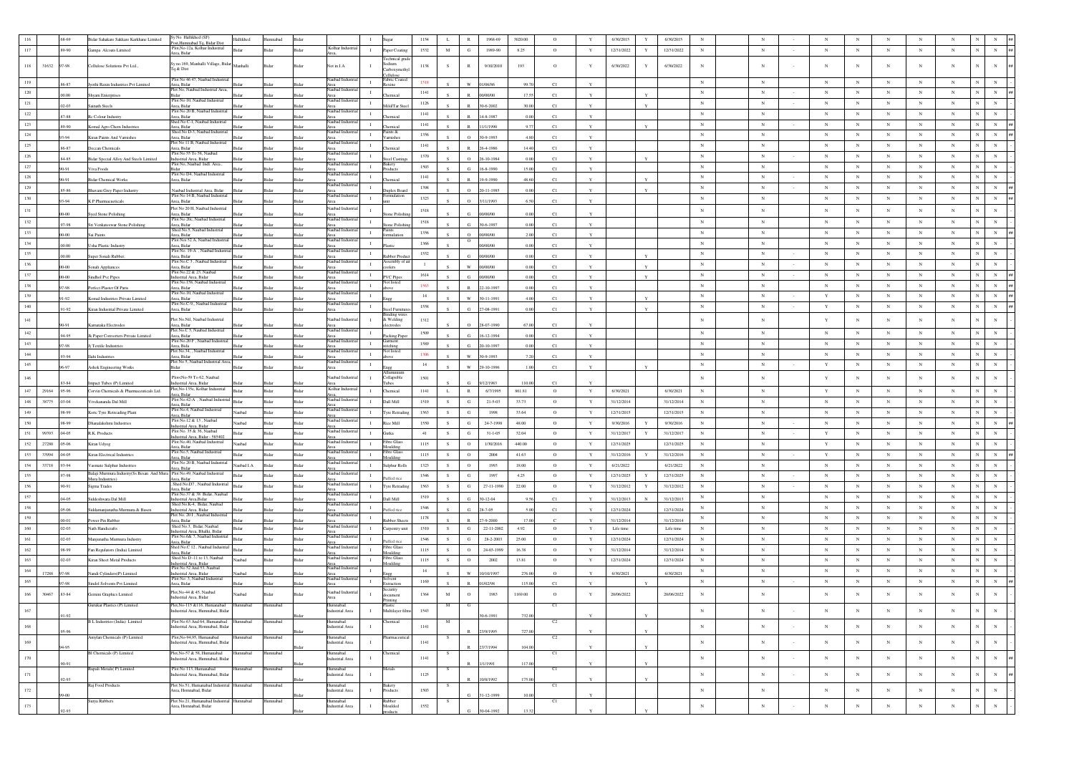|                  | .68-69      | Bidar Sahakare Sakkare Karkhane Limited                                 | Sy No Hallikhed (SF)                                                                                                                                                                                                                                        | Hallikhed    | lumnabad      | Bida                               |                                                 | 1154         |             | 1968-69<br>$\mathbb R$          | 3020.00 | $\circ$ |              | 6/30/2015  | 6/30/2015<br>Y  | N          |              |        |             |                 |              |            |            |                              |
|------------------|-------------|-------------------------------------------------------------------------|-------------------------------------------------------------------------------------------------------------------------------------------------------------------------------------------------------------------------------------------------------------|--------------|---------------|------------------------------------|-------------------------------------------------|--------------|-------------|---------------------------------|---------|---------|--------------|------------|-----------------|------------|--------------|--------|-------------|-----------------|--------------|------------|------------|------------------------------|
| 117              | .89-90      | Gampa Alcoats Limited                                                   | Post.Humnabad To, Bidar Dist<br>Plot, No-12a, Kolhar Industrial                                                                                                                                                                                             | <b>Ridar</b> | Bidar         | Kolhar Indust<br>Bidar             | $\mathbf{I}$<br>Paper Coating                   | 1532         | $_{\rm M}$  | G<br>1989-90                    | 8.25    | $\circ$ | Y            | 12/31/2022 | Y<br>12/31/2022 | $_{\rm N}$ | N            | $\sim$ | N           | $_{\mathrm{N}}$ | $_{\rm N}$   | $_{\rm N}$ | $_{\rm N}$ | $_{\rm N}$<br>$\mathbf N$    |
|                  |             |                                                                         | <b>Area</b> , Bidar                                                                                                                                                                                                                                         |              |               |                                    | Technical gra                                   |              |             |                                 |         |         |              |            |                 |            |              |        |             |                 |              |            |            |                              |
| $118\,$          | 31632 97-98 | Cellulose Solutions Pvt Ltd.,                                           | Sy no.169, Manhalli Village, Bidar Manhalli<br>Tq & Dist                                                                                                                                                                                                    |              | <b>Sidar</b>  | Not in I.A.<br>Bida                | Sodium<br>$\mathbf{I}$<br>Carboxymeth           | 1138         | s.          | $\mathbb R$<br>9/10/2010        | 193     | $\circ$ |              | 6/30/2022  | 6/30/2022<br>Y  | $_{\rm N}$ | $_{\rm N}$   |        | $_{\rm N}$  | $_{\rm N}$      | $_{\rm N}$   | $_{\rm N}$ | $_{\rm N}$ | $_{\rm N}$<br>$_{\rm N}$     |
|                  |             |                                                                         | Plot No 46 47, Naubad Industria                                                                                                                                                                                                                             |              |               | Naubad Ind                         | Cellulose<br>Fabric Coate                       |              |             |                                 |         |         |              |            |                 |            |              |        |             |                 |              |            |            |                              |
| 119              | 6-87        | lyothi Raxin Industries Pvt Limited                                     | Area, Bidar                                                                                                                                                                                                                                                 |              |               | Area                               | $\mathbf{I}$<br>exine                           | 1518         |             | 1/06/86                         | 99.7    | C1      | $\mathbf{v}$ |            |                 | $_{\rm N}$ | $_{\rm N}$   |        | $_{\rm N}$  | $_{\rm N}$      | $_{\rm N}$   | $_{\rm N}$ | $_{\rm N}$ | $_{\rm N}$                   |
| $120\,$          | 00.00       | Shyam Enterprises                                                       | Bidar<br>Plot No 10, Naubad Industrial                                                                                                                                                                                                                      |              |               | Area<br>Naubad Ind                 | $\mathbf{I}$<br>remical                         | 1141         |             | $\mathbb{R}$<br>000000          | 17.5    | C1      |              |            |                 | $_{\rm N}$ | $_{\rm N}$   |        | $_{\rm N}$  | $_{\rm N}$      | $_{\rm N}$   | $_{\rm N}$ | $_{\rm N}$ | $\mathbf N$<br>$_{\rm N}$    |
| 121              | $.02 - 03$  | Sainath Steels                                                          | Area, Bidar                                                                                                                                                                                                                                                 |              |               | Rida<br>Area                       | $\mathbf{I}$<br>Mild/Tar Ste                    | 1126         |             | $\mathbb{R}$<br>30-6-2002       | 30.00   | C1      | $\mathbf{Y}$ |            |                 | $_{\rm N}$ | $_{\rm N}$   |        | $_{\rm N}$  | $_{\rm N}$      | $_{\rm N}$   | $_{\rm N}$ | $_{\rm N}$ | $_{\rm N}$                   |
| $122\,$          |             |                                                                         | Plot No 20 B, Naubad Industria                                                                                                                                                                                                                              |              |               | Naubad Ind                         | $\mathbf{I}$                                    | 1141         |             |                                 |         |         |              |            |                 | $_{\rm N}$ | $_{\rm N}$   |        | $_{\rm N}$  | $_{\rm N}$      | $_{\rm N}$   | $_{\rm N}$ | $_{\rm N}$ |                              |
| 123              | 87-88       | Rc Colour Industry                                                      | Area, Bidar<br>Shed No C-<br>I Industria                                                                                                                                                                                                                    |              |               | Bida<br>Area<br>Naubad Ind         | hemical<br>$\mathbf{I}$                         | 1141         |             | 4-8-1987                        |         | C1      |              |            |                 | $_{\rm N}$ | $_{\rm N}$   |        | $_{\rm N}$  | $_{\rm N}$      | $_{\rm N}$   | $_{\rm N}$ | $_{\rm N}$ | $\mathbf N$<br>$_{\rm N}$    |
|                  | 89-90       | Komal Agro Chem Industries                                              | Area, Bidar<br>Shed No D-3, Naubad Industria                                                                                                                                                                                                                |              | idar          | Rida<br>Area<br>Naubad Ind         | hemical<br>Paints &                             |              |             | /1/1990                         |         | C1      | $\mathbf{v}$ |            |                 |            |              |        |             |                 |              |            |            |                              |
| $124\,$          | 3.94        | Kiran Paints And Varnishes                                              | Area, Bidar<br>Plot No 11 B, Naubad Industrial                                                                                                                                                                                                              |              |               | Area<br>Naubad Ind                 | $\mathbf{I}$<br>amishes                         | 1356         |             | $\Omega$<br>0-9-1993            |         | C1      | $\mathbf{v}$ |            |                 | $_{\rm N}$ | $_{\rm N}$   |        | $\,$ N      | $_{\rm N}$      | $_{\rm N}$   | $_{\rm N}$ | ${\bf N}$  | $_{\rm N}$<br>$_{\rm N}$     |
| 125              | 86-87       | Deccan Chemicals                                                        | Area, Bidar                                                                                                                                                                                                                                                 |              |               | Rida                               | $\mathbf{I}$<br>hemical                         | 1141         |             | $\mathbb{R}$<br>$86 - 4 - 1986$ | 14.4    | C1      |              |            |                 | $_{\rm N}$ | $_{\rm N}$   |        | $_{\rm N}$  | $_{\rm N}$      | $_{\rm N}$   | $_{\rm N}$ | $_{\rm N}$ | $_{\rm N}$                   |
| $126\,$          | 84-85       | Bidar Special Alloy And Steels Limited                                  | Plot No 55 To 58, Naubad<br>Industrial Area, Bidar                                                                                                                                                                                                          |              |               | Naubad Indu                        | $\mathbf{I}$<br>eel Castin                      | 1370         |             | $\circ$<br>26-10-1984           |         | C1      | Y            |            |                 | $_{\rm N}$ | $_{\rm N}$   |        | $_{\rm N}$  | $_{\rm N}$      | $_{\rm N}$   | $_{\rm N}$ | $_{\rm N}$ | $_{\rm N}$                   |
| 127              | 19.06       | Viva Foods                                                              | Plot No, Naubad Indl. Area                                                                                                                                                                                                                                  |              |               | Naubad Inc                         | Bakery<br>$\;$ I                                | 1503         |             | G.<br>$-8 - 1990$               | 150     | C1      |              |            |                 | $_{\rm N}$ | $_{\rm N}$   |        | $_{\rm N}$  | $_{\rm N}$      | $_{\rm N}$   | $_{\rm N}$ | $_{\rm N}$ | $\mathbf N$<br>$_{\rm N}$    |
| 128              |             |                                                                         | Plot No D4. Naubad Industrial                                                                                                                                                                                                                               |              |               | Vaubad In                          | $\mathbf{I}$                                    | 1141         |             |                                 |         |         |              |            |                 | $_{\rm N}$ | $_{\rm N}$   |        | $_{\rm N}$  | $_{\rm N}$      | $_{\rm N}$   | $_{\rm N}$ | $_{\rm N}$ | N                            |
| 129              | 90-91       | <b>Bidar Chemical Works</b>                                             | Area, Bidar                                                                                                                                                                                                                                                 |              | 3idar         | Bidar<br>Area<br>Vanhad Inc        | hemical                                         |              |             | 9-9-1990                        | 48.6    | C1      |              |            |                 | $_{\rm N}$ | $_{\rm N}$   |        | $_{\rm N}$  |                 |              | $_{\rm N}$ | $_{\rm N}$ | $\overline{N}$<br>$_{\rm N}$ |
|                  | 85-86       | avani Grey Paper Industry                                               | Naubad Industrial Area, Bidar<br>Plot No 14 B, Naubad Industrial                                                                                                                                                                                            |              |               | .rea<br>laubad Ind                 | $\;$ I<br>uplex Boa                             | 1398         |             | $\Omega$<br>11-1985             |         | C1      | $\mathbf{v}$ |            |                 |            |              |        |             | $_{\rm N}$      | $_{\rm N}$   |            |            |                              |
| 130              | 93-94       | K P Pharmacueticals                                                     | Area, Bidar                                                                                                                                                                                                                                                 |              |               | Bidar<br>Area                      | $\mathbf{I}$                                    | 1323         |             | $\circ$<br>3/11/1993            |         | C1      |              |            |                 | $_{\rm N}$ | $_{\rm N}$   |        | $_{\rm N}$  | $_{\rm N}$      | $_{\rm N}$   | $_{\rm N}$ | $_{\rm N}$ |                              |
| $131\,$          |             | Syed Stone Polishing                                                    | Plot No 20 H, Naubad Industrial<br>Area, Bidar                                                                                                                                                                                                              |              |               | Naubad Indus                       | se Pol                                          | 1518         |             | V00/00                          |         | C1      |              |            |                 | $_{\rm N}$ | $_{\rm N}$   |        | $_{\rm N}$  | $_{\rm N}$      | $_{\rm N}$   | $_{\rm N}$ | $_{\rm N}$ |                              |
| 132              |             |                                                                         | Plot No 20c. Naubad Industria                                                                                                                                                                                                                               |              |               | Area<br>Naubad Ind                 | $\blacksquare$                                  | 1518         |             |                                 |         |         |              |            |                 | $_{\rm N}$ | $_{\rm N}$   |        | $_{\rm N}$  | $_{\rm N}$      | $_{\rm N}$   | $_{\rm N}$ | $_{\rm N}$ |                              |
| 133              | 97-98       | Sri Venkateswar Stone Polishing                                         | Area, Bidar<br>Shed No.5, Naubad Industrial                                                                                                                                                                                                                 |              |               | Rida<br>Area<br>Naubad Indu        | one Polish<br>Paints<br>$\mathbf{I}$            | 1356         |             | $\alpha$<br>30-6-1997           |         | C1      |              |            |                 | $_{\rm N}$ | $_{\rm N}$   |        | $_{\rm N}$  |                 | $_{\rm N}$   | $_{\rm N}$ | $_{\rm N}$ |                              |
|                  | $00 - 00$   | Sai Paints                                                              | <b>Area</b> , Bida<br>Plot Noi 52 A. Naubad Industria                                                                                                                                                                                                       |              |               | Bida<br>Naubad Inc                 | mulation                                        |              |             | $\circ$<br>00/00/00<br>о        |         | C1      | $\mathbf Y$  |            |                 |            |              |        |             | $_{\rm N}$      |              |            |            |                              |
| 134              | 00.00.      | <b>Usha Plastic Industry</b>                                            | <b>Ing Rida</b>                                                                                                                                                                                                                                             |              | <b>Nichar</b> | Ridar                              | $\mathbf{I}$                                    | 1366         |             | 0/00/00                         |         | C1      |              |            |                 | $_{\rm N}$ | $_{\rm N}$   |        | $_{\rm N}$  | $_{\rm N}$      | $_{\rm N}$   | $_{\rm N}$ | $_{\rm N}$ |                              |
| 135              | 00.00.      | Super Sonali Rubber                                                     | Plot No. 19-A<br>Area, Bidar<br>Plot No.C 3, Naubad Industria                                                                                                                                                                                               |              |               | Area<br>Naubad Ind                 | $\mathbf{I}$<br>bber Pro                        | 1552         |             | 000000                          |         | C1      |              |            |                 | $_{\rm N}$ | $_{\rm N}$   |        | ${\bf N}$   | $_{\rm N}$      | $_{\rm N}$   | $_{\rm N}$ | $_{\rm N}$ | $_{\rm N}$<br>N              |
| 136              | 00-00       | Sonali Appliances                                                       | <b>Ansa Ridar</b>                                                                                                                                                                                                                                           |              |               |                                    | $\mathbf{I}$<br>oolers                          | $\mathbf{1}$ |             | w<br>10/00/00                   |         | C1      | $\mathbf{v}$ |            |                 | $_{\rm N}$ | $_{\rm N}$   |        | $_{\rm N}$  | $_{\rm N}$      | $_{\rm N}$   | $_{\rm N}$ | ${\bf N}$  |                              |
| 137              | $00 - 00$   |                                                                         | Plot No.22 & 23, Naubad                                                                                                                                                                                                                                     |              |               | Vaubad Inc                         | $\mathbf{I}$                                    | 1614         |             | G                               |         |         |              |            |                 | $_{\rm N}$ | $_{\rm N}$   |        | $_{\rm N}$  | $_{\rm N}$      | $_{\rm N}$   | $_{\rm N}$ | $_{\rm N}$ | $_{\rm N}$                   |
| 138              |             | Sindhol Pvc Pipes                                                       | dustrial Area, Bidar<br>Plot No.158, Naubad Industri                                                                                                                                                                                                        |              |               | Bidar<br>aubad In                  | <b>PVC Pipes</b><br>$\;$ I                      | 1563         |             | 00/00/00                        |         | C1      |              |            |                 | $_{\rm N}$ | $_{\rm N}$   |        | ${\bf N}$   | $_{\rm N}$      | $_{\rm N}$   | $_{\rm N}$ | $_{\rm N}$ | $_{\rm N}$<br>$_{\rm N}$     |
|                  | 90.70       | Perfect Plaster Of Paris                                                | <b>Inga Ridar</b><br>Plot No.10, Naubad Industrial                                                                                                                                                                                                          |              |               | Area<br>Naubad Ind                 |                                                 |              |             | -10-1997<br>$\mathbf{p}$        |         | C1      | $\mathbf{v}$ |            |                 |            |              |        |             |                 |              |            |            |                              |
| 139              | 91-92       | Komal Industries Private Limited                                        | Area, Bidar<br>Plot No.C-9,, Naubad Industrial                                                                                                                                                                                                              |              | 3idar         | Bidar<br>Area<br>Naubad Ind        | $\mathbf{I}$                                    | 14           |             | W<br>80-11-1991                 |         | C1      |              |            |                 | $_{\rm N}$ | $_{\rm N}$   |        | Y           | $_{\rm N}$      | $_{\rm N}$   | $_{\rm N}$ | $_{\rm N}$ | $_{\rm N}$<br>$_{\rm N}$     |
| 140              | 91.92       | Kiran Industrial Private Limited                                        | Area, Bidar                                                                                                                                                                                                                                                 |              |               |                                    | $\mathbf{I}$<br>Steel Furr                      | 1558         |             | $\mathbf{G}$<br>7-08-1991       |         | C1      |              |            |                 | $_{\rm N}$ | $_{\rm N}$   |        | Y           | $_{\rm N}$      | $_{\rm N}$   | $_{\rm N}$ | $_{\rm N}$ | N<br>$_{\rm N}$              |
| 141              |             |                                                                         | Plot No.Nil, Naubad Industrial                                                                                                                                                                                                                              |              |               | Naubad Indu                        | ding wir<br>$\mathbf{I}$<br>& Welding           | 1312         |             |                                 |         |         |              |            |                 | $_{\rm N}$ | $_{\rm N}$   |        | $\mathbf Y$ | $_{\rm N}$      | $_{\rm N}$   | $_{\rm N}$ | $_{\rm N}$ |                              |
|                  | 0.91        | Karnataka Electrodes                                                    | Area, Bidar<br>Plot No.C 5. Naubad Industrial                                                                                                                                                                                                               |              |               | Area<br>Naubad Indu                | ctrodes                                         |              |             | $\Omega$<br>$3 - 07 - 1990$     |         | C1      |              |            |                 |            |              |        |             |                 |              |            |            |                              |
| 142              | 94-95       | Jk Paper Converters Private Limited                                     | Area, Bidar                                                                                                                                                                                                                                                 |              |               | Ridar<br>Area                      | $\blacksquare$<br>Packing Pape                  | 1509         |             | G<br>$16 - 12 - 1994$           |         | C1      | $\mathbf{Y}$ |            |                 | $_{\rm N}$ | $_{\rm N}$   |        | $_{\rm N}$  | $_{\rm N}$      | $_{\rm N}$   | $_{\rm N}$ | $_{\rm N}$ |                              |
| $143\,$          | 97-98       | Jj Textile Industries                                                   | Plot No.20 F, Naubad Industria<br>Area, Bida                                                                                                                                                                                                                |              |               | Naubad Indu<br>Bidar               | Ciarment<br>$\mathbf{I}$<br>itchins             | 1589         |             | G<br>20-10-1997                 |         | C1      |              |            |                 | $_{\rm N}$ | $_{\rm N}$   |        | $_{\rm N}$  | $_{\rm N}$      | $_{\rm N}$   | $_{\rm N}$ | $_{\rm N}$ |                              |
| $144\,$          | 10.50       | Ilahi Industries                                                        | Plot No.34. Naubad Industrial<br>Area, Bidar                                                                                                                                                                                                                |              |               | Naubad Ind<br>Bida<br>Area         | vot listed<br>$\mathbf I$<br>ove                | 1306         |             | w<br>0-9-1993                   |         | C1      |              |            |                 | $_{\rm N}$ | $_{\rm N}$   |        | ${\bf N}$   | $_{\rm N}$      | $_{\rm N}$   | $_{\rm N}$ | $_{\rm N}$ |                              |
| 145              | 96-97       | Ashok Engineering Works                                                 | lot No 5, Naubad Industrial Area                                                                                                                                                                                                                            |              |               | Naubad In                          | $\mathbf{I}$                                    | 14           |             | w<br>$-10-1996$                 |         | C1      |              |            |                 | $_{\rm N}$ | $_{\rm N}$   |        | $\mathbf Y$ | $_{\rm N}$      | $_{\rm N}$   | $_{\rm N}$ | ${\bf N}$  | $_{\rm N}$<br>$_{\rm N}$     |
|                  |             |                                                                         | Plot <no-59 62,="" naubad<="" td="" to=""><td></td><td></td><td>Naubad Indus</td><td></td><td></td><td></td><td></td><td></td><td></td><td></td><td></td><td></td><td></td><td></td><td></td><td></td><td></td><td></td><td></td><td></td><td></td></no-59> |              |               | Naubad Indus                       |                                                 |              |             |                                 |         |         |              |            |                 |            |              |        |             |                 |              |            |            |                              |
| 146              | 33-84       | npact Tubes (P) Limited                                                 | ndustrial Area, Bidar                                                                                                                                                                                                                                       |              |               |                                    | $\mathbf{I}$<br>Collapsible                     | 1501         |             | 2/1983                          | 110.0   | C1      |              |            |                 | $_{\rm N}$ | $_{\rm N}$   |        | $\mathbf Y$ | $_{\rm N}$      | $_{\rm N}$   | $_{\rm N}$ | $_{\rm N}$ |                              |
| $147\,$<br>29164 | .95-96      | Corvin Chemicals & Pharmaceuticals Ltd.                                 | Plot, No-135e, Kolhar Industrial<br>Area, Bidar                                                                                                                                                                                                             | Bidar        | Bidar         | Kolhar Indus<br>Bidar<br>Area,     | $\mathbf{I}$<br>Chemical                        | 1141         | L           | $\,$ R<br>6/7/1995              | 861.81  | $\circ$ | Y            | 6/30/2021  | 6/30/2021       | $_{\rm N}$ | $_{\rm N}$   |        | Y           | $_{\rm N}$      | $_{\rm N}$   | $_{\rm N}$ | ${\bf N}$  | $_{\rm N}$                   |
| 148<br>38775     | $.03 - 04$  | Vivekananda Dal Mill                                                    | Plot No.42-A, Naubad Industrial                                                                                                                                                                                                                             | Bidar        | Bidar         | Naubad Indus<br>Bidar              | $\mathbf{I}$<br>Dall Mill                       | 1519         | S           | ${\rm G}$<br>$21 - 5 - 03$      | 33.73   | $\circ$ | $\mathbf Y$  | 31/12/2014 | 31/12/2014      | $_{\rm N}$ | $_{\rm N}$   |        | $_{\rm N}$  | $_{\rm N}$      | $_{\rm N}$   | $_{\rm N}$ | $_{\rm N}$ | $\mathbf N$<br>$_{\rm N}$    |
| 149              | 99.99       | Ksrtc Tyre Retreading Plant                                             | Irea, Bidar<br>Plot No.4, Naubad Industrial                                                                                                                                                                                                                 | Naubad       | Bidar         | Naubad Indu<br><b>Bidar</b>        | $\mathbf{I}$<br>Tyre Retradi                    | 1563         | S           | G<br>1998                       | 33.64   | $\circ$ | Y            | 12/31/2015 | 12/31/2013      | $_{\rm N}$ | $_{\rm N}$   |        | $_{\rm N}$  | $_{\rm N}$      | $_{\rm N}$   | $_{\rm N}$ | $_{\rm N}$ | $_{\rm N}$                   |
|                  |             |                                                                         | Area, Bidar<br>Plot No.12 & 13, Naubad                                                                                                                                                                                                                      |              |               | Area<br>Naubad Indus               |                                                 |              |             |                                 |         |         |              |            |                 |            |              |        |             |                 |              |            |            |                              |
| 150              | .98-99      | Dhanalakshmi Industries                                                 | ndustrial Area, Bidar<br>Plot No. 35 & 36, Naubad                                                                                                                                                                                                           | Naubad       | Bidar         | Bidar<br>Naubad Indu               | $\mathbf{I}$<br>Rice Mill                       | 1550         | S           | $\mathbf G$<br>24-7-1998        | 48.00   | $\circ$ | $\mathbf{Y}$ | 9/30/2016  | 9/30/2016<br>Y  | $_{\rm N}$ | $_{\rm N}$   |        | $_{\rm N}$  | $_{\rm N}$      | $_{\rm N}$   | $_{\rm N}$ | $_{\rm N}$ | $\mathbf N$<br>$_{\rm N}$    |
| 151<br>99393     | 04-05       | R.K. Products                                                           | ndustrial Area, Bidar - 585402                                                                                                                                                                                                                              |              | Bidar         | Bidar<br>Area                      | $\mathbf{I}$<br>Gutka                           | 41           | S           | G<br>$31 - 1 - 05$              | 32.04   | $\circ$ | Y            | 31/12/2017 | Y<br>31/12/2017 | $_{\rm N}$ | $_{\rm N}$   |        | $\mathbf Y$ | $_{\rm N}$      | $_{\rm N}$   | $_{\rm N}$ | ${\bf N}$  | $_{\rm N}$<br>$_{\rm N}$     |
| 152<br>27280     | $.05 - 06$  | Kiran Udyog                                                             | Plot No.40, Naubad Industrial<br>nea Ridar                                                                                                                                                                                                                  | Vaubad       | 3idar         | Naubad Indus<br>Bidar              | <b>Fibre Glas</b><br>$\mathbf{I}$<br>Mouldin    | 1115         | S           | $\rm ^o$<br>1/30/2016           | 440.00  | $\circ$ | $\mathbf Y$  | 12/31/2025 | 12/31/2025      | $_{\rm N}$ | $_{\rm N}$   |        | $\mathbf Y$ | $_{\rm N}$      | $_{\rm N}$   | $_{\rm N}$ | $_{\rm N}$ |                              |
| 153<br>33994     | $.04 - 0.5$ | Kiran Electrical Industries                                             | Plot No.5, Naubad Industrial<br><b>Area</b> , Bidar                                                                                                                                                                                                         |              | Bidar         | Naubad Indus<br>Bidar              | <b>Fibre Glas</b><br>$\blacksquare$<br>foulding | 1115         | s           | $\circ$<br>2004                 | 41.63   | $\circ$ | Y            | 31/12/2016 | 31/12/2016<br>Y | $_{\rm N}$ | $_{\rm N}$   |        | Y           | $_{\rm N}$      | $_{\rm N}$   | $_{\rm N}$ | $_{\rm N}$ |                              |
| 154<br>33718     | 93-94       | Vasmate Sulphur Industries                                              | Plot No 20 B, Naubad Industrial                                                                                                                                                                                                                             | Naubad I.A   | <b>Sidar</b>  | Naubad Indu<br>Bidar               | $\mathbf{I}$<br>Sulphur Rolls                   | 1323         | S           | $\circ$<br>1993                 | 18.00   | $\circ$ | $\mathbf{Y}$ | 6/21/2022  | 6/21/2022       | $_{\rm N}$ | $_{\rm N}$   |        | $_{\rm N}$  | $_{\rm N}$      | $_{\rm N}$   | $_{\rm N}$ | $_{\rm N}$ | $_{\rm N}$                   |
| 155              | .97-98      | Balaji Murmura Industry(Ss Besan And Mura Plot No.49, Naubad Industrial | Irea, Bidar                                                                                                                                                                                                                                                 | <b>Bidar</b> | Bidar         | Naubad Ind<br>Bidar                | $\mathbf{I}$                                    | 1546         | S           | G<br>1997                       | 4.25    | $\circ$ | Y            | 12/31/2025 | 12/31/2025<br>Y | $_{\rm N}$ | $_{\rm N}$   |        | $_{\rm N}$  | $_{\rm N}$      | $_{\rm N}$   | $_{\rm N}$ | $_{\rm N}$ | $_{\rm N}$<br>$_{\rm N}$     |
|                  |             | Mura Industries)                                                        | Area, Bidar<br>Shed No.D7<br>, Naubad Industria                                                                                                                                                                                                             |              |               | Naubad Indu                        | fed ric                                         |              |             |                                 |         |         |              |            |                 |            |              |        |             |                 |              |            |            | $\mathbf N$                  |
| 156              | .90-91      | Sigma Trades                                                            | Area, Bidar<br>Plot No.37 & 38 Bidar, Naubac                                                                                                                                                                                                                | Bidar        | <b>Sidar</b>  | Bidar<br>Area<br>Naubad Ind        | $\;$ I<br>Tyre Retrading                        | 1563         | ${\bf s}$   | ${\bf G}$<br>27-11-1990         | 22.00   | $\circ$ | Y            | 31/12/2012 | 31/12/2012<br>Y | $_{\rm N}$ | $_{\rm N}$   |        | $_{\rm N}$  | $_{\rm N}$      | $_{\rm N}$   | $_{\rm N}$ | ${\bf N}$  |                              |
| 157              | 04-05       | Siddeshwara Dal Mill                                                    | strial Area, Bidar<br>Shed No.K-4, Bidar, Naubad                                                                                                                                                                                                            |              |               | Bidar<br>Naubad Ind                | $\mathbf{I}$<br>Dall Mill                       | 1519         |             | G<br>$30 - 12 - 04$             |         | C1      |              | 31/12/2013 | 31/12/2013      | $_{\rm N}$ | $_{\rm N}$   |        | $_{\rm N}$  | $_{\rm N}$      | $_{\rm N}$   | $_{\rm N}$ | $_{\rm N}$ | $_{\rm N}$                   |
| 158              | 05:06       | Siddamanjunatha Murmura & Basen                                         | Industrial Area, Bidar                                                                                                                                                                                                                                      |              | <b>Nichar</b> | Ridar<br>Area                      | $\mathbf{I}$<br>affed rice                      | 1546         |             | G<br>8-7-05                     |         | C1      |              | 12/31/2024 | 12/31/2024      | $_{\rm N}$ | $_{\rm N}$   |        | $\mathbf N$ | $_{\rm N}$      | $_{\rm N}$   | $_{\rm N}$ | $_{\rm N}$ | $_{\rm N}$                   |
| 159              | $.00 - 01$  | wer Pin Rubber                                                          | Plot No. 201, Naubad Industrial<br>Area, Bidar                                                                                                                                                                                                              |              |               | Naubad Ind<br>Area                 | $\;$ I<br>abber She                             | 1178         |             | 9-2000                          | 17.0    |         |              | 31/12/2014 | 31/12/2014      | $_{\rm N}$ | $_{\rm N}$   |        | $_{\rm N}$  | $_{\rm N}$      | $_{\rm N}$   | $_{\rm N}$ | $_{\rm N}$ | $_{\rm N}$<br>$_{\rm N}$     |
| 160              | $.02 - 03$  | Nath Handicrafts                                                        | Shed No.3, Bidar, Naubad                                                                                                                                                                                                                                    | Bidar        | Bidar         | Naubad Indi<br>Bidar               | $\mathbf{I}$<br>Carpentry uni                   | 1510         | S           | G<br>22-11-2002                 | 4.92    | $\circ$ | Y            | Life time  | Life time       | $_{\rm N}$ | $_{\rm N}$   |        | $_{\rm N}$  | $_{\rm N}$      | $\mathbb{N}$ | $_{\rm N}$ | N          | N                            |
| 161              | $.02 - 03$  | Manjunatha Murmura Industry                                             | ndustrial Area, Bhalki, Bidar<br>Plot No.6& 7, Naubad Industrial                                                                                                                                                                                            |              | <b>Sidar</b>  | Area<br>Naubad Indus<br>Bida       | $\mathbf{I}$                                    | 1546         | ${\bf s}$   | ${\rm G}$<br>28-2-2003          | 25.00   | $\circ$ | $\mathbf Y$  | 12/31/2024 | 12/31/2024      | $_{\rm N}$ | $_{\rm N}$   |        | $_{\rm N}$  | $_{\rm N}$      | $_{\rm N}$   | $_{\rm N}$ | $_{\rm N}$ |                              |
| 162              | .98-99      | Fan Regulators (India) Limited                                          | Area, Bidar<br>Shed No.C 12, Naubad Industrial                                                                                                                                                                                                              | Ridar        | Bidar         | Naubad Indus<br>Bidar              | iffed ric<br>Fibre Glass<br>$\mathbf{I}$        | 1115         | S           | $\circ$<br>24-03-1999           | 16.38   | $\circ$ | $\mathbf{Y}$ | 31/12/2014 | 31/12/201-      | $_{\rm N}$ | $_{\rm N}$   |        | $_{\rm N}$  | $_{\rm N}$      | $_{\rm N}$   | $_{\rm N}$ | $_{\rm N}$ |                              |
|                  |             |                                                                         | rea, Bidar<br>Shed No D -11 to 13, Naubad                                                                                                                                                                                                                   |              |               | Naubad Indu                        | oulding<br><b>Fibre Glass</b>                   |              |             |                                 |         |         |              |            |                 |            |              |        |             |                 |              |            |            |                              |
| 163              | $.02 - 03$  | Kiran Sheet Metal Products                                              | Industrial Area, Bidar<br>Plot No 52 And 53, Naubad                                                                                                                                                                                                         | Naubad       | Bidar         | Bidar<br>Naubad Ind                | $\mathbf{I}$<br>Moulding                        | 1115         | S           | $\circ$<br>2002                 | 13.81   | $\circ$ | Y            | 12/31/2024 | 12/31/2024      | $_{\rm N}$ | $_{\rm N}$   |        | $_{\rm N}$  | $_{\rm N}$      | $_{\rm N}$   | $_{\rm N}$ | $_{\rm N}$ | N                            |
| 164<br>17288     | 97.98       | Nandi Cylinders(P) Limited                                              | Industrial Area, Bidar                                                                                                                                                                                                                                      |              |               | <b>Bida</b><br>Area                | $\mathbf{I}$                                    | 14           |             | W<br>0/10/1997                  | 276.0   | $\circ$ |              | 6/30/2021  | 6/30/2021       | $_{\rm N}$ | $_{\rm N}$   |        | $\mathbf N$ | $_{\rm N}$      | N            | $_{\rm N}$ | $_{\rm N}$ |                              |
| 165              | 97-98       | Sindol Solvents Pvt Limited                                             | Plot No: 3. Naubad Industrial<br>Area, Bidar                                                                                                                                                                                                                |              |               | Naubad Indu<br><b>Bida</b>         | xtraction                                       | 1169         |             | 102/95                          | 115.0   | C1      |              |            |                 | $_{\rm N}$ | $_{\rm N}$   |        | $_{\rm N}$  | $_{\rm N}$      | $_{\rm N}$   | $_{\rm N}$ | $_{\rm N}$ | $_{\rm N}$                   |
| $166$<br>30467   | 83-84       | Gemini Graphics Limited                                                 | Plot.No-44 & 45, Naubad                                                                                                                                                                                                                                     | Vaubad       |               | Naubad Industr                     | ecurity                                         | 1364         | $\mathbf M$ | $\circ$<br>1983                 | 1169.00 | $\circ$ | Y            | 20/06/2022 | 20/06/2022      | $_{\rm N}$ | $\mathbb{N}$ |        | $_{\rm N}$  | $_{\rm N}$      | $_{\rm N}$   | $_{\rm N}$ | $_{\rm N}$ |                              |
|                  |             |                                                                         | ndustrial Area, Bidar                                                                                                                                                                                                                                       |              |               | Area                               | ocument                                         |              |             |                                 |         |         |              |            |                 |            |              |        |             |                 |              |            |            |                              |
| 167              |             | Gurukar Plastics (P) Limited                                            | 2lot.No-115 & 116. Humanabad<br>Industrial Area, Humnabad, Bidar                                                                                                                                                                                            | Humnabad     | Humnabad      | herismmil<br>Industrial Area       | $\;$ I<br>Multilayer film                       | 1543         |             |                                 |         | C1      |              |            |                 | $_{\rm N}$ | $_{\rm N}$   |        | $_{\rm N}$  | $_{\rm N}$      | $_{\rm N}$   | $_{\rm N}$ | $_{\rm N}$ | $_{\rm N}$<br>$_{\rm N}$     |
|                  | 91-92       | B L Industries (India) Limited                                          | Plot No 63 And 64, Humanabad Humnabad                                                                                                                                                                                                                       |              | Humnabad      | Humnabad                           | Chemical                                        |              |             | $0 - 6 - 1991$                  | 732     | C2      |              |            |                 |            |              |        |             |                 |              |            |            |                              |
| 168              |             |                                                                         | ndustrial Area, Homnabad, Bidar                                                                                                                                                                                                                             |              |               | dustrial Area                      | $\mathbf{I}$                                    | 1141         |             |                                 |         |         |              |            |                 | $_{\rm N}$ | $_{\rm N}$   | $\sim$ | $_{\rm N}$  | $_{\rm N}$      | $_{\rm N}$   | $_{\rm N}$ | $_{\rm N}$ | $_{\rm N}$<br>$\,$ N         |
|                  | 95-96       | Amylan Chemicals (P) Limited                                            | Plot, No-94, 95, Humanabad                                                                                                                                                                                                                                  | Humnabad     | Humnabad      | Humnabad                           | Pharmaceutic:                                   |              |             | 3/9/1995                        | 727     | C2      |              |            |                 |            |              |        |             |                 |              |            |            |                              |
| $169\,$          | 44.95       |                                                                         | adustrial Area, Humnabad, Bidar                                                                                                                                                                                                                             |              |               | ustrial Area                       | $\;$ I                                          | 1141         |             | 3/7/1994                        | 104.0   |         |              |            |                 | $_{\rm N}$ | $_{\rm N}$   | $\sim$ | $_{\rm N}$  | $_{\rm N}$      | $_{\rm N}$   | $_{\rm N}$ | $_{\rm N}$ | $_{\rm N}$<br>$_{\rm N}$     |
| 170              |             | BI Chemicals (P) Limited                                                | Plot, No-57 & 58, Humanabad                                                                                                                                                                                                                                 | hadiamm      | Humnabad      | Humnabad                           | Chemical                                        |              |             |                                 |         | C1      |              |            |                 | $_{\rm N}$ | $_{\rm N}$   |        |             |                 |              | $_{\rm N}$ |            | $_{\rm N}$                   |
|                  | .90-91      |                                                                         | ndustrial Area, Humnabad, Bidar                                                                                                                                                                                                                             |              |               | Industrial Area                    | $\;$ I                                          | 1141         |             | /1/1991                         | 117.00  |         |              |            |                 |            |              | $\sim$ | $_{\rm N}$  | $_{\rm N}$      | $_{\rm N}$   |            | ${\bf N}$  | $_{\rm N}$                   |
| 171              |             | Rupali Metals(P) Limited                                                | Plot No 113, Humanabad<br>Industrial Area, Humnabad, Bidar                                                                                                                                                                                                  | mnabad       | Humnabad      | Humnabad<br><b>Industrial Area</b> | Metals<br>$\mathbf{I}$                          | 1125         |             |                                 |         | C1      |              |            |                 | $_{\rm N}$ | $_{\rm N}$   | $\sim$ | $_{\rm N}$  | $_{\rm N}$      | $_{\rm N}$   | $_{\rm N}$ | ${\bf N}$  | $_{\rm N}$<br>$_{\rm N}$     |
|                  | .92-93      | Raj Food Products                                                       | Plot No.51, Humanabad Industrial                                                                                                                                                                                                                            | Humnabad     | Humnabad      | Humnabad                           |                                                 |              |             | 10/8/1992                       | 175.00  | C1      |              |            |                 |            |              |        |             |                 |              |            |            |                              |
|                  |             |                                                                         |                                                                                                                                                                                                                                                             |              |               | ndustrial Area                     | Bakery<br>$\;$ I<br>Products                    | 1503         | s           |                                 |         |         |              |            |                 | $_{\rm N}$ | $_{\rm N}$   |        | $_{\rm N}$  | $_{\rm N}$      | $_{\rm N}$   | $_{\rm N}$ |            | $_{\rm N}$<br>$_{\rm N}$     |
| $172\,$          |             |                                                                         | Area, Homnabad, Bidar                                                                                                                                                                                                                                       |              |               |                                    |                                                 |              |             |                                 |         |         |              |            |                 |            |              |        |             |                 |              |            | $_{\rm N}$ |                              |
| 173              | 9.00        | Surya Rubbers                                                           | Plot No.21. Humanabad Industrial                                                                                                                                                                                                                            | mnabad       | Iumnabad      | lumnabad                           | Rubber<br>$\mathbf I$<br>Moulded                | 1552         |             | G.<br>1-12-1999                 |         | C1      |              |            |                 | $_{\rm N}$ | $_{\rm N}$   |        | $_{\rm N}$  | $_{\rm N}$      | $_{\rm N}$   | $_{\rm N}$ | $\,$ N     | $_{\rm N}$<br>$_{\rm N}$     |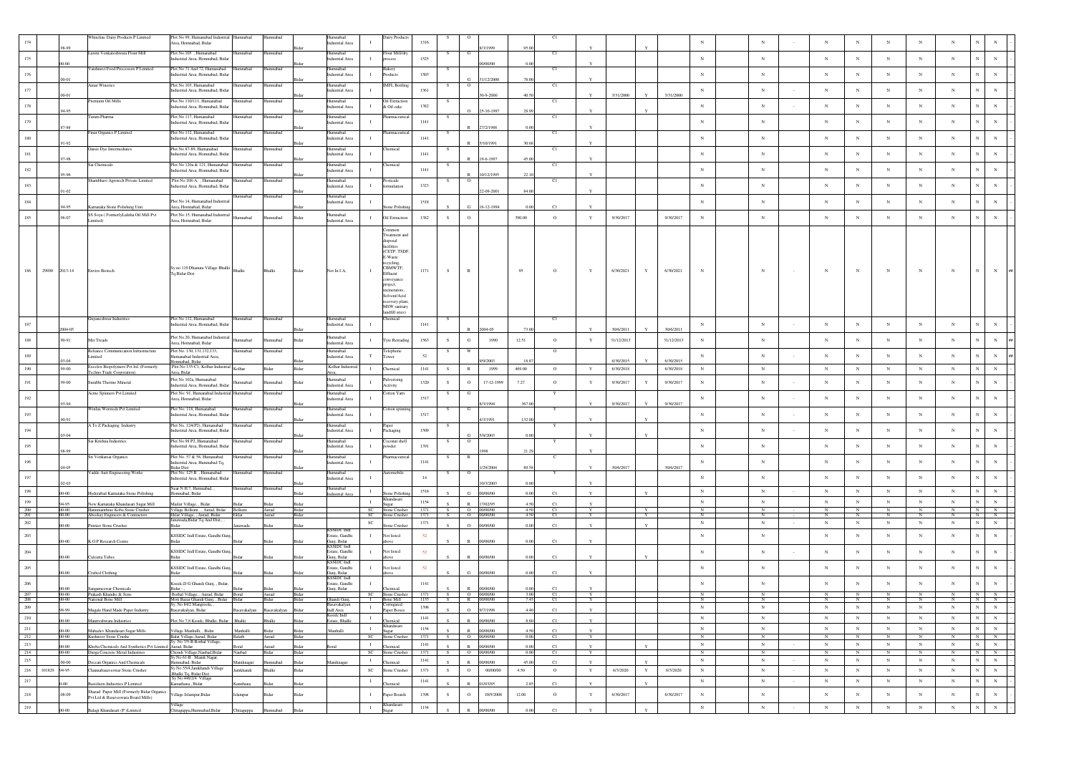|                |              |                      | Whiteline Dairy Products P Limited                                                         | Plot No 99, Humanabad Industrial Humnabad<br>Area, Homnabad, Bidar              |                    | Humnabad                  | <b>Jumnabad</b><br>dustrial Area                   | Dairy Product                                                                                                                                                                                                                     | 1316         |              |              |                                     |                        | C1       |                             |                        |              |                        |                 |                          |                            |                            |                           |                             |                                          |                      |  |
|----------------|--------------|----------------------|--------------------------------------------------------------------------------------------|---------------------------------------------------------------------------------|--------------------|---------------------------|----------------------------------------------------|-----------------------------------------------------------------------------------------------------------------------------------------------------------------------------------------------------------------------------------|--------------|--------------|--------------|-------------------------------------|------------------------|----------|-----------------------------|------------------------|--------------|------------------------|-----------------|--------------------------|----------------------------|----------------------------|---------------------------|-----------------------------|------------------------------------------|----------------------|--|
| 175            |              |                      | Laxmi Venkateshwara Flour Mill                                                             | Plot No.105 . Humanabad<br>ndustrial Area, Homnabad, Bidar                      | nnabac             | mnabad                    | umnabad<br>ndustrial Area                          | Flour Mill/dry<br>$\mathbf{I}$<br>process                                                                                                                                                                                         | 1525         |              |              |                                     |                        | C1       |                             |                        |              |                        | $_{\rm N}$      | $_{\rm N}$               | $_{\rm N}$                 | N                          | $_{\rm N}$                | $_{\rm N}$                  | $_{\rm N}$                               | $\mathbf N$          |  |
|                |              | $0-00$               | Vaishnavi Food Processors P Limited                                                        | Not No 71 And 72, Humanabad                                                     | mabac              | nnabad                    | mnabad                                             | akery                                                                                                                                                                                                                             |              |              |              | 00/00/00                            |                        | C1       |                             |                        |              |                        |                 |                          |                            |                            |                           |                             |                                          |                      |  |
| 176            |              | 00-01                | Amar Wineries                                                                              | dustrial Area, Homnabad, Bidar<br>Not No 103, Humanabad                         | nnabad             | umnabad                   | fustrial Area<br>lumnabad                          | $\mathbf{I}$<br>roducts<br><b>MFL Bottlin</b>                                                                                                                                                                                     | 1503         |              | $^{\circ}$   | 31/12/2000                          |                        | C1       |                             |                        |              |                        | $_{\rm N}$      | $_{\rm N}$               | $_{\rm N}$                 | $_{\rm N}$                 | $_{\rm N}$                | $_{\rm N}$                  | $_{\rm N}$                               | $_{\rm N}$           |  |
| $177\,$        |              | $0 - 01$             |                                                                                            | dustrial Area, Homnabad, Bidar                                                  |                    |                           | dustrial Area                                      |                                                                                                                                                                                                                                   | 1361         |              |              | 0-9-2000                            |                        |          |                             | 3/31/2000              |              | 3/31/2000              | $_{\rm N}$      | $_{\rm N}$               | $_{\rm N}$                 | $_{\rm N}$                 | $_{\rm N}$                | $_{\rm N}$                  | $_{\rm N}$                               | $_{\rm N}$           |  |
| $178\,$        |              | 4.95                 | Premium Oil Mills                                                                          | Plot No 110/111 Humanabad<br>ndustrial Area, Homnabad, Bidar                    | mnabad             | bedemmi                   | Humnabad<br>ndustrial Area                         | Oil Extractio<br>л.<br>& Oil cake                                                                                                                                                                                                 | 1382         | S.           |              | 5-10-199                            |                        | C1       |                             |                        |              |                        | $_{\rm N}$      | $_{\rm N}$               | $_{\rm N}$                 | $_{\rm N}$                 | $_{\rm N}$                | $_{\rm N}$                  | $_{\rm N}$                               | $_{\rm N}$           |  |
| 179            |              |                      | Faram Pharma                                                                               | lot No 117, Humanabad<br>fustrial Area, Homnabad, Bidar                         | nnabac             | mmabad                    | umnabac<br>astrial Area                            | armaceutica<br>$\mathbf{I}$                                                                                                                                                                                                       | 1141         |              |              |                                     |                        | C1       |                             |                        |              |                        | $_{\rm N}$      | ${\bf N}$                | $_{\rm N}$                 | $_{\rm N}$                 | $_{\rm N}$                | $_{\rm N}$                  | $_{\rm N}$                               | $_{\rm N}$           |  |
| $180\,$        |              | $7 - 88$             | Finar Organics P Limited                                                                   | Plot No 112, Humanabad<br>dustrial Area, Homnabad, Bidar                        | mnabad             | umnabad                   | lumnabad<br>dustrial Area                          | harmaceutica<br>$\mathbf{I}$                                                                                                                                                                                                      | $1141\,$     | -S           |              | 77771988                            |                        | C1       |                             |                        |              |                        | $_{\rm N}$      | $_{\rm N}$               | $_{\rm N}$                 | $_{\rm N}$                 | $_{\rm N}$                | $_{\rm N}$                  | $_{\rm N}$                               | $_{\rm N}$           |  |
| 181            |              | 91.92                | Oaisis Dye Intermediates                                                                   | Plot No 87-89, Humanabad<br>ndustrial Area, Homnabad, Bidar                     | hadamm             | Iumnabad                  | <b>Iumnabad</b><br>dustrial Area                   | Chemical<br>л.                                                                                                                                                                                                                    | 1141         |              |              | (10/1991                            |                        | C1       |                             |                        |              |                        | $_{\rm N}$      | $_{\rm N}$               | $_{\rm N}$                 | N                          | $_{\rm N}$                | $_{\rm N}$                  | $_{\rm N}$                               | $_{\rm N}$           |  |
|                |              | 97-98                | Sai Chemicals                                                                              | Plot No 120a & 121, Humanabad                                                   | nnabad             | umnabad                   | lumnabad                                           | hemical                                                                                                                                                                                                                           |              |              |              | 9-6-1997                            |                        | C1       |                             |                        |              |                        |                 |                          |                            |                            |                           |                             |                                          |                      |  |
| $182\,$        |              | 95-96                | Shambhavi Agrotech Private Limited                                                         | ndustrial Area, Homnabad, Bidar<br>Plot No.108-A, , Humanabad                   | nnabad             | umnabad                   | ndustrial Area<br>lumnabad                         | $\mathbf{L}$<br>sticide                                                                                                                                                                                                           | 1141         |              | $^{\circ}$   | 10/12/1995                          |                        | C1       |                             |                        |              |                        | $_{\rm N}$      | $_{\rm N}$               | $_{\rm N}$                 | $_{\rm N}$                 | $_{\rm N}$                | $_{\rm N}$                  | $_{\rm N}$                               | $_{\rm N}$           |  |
| 183            |              | $11-02$              |                                                                                            | dustrial Area, Homnabad, Bidar                                                  | nnabad             | umnabad                   | dustrial Area<br><b>lumnabad</b>                   | mulation                                                                                                                                                                                                                          | 1323         |              |              | $-09 - 2001$                        | 846                    |          |                             |                        |              |                        | $_{\rm N}$      | $_{\rm N}$               | $_{\rm N}$                 | $_{\rm N}$                 | $_{\rm N}$                | $_{\rm N}$                  | $_{\rm N}$                               | $_{\rm N}$           |  |
| 184            |              |                      | Karnataka Stone Polishing Unit                                                             | Plot No 14, Humanabad Industria<br>Area, Homnabad, Bidar                        |                    |                           | ndustrial Area                                     | -1<br>ne Polis                                                                                                                                                                                                                    | 1518         |              |              | 6-12-1994                           |                        | C1       |                             |                        |              |                        | $_{\rm N}$      | $_{\rm N}$               | $_{\rm N}$                 | $_{\rm N}$                 | $_{\rm N}$                | $_{\rm N}$                  | $_{\rm N}$                               | $_{\rm N}$           |  |
| 185            |              | 96-07                | SS Soya (FormerlyLalitha Oil Mill Pvt                                                      | Plot No:15, Humanabad Industrial<br>Area, Homnabad, Bidar                       | hadamm             | nnabad                    | umnabad<br>Rida<br>dustrial Area                   | Oil Extraction<br>$\mathbf{I}$                                                                                                                                                                                                    | 1382         | S            | $\circ$      |                                     | 390.00                 | $\circ$  | Y                           | 9/30/2017              |              | 9/30/2017              | $_{\rm N}$      | $_{\rm N}$               | $_{\rm N}$                 | $_{\rm N}$                 | $_{\rm N}$                | $_{\rm N}$                  | $_{\rm N}$                               | $_{\rm N}$           |  |
| 186            |              | 29890 2013-14        | Enviro Biotech                                                                             | Sy no 119 Dhanura Village Bhalki<br>Tq Bidar Dist                               | Bhalki             | Bhalki                    | Not In I.A.<br>Bidar                               | ommon<br>Freatment and<br>sposal<br>facilities<br>(CETP, TSDF<br>5-Waste<br>eyeling.<br>CBMWTF,<br>л.<br>Effluent<br>nveyance<br>oject.<br><i>incinerators</i><br>Solvent/Acid<br>covery plant,<br>MSW sanitary<br>andfill sites) | 1171         | -S           | R            |                                     | 95                     | $\circ$  | Y                           | 6/30/2021              | Y            | 6/30/2021              | $_{\rm N}$      | $_{\rm N}$               | $_{\rm N}$                 | N                          | $_{\rm N}$                | N                           | $_{\rm N}$                               | N                    |  |
| 187            |              | 004-05               | Gnyaneshwar Industrie                                                                      | Plot No 112, Humanabad<br>ndustrial Area, Homnabad, Bidar                       | mnabad             | umnabad                   | umnabad<br>ndustrial Area                          | remical<br>$\mathbf{I}$                                                                                                                                                                                                           | 1141         |              |              | 2004-05                             |                        | C1       |                             | 30/6/2011              |              | 30/6/2011              | $_{\rm N}$      | $_{\rm N}$               | $_{\rm N}$                 | $_{\rm N}$                 | $_{\rm N}$                | $_{\rm N}$                  | $_{\rm N}$                               | $_{\rm N}$           |  |
| $188\,$        |              | 90-91                | Mr Treads                                                                                  | Plot No.20, Humanabad Industrial<br>Area, Homnabad, Bidar                       | mabad              | nnabad                    | umnabad<br>Bidar<br>dustrial Area                  | Tyre Retrading<br>$\mathbf{I}$                                                                                                                                                                                                    | 1563         | S            | G            | 1990                                | 12.51                  | $\circ$  |                             | 31/12/2013             |              | 31/12/2013             | $_{\rm N}$      | ${\bf N}$                | $_{\rm N}$                 | $_{\rm N}$                 | $_{\rm N}$                | $_{\rm N}$                  | $_{\rm N}$                               | $_{\rm N}$           |  |
| 189            |              |                      | Reliance Communication Infrastructure<br>Limited                                           | Plot No. 130, 131, 132, 133,<br>lumanabad Industrial Area,                      | mabac              | ımnabad                   | <b>lumnabad</b><br>dustrial Area                   | Felephone<br>T<br>ower                                                                                                                                                                                                            | $52\,$       |              |              |                                     |                        | $\circ$  |                             |                        |              |                        | $_{\rm N}$      | $_{\rm N}$               | $_{\rm N}$                 | $_{\rm N}$                 | $_{\rm N}$                | $_{\rm N}$                  | $_{\rm N}$                               | $_{\rm N}$           |  |
| 190            |              | 99-00                | Excelex Biopolymers Pvt ltd. (Formerly<br>Techno Trade Corporation)                        | omnabad, Bidar<br>Plot No 135-C1, Kolhar Industri<br>Area, Bidar                | Kolhar             | Bidar                     | Kolhar Industr<br>Bidar                            | $\mathbf{I}$<br>Chemical                                                                                                                                                                                                          | 1141         | S            | $\mathbb R$  | 9/2003<br>1999                      | 469.00                 | $\circ$  | Y                           | 6/30/2015<br>6/30/2018 |              | 6/30/2015<br>6/30/2018 | $_{\rm N}$      | $_{\rm N}$               | $_{\rm N}$                 | $_{\rm N}$                 | $_{\rm N}$                | $_{\rm N}$                  | $_{\rm N}$<br>$_{\rm N}$                 | $\,$ N $\,$          |  |
| 191            |              | 99-00                | Surabhi Thermo Mineral                                                                     | Plot No 102a, Humanabad<br>ndustrial Area, Homnabad, Bida                       | mabad              | mnabad                    | lumnabad<br>Ridar<br>dustrial Area                 | Pulverising<br>Activity                                                                                                                                                                                                           | 1320         | S            | $\mathbf{o}$ | 17-12-1999                          | 7.27                   | $\circ$  | Y                           | 9/30/2017              | $\mathbf Y$  | 9/30/2017              | $_{\rm N}$      | ${\bf N}$                | $_{\rm N}$                 | $_{\rm N}$                 | $_{\rm N}$                | $_{\rm N}$                  | $_{\rm N}$                               | $_{\rm N}$           |  |
| $192\,$        |              |                      | Acme Spinners Pvt Limited                                                                  | Plot No: 91. Humanabad Industrial Humnabad<br>Area, Homnabad, Bidar             |                    | umnabad                   | Humnabad<br>dustrial Area                          | Cotton Yarn<br>-1                                                                                                                                                                                                                 | 1517         | S.           | G            |                                     |                        | Y        |                             |                        |              |                        | $_{\rm N}$      | $_{\rm N}$               | $_{\rm N}$                 | $_{\rm N}$                 | $_{\rm N}$                | $_{\rm N}$                  | $_{\rm N}$                               | $_{\rm N}$           |  |
| 193            |              | 33.94                | Winlax Worsteds Pvt Limited                                                                | Plot No: 118, Humanabad<br>Industrial Area, Homnabad, Bidar                     | mnabad             | umnahad                   | umnabad<br>ndustrial Area                          | otton spin<br>л.                                                                                                                                                                                                                  | 1517         |              |              | 3/1994                              | 367.0                  |          |                             | 9/30/2017              |              | 9/30/2017              | $_{\rm N}$      | $_{\rm N}$               | $_{\rm N}$                 | $_{\rm N}$                 | $_{\rm N}$                | $_{\rm N}$                  | $_{\rm N}$                               | $_{\rm N}$           |  |
| $194\,$        |              | 90-91                | A To Z Packaging Industry                                                                  | Plot No. 124(P2), Humanabad                                                     | mabac              | umnabad                   | umnabad                                            | $\mathbf{I}$                                                                                                                                                                                                                      | 1509         |              |              | /3/1991                             | 132.00                 |          |                             |                        |              |                        | $_{\rm N}$      | $_{\rm N}$               | $_{\rm N}$                 | $_{\rm N}$                 | $_{\rm N}$                | $_{\rm N}$                  | $_{\rm N}$                               | $_{\rm N}$           |  |
|                |              | 03-04                | Sai Krishna Industries                                                                     | ndustrial Area, Homnabad, Bidar<br>Plot No.98 P2. Humanabad                     | bedsmm             | umnabad                   | dustrial Area<br><b>lumnabad</b>                   | Packaging<br>oconut shell                                                                                                                                                                                                         |              | -S           | $\circ$      | 5/8/2003                            |                        | Y        |                             |                        |              |                        |                 |                          |                            |                            |                           |                             |                                          |                      |  |
| 195            |              | 98.99                | Sri Venkatsai Organics                                                                     | ndustrial Area, Homnabad, Bida<br>Plot No. 57 & 58. Humanabad                   | nnabad             | umnabad                   | ndustrial Area<br><b>Iumnabad</b>                  | $\mathbf{I}$<br>ywder<br>armaceutic                                                                                                                                                                                               | 1391         |              | R            |                                     |                        | -c       |                             |                        |              |                        | $_{\rm N}$      | $_{\rm N}$               | $_{\rm N}$                 | $_{\rm N}$                 | $_{\rm N}$                | $_{\rm N}$                  | $_{\rm N}$                               | $_{\rm N}$           |  |
| 196            |              | 04-05                | Vadde Auti Engineering Works                                                               | ndustrial Area, Humnabad Tq,<br>3idar Dist<br>Plot No. 125 B), Hu<br>nanabad    |                    |                           | ndustrial Area<br>mnaba                            | $\mathbf{I}$<br>ttomobil                                                                                                                                                                                                          | 1141         |              |              | /29/2004                            | 89.5                   |          |                             | 30/6/2017              |              | 30/6/2017              | $_{\rm N}$      | $_{\rm N}$               | $_{\rm N}$                 | $_{\rm N}$                 | $_{\rm N}$                | $_{\rm N}$                  | $_{\rm N}$                               | $_{\rm N}$           |  |
| $197\,$        |              | $12 - 03$            |                                                                                            | ndustrial Area, Homnabad, Bidar                                                 |                    |                           | lustrial Area                                      |                                                                                                                                                                                                                                   | 14           |              |              | 0/3/2003                            |                        |          |                             |                        |              |                        | $_{\rm N}$      | ${\bf N}$                | $_{\rm N}$                 | $_{\rm N}$                 | $_{\rm N}$                | $_{\rm N}$                  | $_{\rm N}$                               | $_{\rm N}$           |  |
| 198            |              |                      | Hyderabad Karnataka Stone Polishing                                                        | lear N H 7, Humnabad, ,<br>Iomnabad, Bidar                                      | mnabad             | umnabad                   | umnabad<br>dustrial Area                           | $\mathbf{I}$<br>one Polish<br>tandasari                                                                                                                                                                                           | 1518         |              | Ġ.           | 00/00/00                            |                        | C1       |                             |                        |              |                        | $_{\rm N}$      | $_{\rm N}$               | $_{\rm N}$                 | $_{\rm N}$                 | $_{\rm N}$                | $_{\rm N}$                  | $_{\rm N}$                               | $_{\rm N}$           |  |
| 199<br>200     |              | $00 - 00$            | New Karnataka Khandasari Sugar Mill<br>Hanumanthrao Koba Stone Crusher                     | Mailur Village, , Bidar<br>Village Belkuni , , Aurad, Bidar Belkuni             |                    | Aurad                     | Bidar                                              | $\;$ I<br>Sugar<br>- SC<br>Stone Crusher                                                                                                                                                                                          | 1154<br>1371 | s =          | R            | 17/02/95<br>O 00/00/00              | 45<br>4.50             | C1<br>C1 |                             |                        |              |                        | $_{\rm N}$<br>N | $_{\rm N}$<br>N          | $_{\rm N}$<br>$_{\rm N}$   | $_{\rm N}$<br>$\mathbb{N}$ | $_{\rm N}$<br>$_{\rm N}$  | $_{\rm N}$                  | $_{\rm N}$<br>N                          | $_{\rm N}$<br>N      |  |
| 201<br>202     |              | $00-00$<br>$00 - 00$ | Abeekay Engineers & Contractors                                                            | Eklar Village, , Aurad, Bidar<br>Janawada, Bidar Tq And Dist., ,<br>idar        | wada               | Aurad<br>idar             | Bidar<br>Sidar                                     | Stone Crushe<br>- SC<br>$_{\rm SC}$                                                                                                                                                                                               | 1371<br>1371 |              | $\alpha$     | $O = 00/00/00$<br>00/00/00          | 4.50<br>0 <sup>6</sup> | Cl<br>C1 |                             |                        |              |                        | N<br>$_{\rm N}$ | $_{\rm N}$<br>$_{\rm N}$ | $\mathbb N$<br>$_{\rm N}$  | N<br>$_{\rm N}$            | $\mathbb N$<br>$_{\rm N}$ | $_{\rm N}$                  | N<br>$_{\rm N}$                          | N<br>$_{\rm N}$      |  |
| $203\,$        |              |                      | Primier Stone Crusher.                                                                     | <b>KSSIDC</b> Indl Estate, Gandhi Gun                                           |                    |                           | SSIDC Ind<br>state, Gandhi                         | one Crush<br>ot listed<br>$\mathbf{I}$                                                                                                                                                                                            | 52           |              |              |                                     |                        |          |                             |                        |              |                        | $_{\rm N}$      | $_{\rm N}$               | $_{\rm N}$                 | $_{\rm N}$                 | $_{\rm N}$                | $_{\rm N}$                  | $_{\rm N}$                               | $_{\rm N}$           |  |
| $204\,$        |              | 00-00                | K.O.P Research Centre                                                                      | KSSIDC Indl Estate, Gandhi Gun                                                  |                    |                           | unj, Bidar<br><b>KSSIDC</b> Indl<br>Estate, Gandhi | <b>Not listed</b><br>$\mathbf{I}$                                                                                                                                                                                                 | 52           |              |              | 0000000                             |                        | C1       |                             |                        |              |                        | $_{\rm N}$      | $_{\rm N}$               | $_{\rm N}$                 | N                          | $_{\rm N}$                | $_{\rm N}$                  | $_{\rm N}$                               | $_{\rm N}$           |  |
| $205\,$        |              | 00-00                | Culcutta Tubes                                                                             | KSSIDC Indl Estate, Gandhi Gun                                                  |                    | Bidar                     | uni, Bidar<br><b>SSIDC</b> Indi<br>state, Gandhi   | ovo<br>Not listed<br>$\mathbf{I}$                                                                                                                                                                                                 | 52           |              |              | 00/00/00                            |                        | C1       |                             |                        |              |                        | $_{\rm N}$      | $_{\rm N}$               | $_{\rm N}$                 | $_{\rm N}$                 | $_{\rm N}$                | $_{\rm N}$                  | $_{\rm N}$                               | $_{\rm N}$           |  |
|                |              | $00-00$              | Crafted Clothing                                                                           | <b>Sidor</b>                                                                    |                    |                           | uni, Bidar<br>SSIDC Indi                           | ove                                                                                                                                                                                                                               |              |              | G.           | 00/00/00                            |                        | C1       |                             |                        |              |                        |                 |                          |                            |                            |                           |                             |                                          |                      |  |
| $\,206$<br>207 |              | $00 - 00$            | Sangameswar Chemicals<br>Prakash Khandre & Sons                                            | sside, D G Ghandi Gunj, , Bidar,<br>Bidar - ,<br>Borhal Village, , Aurad, Bidar | Boral              | Aurad                     | state, Gandhi<br>Gunj, Bidar                       | remical<br>SC Stone Crusher 1371<br>Ghandi Gunj, 1 Bone Mill 1153                                                                                                                                                                 | 1141         | S            |              | 00/00/00<br>$\overline{O}$ 00/00/00 | 3.00                   | C1<br>C1 |                             |                        |              |                        | $_{\rm N}$      | $_{\rm N}$               | $_{\rm N}$                 | $_{\rm N}$                 | $_{\rm N}$                |                             | $_{\rm N}$                               | $_{\rm N}$           |  |
| 208<br>209     |              | $00 - 00$            | National Bone Mill                                                                         | Moti Bazar Ghandi Gunj, , Bidar Bidar<br>Sv. No 84/2 Maneroola                  |                    | Bidar                     | Bidar<br>Bidar                                     | $\mathbf{I}$                                                                                                                                                                                                                      | 1398         |              |              | S R 00/00/00                        | 7.45                   | C1       |                             |                        |              |                        | $_{\rm N}$      | $_{\rm N}$               | $_{\rm N}$                 | N                          | $\mathbb{N}$              | $_{\rm N}$                  | N<br>$_{\rm N}$<br>N                     | N                    |  |
| 210            |              | 98-99                | Mugale Hand Made Paper Industry<br>Maurreshwara Industries                                 | Basavakalyan, Bidar                                                             |                    | Basayakalyan Basayakalyan | Bidar<br>Indi Area<br>Ksside Indl                  | Paper Boxes<br>$\;$ I                                                                                                                                                                                                             | 1141         |              | $\mathbb R$  | 0 9/7/1998                          | 4.40<br>8.6            | C1       | $\mathbf{Y}$<br>$\mathbf Y$ |                        |              |                        | $_{\rm N}$      | $_{\rm N}$               | $_{\rm N}$                 | $_{\rm N}$                 | $_{\rm N}$                | $_{\rm N}$                  | $_{\rm N}$<br>$_{\rm N}$                 | ${\bf N}$            |  |
| 211            |              | $00-00$<br>00-00     | Mahadev Khandasari Sugar Mills                                                             | Plot No 7,8 Kssidc, Bhalki, Bidar<br>Village Manhalli, , Bidar                  | Bhalki<br>Manhalli | halki                     | istate, Bhalki<br>Bidar<br>Manhalli<br>Ridar       | hemical<br><b>Jhandasari</b><br>$\blacksquare$<br>Sugar                                                                                                                                                                           | 1154         | $\mathbf{c}$ |              | 00/00/00<br>R 00/00/00              | 45                     | C1<br>C1 | Y                           |                        |              |                        | $_{\mathrm{N}}$ | $_{\rm N}$               | $_{\rm N}$                 | ${\bf N}$                  | N                         | $_{\rm N}$                  | $_{\rm N}$                               | ${\bf N}$            |  |
| 212            |              | $00 - 00$            | Kushnoor Stone Crushe                                                                      | Balat Village, Aurad, Bidar<br>Sy. No 7/5-B Borhal Village,                     | Balath             | Aurad                     | Bidar                                              | SC Stone Crusher                                                                                                                                                                                                                  | 1371         | S            |              | O 00/00/00                          | 0.00                   | C1       | Y                           |                        |              |                        | N               | N                        | $\mathbf N$                | N                          | N                         | $\mathbf N$                 | $_{\rm N}$<br>N                          | N                    |  |
| $213\,$<br>214 |              | $00-00$<br>$00 - 00$ | Khoba Chemicals And Synthetics Pvt Limited Aurad, Bidar<br>Durga Concrete Metal Industries |                                                                                 | Naubad             | urad<br>Bidar             | Bidar<br>oral<br>Bidar                             | $\mathbf{I}$<br>Chemical<br>SC Stone Crushe                                                                                                                                                                                       | 1141<br>1371 | S<br>S       |              | R 00/00/00<br>0 00/00/00            | 0.0<br>$-0.00$         | C1<br>Cl | Y<br>Y                      |                        | $\mathbf{Y}$ |                        | $_{\rm N}$<br>N | ${\bf N}$<br>N           | $_{\rm N}$<br>$\mathbb{N}$ | $_{\rm N}$<br>N            | N<br>N                    | ${\bf N}$<br>$\overline{N}$ | $_{\rm N}$<br>$_{\rm N}$<br>$\mathbf{N}$ | ${\bf N}$<br>$N$ $N$ |  |
| 215            |              | $00 - 00$            | Deccan Organics And Chemicals                                                              | Chondi Village, Naubad, Bidar<br>Sy No 61-B Manik Nagar,<br>Humnabad, Bidar     | Maniknagar         | hadamma                   | Maniknagar<br>Bidar                                | $\;$ I<br>hemical                                                                                                                                                                                                                 | 1141         |              | $\mathbb R$  | 00/00/00                            | 45.00                  | C1       | Y                           |                        |              |                        | $_{\rm N}$      | $_{\rm N}$               | $_{\rm N}$                 | $_{\rm N}$                 | $_{\rm N}$                | $_{\rm N}$                  | $_{\rm N}$<br>$_{\rm N}$                 | $\,$ N $\,$          |  |
| 216            | 101829 94-95 |                      | Channabasaveswar Stone Crusher                                                             | Sy No 55/4,Jamkhandi Village<br>Shalki Tq, Bidar Dist                           | lamkhandi          | Bhalki                    | Bidar                                              | $_{\rm SC}$<br>Stone Crusher                                                                                                                                                                                                      | 1371         | S            | $\circ$      | 00/00/00                            | 4.50                   | $\circ$  | $\mathbf Y$                 | 6/3/2020               | $\mathbf Y$  | 6/3/2020               | $_{\mathrm{N}}$ | $_{\rm N}$               | $_{\rm N}$                 | $_{\rm N}$                 | $_{\rm N}$                | $_{\rm N}$                  | $_{\rm N}$                               | ${\bf N}$            |  |
| $217\,$        |              |                      | Basichem Industries P Limited                                                              | Sy No 446/2/4 Village<br>amathana, Bidar                                        | amthana            | Bidar                     | Bidar                                              | $\mathbf I$<br>hemical                                                                                                                                                                                                            | 1141         |              | $\mathbb{R}$ | 01/03/85                            | 2.8                    | C1       |                             |                        |              |                        | $_{\rm N}$      | $_{\rm N}$               | $_{\rm N}$                 | $\,$ N                     | $_{\rm N}$                | $_{\rm N}$                  | $_{\rm N}$                               | ${\bf N}$            |  |
| $218\,$        |              | 08-09                | Shazad Paper Mill (Formerly Bidar Organics<br>Pvt Ltd & Basaveswara Board Mills)           | illage Islampur, Bidar                                                          | ampur              | idar                      | Bidar                                              | $\mathbf{I}$<br>Paper Boards                                                                                                                                                                                                      | 1398         | ${\bf S}$    | $\circ$      | 10/5/2008                           | 12.00                  | $\,$ O   | $\mathbf Y$                 | 6/30/2017              |              | 6/30/2017              | $_{\rm N}$      | $_{\rm N}$               | $_{\rm N}$                 | $\,$ N                     | $_{\rm N}$                | $_{\rm N}$                  | $_{\rm N}$<br>$_{\rm N}$                 | $\,$ N $\,$          |  |
| 219            |              | $00 - 00$            | Balagi Khandasari (P)Limited                                                               | Chitaguppa, Humnabad, Bidar                                                     | Chitaguppa         | Humnabad                  | Bidar                                              | andasari<br>$\mathbf I$                                                                                                                                                                                                           | 1154         |              | $\mathbb R$  | 00/00/00                            | 0.00                   | C1       |                             |                        |              |                        | $_{\rm N}$      | $\,$ N $\,$              | $_{\rm N}$                 | $_{\rm N}$                 | ${\bf N}$                 | $_{\rm N}$                  | $_{\rm N}$<br>$_{\rm N}$                 | ${\bf N}$            |  |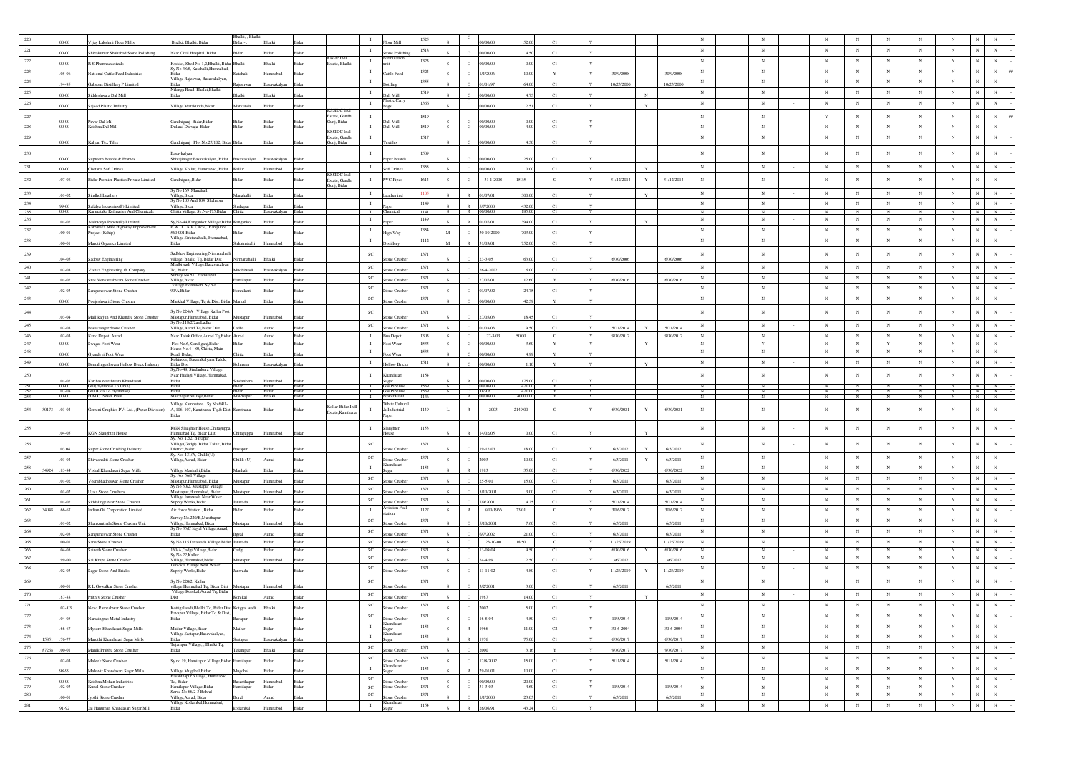|                   |       |                         | ijay Lakshmi Flour Mills                                           | Bhalki, Bhalki, Bidar                                                                                     | 3halki, , Bhalk<br>Bidar - |                      |                                        |                                | our Mill                        | 1525         |              |                          |                            |                                |                   |                         |   |                         |                            |                              |                            |                              |                           |                            |                          |                                                 |
|-------------------|-------|-------------------------|--------------------------------------------------------------------|-----------------------------------------------------------------------------------------------------------|----------------------------|----------------------|----------------------------------------|--------------------------------|---------------------------------|--------------|--------------|--------------------------|----------------------------|--------------------------------|-------------------|-------------------------|---|-------------------------|----------------------------|------------------------------|----------------------------|------------------------------|---------------------------|----------------------------|--------------------------|-------------------------------------------------|
| 221               |       | 0.00                    | hivakumar Shahabad Stone Polishing                                 | lear Civil Hospital, Bidar                                                                                |                            |                      |                                        | $\mathbf{I}$                   | one Polish                      | 1518         |              | G.                       | 0/00/00                    | C1<br>A50                      | $\mathbf{v}$      |                         |   |                         | $_{\rm N}$                 | ${\bf N}$                    | $_{\rm N}$                 | $_{\mathrm{N}}$              | $_{\rm N}$                | $_{\rm N}$                 | $_{\rm N}$               | $_{\rm N}$<br>$_{\rm N}$                        |
| $222\,$           |       | $00 - 00$               | R S Pharmacueticals                                                | sside, Shed No 1,2, Bhalki, Bidar Bhalki                                                                  |                            | Bhalki               | Ksside Indi<br>Estate, Bhalki<br>Bidar | $\mathbf{I}$                   |                                 | 1323         |              | $\circ$                  | 00/00/00                   | 0.00<br>C1                     | Y                 |                         |   |                         | $_{\rm N}$                 | $_{\rm N}$                   | $_{\rm N}$                 | $_{\rm N}$                   | $_{\rm N}$                | $_{\rm N}$                 | $_{\rm N}$               | $_{\rm N}$                                      |
| 223               |       | 20-20                   |                                                                    | šy No 48/8, Katahalli,Humnabad,                                                                           | ahali                      | nnabad               |                                        | $\mathbf{I}$                   | attle Feed                      | 1324         |              | $\Omega$                 | 1/2006                     | 100                            |                   | 30/9/2008               |   | 30/9/2008               | $_{\rm N}$                 | $_{\rm N}$                   | $_{\rm N}$                 | $_{\rm N}$                   | $_{\rm N}$                | $_{\rm N}$                 | $_{\rm N}$               | $\mathbb{N}$<br>$_{\rm N}$                      |
| $224\,$           |       | 34-95                   | National Cattle Feed Industries                                    | /illage Rajeswar, Basavakalyan                                                                            |                            |                      |                                        | $\;$ I                         |                                 | 1355         |              | $\Omega$                 | 1/01/97                    | 64.0<br>C1                     | Y                 | 10/23/2000              |   | 10/23/2000              | $_{\rm N}$                 | $_{\rm N}$                   | $_{\rm N}$                 | $_{\rm N}$                   | $_{\rm N}$                | $_{\rm N}$                 | $_{\rm N}$               | $_{\rm N}$<br>$_{\rm N}$                        |
| 225               |       | $00 - 00$               | Gabsons Distillery P Limited                                       | <b>Sidor</b><br>lilanga Road Bhalki, Bhalki,                                                              | ijeshwar                   | asayakalyar<br>halki | <b>Bida</b>                            | $\mathbf{I}$                   | ulins<br>Dall Mill              | 1519         |              | $\alpha$                 | 0/00/00                    | 47<br>C1                       |                   |                         |   |                         | $_{\rm N}$                 | $_{\rm N}$                   | $_{\rm N}$                 | $_{\rm N}$                   | $_{\rm N}$                | $_{\rm N}$                 | $_{\rm N}$               | $_{\rm N}$<br>$_{\rm N}$                        |
| $226\,$           |       | $00 - 00$               | Siddeshwara Dal Mill                                               | <b>Sidar</b>                                                                                              | Markunda                   | Ridar                | Rida                                   | $\mathbf I$                    | Plastic Carry                   | 1366         |              | $\circ$                  | 00/00/00                   | 2.51<br>C1                     | $\mathbf Y$       |                         |   |                         | $_{\rm N}$                 | $_{\rm N}$                   | $_{\rm N}$                 | $_{\rm N}$                   | $_{\rm N}$                | $_{\rm N}$                 | $_{\rm N}$               | $_{\rm N}$<br>$_{\rm N}$                        |
|                   |       |                         | Sajeed Plastic Industry                                            | /illage Marakunda, Bidar                                                                                  |                            |                      | SSIDC Inc<br>Estate, Gandhi            |                                |                                 |              |              |                          |                            |                                |                   |                         |   |                         |                            |                              |                            |                              |                           |                            |                          |                                                 |
| $227\,$           |       | 10-00                   | Pavar Dal Mil                                                      | mdhiganj Bidar, Bidar                                                                                     |                            |                      | Junj, Bidar                            |                                | Dall Mill                       | 1519         |              | G                        | nmmn                       | C1                             |                   |                         |   |                         | $_{\rm N}$                 | $_{\rm N}$                   | Y                          | $_{\rm N}$                   | $_{\rm N}$                | N                          | $_{\rm N}$               | $_{\rm N}$<br>$_{\rm N}$                        |
| 228               |       | $00 - 00$               | Krishna Dal Mill                                                   | Duland Darvaja Bidar                                                                                      | Bidar                      | Bidar                | Bidar<br>SSIDC Indi                    |                                | Dall Mill                       | 1519         | S            |                          | G 00/00/00                 | 4.00<br>C1                     | Y                 |                         |   |                         | N                          | N                            | $\mathbb{N}$               | $\mathbf N$                  | $_{\rm N}$                | N                          | $\mathbb{N}$             | $N$  <br>N                                      |
| $229\,$           |       | $00 - 00$               | Kalyan Tex Tiles                                                   | šandhiganj Plot No.27/102, Bidar Bidar                                                                    |                            | <b>Ridar</b>         | Estate, Gandhi<br>Gunj, Bidar          |                                | extiles                         | 1517         |              | G                        | 00/00/00                   | C1<br>4.50                     |                   |                         |   |                         | $_{\rm N}$                 | $_{\rm N}$                   | $_{\rm N}$                 | $_{\rm N}$                   | $_{\rm N}$                | $_{\rm N}$                 | $_{\rm N}$               | $_{\rm N}$<br>$_{\rm N}$                        |
| $230\,$           |       |                         |                                                                    | asavkalyan                                                                                                |                            |                      |                                        | $\mathbf{I}$                   |                                 | 1509         |              |                          |                            |                                |                   |                         |   |                         | $_{\rm N}$                 | $_{\rm N}$                   | $_{\rm N}$                 | $_{\rm N}$                   | $_{\rm N}$                | $_{\rm N}$                 | $_{\rm N}$               | $_{\rm N}$<br>$_{\rm N}$                        |
| 231               |       |                         | Supreem Boards & Frames                                            | hivajinagar, Basavakalyan, Bidar Basavakalyan Basavakalyan Bidar                                          |                            |                      |                                        | $\;$ I                         | Paper Boards                    | 1355         |              |                          | 00/00/00                   | 25.00<br>C1                    |                   |                         |   |                         | $_{\rm N}$                 | $_{\rm N}$                   | $_{\rm N}$                 | $_{\rm N}$                   | $_{\rm N}$                | $_{\rm N}$                 | $_{\rm N}$               | ${\bf N}$<br>$_{\rm N}$                         |
|                   |       | 00-00                   | Chetana Soft Drinks                                                | illage Kollur, Humnabad, Bidar Kallur                                                                     |                            | bedomn               | Ridar<br><b>KSSIDC</b> Indi            |                                | Soft Drinks                     |              |              | $\Omega$                 | nmmn                       | 000<br>C1                      | $\mathbf{v}$      |                         |   |                         |                            |                              |                            |                              |                           |                            |                          |                                                 |
| 232               |       | $.07 - 08$              | Bidar Premier Plastics Private Limited                             | kandhigunj, Bidar                                                                                         |                            |                      | Estate, Gandhi<br>Gunj, Bidar          | $\mathbf{I}$                   | PVC Pipes                       | 1614         | S            | ${\bf G}$                | $31 - 1 - 2008$            | 15.35<br>$\circ$               | $\mathbf Y$       | 31/12/2014              | Y | 31/12/2014              | $_{\rm N}$                 | $_{\rm N}$                   | $_{\rm N}$                 | $_{\rm N}$                   | $_{\rm N}$                | $_{\rm N}$                 | $_{\rm N}$               | $_{\rm N}$<br>$_{\rm N}$                        |
| 233               |       | 01-02                   | sindhol Leathers                                                   | sy No 169 Manahall<br>Village, Bidar<br>Sy No 103 And 104 Shahapur                                        | Manahalli                  |                      |                                        | $\mathbf{I}$                   | eather ind                      | 1105         |              |                          | 1/07/01                    | 300.00<br>C1                   |                   |                         |   |                         | $_{\rm N}$                 | $_{\rm N}$                   | $_{\rm N}$                 | $_{\rm N}$                   | $_{\rm N}$                | $_{\rm N}$                 | $_{\rm N}$               | ${\bf N}$<br>$_{\rm N}$                         |
| 234               |       | 99-00                   | Safalya Industries(P) Limited                                      | Village, Bidar                                                                                            | hahapur                    |                      |                                        | $\blacksquare$                 |                                 | 1149         |              | $\mathbb{R}$             | /7/2000                    | 432.00<br>C1                   | $\mathbf{v}$      |                         |   |                         | $_{\rm N}$                 | $_{\rm N}$                   | $_{\rm N}$                 | $_{\rm N}$                   | $_{\rm N}$                | $_{\rm N}$                 | $_{\rm N}$               | ${\bf N}$<br>$_{\rm N}$                         |
| 235<br>236        |       | 00-00                   | Karanataka Refinaries And Chemical                                 | Chitta Village, Sy, No-175, Bidar Chitta                                                                  |                            | Basayakalya          | Bidar                                  | $\blacksquare$<br>$\mathbf{I}$ |                                 | 1141<br>1149 | S            | R                        | 00/00/00                   | 185.00<br><sup>C1</sup>        | Y                 |                         |   |                         | $\mathbf{N}$<br>$\,$ N     | $\overline{N}$<br>$_{\rm N}$ | $\mathbf{N}$<br>$_{\rm N}$ | N<br>$_{\rm N}$              | N<br>$_{\rm N}$           | $\mathbf{N}$<br>$_{\rm N}$ | $_{\rm N}$<br>$_{\rm N}$ | N<br>N<br>$_{\rm N}$<br>${\bf N}$               |
| 237               |       | $.01 - 02$              | Aishwarya Papers(P) Limited<br>Karnataka State Highway Improvement | Sy, No-44, Kangankot Village, Bidar Kangankot<br>P.W.D. K.R.Circle, Bangalore                             |                            | Bidar                | Bidar                                  | $\mathbf{I}$                   |                                 | 1354         | M            |                          | 1/07/01                    | C1<br>394.0                    | Y                 |                         |   |                         | $_{\rm N}$                 | $_{\rm N}$                   | $_{\rm N}$                 | $_{\rm N}$                   | $_{\rm N}$                | $_{\rm N}$                 | $_{\rm N}$               | $\mathbf N$<br>$_{\rm N}$                       |
| $238\,$           |       | 00-01<br>.00-01         | Project (Kship)                                                    | 60 001.Bidar<br>/illage Sirktanahalli, Humnabad,                                                          |                            |                      |                                        | $\;$ I                         | ligh Wa<br>bistiller            | $1112\,$     | $\mathbf{M}$ | $\Omega$<br>$\mathbb{R}$ | 30-10-2000<br>31/03/01     | 703.0<br>C1                    | $\mathbf{v}$<br>Y |                         |   |                         | $_{\rm N}$                 | $_{\rm N}$                   | $_{\rm N}$                 | $_{\rm N}$                   | $_{\rm N}$                | $_{\rm N}$                 | $_{\rm N}$               | N<br>$_{\rm N}$                                 |
|                   |       |                         | Maruti Organics Limited                                            | sidar:<br>Sadbhav Engineering,Nirmanahal                                                                  | Sirkatnahalli              | lumnabad             | Bidar                                  |                                |                                 |              |              |                          |                            | 752.00<br>C1                   |                   |                         |   |                         |                            | $\mathbb{N}$                 |                            |                              |                           | $\mathbf N$                |                          |                                                 |
| $239\,$           |       | 04-05                   | Sadbav Engineering                                                 | village, Bhalki Tq, Bidar Dist                                                                            | manahalli                  | halki                |                                        | $_{\rm SC}$                    | one Crush                       | 1371         |              | $\Omega$                 | $3 - 3 - 05$               | C1<br>63.00                    |                   | 6/30/2006               |   | 6/30/2006               | $_{\rm N}$                 |                              | $_{\rm N}$                 | $_{\rm N}$                   | $_{\rm N}$                |                            | $_{\rm N}$               | $_{\rm N}$<br>$_{\rm N}$                        |
| $240\,$           |       | $.02 - 03$              | Vishva Engineering @ Company                                       | Mudbiwadi Village,Basavakalyar<br>Tq, Bidar<br>rvey No.57, Hamilapur                                      | Mudbiwadi                  | <b>Basavakalyan</b>  | Bida                                   | $_{\rm SC}$                    | tone Crushe                     | 1371         |              | $\circ$                  | $26 - 4 - 2002$            | 6.00<br>C1                     | $\mathbf{Y}$      |                         |   |                         | $_{\rm N}$                 | $_{\rm N}$                   | ${\bf N}$                  | $_{\rm N}$                   | $_{\rm N}$                | $_{\rm N}$                 | $_{\rm N}$               | N<br>$_{\rm N}$                                 |
| 241               |       | $1-02$                  | Sree Venkateshwara Stone Crusher                                   | /illage, Bidar<br>Village Honnikeri Sy No                                                                 | amilapur                   |                      |                                        | $_{\rm SC}$                    | me Crushe                       | 1371         |              | $\Omega$                 | 07/01                      | 126                            |                   | 6/30/2016               |   | 6/30/2016               | $_{\rm N}$                 | $_{\rm N}$                   | $_{\rm N}$                 | $_{\rm N}$                   | $_{\rm N}$                | $_{\rm N}$                 | $_{\rm N}$               | $_{\rm N}$<br>$_{\rm N}$                        |
| $242\,$           |       | $.02 - 03$              | Sangameswar Stone Crusher                                          | 0/A,Bidar                                                                                                 | mikeri                     |                      |                                        | $_{\rm SC}$                    | one Crust                       | 1371         |              | $\Omega$                 |                            | 24.7<br>C1                     | $\mathbf{Y}$      |                         |   |                         | $_{\rm N}$                 | $_{\rm N}$                   | $_{\rm N}$                 | $_{\rm N}$                   | $_{\rm N}$                | $_{\rm N}$                 | $_{\rm N}$               | $_{\rm N}$<br>$_{\rm N}$                        |
| 243               |       | $00-00$                 | Poojeshwari Stone Crusher                                          | Markhal Village, Tq & Dist. Bidar Markal                                                                  |                            | Bidar                | Bida                                   | $_{\rm SC}$                    | me Crushe                       | 1371         |              | $\circ$                  | 10/00/00                   | 42.5<br>$\mathbf{Y}$           | $\mathbf{Y}$      |                         |   |                         | $_{\rm N}$                 | $_{\rm N}$                   | $_{\rm N}$                 | $_{\rm N}$                   | $_{\rm N}$                | $_{\rm N}$                 | $_{\rm N}$               | $_{\rm N}$<br>$_{\rm N}$                        |
| $\bf 244$         |       | 13-04                   |                                                                    | y No 224/A Village Kallur Post                                                                            |                            |                      |                                        | $_{\rm SC}$                    |                                 | 1371         |              |                          | 05/02                      | C1                             |                   |                         |   |                         | $_{\rm N}$                 | $_{\rm N}$                   | $_{\rm N}$                 | $_{\rm N}$                   | $_{\rm N}$                | $_{\rm N}$                 | $_{\rm N}$               | $_{\rm N}$<br>$_{\rm N}$                        |
| 245               |       | $.02 - 03$              | Mallikarjun And Khandre Stone Crusher                              | Mastapur, Humnabad, Bidar<br>No:118/2/2aa.Ladha                                                           | Mustapur                   | arad                 |                                        | $_{\rm SC}$                    | one Crusl                       | 1371         |              | $\Omega$                 | 1/03/03                    | C1<br>9.50                     | Y                 | 5/11/2014               |   | 5/11/2014               | $_{\rm N}$                 | $_{\rm N}$                   | $_{\rm N}$                 | $_{\rm N}$                   | $_{\rm N}$                | $_{\rm N}$                 | $_{\rm N}$               | $_{\rm N}$<br>$_{\rm N}$                        |
| $\, 246$          |       | $.02 - 03$              | Basavasagar Stone Crusher<br>Ksrte Depot Aurad                     | Village, Aurad Tq, Bidar Dist<br>Vear Taluk Office, Aurad Tq, Bidar Aurad                                 | Ladha                      | banA                 | Bidar<br><b>Bidar</b>                  | $\pm$                          | tone Crushe<br><b>Bus Depot</b> | 1303         | S.           | $\circ$                  | 27-3-03                    | 50.00<br>$\circ$               | $\mathbf Y$       | 9/30/2017               |   | 9/30/2017               | $_{\rm N}$                 | $_{\rm N}$                   | $_{\rm N}$                 | $_{\rm N}$                   | $_{\rm N}$                | $_{\rm N}$                 | $_{\rm N}$               | $\mathbb{N}$<br>$\,$ N $\,$                     |
| 247               |       | 00-00                   | Swagat Foot Wear                                                   | Flot No.6, Gandiganj, Bidar<br>House No.4 - 80, Chitta, Main                                              | <b>Bidar</b>               | <b>Ridar</b>         | <b>Bidar</b>                           |                                | Foot Wear                       | 1533         | $\sim$       | $-$ G                    | 00/00/00                   | 3.60<br>$\mathbf{v}$           | Y                 |                         |   |                         | $_{\rm N}$                 |                              | N                          | N                            |                           | N                          | $\overline{N}$           | $\overline{N}$<br>$\overline{N}$                |
| $248\,$           |       | $00 - 00$               | Syandevi Foot Wear                                                 | load, Bidar,                                                                                              |                            | 3idar                | Bidar                                  | $\mathbf{I}$                   | oot Wear                        | 1533         |              | G                        | 00/00/00                   | 4.99                           |                   |                         |   |                         | $_{\rm N}$                 | $_{\rm N}$                   | $_{\rm N}$                 | $_{\rm N}$                   | $_{\rm N}$                | $_{\rm N}$                 | $_{\rm N}$               | $_{\rm N}$<br>$_{\rm N}$                        |
| 249               |       | $00-00$                 | eralingeshwara Hollow Block Industry                               | Kohinoor, Basavakalyana Taluk,<br><b>Bidar Dist</b><br>y, No-48, Sindankera Village,                      |                            | avakalyar            | <b>Bida</b>                            | $\mathbf{I}$                   | <b>Jollow Bric</b>              | 1511         |              | $\alpha$                 | 10/00/00                   |                                | $\mathbf{v}$      |                         |   |                         | $_{\rm N}$                 | $_{\rm N}$                   | $_{\rm N}$                 | $_{\rm N}$                   | $_{\rm N}$                | $_{\rm N}$                 | $_{\rm N}$               | $_{\rm N}$<br>$_{\rm N}$                        |
| 250               |       |                         |                                                                    | .<br>Near Hudagi Village, Humnabad,                                                                       |                            |                      |                                        | $\mathbf{I}$                   | <b>Chandasari</b>               | 1154         |              |                          |                            |                                |                   |                         |   |                         | $_{\rm N}$                 | $_{\rm N}$                   | $_{\rm N}$                 | $_{\rm N}$                   | $_{\rm N}$                | N                          | $_{\rm N}$               | N<br>$_{\rm N}$                                 |
|                   |       |                         |                                                                    |                                                                                                           |                            |                      |                                        |                                |                                 |              |              |                          |                            |                                |                   |                         |   |                         |                            |                              |                            |                              |                           |                            |                          |                                                 |
| 251               |       | 00-00                   | Karibasayaeshwara Khandasari<br>Gtil(Hydrabad To Uran)             | 3idar                                                                                                     | ıdankera                   | umnabad              |                                        |                                | Sugar<br>Gas Pipeline           | 1539         | $^{\circ}$ s | G                        | 00/00/00<br>00/00/00       | 175.00<br>4710                 |                   |                         |   |                         | $\mathbb{N}$               |                              |                            |                              |                           |                            |                          | N<br>$\mathbb{N}$                               |
| $\frac{252}{253}$ |       | .07-08<br>$00 - 00$     | Gtil (Goa To Hydrabad)<br>H M G Power Plant                        | Malchapur Village, Bidar                                                                                  | Malchapur                  | Bidar<br>Bhalki      | Bidar<br>Bidar                         |                                | Gas Pipeline<br>Power Plant     | 1539<br>1146 | $\mathbf{L}$ | G                        | .07-08<br>R 00/00/00       | 471.0<br>40000.00<br>Y         | Y                 |                         |   |                         | ${\bf N}$<br>N             | N                            | N                          | $\frac{N}{N}$                | $_{\rm N}$                |                            |                          | $\begin{array}{ccc} N & N \\ N & N \end{array}$ |
| 254               | 30173 | $.03 - 04$              | Gemini Graphics PVt Ltd., (Paper Division)                         | Village Kamhatana Sy No 64/1<br>A, 106, 107, Kamthana, Tq & Dist Kamthana                                 |                            | 3idar                | Kollar-Bidar Indl<br>Bida              |                                | White Cultura<br>& Industrial   | 1149         | L            | $\mathbb R$              | 2003                       | 2149.00<br>$\circ$             | Y                 | 6/30/2021               | Y | 6/30/2021               | $_{\rm N}$                 | $\mathbb{N}$                 | $_{\rm N}$                 | $_{\rm N}$                   | $_{\rm N}$                | $\mathbf N$                | $_{\rm N}$               | N                                               |
|                   |       |                         |                                                                    | 3idar                                                                                                     |                            |                      | Estate, Kamthan                        |                                | aper                            |              |              |                          |                            |                                |                   |                         |   |                         |                            |                              |                            |                              |                           |                            |                          |                                                 |
| 255               |       |                         |                                                                    | KGN Slaughter House, Chitaguppa,                                                                          |                            |                      |                                        |                                | laughter                        | 1153         |              |                          |                            |                                |                   |                         |   |                         | $_{\rm N}$                 | $_{\rm N}$                   | $_{\rm N}$                 | $_{\rm N}$                   | $_{\rm N}$                | $_{\rm N}$                 | $_{\rm N}$               | $_{\rm N}$<br>$_{\rm N}$                        |
|                   |       | 04-05                   | <b>KGN</b> Slaughter House                                         | Humnabad Tq, Bidar Dist<br>Sy. No. 12/2, Bavapur                                                          | Chitaguppa                 | Humnabad             |                                        |                                |                                 |              |              |                          | 4/02/05                    | C1                             |                   |                         |   |                         |                            |                              |                            |                              |                           |                            |                          |                                                 |
| 256               |       | 13.04                   | Super Stone Crushing Industry                                      | Village(Gadgi) Bidar Taluk, Bida<br>istrict, Bidar                                                        | 3avapur                    |                      |                                        | $_{\rm SC}$                    | tone Crushe                     | 1371         |              | $\alpha$                 | $-12 - 03$                 | 18.0<br>C1                     |                   | 6/3/2012                |   | 6/3/2012                | $_{\rm N}$                 | $_{\rm N}$                   | $_{\rm N}$                 | $_{\rm N}$                   | $_{\rm N}$                | $\mathbf N$                | $_{\rm N}$               | $_{\rm N}$<br>$_{\rm N}$                        |
| 257               |       | 03-04                   | Shivashakti Stone Crusher                                          | v. No. 131/A. Chikli(U<br>Village, Aurad, Bidar                                                           | Thikli (U)                 | ansd                 |                                        | $_{\rm SC}$                    | one Crushe                      | 1371         |              | $\Omega$                 |                            | C1<br>10.00                    | $\mathbf{v}$      | 6/3/2011                |   | 6/3/2011                | $_{\rm N}$                 | $_{\rm N}$                   | $_{\rm N}$                 | $_{\rm N}$                   | $_{\rm N}$                | $_{\rm N}$                 | $_{\rm N}$               | $_{\rm N}$<br>$_{\rm N}$                        |
| 258               | 34924 | .83-84                  | Vishal Khandasari Sugar Mills                                      | illage Manhalli, Bidar                                                                                    | Manhali                    |                      |                                        | $\mathbf{I}$                   | handasar<br>ugar                | 1154         |              | $\mathbb{R}$             | 983                        | 35.0<br>C1                     |                   | 6/30/2022               |   | 6/30/2022               | $_{\rm N}$                 | $_{\rm N}$                   | $_{\rm N}$                 | $_{\rm N}$                   | $_{\rm N}$                | $_{\rm N}$                 | $_{\rm N}$               | $_{\rm N}$<br>$_{\rm N}$                        |
| 259               |       | $.01 - 02$              | eerabhadreswar Stone Crusher                                       | y. No. 56/1 Village<br>Mastapur.Humnabad, Bidar                                                           | Mustapur                   | mnabad               | Bida                                   | $_{\rm SC}$                    | tone Crushe                     | 1371         |              | $\circ$                  | 25-5-01                    | 15.00<br>C1                    | $\mathbf{Y}$      | 6/3/2011                |   | 6/3/2011                | $_{\rm N}$                 | $_{\rm N}$                   | $_{\rm N}$                 | $_{\rm N}$                   | $_{\rm N}$                | $_{\rm N}$                 | $_{\rm N}$               | $_{\rm N}$<br>$_{\rm N}$                        |
| $260\,$           |       | $.01 - 02$              | <b>Jjala Stone Crushers</b>                                        | Sy No 30/2, Mustapur Village                                                                              | fustapur                   | mabad                | Bida                                   | $_{\rm SC}$                    | one Crush                       | 1371         |              | $\circ$                  | 5/10/2001                  | 3.00<br>C1                     |                   | 6/3/2011                |   | 6/3/2011                | $_{\rm N}$                 | $_{\rm N}$                   | ${\bf N}$                  | $_{\rm N}$                   | N                         | $_{\rm N}$                 | $_{\rm N}$               | N<br>$_{\rm N}$                                 |
| 261               |       | 1.02                    | Siddalingeswar Stone Crusher                                       | Mastsapur,Humnabad, Bidar<br>Village Janawada Near Water<br>upply Works, Bidar                            | wada                       | <b>Nichar</b>        | Rida                                   | $_{\rm SC}$                    | one Crushe<br>viation Fuel      | 1371         |              | $\Omega$                 | (2001                      | C1                             |                   | 5/11/2014               |   | 5/11/2014               | $_{\rm N}$                 | $_{\rm N}$                   | $_{\rm N}$                 | $_{\rm N}$                   | $_{\rm N}$                | $_{\rm N}$                 | $_{\rm N}$               | $\mathbb{N}$<br>$_{\rm N}$                      |
| $262\,$           | 34048 | .66-67                  | Indian Oil Corporation Limited                                     | Air Force Station, Bidar<br>urvey No.220/B,Musthap                                                        | <b>Bidar</b>               | Bidar                | Bidar                                  | $\mathbf{I}$                   |                                 | 1127         | S            | R                        | 8/10/1966                  | 23.01<br>$\circ$               | $\mathbf Y$       | 30/6/2017               |   | 30/6/2017               | $_{\rm N}$                 | $_{\rm N}$                   | $_{\rm N}$                 | $_{\rm N}$                   | $_{\rm N}$                | $_{\rm N}$                 | $_{\rm N}$               | $_{\rm N}$<br>$_{\rm N}$                        |
| 263               |       | $1-02$                  | Shankunthala Stone Crusher Unit                                    | Village.Humnabad. Bidar                                                                                   | fustapur                   | nnahav               |                                        | $_{\rm SC}$                    | one Crush                       | 1371         |              | $\Omega$                 | 10/2001                    | C1                             |                   | 6/3/2011                |   | 6/3/2011                | $_{\rm N}$                 | $_{\rm N}$                   | $_{\rm N}$                 | $_{\rm N}$                   | $_{\rm N}$                | $_{\rm N}$                 | $_{\rm N}$               | $_{\rm N}$<br>$\,$ N $\,$                       |
| $264\,$           |       | $.02 - 03$              | Sangameswar Stone Crusher                                          | y No 35/C Itgyal Village, Aurad,<br>3idar                                                                 |                            | urad                 | Bidar                                  | $_{\rm SC}$                    | one Crushe                      | 1371         |              |                          | 7/2002                     | 21.0<br>C1                     |                   | 6/3/2011                |   | 6/3/2011                | $_{\rm N}$                 | $_{\rm N}$                   | ${\bf N}$                  | $_{\rm N}$                   | $_{\rm N}$                | $_{\rm N}$                 | $_{\rm N}$               | N<br>$_{\rm N}$                                 |
| 265               |       | .00-01<br>.04-05        | Sana Stone Crusher<br>Sainath Stone Crusher                        | Sy No 115 Janawada Village, Bidar Janwada                                                                 | Gadgi                      | Bidar<br>Ridar       | Bidar<br>Bidar                         | <b>SC</b><br>- SC              | tone Crushe<br>Stone Crushe     | 1371<br>1371 | s.<br>S      | $\circ$<br>$^{\circ}$    | $23 - 10 - 00$<br>13-09-04 | 18.50<br>$\circ$<br>Cl<br>9.50 | Y<br>Y            | 11/26/2019<br>6/30/2016 |   | 11/26/2019<br>6/30/2016 | $_{\rm N}$<br>$\mathbb{N}$ | $_{\rm N}$<br>$_{\rm N}$     | $_{\rm N}$<br>$_{\rm N}$   | $_{\rm N}$<br>N              | $_{\rm N}$<br>$\mathbf N$ | $_{\rm N}$<br>N            | $_{\rm N}$<br>$_{\rm N}$ | $\mathbf N$<br>$_{\rm N}$<br>N<br>N             |
| 266<br>$267\,$    |       | 99-00                   | Sai Krupa Stone Crusher                                            | 160/A,Gadgi Village,Bidar<br>Sy No 22,Kallur<br>Village, Humnabad, Bida                                   | fustapur                   |                      | Bidar                                  | $_{\rm SC}$                    | one Crush                       | 1371         |              | $\Omega$                 | 4-4-99                     | C1<br>2.50                     |                   | 3/6/2012                |   | 3/6/2012                | $_{\rm N}$                 | $_{\rm N}$                   | ${\bf N}$                  | $_{\rm N}$                   | $_{\rm N}$                | $_{\rm N}$                 | $_{\rm N}$               | $_{\rm N}$<br>$\,$ N $\,$                       |
| 268               |       | $.02 - 03$              | Sagar Stone And Bricks                                             | anwada Village Near Wate<br>upply Works, Bidar                                                            | wada                       |                      | Bida                                   | $_{\rm SC}$                    | one Crushe                      | 1371         |              | $\circ$                  | $3 - 11 - 02$              | C1<br>4.80                     |                   | 11/26/2019              |   | 11/26/2019              | $_{\rm N}$                 | $_{\rm N}$                   | $_{\rm N}$                 | $_{\rm N}$                   | $_{\rm N}$                | $_{\rm N}$                 | $_{\rm N}$               | $_{\rm N}$<br>$_{\rm N}$                        |
| 269               |       |                         |                                                                    | Sy No 220/2, Kallur                                                                                       |                            |                      |                                        | $_{\rm SC}$                    |                                 | 1371         |              |                          |                            |                                |                   |                         |   |                         | $_{\rm N}$                 | $_{\rm N}$                   | $_{\rm N}$                 | $_{\rm N}$                   | $_{\rm N}$                | N                          | $_{\rm N}$               |                                                 |
|                   |       | 00-01                   | R L Gowalkar Stone Crusher                                         | illage, Humnabad Tq, Bidar Dist<br>/illage Korekal,Aurad Tq, Bidar                                        | Mustapur                   |                      |                                        |                                | one Crush                       |              |              |                          | 2/2001                     | C1                             |                   | 6/3/2011                |   | 6/3/2011                |                            |                              |                            |                              |                           |                            |                          |                                                 |
| $270\,$           |       | .87-88                  | Prithiv Stone Crusher                                              |                                                                                                           | orekal                     |                      |                                        | $_{\rm SC}$                    | one Crushe                      | 1371         |              |                          |                            | C1                             |                   |                         |   |                         | $_{\rm N}$                 | $_{\rm N}$                   | ${\bf N}$                  | $_{\rm N}$                   | $_{\rm N}$                | $_{\rm N}$                 | $_{\rm N}$               | $_{\rm N}$                                      |
| 271               |       | $.02 - .03$             | New Rameshwar Stone Crusher                                        | Kottigalwadi,Bhalki Tq, Bidar Dist Kotgyal wadi Bhalki Bavapur Village, Bidar Tq & Dist,                  |                            |                      | Bidar                                  | -SC                            | Stone Crusher                   | 1371         |              | $\circ$                  | 2002                       | 5.00<br>C1                     | Y                 |                         |   |                         | N                          | N                            | $\mathbb N$                | $_{\rm N}$                   | $_{\rm N}$                | $\mathbb{N}$               | $\mathbb{N}$             | N I<br>N                                        |
| $2\,72$           |       | $.04 - 0.5$             | Narasingrao Metal Industry                                         | Bidar                                                                                                     | <b>Savapur</b>             |                      | Bidar                                  | $_{\rm SC}$                    | Stone Crusher<br>Khandasar      | 1371         |              | $\circ$                  | $16 - 8 - 04$              | C1<br>4.50                     | $\mathbf{v}$      | 11/5/2014               |   | 11/5/2014               | $_{\rm N}$                 | $_{\rm N}$                   | $_{\rm N}$                 | $_{\rm N}$                   | $_{\rm N}$                | $_{\rm N}$                 | $_{\rm N}$               | $_{\rm N}$<br>${\bf N}$                         |
| 273               |       | .66-67                  | Mysore Khandasari Sugar Mills                                      |                                                                                                           | Mailur                     |                      | Bidar                                  | $\mathbf{I}$                   | 'ugar<br>Thandasari             | 1154         |              | $\mathbb R$              | 1966                       | 11.00<br>C2                    | $\mathbf{v}$      | $30 - 6 - 2004$         |   | $30 - 6 - 2004$         | $_{\rm N}$                 | $_{\rm N}$                   | $_{\rm N}$                 | $_{\mathrm{N}}$              | $_{\rm N}$                | $_{\rm N}$                 | $_{\rm N}$               | $_{\mathrm{N}}$<br>${\bf N}$                    |
| 274               | 15851 | $.76 - 77$              | Maruthi Khandasari Sugar Mills                                     | Mailur Village,Bidar<br>Village Sastapur,Basavakalyan,<br>Bidar<br>reum<br>'ejampur Village, , Bhalki Tq, | stapur                     | asayakalyan          | Bidar                                  | $\;$ I                         | ugar                            | 1154         |              | $\mathbb{R}$             | 1976                       | 75.00<br>C1                    | $\mathbf{v}$      | 6/30/2017               |   | 6/30/2017               | $_{\rm N}$                 | $_{\rm N}$                   | $_{\rm N}$                 | $_{\rm N}$                   | $_{\rm N}$                | $_{\rm N}$                 | $_{\rm N}$               | ${\bf N}$<br>$\mathbf N$                        |
| 275               | 87268 | .00-01                  | Manik Prabhu Stone Crusher                                         |                                                                                                           | l'ejampur                  | <b>Shalki</b>        | Bidar                                  | $_{\rm SC}$                    | tone Crushe                     | 1371         |              | $\circ$                  | 2000                       | 3.16<br>$\mathbf{v}$           | $\mathbf Y$       | 9/30/2017               |   | 9/30/2017               | ${\bf N}$                  | ${\bf N}$                    | ${\bf N}$                  | $_{\rm N}$                   | N                         | $_{\rm N}$                 | ${\bf N}$                | $\mathbf{N}^-$<br>$\mathbf N$                   |
| 276               |       | $.02 - 03$              | Maleek Stone Crusher                                               | Sy no 19, Hamilapur Village, Bidar Hamilapur                                                              |                            | Bidar                | Bidar                                  | $_{\rm SC}$                    | tone Crushe                     | 1371         |              | $\circ$                  | 12/8/2002                  | 15.00<br>C1                    | $\mathbf{v}$      | 5/11/2014               |   | 5/11/2014               | $\,$ N                     | $_{\rm N}$                   | $_{\rm N}$                 | $_{\rm N}$                   | $_{\rm N}$                | $_{\rm N}$                 | $_{\rm N}$               | ${\bf N}$<br>$\,$ N $\,$                        |
| 277               |       | 98-99                   | Mahavir Khandasari Sugar Mills                                     | Village Mugdhal, Bidar                                                                                    | Mugdhal                    | <b>Sidar</b>         | Bidar                                  | $\mathbf{I}$                   | Sugar                           | 1154         |              | $\mathbb{R}$             | 29-01/01                   | 10.00<br>C1                    | Y                 |                         |   |                         | $_{\rm N}$                 | $_{\rm N}$                   | $_{\rm N}$                 | $_{\rm N}$                   | $_{\rm N}$                | $_{\rm N}$                 | $_{\rm N}$               | $_{\mathrm{N}}$<br>${\bf N}$                    |
| 278<br>279        |       | $00 - 00$<br>$.02 - 03$ | Krishna Mohan Industries<br>Kunal Stone Crusher                    | Basanthapur Village, Humnabad<br>Tq, Bidar                                                                | santhapur<br>Hamilapur     | hedemmu<br>Bidar     | Bidar<br>Bidar                         | $_{\rm SC}$<br>SC              | one Crusher<br>Stone Crusher    | 1371<br>1371 | S            | $\circ$<br>$\sim$ 0      | 00/00/00<br>31-3-03        | 20.00<br>C1<br>Cl<br>4.60      | Y                 | 11/5/2014               |   | 11/5/2014               | $\mathbf Y$<br>N           | $_{\rm N}$<br>$_{\rm N}$     | $_{\rm N}$<br>$\mathbb{N}$ | $_{\rm N}$<br>$\overline{N}$ | $_{\rm N}$<br>$_{\rm N}$  | $_{\rm N}$                 | $_{\rm N}$<br>N          | $\,$ N $\,$<br>${\bf N}$<br>$N$ $N$             |
| 280               |       | 00:01                   | Jyothi Stone Crusher                                               | Hamilapur Village,Bidar<br>Serve No 66/2-3 Bohral<br>Village, Aurad, Bidar<br>/illage Kodambal,Humnabad,  | <b>Feroi</b>               | arad                 | Bidar                                  | $_{\rm SC}$                    | one Crushe<br>Khandasari        | 1371         |              | $\Omega$                 | 1/1/2000                   | C1<br>23.03                    | $\mathbf{Y}$      | 6/3/2011                |   | 6/3/2011                | $_{\rm N}$                 | ${\bf N}$                    | $_{\rm N}$                 | $_{\rm N}$                   | $_{\rm N}$                | $_{\rm N}$                 | $_{\rm N}$               | N<br>${\bf N}$                                  |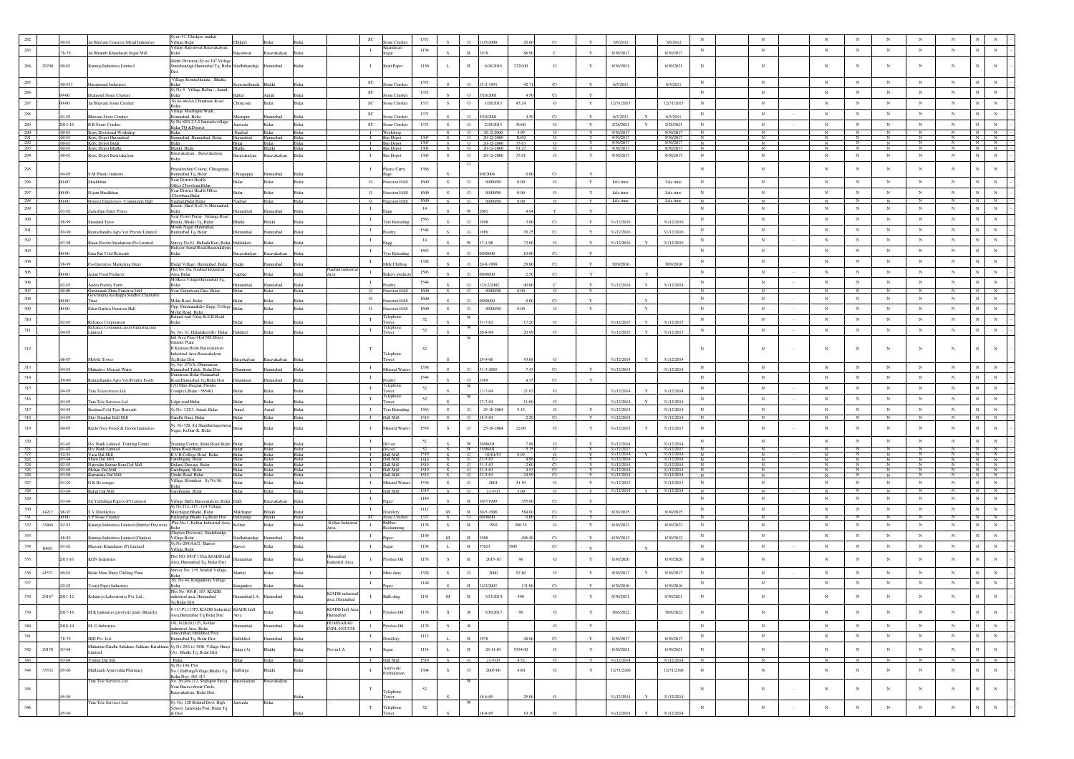|                    |       |                    |                                                                                       | ly no 51, Chickpet marka                                                           |                            |                   |                |                            |                                |                                      | 1371         |               |                   |                                    |                |                    |              |                          |              | 3/6/2012                 |                          |                     |                            |                     |                          |                     |                 |                                                                                                  |
|--------------------|-------|--------------------|---------------------------------------------------------------------------------------|------------------------------------------------------------------------------------|----------------------------|-------------------|----------------|----------------------------|--------------------------------|--------------------------------------|--------------|---------------|-------------------|------------------------------------|----------------|--------------------|--------------|--------------------------|--------------|--------------------------|--------------------------|---------------------|----------------------------|---------------------|--------------------------|---------------------|-----------------|--------------------------------------------------------------------------------------------------|
| 283                |       | 78-79              | Jai Bhavani Concrete Metal Industries                                                 | Village, Bidar<br>/illage Rajeshwar, Basavakalyan                                  |                            |                   |                |                            | $\mathbf{I}$                   | ne Crush<br>tandasa                  | 1154         |               |                   |                                    | 88.9           |                    |              |                          |              | 6/30/2017                | N                        | $_{\rm N}$          | $_{\rm N}$                 | $_{\mathrm{N}}$     | $_{\rm N}$               | $_{\rm N}$          | $_{\rm N}$      | $_{\rm N}$<br>$_{\rm N}$                                                                         |
|                    |       |                    | Jai Bharath Khandasari Sugar Mill                                                     | (Kraft Division), Sy no 107 Village                                                |                            | rvakalyan         |                |                            |                                |                                      |              |               |                   |                                    |                |                    |              | 6/30/2017                |              |                          |                          |                     |                            |                     |                          |                     |                 |                                                                                                  |
| 284                | 29740 | .00-01             | Karanja Industries Limited                                                            | Sindabandagi, Humnabad Tq, Bidar Sindhabandagi                                     |                            | mnabad            |                |                            | л.                             | Kraft Paper                          | 1150         | L             | $\mathbb{R}$      | 6/18/2016                          | 2329.00        | $\circ$            |              | 6/30/2021                |              | 6/30/2021                | $_{\rm N}$               | N                   | $_{\rm N}$                 | $_{\rm N}$          | $_{\rm N}$               | $_{\rm N}$          | $_{\rm N}$      | N                                                                                                |
| 285                |       |                    |                                                                                       | Village Konmelkunda, , Bhalki,                                                     |                            |                   |                |                            | $_{\rm SC}$                    |                                      | 1371         |               |                   |                                    |                |                    |              |                          |              |                          | $_{\rm N}$               | $_{\rm N}$          | $_{\rm N}$                 | $_{\rm N}$          | $_{\rm N}$               | $_{\rm N}$          | $_{\rm N}$      | $_{\rm N}$<br>$_{\rm N}$                                                                         |
| $\,286$            |       | 0-913              | Guruprasad Industries                                                                 | <b>Sidor</b><br>y No 4<br>Village Ballur, , Aurad                                  |                            |                   |                |                            | SC                             | one Crushe                           | 1371         |               | $\Omega$          | 15-2-1991                          | 42.7           | C1                 |              | 6/3/2011                 |              | 6/3/2011                 | $_{\rm N}$               | $_{\rm N}$          | $_{\rm N}$                 | $_{\rm N}$          | $_{\rm N}$               | $_{\rm N}$          | $_{\rm N}$      | $_{\rm N}$<br>$_{\rm N}$                                                                         |
| 287                |       |                    | Diamond Stone Crusher<br>Jai Bhavani Stone Crusher                                    | <b>Sidar</b><br>Sy no 46/AA, Chimkode Road                                         |                            | <b>Sidar</b>      |                |                            |                                | te Crusi                             |              | S.            | $\circ$           | 10/2001                            |                | C1                 |              |                          |              |                          |                          | $_{\rm N}$          |                            |                     |                          | $_{\rm N}$          |                 | $_{\rm N}$                                                                                       |
|                    |       | $00 - 00$          |                                                                                       | /illage Masthapur Wadi,                                                            | Chimcode                   |                   | Bidar          |                            | $\protect\operatorname{SC}$    | Stone Crusher                        | 1371         |               | $\circ$           | 1/10/2013                          | 43.24          | $\circ$            | Y            | 12/31/2015               |              | 12/31/2015               | $_{\rm N}$               |                     | $_{\rm N}$                 | $_{\rm N}$          | $_{\rm N}$               |                     | $_{\rm N}$      |                                                                                                  |
| $\boldsymbol{288}$ |       |                    | Bhavani Stone Crusher                                                                 | lomnabad, Bidar<br>ly No 89/1,2,3,4 Janwada village                                | astapur                    |                   |                |                            | SC                             | one Crush                            | 1371         |               |                   | 10/200                             |                | C1                 |              | 5/3/2011                 |              | 6/3/2011                 | $_{\rm N}$               | $_{\rm N}$          | $_{\rm N}$                 | $_{\rm N}$          | $_{\rm N}$               | $_{\rm N}$          | $_{\rm N}$      |                                                                                                  |
| 289                |       | 2015-16<br>.00-01  | <b>B R Stone Crusher</b>                                                              | <b>Sidar TQ &amp;District</b><br>3idar                                             | Janwada<br>Naubad          | Bidar             | Bidar<br>Bidar |                            | $_{\rm SC}$<br>$\blacksquare$  | Stone Crushe<br>Workshop             | 1371         | -S            | $\circ$           | 2/19/2015<br>$Q = 20.12.2000$      | 50.00<br>4.99  | $\circ$<br>$\circ$ | $\mathbf Y$  | 2/28/2021<br>9/30/2017   | Y            | 2/28/2021<br>9/30/2017   | $_{\rm N}$<br>$_{\rm N}$ | $_{\rm N}$<br>N     | $_{\rm N}$<br>N            | $_{\rm N}$          | $_{\rm N}$<br>$_{\rm N}$ | $_{\rm N}$          | $_{\rm N}$      | $_{\rm N}$<br>$_{\rm N}$<br>N<br>$\mathbb{N}$                                                    |
| $\frac{290}{291}$  |       | .00-01<br>00-01    | Ksrtc Divisional Workshop<br>Ksrtc Depot Humnabad<br>Ksrtc Depot Bidar                | Humnabad, Humnabad, Bidar                                                          | Humnabad                   | Humnabad          | Bidar          |                            | $\mathbf{I}$                   | <b>Bus Depot</b><br><b>Bus Depot</b> | 1303<br>1303 | S.<br>S       |                   | $O$ 20-12-2000<br>$Q = 20-12-2000$ | 10.69<br>33.63 | $\circ$            |              | 9/30/2017<br>9/30/2017   |              | 9/30/2017<br>9/30/2017   | $\mathbb N$<br>N         | N<br>$\overline{N}$ | N                          | $\overline{N}$<br>N | N                        | $\mathbf{N}$        | $\mathbf{N}$    | $N$ $N$                                                                                          |
| $\frac{292}{293}$  |       | .00-01             | Ksrte Depot Bhalki                                                                    | Bhalki, Bidar                                                                      | Bhalki                     | Bhalki            | Bidar          |                            | $\blacksquare$                 | <b>Bus Depot</b>                     | 1303         | S             |                   | $O$ 20-12-2000                     | 91.27          | $\circ$            |              | 9/30/2017                |              | 9/30/2017                | $_{\rm N}$               | N                   | $\mathbf{N}$               | $_{\rm N}$          | N                        | N                   | $_{\rm N}$      | $\begin{array}{c cc} N & N & \cdot \\ \hline N & N & \cdot \end{array}$                          |
| $294\,$            |       | .00-01             | Ksrtc Depot Basavakalyan                                                              | asavakalyan, , Basavakalyan,<br>sidar:                                             | Basavakalyan               | Basavakalyan      | Bidar          |                            | $\mathbf{I}$                   | <b>Bus Depot</b>                     | 1303         | S.            | $\circ$           | 20-12-2000                         | 35.91          | $^{\circ}$         | Y            | 9/30/2017                |              | 9/30/2017                | $_{\rm N}$               | ${\bf N}$           | $_{\rm N}$                 | $_{\rm N}$          | $_{\rm N}$               | $_{\rm N}$          | $_{\rm N}$      | $_{\rm N}$<br>$_{\rm N}$                                                                         |
| $295\,$            |       |                    |                                                                                       | Priyadarshini Colony, Chitaguppa                                                   |                            |                   |                |                            | $\mathbf{I}$                   | Plastic Carry                        | 1366         |               |                   |                                    |                |                    |              |                          |              |                          | $_{\rm N}$               | $_{\rm N}$          | $_{\rm N}$                 | $_{\rm N}$          | $_{\rm N}$               | $_{\rm N}$          | $_{\rm N}$      | N                                                                                                |
| 296                |       | 04-05<br>$00 - 00$ | S M Plastic Industry<br>Shadikhan                                                     | Humnabad Tq, Bidar<br>Near District Health                                         | Chitaguppa<br><b>Ridar</b> | Humnabad<br>Bidar | Rida           |                            | $\circ$                        | unction HAll                         | 1600         | $\mathcal{S}$ | G                 | /8/2004<br>00/00/00                | 0.00           | C1<br>$\circ$      | Y            | Life time                |              | Life time                | N                        | $_{\rm N}$          | $_{\rm N}$                 | $_{\rm N}$          | $_{\rm N}$               | $_{\rm N}$          | $_{\rm N}$      | N<br>$_{\rm N}$                                                                                  |
| $297\,$            |       | $00 - 00$          | Nijam Shadikhan                                                                       | Office,Chowbara,Bida<br><b>Near District Health Office</b>                         |                            |                   | Bida           |                            | $\circ$                        | unction HAll                         | 1600         | s.            | ${\bf G}$         | 00/00/00                           | 0.00           | $\circ$            | $\mathbf Y$  | Life time                |              | Life time                | $_{\rm N}$               | $_{\rm N}$          | $_{\rm N}$                 | $_{\rm N}$          | $_{\rm N}$               | $_{\rm N}$          | $_{\rm N}$      | $_{\rm N}$<br>$_{\rm N}$                                                                         |
| 298                |       | $00 - 00$          | District Employees Community Hall                                                     | Chowbara Bidar<br>Naubad, Bidar, Bida                                              | Vaubad                     | Bidar             | Bidar          |                            | $\circ$                        | <b>Function HAll</b>                 | 1600         | S.            | G                 | 00/00/00                           | 0.00           | $\circ$            | Y            | Life time                |              | Life time                | $\mathbb{N}$             | $_{\rm N}$          | $_{\rm N}$                 | N                   | $_{\rm N}$               | N                   | $\overline{N}$  | N<br>N                                                                                           |
| 299                |       | 1.02               | Zam-Zam Enter Prises                                                                  | side Shed No.C-6, Hu<br><b>Sidor</b>                                               | mahad                      | nnaha             |                |                            | $\mathbf{I}$                   |                                      | 14           |               | w                 | וחוא                               |                |                    |              |                          |              |                          | $_{\rm N}$               | $_{\rm N}$          | $_{\rm N}$                 | $_{\rm N}$          | $_{\rm N}$               | $_{\rm N}$          | $_{\rm N}$      | N<br>$_{\rm N}$                                                                                  |
| $300\,$            |       | 8-99               | Standard Tyres                                                                        | Near Petrol Pump Nilanga Road<br>halki ,Bhalki Tq, Bidar                           |                            |                   |                |                            | $\mathbf{I}$                   | re Retr.                             | 1563         |               | G.                |                                    |                | C1                 |              | 31/12/2016               |              | 31/12/2016               | $_{\rm N}$               | $_{\rm N}$          | $_{\rm N}$                 | $_{\rm N}$          | $_{\rm N}$               | $_{\rm N}$          | $_{\rm N}$      | $_{\rm N}$<br>$_{\rm N}$                                                                         |
| 301                |       | 89-90              |                                                                                       | Monik Nagar, H<br>Humnabad Tq, Bidar                                               | mahad                      | mnahad            |                |                            | $\mathbf{I}$                   |                                      | 1544         |               | $\alpha$          |                                    | 70.2           | C1                 |              | 31/12/2016               |              | 31/12/2016               | $_{\rm N}$               | $_{\rm N}$          | $_{\rm N}$                 | $_{\rm N}$          | $_{\rm N}$               | $_{\rm N}$          | $_{\rm N}$      | N<br>$_{\rm N}$                                                                                  |
| $302\,$            |       | 17-08              | Ramachandra Agro Vet Private Limited<br>Kiran Electro Insulations Pvt.Limited         | rvey No.61, Hallada Keri, Bidar Halladkeri                                         |                            |                   |                |                            | $\mathbf{I}$                   |                                      | 14           |               | w                 | $17 - 1 - 08$                      | 73.00          | $\Omega$           | Y            | 31/12/2016               |              | 31/12/2016               | $_{\rm N}$               | $_{\rm N}$          | $_{\rm N}$                 | $_{\rm N}$          | $_{\rm N}$               | $_{\rm N}$          | $_{\rm N}$      | $\mathbf{N}$<br>$_{\rm N}$                                                                       |
| 303                |       |                    |                                                                                       | fulsoor Aurad Road,Basavakalya                                                     |                            |                   |                |                            | $\;$ I                         |                                      | 1563         |               |                   |                                    |                |                    |              |                          |              |                          | $_{\rm N}$               | $_{\rm N}$          | $_{\rm N}$                 | $_{\rm N}$          | $_{\rm N}$               | $_{\rm N}$          | $_{\rm N}$      | N<br>$_{\rm N}$                                                                                  |
| $304\,$            |       | $0.00 -$           | Ema Rar Cold Retreads                                                                 | achi?                                                                              | avakalyar                  | avakalyar         |                |                            | $\mathbf{I}$                   | re Retrad                            | 1328         |               | G.                | 00/00/00                           | 10.00          | C1                 |              |                          |              |                          | $_{\rm N}$               | $_{\rm N}$          | $_{\rm N}$                 | $_{\rm N}$          | $_{\rm N}$               | $_{\rm N}$          | $_{\rm N}$      | $_{\rm N}$<br>$_{\rm N}$                                                                         |
| 305                |       | 38-99              | Co-Operative Marketing Diary                                                          | Hudgi Village, Humnabad, Bidar<br>Plot No 16a, Naubad Industrial                   |                            | nnaba             |                |                            | $\mathbf{I}$                   | filk Chillis                         | 1503         |               | $\circ$           | $26 - 8 - 1998$                    |                | C1                 |              | 30/9/2010                |              | 30/9/2010                | $_{\rm N}$               | $_{\rm N}$          | $_{\rm N}$                 | $_{\rm N}$          | $_{\rm N}$               | $_{\rm N}$          | $_{\rm N}$      | N<br>$_{\rm N}$                                                                                  |
|                    |       | 0.00               | Asian Food Product:                                                                   | Ansa Ridar<br>Aolkera VillageHumnabad Tq.                                          |                            |                   |                |                            |                                |                                      |              |               | G.                | 10/00/00                           |                | C1                 | $\mathbf{v}$ |                          |              |                          |                          |                     |                            |                     |                          |                     |                 | N<br>$_{\rm N}$                                                                                  |
| 306<br>307         |       | 00.00              | Andra Poultry Form<br>Gurunanak Zhira Function Hall                                   | Bidar<br>Near Gurudwara Gate, Bidar                                                | nabad                      | mnabad            | Bida           |                            | $\mathbf{I}$<br>$\overline{0}$ | unction HA                           | 1544<br>1600 |               | G<br>G            | 12/12/2002<br>00/00/00             | 40.00<br>0.00  | $\circ$            | Y            | 31/12/2014               |              | 31/12/2014               | $_{\rm N}$               | $_{\rm N}$<br>N     | $_{\rm N}$<br>N            | $_{\rm N}$<br>N     | $_{\rm N}$<br>N          | $_{\rm N}$<br>N     | $_{\rm N}$<br>N |                                                                                                  |
| $308\,$            |       | 1-00               | Gowramma Keshappa Sindhol Charitable<br>Trust                                         | Milur Road Bida                                                                    |                            |                   |                |                            | $\circ$                        | sction HA                            | 1600         |               | G.                | 00000000                           | 000            | C1                 |              |                          |              |                          | $_{\rm N}$               | $_{\rm N}$          | $_{\rm N}$                 | $_{\rm N}$          | $_{\rm N}$               | $_{\rm N}$          | $_{\rm N}$      | $_{\rm N}$                                                                                       |
| $309\,$            |       | $00 - 00$          | <b>Eden Garden Function Hall</b>                                                      | Opp. Gurunanakdev Engg. College Bidar                                              |                            | Bidar             | Bida           |                            | $\circ$                        | unction HAll                         | 1600         | S.            | G                 | 00/00/00                           | 0.00           | $^{\circ}$         | $\mathbf Y$  |                          | Y            |                          | N                        | $_{\rm N}$          | $_{\rm N}$                 | $_{\rm N}$          | $_{\rm N}$               | $_{\rm N}$          | $_{\rm N}$      | $\mathbf{N}$<br>$_{\rm N}$                                                                       |
| 310                |       |                    |                                                                                       | Mylur Road Bidar<br>Behind wail Nilay K.E.B.Road                                   |                            |                   |                |                            | $_{\rm T}$                     | elephone                             | 52           |               |                   |                                    |                |                    |              |                          |              |                          | $\mathbf N$              | $_{\rm N}$          | $_{\rm N}$                 | $_{\rm N}$          | $_{\rm N}$               | $_{\rm N}$          | $_{\rm N}$      | $_{\rm N}$<br>$_{\rm N}$                                                                         |
| $311\,$            |       | $0 - 03$           | Reliance Corporation<br>Reliance Communication Infrastructure                         | achi?                                                                              |                            |                   |                |                            | $_{\rm T}$                     | Felephon                             | 52           |               |                   | $1 - 7 - 02$                       | 172            |                    |              | 31/12/2015               |              | 31/12/2015               | $_{\rm N}$               | $_{\rm N}$          | $_{\rm N}$                 | $_{\rm N}$          | $_{\rm N}$               | $_{\rm N}$          | $_{\rm N}$      | $_{\rm N}$<br>$_{\rm N}$                                                                         |
|                    |       | 04-05              | Limited                                                                               | Sy. No. 61, Haladakeri(K) Bidar<br>Ind Area Pune-Hyd NH.Mixer                      | Haldkeri                   |                   |                |                            |                                | wer                                  |              |               |                   | $0 - 8 - 04$                       | 20.9           | $\Omega$           |              | 31/12/2015               | $\mathbf{Y}$ | 31/12/2015               |                          |                     |                            |                     |                          |                     |                 |                                                                                                  |
| 312                |       |                    |                                                                                       | Grinder Plant<br>B.Kalyana.Bidar.Basayakalyan                                      |                            |                   |                |                            | T                              |                                      | 52           |               |                   |                                    |                |                    |              |                          |              |                          | $_{\rm N}$               | N                   | $_{\rm N}$                 | $_{\rm N}$          | $_{\rm N}$               | $_{\rm N}$          | $_{\rm N}$      | N<br>$_{\rm N}$                                                                                  |
|                    |       |                    | Mobile Tower                                                                          | dustrial Area, Basavakalyan<br>Fq, Bidar Dist                                      |                            | avakalyan         |                |                            |                                | Telephone                            |              |               |                   |                                    |                |                    |              | 31/12/2014               |              | 31/12/2014               |                          |                     |                            |                     |                          |                     |                 |                                                                                                  |
| 313                |       | 14-05              | Mahadevi Mineral Water                                                                | No. 275/A, Dhu                                                                     |                            | mnabad            |                |                            | $\mathbf{I}$                   | fineral Wat-                         | 1538         |               | $\alpha$          | 31-3-2005                          | 74             | C1                 |              | 31/12/2014               |              | 31/12/2014               | $_{\rm N}$               | $_{\rm N}$          | $_{\rm N}$                 | $_{\rm N}$          | $_{\rm N}$               | $_{\rm N}$          | $_{\rm N}$      |                                                                                                  |
| $314\,$            |       |                    |                                                                                       | Iumnabad Taluk, Bidar Dist<br>mansur,Bidar-                                        |                            |                   |                |                            | $\mathbf{I}$                   |                                      | 1544         |               | $\Omega$          |                                    |                |                    |              |                          |              |                          | $_{\rm N}$               | $_{\rm N}$          | $_{\rm N}$                 | $_{\mathrm{N}}$     | $_{\rm N}$               | $_{\rm N}$          | $_{\rm N}$      | N<br>$_{\rm N}$                                                                                  |
| 315                |       | 9.90               | Ramachandra Agro Vet(Poultry Feed)                                                    | Road, Humnabad Tq, Bidar Dist<br><b>70 Mini Deepak Theat</b>                       | <b>humnsus</b>             | mnaba             |                |                            | $_{\rm T}$                     | elephon                              | 52           |               |                   |                                    |                | C1                 |              |                          |              |                          | $_{\rm N}$               | $_{\rm N}$          | $_{\rm N}$                 | $_{\rm N}$          | $_{\rm N}$               | $_{\rm N}$          | $_{\rm N}$      | $_{\rm N}$<br>$_{\rm N}$                                                                         |
| $316\,$            |       | 14-05              | Tata Teleservices Ltd                                                                 | Complex, Bidar - 585401                                                            |                            |                   |                |                            | $_{\rm T}$                     | <b>TWPF</b><br>Telephone             |              |               |                   | $7 - 7 - 04$                       | 21.6           | $\Omega$           |              | 31/12/2014               |              | 31/12/2014               | $_{\rm N}$               | $_{\rm N}$          |                            | $_{\rm N}$          | $_{\rm N}$               | $_{\rm N}$          | $_{\rm N}$      | $_{\rm N}$<br>$_{\rm N}$                                                                         |
| 317                |       | $4 - 05$           | Tata Tele Services Ltd                                                                | dgir road Bidar                                                                    |                            |                   |                |                            |                                | wer                                  | 52<br>1563   |               | $_{\rm G}$        | $7 - 7 - 04$<br>25-10-2004         | 11.6           |                    |              | 31/12/2014               |              | 31/12/2014               | $_{\rm N}$               | $_{\rm N}$          | $_{\rm N}$                 | $_{\rm N}$          |                          | $_{\rm N}$          |                 | $_{\rm N}$<br>$_{\rm N}$                                                                         |
| 318                |       | 04-05<br>.04-05    | Krishna Cold Tyre Retreads<br>Shiv Shankar Dall Mill                                  | Sy No. 132/3, Aurad, Bidar<br>Gandhi Gunj, Bidar                                   | Aurad,<br>3idar            | Aurad<br>Bidar    | Bidar<br>Bidar |                            | $\;$ I<br>-1                   | Tyre Retrading<br>Dall Mill          | 1519         | S             | G                 | 18-5-04                            | 9.18           | $\circ$<br>C1      | $\mathbf Y$  | 31/12/2014<br>31/12/2014 |              | 31/12/2014<br>31/12/2014 | $_{\rm N}$               | N                   | $_{\rm N}$<br>$\mathbb{N}$ |                     | $_{\rm N}$<br>N          |                     | $_{\rm N}$<br>N | N<br>N                                                                                           |
| 319                |       | $04 - 05$          | Ruchi Nice Foods & Goods Industries                                                   | Sv. No.328. Sri Shambulingeshwa                                                    |                            |                   |                |                            | $\mathbf{I}$                   | fineral Wat                          | 1538         | s             | G                 | 25-10-2004                         | 22.00          | $\circ$            | Y            | 31/12/2013               |              | 31/12/2013               | $_{\rm N}$               | $_{\rm N}$          | $_{\rm N}$                 | $_{\rm N}$          | $_{\rm N}$               | $_{\rm N}$          | $_{\rm N}$      | N<br>$_{\rm N}$                                                                                  |
|                    |       |                    |                                                                                       | Nagar, Kolhar-K, Bidar                                                             |                            |                   |                |                            |                                |                                      |              |               |                   |                                    |                |                    |              |                          |              |                          |                          |                     |                            |                     |                          |                     |                 |                                                                                                  |
| $320\,$            |       |                    | Dee Bank Limited Training Centre                                                      | ning Centre, Main Road Bidar Bida                                                  |                            |                   |                |                            | $\mathbf{I}$                   | DG set                               | $52\,$       |               | W<br>W.           | 30/06/01<br>15/06/01               | 7.85<br>5.15   |                    |              | 31/12/2014               |              | 31/12/2014               | $_{\rm N}$               | $_{\rm N}$          | $_{\rm N}$                 | $_{\rm N}$          | $_{\rm N}$               | $_{\rm N}$          | $_{\rm N}$      | ${\bf N}$<br>$_{\rm N}$                                                                          |
| $\frac{321}{322}$  |       | $01 - 02$<br>92-93 | Dee Bank Limited<br>Vasu Dal Mill                                                     | Main Road Bidar<br>B.V.B.College Road Bidar                                        | Bidar                      | Bidar<br>Bida     | Bidar<br>Bidar |                            | $\blacksquare$<br>$\mathbf{I}$ | DG set<br>Dall Mill                  | 1519         |               | G                 | 01/01/93                           | 9.99           | $\Omega$           |              | 31/12/2017<br>31/12/2014 |              | 31/12/2017<br>31/12/2014 | N<br>$\mathbf N$         | $_{\rm N}$          | $_{\rm N}$                 |                     | N                        |                     |                 | $\frac{N}{N}$<br>$_{\rm N}$<br>N                                                                 |
| 323<br>324         |       | .03-04<br>02-03    | Sham Dal Mill<br>Narendra Kumar Bora Dal Mil                                          | Gandhiganj Bidar<br>Duland Darvaja Bida                                            |                            | Bidar<br>Bida     | Bidar<br>Bidar |                            | $\blacksquare$<br>-1           | Dall Mill<br>Dall Mill               | 1519<br>1519 | s.            | $G = 21 - 5 - 03$ | $G = 31 - 3 - 03$                  | 4.88<br>2.60   | C1<br>C1           | Y            | 31/12/2014<br>31/12/2014 |              | 31/12/2014<br>31/12/2014 | N                        | $_{\rm N}$<br>N     | $_{\rm N}$<br>N            | N<br>$\overline{N}$ | N<br>N                   | N<br>$\overline{N}$ | N               | $N$ $N$ $\vert$ -<br>$\begin{array}{c cc}\nN & N \\ \hline\nN & N \\ \hline\nN & N\n\end{array}$ |
| 325<br>326         |       | 03-04              | Mohan Dal Mill<br>Karnataka Dal Mill                                                  | Sandhiganj Bidar<br>Chidri Road Bidar                                              | <b>Ridar</b>               | Ridar             | Bidar<br>Bidar |                            |                                | Dall Mill<br>Dall Mill               | 1519<br>1519 | - S           | G                 | 1.5.03<br>$21 - 5 - 03$            | 4.53<br>24.99  | C1                 |              | 31/12/2014<br>31/12/2014 |              | 31/12/2014<br>31/12/2014 | $\mathbb{N}$             | $_{\rm N}$          | $_{\rm N}$                 | N<br>$_{\rm N}$     | N.                       | N                   | N               | $N$ $N$<br>NI<br>N                                                                               |
| 327                |       | 01-02              | <b>G</b> K Beverages                                                                  | 'illage Honnikeri Sy No 86                                                         | Bidar                      | Bidar             | Bidar          |                            | $\mathbf{I}$                   | Mineral Wate                         | 1538         | S.            | G                 | 2001                               | 41.10          | $\circ$            | Y            | 31/12/2013               |              | 31/12/2013               | $_{\rm N}$               | $_{\rm N}$          | $_{\rm N}$                 | $_{\rm N}$          | $_{\rm N}$               | $_{\rm N}$          | $_{\rm N}$      | ${\bf N}$<br>${\bf N}$                                                                           |
| 328                |       | 03-04              | Balaji Dal Mill                                                                       | andhiganj Bidar                                                                    |                            | Ridar             | Bidar          |                            |                                | Dall Mill                            | 1519         |               | G                 | 21-5-03                            | $300 -$        | $\circ$            | Y            | 31/12/2014               |              | 31/12/2014               | $\mathbb{N}$             | N                   | $\mathbf N$                | $\overline{N}$      | $_{\rm N}$               |                     | $_{\rm N}$      | $\mathbb{N}$<br>N                                                                                |
| 329                |       |                    | Sri Yallalinga Papers (P) Limited                                                     | .<br>Gilage Halli, Basayakalyan, Bidar Halli<br>Iy No 112, 113 , 114 Villaga       |                            | savakalyar        | Bida           |                            | $\mathbf{I}$                   |                                      | 1149         |               |                   | 0/7/199                            | 355.0          | C1                 |              |                          |              |                          | $_{\rm N}$               | $_{\rm N}$          | $_{\rm N}$                 | $_{\rm N}$          | $_{\rm N}$               | $_{\rm N}$          | $_{\rm N}$      | $_{\rm N}$<br>$_{\rm N}$                                                                         |
| 330<br>331         | 14217 | 96-97<br>$00-00$   | S V Distillerie<br>S.P.Stone Crusher                                                  | Malchapur, Bhalki, Bidar                                                           | Malchapur                  | $3-11$<br>Bhalki  | Bidar          |                            | $\;$ I<br>SC                   | tistiller<br>Stone Crushe            | 1112<br>1371 | M             | $\mathbb{R}$      | 30-5-1996<br>O 00/00/00            | 584.0<br>0.00  | C1<br>C1           |              | 6/30/2015                |              | 6/30/2015                | $_{\rm N}$               | $_{\rm N}$<br>N     | $_{\rm N}$<br>N            | $_{\rm N}$<br>N     | $_{\rm N}$<br>N          | $_{\rm N}$          | $_{\rm N}$<br>N | $_{\rm N}$<br>$\,$ N $\,$<br>N<br>N                                                              |
| 332                | 33464 | .92-93             | Karanja Industries Limited (Rubber Division)                                          | Hallepurgi, Bhalki Tq, Bidar Dist Hallepurgi<br>Plot.No-1. Kolhar Industrial Area. | Kolhar                     | Bidar             | Bidar          | Kolhar Indust              | $\mathbf{I}$                   | ober                                 | 1178         | S.            | R                 | 1992                               | 260.35         | $\circ$            | Y            | 6/30/2022                |              | 6/30/2022                | N                        | $\mathbb{N}$        | $_{\rm N}$                 | $_{\rm N}$          | N                        | $_{\rm N}$          | $_{\rm N}$      | $_{\rm N}$<br>${\bf N}$                                                                          |
| 333                |       |                    |                                                                                       | 3idar<br>Duplex Division), Sindabande                                              |                            |                   |                |                            | $\mathbf{I}$                   | elaimi                               | 1149         |               |                   |                                    | 496.4          | C1                 |              | 6/30/2012                |              | 6/30/2012                | $_{\rm N}$               | $_{\rm N}$          | $_{\rm N}$                 | $_{\rm N}$          | $_{\rm N}$               | $_{\rm N}$          | $_{\rm N}$      | $_{\rm N}$<br>$\mathbf N$                                                                        |
| 334                |       | 8.89<br>$.01 - 02$ | Karanja Industries Limited (Duplex)<br>Bhavani Khandasari (P) Limited                 | Village, Bidar<br>v,No-289/AA/2, Baroor                                            | <b>idhabandae</b>          |                   |                |                            | $\mathbf{I}$                   |                                      | 1154         | L             | R                 | 37023                              | 3845           | C1                 |              |                          |              |                          | $_{\rm N}$               | $_{\rm N}$          | $_{\rm N}$                 | $_{\rm N}$          | $_{\rm N}$               | $_{\rm N}$          | $_{\rm N}$      | $\mathbf{N}$<br>$_{\rm N}$                                                                       |
|                    | 10451 |                    |                                                                                       | Village, Bidar<br>Plot NO 100 P 1 Part KIADB Indl                                  |                            |                   |                | lumnabad                   |                                |                                      |              |               |                   |                                    |                |                    | Y            |                          |              |                          |                          |                     |                            |                     |                          |                     |                 |                                                                                                  |
| 335                |       | 2015-16            | <b>KGN</b> Industries                                                                 | Area, Humnabad Tq, Bidar Dist                                                      | bedem                      |                   |                | astrial Area               | $\mathbf{I}$                   | Pyrolsis Oil                         | 1178         | S.            | R                 | 2015-16                            | 96             | $\circ$            | Y            | 6/30/2020                |              | 6/30/2020                | $_{\rm N}$               | $_{\rm N}$          | $_{\rm N}$                 | $_{\rm N}$          | $_{\rm N}$               | $_{\rm N}$          | $_{\rm N}$      | N                                                                                                |
| 336                | 41571 | 00-01              | Bidar Mini Dairy Chilling Plant                                                       | Jurvey No: 135, Markal Village,                                                    | Markal                     | Ridar             | Rida           |                            | $\mathbf{I}$                   | Mini dairy                           | 1328         | S             | $\circ$           | 2000                               | 97.80          | $\circ$            | Y            | 9/30/2017                | Y            | 9/30/2017                | $_{\rm N}$               | $_{\rm N}$          | $_{\rm N}$                 | $_{\rm N}$          | $_{\rm N}$               | $_{\rm N}$          | $_{\rm N}$      | N<br>$\mathbf N$                                                                                 |
| 337                |       |                    | Veerji Paper Industries                                                               | Sv. No.44, Kangankote Village                                                      | anko                       |                   |                |                            | $\mathbf{I}$                   |                                      | 1149         |               |                   | 2/3/2003                           | 131.           | C1                 |              | 6/30/2016                |              | 6/30/2016                | $_{\rm N}$               | $_{\rm N}$          | $_{\rm N}$                 | $_{\rm N}$          | $_{\rm N}$               | $_{\rm N}$          | $_{\rm N}$      | $_{\rm N}$<br>$_{\rm N}$                                                                         |
| 338                | 29167 | 2011-12            |                                                                                       | Plot No. 106 B, 107, KIADB                                                         |                            | nnabad            |                | KIADB industri             |                                |                                      |              |               | $\mathbb{R}$      | 3/15/2014                          | 490            | $\circ$            | Y            | 6/30/2021                |              | 6/30/2021                | $_{\rm N}$               | $_{\rm N}$          | $_{\rm N}$                 | $_{\rm N}$          | $_{\rm N}$               |                     |                 |                                                                                                  |
|                    |       |                    | Kshatriya Laboratories Pvt. Ltd.,                                                     | ndustrial area, Humnabad<br>Tq, Bidar Dist                                         | amnabad I.A,               |                   |                | area, Humnabad             |                                | Bulk drug                            | 1141         |               |                   |                                    |                |                    |              |                          |              |                          |                          |                     |                            |                     |                          |                     |                 |                                                                                                  |
| 339                |       | 2017-18            | M K Industries pyrolysis plant (Branch)                                               | #113 P1,113P2,KIADB Industrial KIADB Indl<br>Area, Humnabad Tq Bidar Dist          | Area                       |                   |                | KIADB Indl Are<br>Humnabad | $\mathbf{I}$                   | yrolsis Oil                          | 1178         | S             | $\mathbb R$       | 3/30/2017                          | 96             | $\circ$            | $\mathbf Y$  | 30/6/2022                |              | 30/6/2022                | $_{\rm N}$               | $_{\rm N}$          | $_{\rm N}$                 | $_{\rm N}$          | $_{\rm N}$               | $_{\rm N}$          | $_{\rm N}$      | $_{\rm N}$<br>$\,$ N $\,$                                                                        |
| 340                |       | 2018-19            | M. G Industries                                                                       | 81,182&182 (P), Kolhar                                                             | badamml                    | lumnabad          | Bidar          | HUMNABAD                   | $\;$ I                         | Pyrolsis Oil                         | 1178         | S             | $\,$ R $\,$       |                                    |                | $\circ$            | $\mathbf Y$  |                          |              |                          | $_{\rm N}$               | $_{\rm N}$          | $_{\rm N}$                 | $_{\rm N}$          | $_{\rm N}$               | $_{\rm N}$          | $_{\rm N}$      | ${\bf N}$<br>${\bf N}$                                                                           |
|                    |       |                    |                                                                                       | industrial Area, Bidar<br>Ameerabad, Hallikhed Post,                               |                            |                   |                | <b>INDL ESTATE</b>         |                                |                                      |              |               |                   |                                    |                |                    |              |                          |              |                          |                          |                     |                            |                     |                          |                     |                 |                                                                                                  |
| 341                |       | 9.70               | IBD Pvt. Ltd.                                                                         | lumnabad Tq, Bidar Dist                                                            | lallikhed                  |                   |                |                            | $\mathbf{I}$                   | <i>istillery</i>                     | 1112         |               |                   | 978                                | 486            | C1                 | Y            | 6/30/2017                |              | 6/30/2017                | ${\bf N}$                | $\,$ N $\,$         | $_{\rm N}$                 | $\,$ N              | $\,$ N                   | $\,$ N              | ${\bf N}$       | $\mathbf{N}^-$<br>${\bf N}$                                                                      |
| 342                | 29170 | 03-04              | Mahatma Gandhi Sahakare Sakkare Karakhane Sy No 29/1 to 38/B, Village Hunji<br>imited | (A), Bhalki Tq, Bidar Dist                                                         | funji (A)                  | <b>Shalki</b>     | Rida           | Not in I.A                 | $\;$ I                         | ıgır                                 | 1154         | $\mathbf L$   | $\,$ R            | $26 - 11 - 03$                     | 9354.00        | $\circ$            | $\mathbf Y$  | 6/30/2021                |              | 6/30/2021                | $_{\rm N}$               | $_{\rm N}$          | $_{\rm N}$                 | $_{\rm N}$          | $_{\rm N}$               | $_{\rm N}$          | $_{\rm N}$      | $_{\rm N}$<br>${\bf N}$                                                                          |
| 343                |       | 03-04              | Vishnu Dal Mil                                                                        | Bidar,<br>Sy No 104, Plot                                                          |                            |                   | Bidar          |                            | $\blacksquare$                 | Dall Mill                            | 1519         | S.            | G                 | 21-5-03                            | 4.52           | $^{\circ}$         | Y            | 31/12/2014               |              | 31/12/2014               | $\overline{N}$           | N                   | N                          | $\overline{N}$      | N                        |                     | N               | $N$ $N$                                                                                          |
| 344                | 33332 | 05:06              | Mallinath Ayurvedda Pharmacy                                                          | No.1, Halbarga Village, Bhalki Tq                                                  | Halbarga                   | <b>Rhalki</b>     |                |                            | $\mathbf{I}$                   | Ayurvedic<br>nulation                | 1304         | S             | $\circ$           | 2005-06                            | 4.80           | $\mathbf{o}$       | $\mathbf Y$  | 12/31/2100               |              | 12/31/2100               | $_{\rm N}$               | $_{\rm N}$          | $_{\rm N}$                 | $_{\rm N}$          | $_{\rm N}$               | $_{\rm N}$          | $_{\rm N}$      | $_{\rm N}$<br>$_{\rm N}$                                                                         |
|                    |       |                    | Tata Tele Services Ltd                                                                | 3idar Dist- 585 413<br>No. 26/209-212, Shahapur Street,                            | Basavkalyan                | isavakalyan       |                |                            |                                |                                      |              |               |                   |                                    |                |                    |              |                          |              |                          |                          |                     |                            |                     |                          |                     |                 |                                                                                                  |
| 345                |       |                    |                                                                                       | Near Basaveshwar Circle,<br>asavakalvan, Bidar Dist.                               |                            |                   |                |                            | $_{\rm T}$                     | elephone                             | 52           |               |                   |                                    |                |                    |              |                          |              |                          | $_{\rm N}$               | $_{\rm N}$          | $_{\rm N}$                 | $_{\rm N}$          | $_{\rm N}$               | $_{\rm N}$          | $_{\rm N}$      | $_{\rm N}$<br>$_{\rm N}$                                                                         |
|                    |       |                    | Tata Tele Services Ltd                                                                | Sv. No. 120 Behind Govt. High                                                      | Janwada                    | Bidar             |                |                            |                                | Tower                                |              |               | W                 | $6 - 6 - 05$                       | 25.0           | $\Omega$           |              | 31/12/2014               |              | 31/12/2014               |                          |                     |                            |                     |                          |                     |                 |                                                                                                  |
| 346                |       |                    |                                                                                       | chool, Janawada Post, Bidar Tq                                                     |                            |                   |                |                            | $_{\rm T}$                     | elephone                             | 52           |               |                   | $8 - 8 - 05$                       |                |                    |              | 31/12/2014               | $\mathbf{v}$ | 31/12/2014               | $_{\rm N}$               | $_{\rm N}$          | $_{\rm N}$                 | $_{\rm N}$          | $_{\rm N}$               | $_{\rm N}$          | $_{\rm N}$      | $_{\rm N}$<br>$_{\rm N}$                                                                         |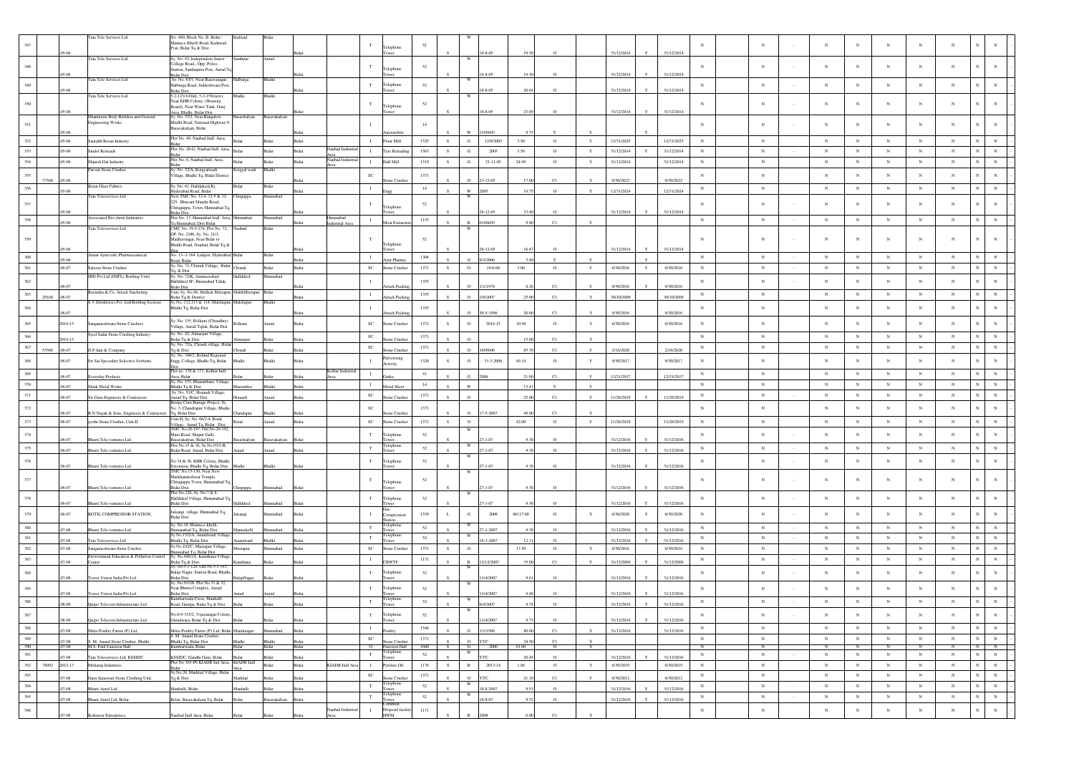|         |                             | Tata Tele Services Ltd                                        | No. 460, Block No. II, Bidar<br>Manna-e-Khelli Road, Kadawad               | adwad               |                        |                |                           | $_{\rm T}$   |                                        | 52     |        |                                        |                |               |              |                          |                         |            |            |             |                 | N          |             |                                     |             |  |
|---------|-----------------------------|---------------------------------------------------------------|----------------------------------------------------------------------------|---------------------|------------------------|----------------|---------------------------|--------------|----------------------------------------|--------|--------|----------------------------------------|----------------|---------------|--------------|--------------------------|-------------------------|------------|------------|-------------|-----------------|------------|-------------|-------------------------------------|-------------|--|
|         | 05-06                       |                                                               | Post, Bidar Tq & Dist.                                                     |                     |                        |                |                           |              | Felephone<br>wer                       |        |        | $8 - 8 - 05$                           | 19.3           |               |              | 31/12/2014               | 31/12/2014              |            |            |             |                 |            |             |                                     |             |  |
|         |                             | Tata Tele Services Ltd                                        | y. No. 93, Independent Junior                                              | nthpu               | urad                   |                |                           |              |                                        |        |        |                                        |                |               |              |                          |                         |            |            |             |                 |            |             |                                     |             |  |
| 348     |                             |                                                               | ollege Road,, Opp. Police<br>tation, Santhapura Post, Aurad T              |                     |                        |                |                           |              | Felephone                              | 52     |        |                                        |                |               |              |                          |                         |            | $_{\rm N}$ | $_{\rm N}$  | $_{\rm N}$      | $_{\rm N}$ | N           | $_{\rm N}$<br>$_{\rm N}$            | $_{\rm N}$  |  |
|         | 05-06                       | Tata Tele Services Ltd                                        | idar Dist.<br>Sy. No. 63/1, Near Basavanagar,                              | Halbarga            | <b>Shalki</b>          |                |                           |              | ower                                   |        |        | $8 - 8 - 05$<br>W                      | 19.30          |               |              | 31/12/2014               | 31/12/2014              |            |            |             |                 |            |             |                                     |             |  |
| 349     | 05-06                       |                                                               | alburga Road, Siddeshwara Pos                                              |                     |                        |                |                           | $_{\rm T}$   | Felephone                              | $52\,$ |        | $8 - 8 - 05$                           |                |               |              | 31/12/2014               | 31/12/2014              | $_{\rm N}$ | $_{\rm N}$ | $_{\rm N}$  | $_{\rm N}$      | $_{\rm N}$ | $_{\rm N}$  | $_{\rm N}$<br>N                     | N           |  |
|         |                             | Tata Tele Services Ltd                                        | idar Dist.<br>5-2-123/1(Old), 5-2-159(new),                                | Bhalki              | Bhalki                 |                |                           |              | wer                                    |        |        | W                                      |                |               |              |                          |                         |            |            |             |                 |            |             |                                     |             |  |
| 350     |                             |                                                               | Vear KHB Colony, (Housing<br>loard), Near Water Tank, Gunj                 |                     |                        |                |                           | T            | elephone                               | 52     |        |                                        |                |               |              |                          |                         | $_{\rm N}$ | $_{\rm N}$ | $_{\rm N}$  | N               | $_{\rm N}$ | $_{\rm N}$  | N<br>$_{\rm N}$                     | $_{\rm N}$  |  |
|         | 05.06                       | Dhanlaxmi Body Builders and General                           | rea, Bhalki, Bidar Dist.<br>v. No. 37/2. Near Bangalow                     |                     |                        |                |                           |              |                                        |        |        | 8-8-05                                 |                | $\Omega$      |              | 31/12/2014               | 31/12/2014              |            |            |             |                 |            |             |                                     |             |  |
| 351     |                             | <b>Engineering Works</b>                                      | Mudbi Road, National Highway-9                                             | savkalyan           | Basavakalyan           |                |                           |              |                                        | 14     |        |                                        |                |               |              |                          |                         | $_{\rm N}$ | $_{\rm N}$ | $\mathbf N$ | N               | $_{\rm N}$ | N           | N<br>$_{\rm N}$                     | $_{\rm N}$  |  |
|         | 05-06                       |                                                               | asavakalyan, Bidar                                                         |                     |                        |                |                           |              |                                        |        |        | 5/09/05                                |                |               |              |                          |                         |            |            |             |                 |            |             |                                     |             |  |
| 352     | $.05 - 06$                  | Saurabh Besan Industry                                        | Plot No. 49, Naubad Indl. Area,                                            |                     |                        |                |                           | $\mathbf{I}$ | Flour Mill                             | 1525   | S      | G<br>12/9/2005                         | 3.50           | $\circ$       | $\mathbf Y$  | 12/31/2025               | 12/31/2025              | $_{\rm N}$ | $_{\rm N}$ | $_{\rm N}$  | $_{\rm N}$      | $_{\rm N}$ | $_{\rm N}$  | $_{\rm N}$<br>$\mathbf N$           | $_{\rm N}$  |  |
| 353     | $.05 - 06$                  | <b>Sindol Retreads</b>                                        | Plot No. 20-G, Naubad Indl. Area,                                          | ida                 | <b>Sichar</b>          | Ridar          | aubad Indus               | $\mathbf{I}$ | <b>Vre Retradin</b>                    | 1563   | S.     | G<br>2005                              | 3.50           | $\circ$       | Y            | 31/12/2014<br>Y          | 31/12/2014              | N          | $_{\rm N}$ | $_{\rm N}$  | $_{\rm N}$      | $_{\rm N}$ | $_{\rm N}$  | $_{\rm N}$<br>$_{\rm N}$            | $_{\rm N}$  |  |
|         |                             |                                                               | lot No. 6, Naubad Indl. Area,                                              |                     |                        |                | ubad Indu                 |              |                                        |        |        |                                        |                |               |              |                          |                         |            |            |             |                 |            |             |                                     |             |  |
| 354     | $.05 - 06$                  | Manish Dal Industry                                           | Sy. No. 32/A, Kotgyalwadi                                                  |                     | Bidar                  | Bidar          |                           | $\mathbf{I}$ | Dall Mill                              | 1519   | S      | ${\bf G}$<br>$21 - 11 - 05$            | 24.99          | $\circ$       | $\mathbf Y$  | 31/12/2014               | 31/12/2014              | $_{\rm N}$ | $_{\rm N}$ | $_{\rm N}$  | $_{\rm N}$      | $\,$ N     | $_{\rm N}$  | $_{\rm N}$<br>$_{\rm N}$            | $_{\rm N}$  |  |
| 355     |                             | Parvati Stone Crusher                                         | 'illage, Bhalki To, Bidar Distric                                          | Cotgyal wadi        | Bhalki                 |                |                           | $_{\rm SC}$  |                                        | 1371   |        |                                        |                |               |              |                          |                         | $_{\rm N}$ | $_{\rm N}$ | $_{\rm N}$  | $_{\rm N}$      | $_{\rm N}$ | N           | $_{\rm N}$<br>N                     | N           |  |
|         | 77548<br>05:06              | Krian Glass Fabrics                                           | Sv. No. 61, Halldakeri(K),                                                 |                     | sidar                  |                |                           |              | me Crush                               |        |        | $3 - 12 - 05$<br>$\Omega$              | 17.0           | C1            |              | 9/30/2022                | 9/30/2022               |            |            |             |                 |            |             |                                     |             |  |
| 356     | 05-06                       | Tata Teleservices Ltd                                         | lyderabad Road, Bidar<br>ew TMC No. 12-4, 12-5 & 12                        |                     | ımnabad                |                |                           | $\mathbf{I}$ |                                        | 14     |        | w                                      | 19.7           |               |              | 2/31/2024                | 12/31/2024              | $_{\rm N}$ | $_{\rm N}$ | $_{\rm N}$  | $_{\rm N}$      | $_{\rm N}$ | $_{\rm N}$  | $_{\rm N}$<br>$_{\rm N}$            | $_{\rm N}$  |  |
| 357     |                             |                                                               | 225, Bhavani Mandir Road,                                                  | hitguppa            |                        |                |                           | T.           |                                        | 52     |        |                                        |                |               |              |                          |                         | $_{\rm N}$ | $_{\rm N}$ | $_{\rm N}$  | $\mathbf N$     | $_{\rm N}$ | N           | N<br>$_{\rm N}$                     | $_{\rm N}$  |  |
|         | 05-06                       |                                                               | hitaguppa, Town, Humnabad To                                               |                     |                        |                |                           |              | Felephone<br>ower                      |        |        | $28 - 12 - 05$                         | 23.40          | $\circ$       |              | 31/12/2014               | 31/12/2014              |            |            |             |                 |            |             |                                     |             |  |
| 358     | 05-06                       | <b>Associated Bio-chem Industries</b>                         | 3idar Dist.<br>Plot No. 13, Humnabad Indl. Area<br>Fq Humnabad, Dist Bidar | nnabad              | umnabad                |                | lumnabad<br>fustrial Area | $\mathbf{I}$ | Meat Extractio                         | 1153   |        | /08/05                                 | 98             | C1            |              |                          |                         | N          | ${\bf N}$  | $_{\rm N}$  | $_{\rm N}$      | $_{\rm N}$ | $\mathbf N$ | $_{\rm N}$<br>$_{\rm N}$            | $\,$ N $\,$ |  |
|         |                             | Tata Teleservices Ltd                                         | MC No. 19-5-274, Plot No. 7.                                               | abad                | Bidar                  |                |                           |              |                                        |        |        |                                        |                |               |              |                          |                         |            |            |             |                 |            |             |                                     |             |  |
|         |                             |                                                               | GP. No. 2180, Sy. No. 21/1,<br>Madhavnagar, Near Bidar to                  |                     |                        |                |                           |              |                                        | 52     |        |                                        |                |               |              |                          |                         | $_{\rm N}$ | N          | $_{\rm N}$  | $\mathbf N$     | $_{\rm N}$ | N           | N<br>$_{\rm N}$                     | $_{\rm N}$  |  |
|         |                             |                                                               | Bhalki Road, Naubad, Bidar Tq &                                            |                     |                        |                |                           |              | elephone                               |        |        | $-12-05$                               |                |               |              | 31/12/2014<br>v          | 31/12/2014              |            |            |             |                 |            |             |                                     |             |  |
| 360     | 05-06                       | Aman Ayurvedic Pharmaceautical                                | No. 13-2-164. Ladgeri, Hyderabad                                           | ida                 | Sidar                  |                |                           | $\mathbf{I}$ | ur Pha                                 | 1304   |        | 3/2004                                 |                |               |              |                          |                         | $_{\rm N}$ | ${\bf N}$  | $_{\rm N}$  | $_{\rm N}$      | $_{\rm N}$ | $_{\rm N}$  | $_{\rm N}$<br>$_{\rm N}$            | $_{\rm N}$  |  |
| 361     | .06-07                      | Saleem Stone Crusher                                          | Road, Bidar<br>Sy. No. 71, Chondi Village, Bidar                           | <b>hondi</b>        | Bidar                  | Bidar          |                           | <b>SC</b>    | <b>Stone Crusher</b>                   | 1371   | S.     | $\circ$<br>19-6-06                     | 3.00           | $\circ$       | Y            | 6/30/2016<br>Y           | 6/30/2016               | $_{\rm N}$ | $_{\rm N}$ | $_{\rm N}$  | $_{\mathrm{N}}$ | $_{\rm N}$ | $_{\rm N}$  | $_{\rm N}$<br>$_{\rm N}$            | $_{\rm N}$  |  |
|         |                             | IBD Pvt Ltd (IMFL) Bottling Unit)                             | q. & Dist<br>Sy. No. 72/K, Ammeerabad,                                     | Hallikhed           | umnabad                |                |                           |              |                                        |        |        |                                        |                |               |              |                          |                         |            |            |             |                 |            |             |                                     |             |  |
|         |                             |                                                               | fallikhed SF. Humnabad Taluk.                                              |                     |                        |                |                           | - 1          |                                        | 1355   |        | 1/1978                                 |                | C1            |              |                          |                         | $_{\rm N}$ | ${\bf N}$  | $_{\rm N}$  | $_{\rm N}$      | $_{\rm N}$ | $_{\rm N}$  | $\mathbf N$<br>$_{\rm N}$           | $_{\rm N}$  |  |
| 363     | $06-07$                     | Ravindra & Co. Arrack Satcheting                              | 3idst Dist.<br>Init, Sy. No.96, Mallick Mirzapur, MalikMirzapur            |                     | Sidar                  |                |                           | $\mathbf{I}$ | rrack Pack                             | 1355   |        |                                        |                |               |              | 9/30/2016                | 9/30/2016               | $_{\rm N}$ | $_{\rm N}$ | $_{\rm N}$  | $_{\rm N}$      | $_{\rm N}$ | $_{\rm N}$  | $_{\rm N}$<br>$_{\rm N}$            | $_{\rm N}$  |  |
|         | $.06 - 07$<br>29168         | S.V.Distilleries Pvt. Ltd(Bottling Section)                   | idar Tq & District<br>Sv No. 112.113 & 114. Malchapur                      | Malchapur           | Bhalki                 |                |                           |              | rrack Packi                            |        |        | $\Omega$<br>/9/2007                    | 25.00          | C1            | $\mathbf{v}$ | 30/10/2009               | 30/10/2009              |            |            |             |                 |            |             |                                     |             |  |
|         | 06-07                       |                                                               | 3halki Tq, Bidar Dist                                                      |                     |                        |                |                           |              |                                        | 1355   |        | $-5 - 199$                             |                |               |              |                          |                         | $_{\rm N}$ | $_{\rm N}$ | $_{\rm N}$  | $_{\rm N}$      | $_{\rm N}$ | $_{\rm N}$  | $_{\rm N}$<br>$_{\rm N}$            | $_{\rm N}$  |  |
|         |                             |                                                               | Sy. No. 155, Belkuni (Choudhry)                                            |                     |                        |                |                           |              | rrack Packi                            |        |        |                                        |                | C1            |              | 9/30/201                 | 9/30/2016               |            |            |             |                 |            |             |                                     |             |  |
|         | 2014-15                     | Sangameshwara Stone Crushers                                  | Village, Aurad Tqluk, Bidar Dist                                           | elkuni              | bens                   |                |                           | $_{\rm SC}$  | one Crusher                            | 1371   | s      | $\circ$<br>2014-15                     | 10.50          | $\circ$       | $\mathbf Y$  | 6/30/2016                | 6/30/2016               | $_{\rm N}$ | $_{\rm N}$ | $_{\rm N}$  | $_{\rm N}$      | $_{\rm N}$ | $_{\rm N}$  | $_{\rm N}$<br>$_{\rm N}$            | $_{\rm N}$  |  |
| 366     | 2014-15                     | Syed Sadat Stone Crushing Industry                            | y. No. 42, Almaspur Village,<br>3idar Tq & Dist.                           |                     | Rider                  |                |                           | <b>SC</b>    | ne Crush                               | 1371   |        | $\Omega$                               | 15.0           | C1            |              |                          |                         | $_{\rm N}$ | $_{\rm N}$ | $_{\rm N}$  | N               | N          | $_{\rm N}$  | $_{\rm N}$<br>$\mathbf N$           | $_{\rm N}$  |  |
| 367     |                             |                                                               | Sy. No. 72/a, Chondi village, Bida                                         |                     |                        |                |                           | $_{\rm SC}$  |                                        | 1371   |        |                                        |                |               |              |                          |                         | $_{\rm N}$ | $_{\rm N}$ | $_{\rm N}$  | $_{\rm N}$      | $_{\rm N}$ | $_{\rm N}$  | $_{\rm N}$                          | $_{\rm N}$  |  |
|         | 53586<br>.06-07             | D.P.Jain & Company                                            | Tq & Dist.<br>y. No. 348/2, Behind Regional                                |                     | kidar                  |                |                           |              | one Crush                              |        |        | $\Omega$<br>6/09/06                    | 85.3           | C1            |              | 2/16/2020                | 2/16/2020               |            |            |             |                 |            |             |                                     |             |  |
| 368     | 06-07                       | Sri Sai Speciality Selective Sorbents                         | Engg, College, Bhalki Tq, Bidar                                            |                     | halki                  |                |                           | $\mathbf{I}$ | ulverising<br>Activity                 | 1320   | s      | $\circ$<br>31-3-2006                   | 49.14          | $\circ$       | Y            | 9/30/2017                | 9/30/2017               | $_{\rm N}$ | $_{\rm N}$ | $_{\rm N}$  | $_{\rm N}$      | $_{\rm N}$ | $_{\rm N}$  | $_{\rm N}$<br>N                     | $_{\rm N}$  |  |
|         |                             |                                                               | lot no. 170 & 171, Kolhar Indl.                                            |                     |                        |                | olhar Industr             |              |                                        | 41     |        |                                        |                |               |              |                          |                         | $_{\rm N}$ | $_{\rm N}$ | $_{\rm N}$  | $_{\rm N}$      | $_{\rm N}$ | $_{\rm N}$  | $_{\rm N}$<br>N                     | $_{\rm N}$  |  |
|         | 06-07                       | <b>Everyday Products</b>                                      | Area, Bidar<br>. No. 153, Bhat<br>ıra, Village                             |                     |                        |                |                           |              | iutka                                  |        |        |                                        | 21.8           | C1            |              | 12/31/2017               | 12/31/2017              |            |            |             |                 |            |             |                                     |             |  |
| 370     | 06-07                       | Shaik Metal Works                                             | Bhalki Tq & Dist.                                                          |                     | <b>Shalki</b>          |                |                           | $\mathbf{I}$ | <b>Jetal Shee</b>                      | 14     |        | $\mathbf{w}$                           | 13.4           | <b>V</b>      | $\mathbf{v}$ |                          |                         | $_{\rm N}$ | $_{\rm N}$ | $_{\rm N}$  | $_{\rm N}$      | $_{\rm N}$ | $_{\rm N}$  | $_{\rm N}$<br>$\overline{N}$        | $_{\rm N}$  |  |
| 371     | .06-07                      | Sri Guru Engineers & Contractors                              | Sy. No. 51/C, Horandi Village,<br>Aurad Tq, Bidar Dist.                    |                     | urad                   | sida           |                           | $_{\rm SC}$  | one Crush                              | 1371   |        |                                        | 25.0           | C1            |              | 11/26/2019               | 11/26/2019              | $_{\rm N}$ | $_{\rm N}$ | $_{\rm N}$  | $_{\rm N}$      | $_{\rm N}$ | $_{\rm N}$  | $_{\rm N}$<br>$_{\rm N}$            | $_{\rm N}$  |  |
| 372     |                             |                                                               | Iridge Cum Barrage Project, Sy<br>No. 3, Chandrapur Village, Bhalki        |                     |                        |                |                           | SC           |                                        | 1371   |        |                                        |                |               |              |                          |                         | $_{\rm N}$ | $_{\rm N}$ | $_{\rm N}$  | $_{\rm N}$      | $_{\rm N}$ | $_{\rm N}$  | $_{\rm N}$<br>$\mathbf N$           | $_{\rm N}$  |  |
|         | 06-07                       | R.N.Nayak & Sons, Engineers & Contractors                     | Tq, Bidar Dist                                                             | andapur             | halki                  |                |                           |              | me Crush                               |        |        | $-5 - 2007$                            |                | C1            |              |                          |                         |            |            |             |                 |            |             |                                     |             |  |
| 373     | .06-07                      | jyothi Stone Crusher, Unit-II                                 | Unit-II, Sy. No. 66/2-4, Boral<br>'illage, Aurad Tq, Bidar Dist            | <b>Soral</b>        | hana                   | Bidar          |                           | $_{\rm SC}$  | Stone Crusher                          | 1371   | S      | $\circ$                                | 42.00          | $\circ$       | $\mathbf Y$  | 11/26/2019               | 11/26/2019              | $_{\rm N}$ | ${\bf N}$  | $_{\rm N}$  | $_{\rm N}$      | $_{\rm N}$ | $_{\rm N}$  | $_{\rm N}$<br>$_{\rm N}$            | $_{\rm N}$  |  |
| 374     |                             |                                                               | TMC No.26-197, Old No.26-192<br>Main Road, Shapur Galli,                   |                     |                        |                |                           | $_{\rm T}$   | elephone                               | 52     |        | W                                      |                |               |              |                          |                         | $_{\rm N}$ | $_{\rm N}$ | $_{\rm N}$  | $_{\rm N}$      | $_{\rm N}$ | $_{\rm N}$  | N<br>$_{\rm N}$                     | $_{\rm N}$  |  |
|         | 06-07                       | Bharti Tele-ventures Ltd                                      | asavakalyan, Bidar Dist<br>lot No.15 & 16, Sy No.93/1-B,                   | savkalyan           | Basavakalyar           |                |                           |              |                                        |        |        | $7 - 1 - 07$                           |                |               |              | 31/12/2016               | 31/12/2016              |            |            |             |                 |            |             |                                     |             |  |
| 375     | .06-07                      | Bharti Tele-ventures Ltd                                      | idar Road, Aurad, Bidar Dist                                               |                     | benu                   |                |                           | T            | elephon                                | 52     |        | $7 - 1 - 07$                           | 0.31           | $\Omega$      |              | 31/12/2016               | 31/12/2016              | $_{\rm N}$ | $_{\rm N}$ | $_{\rm N}$  | $_{\rm N}$      | $_{\rm N}$ | $_{\rm N}$  | $_{\rm N}$<br>$_{\rm N}$            | $_{\rm N}$  |  |
| 376     |                             |                                                               | No.34 & 36, KHB Colony, Bhalki                                             |                     |                        |                |                           | T            | Felephone                              | 52     |        |                                        |                |               |              |                          |                         | $_{\rm N}$ | $_{\rm N}$ | $_{\rm N}$  | $_{\rm N}$      | $_{\rm N}$ | $_{\rm N}$  | $\overline{N}$<br>$_{\rm N}$        | $_{\rm N}$  |  |
|         | 06-07                       | Bharti Tele-ventures Ltd                                      | Extension, Bhalki Tq, Bidar Dist.<br>Extension, Bhalki Tq, Bidar Dist.     |                     | Bhalki                 |                |                           |              |                                        |        |        | $-1 - 07$                              |                |               |              | 31/12/2016               | 31/12/2016              |            |            |             |                 |            |             |                                     |             |  |
| 377     |                             |                                                               | Markhandeshwar Temple,                                                     |                     |                        |                |                           | T            |                                        | 52     |        |                                        |                |               |              |                          |                         | $_{\rm N}$ | N          | $_{\rm N}$  | N               | $_{\rm N}$ | N           | $\overline{N}$<br>$_{\rm N}$        | $\mathbf N$ |  |
|         | 06-07                       | Bharti Tele-ventures Ltd                                      | Chitaguppa Town, Humanabad T<br><b>Bidar Dist</b>                          | itguppa             | Iumnabad               |                |                           |              | Felephone                              |        |        | $7 - 1 - 07$                           |                | $\Omega$      |              | 31/12/2016               | 31/12/2016              |            |            |             |                 |            |             |                                     |             |  |
|         |                             |                                                               | Plot No.226, Sy. No.7 & 8,                                                 |                     |                        |                |                           |              |                                        |        |        |                                        |                |               |              |                          |                         | $_{\rm N}$ |            |             | $_{\rm N}$      | $_{\rm N}$ |             |                                     |             |  |
| 378     | 06-07                       | Bharti Tele-ventures Ltd                                      | Hallikhed Village, Humanabad To<br>Bidar Dist                              | allikhed            | nnahav                 |                |                           | $_{\rm T}$   | elephone<br>wer                        | 52     |        | $-1 - 07$                              |                |               |              | 31/12/2016               | 31/12/2016              |            | $_{\rm N}$ | $_{\rm N}$  |                 |            | $_{\rm N}$  | $_{\rm N}$<br>N                     | $_{\rm N}$  |  |
| 379     | 06-07                       | RGTIL COMPRESSOR STATION,                                     | alsangi village, Humnabad Tq,                                              | Isangi              | mnabad                 | Bida           |                           | $\mathbf{I}$ | ompressio                              | 1539   |        | ${\bf G}$<br>$2008\,$                  | 86117.00       | $\circ$       | Y            | 6/30/2020<br>$\mathbf Y$ | 6/30/2020               | $_{\rm N}$ | $\,$ N     | $_{\rm N}$  | $_{\rm N}$      | $_{\rm N}$ | $_{\rm N}$  | $_{\rm N}$<br>$_{\rm N}$            | $_{\rm N}$  |  |
|         |                             |                                                               | Bidar Dist                                                                 |                     |                        |                |                           |              | ation                                  |        |        |                                        |                |               |              |                          |                         |            |            |             |                 |            |             |                                     |             |  |
| 380     | .07-08                      |                                                               |                                                                            |                     |                        |                |                           |              |                                        |        |        |                                        |                |               |              |                          |                         |            |            |             | $_{\rm N}$      | $_{\rm N}$ | $_{\rm N}$  | $_{\rm N}$<br>$_{\rm N}$            | $_{\rm N}$  |  |
|         |                             | Bharti Tele-ventures Ltd                                      | y. No.10, Manna-e-khelli.<br>umanabad Tq, Bidar Dist                       | annekelli           | nnabad                 |                |                           | $_{\rm T}$   | elephone<br>ower                       | 52     |        | W<br>$7 - 1 - 2007$                    | 93             | $\Omega$      |              | 31/12/2016               | 31/12/2016              | $_{\rm N}$ | $_{\rm N}$ | $_{\rm N}$  |                 |            |             | $\mathbb{N}$<br>$_{\rm N}$          | $_{\rm N}$  |  |
| 381     | $07-08$                     | Tata Teleservices Ltd                                         | y No.15/2/A, Anandwadi Villag<br>Shalki Tq, Bidar Dist.                    | andwad              |                        |                |                           | T            | elephone<br>wer                        | 52     |        | W<br>$6 - 3 - 2007$                    | 12.1           | $\Omega$      |              | 31/12/2016               | 31/12/2016              | $_{\rm N}$ | $_{\rm N}$ | $_{\rm N}$  | $_{\rm N}$      | $_{\rm N}$ | $_{\rm N}$  |                                     |             |  |
| 382     | .07-08                      | Sangameshwara Stone Crusher                                   | y No.102/C, Mustapur Village,                                              | ustapur             | mnabad                 | Bidar          |                           | $_{\rm SC}$  | tone Crushe                            | 1371   | s.     | $\circ$                                | 17.50          | $\circ$       | $\mathbf Y$  | 6/30/2016                | 6/30/2016               | $_{\rm N}$ | $_{\rm N}$ | $_{\rm N}$  | $_{\rm N}$      | $_{\rm N}$ | $_{\rm N}$  | $_{\rm N}$<br>$_{\rm N}$            | $_{\rm N}$  |  |
|         |                             | Environment Education & Pollution Control                     | mmabad Tq, Bidar Dist<br>Sy. No.446/2A, Kamthana Villag                    |                     |                        |                |                           | $\mathbf{I}$ |                                        |        |        |                                        |                |               |              |                          |                         | $_{\rm N}$ |            |             |                 |            | $_{\rm N}$  |                                     | $_{\rm N}$  |  |
| 383     | $.07 - 08$                  | Center                                                        | Bidar Tq & Dist<br>Sv. No.5-1-126, Old No.5-1-143.                         | thana               |                        |                |                           |              | <b>CBWTF</b>                           | 1171   |        | 2/12/2007                              | 35.0           | C1            |              | 31/12/2009               | 31/12/2009              |            | $\,$ N     | $_{\rm N}$  | $_{\rm N}$      | $_{\rm N}$ |             | $_{\rm N}$<br>$_{\rm N}$            |             |  |
| 384     | 07-08                       |                                                               | Balaji Nagar, Station Road, Bhalk                                          |                     | sidar                  |                |                           | $_{\rm T}$   | Felephone<br>ower                      | 52     |        | 1/4/2007                               |                |               |              |                          |                         | $_{\rm N}$ | $_{\rm N}$ | $_{\rm N}$  | N               | $_{\rm N}$ | N           | N<br>$_{\rm N}$                     | $_{\rm N}$  |  |
|         |                             | Tower Vision India Pvt Ltd                                    | Bidar Dist<br>. No.93/1B, Plot No.31 & 32,                                 | lajiNagar           |                        |                |                           |              |                                        |        |        |                                        |                |               |              | 31/12/2016               | 31/12/2016              |            |            |             |                 |            |             |                                     |             |  |
| 385     | 07-08                       | Tower Vision India Pvt Ltd                                    | Vear Bhutta Complex, Aurad,<br>Bidar Dist.                                 |                     |                        |                |                           | T            | elephone                               | 52     |        |                                        |                |               |              | 31/12/2016               | 31/12/201               | $_{\rm N}$ | $_{\rm N}$ | $_{\rm N}$  |                 | $_{\rm N}$ |             | $_{\rm N}$                          |             |  |
| 386     |                             |                                                               | mbarwada Cross, Manhalli                                                   |                     |                        |                |                           |              | Felephone                              |        |        |                                        |                |               |              |                          |                         |            |            |             |                 |            |             | N                                   |             |  |
|         |                             |                                                               |                                                                            |                     |                        |                |                           |              |                                        |        |        | W                                      |                |               |              |                          |                         |            |            |             |                 |            |             |                                     |             |  |
| $387\,$ | 08-09                       | Quipo Telecom Infrastructure Ltd                              | No.8-9-315/2, Vijayanagar Colony.<br>Gurudwara, Bidar Tq & Dist            |                     |                        |                |                           | $_{\rm T}$   | Felephone<br>ower                      | $52\,$ |        | 1/4/2007                               |                | $\Omega$      |              | 31/12/2016               | 31/12/2016              | $_{\rm N}$ | $_{\rm N}$ | $_{\rm N}$  | $_{\rm N}$      | $_{\rm N}$ | $_{\rm N}$  | $_{\rm N}$<br>$_{\rm N}$            | ${\bf N}$   |  |
| 388     |                             |                                                               |                                                                            |                     |                        | Bidar          |                           | $\;$ I       | altry                                  | 1544   |        | $\mathbf{G}$                           |                |               | $\mathbf{v}$ |                          |                         | $\,$ N     | $\,$ N     | $_{\rm N}$  | ${\bf N}$       | $_{\rm N}$ | $_{\rm N}$  | $\mathbf{N}^-$<br>${\bf N}$         | ${\bf N}$   |  |
| 389     | .07-08                      | Mitra Poultry Farms (P) Ltd,                                  | Mitra Poultry Farms (P) Ltd, Bidar<br>S. M. Anand Stone Crusher,           |                     |                        |                |                           | $_{\rm SC}$  |                                        | 1371   |        | /1/1996                                | 80.0           | C1            |              | 31/12/2016               | 31/12/2016              | $_{\rm N}$ | $_{\rm N}$ | $_{\rm N}$  | ${\bf N}$       | $_{\rm N}$ | $_{\rm N}$  | ${\bf N}$                           | $\,$ N $\,$ |  |
| 390     | .07-08<br>.07-08            | S. M. Anand Stone Crusher, Bhalki<br>M.S. Patil Function Hall | Bhalki Tq, Bidar Dist<br>Kumbarwada, Bidar                                 | Bidar               | <b>Shalki</b><br>Bidar | Bidar<br>Bidar |                           |              | tone Crusher                           | 1600   | S<br>S | $\circ$<br><b>YTC</b><br><b>G</b> 2006 | 24.50<br>81.00 | C1<br>$\circ$ | Y<br>Y       |                          |                         | N          | N          | $_{\rm N}$  | N               | N          | N           | $\mathbf{N}^-$<br>$_{\rm N}$<br>N I | N           |  |
| 391     |                             |                                                               |                                                                            |                     | Sidar                  |                |                           | $\mathbf T$  | $\frac{O}{T}$ Function Hall<br>ower    | 52     |        | <b>YTC</b>                             |                | $\circ$       |              | $\mathbf{v}$             |                         | $_{\rm N}$ | ${\bf N}$  | $\,$ N      | $\,$ N $\,$     | ${\bf N}$  | ${\bf N}$   | $\,$ N $\,$<br>${\bf N}$            | $\mathbf N$ |  |
| 392     | $.07 - 08$<br>78092 2012-13 | Tata Teleservices Ltd, KSSIDC<br>Mehanaj Industries           | KSSIDC, Gandhi Gunj, Bidar.<br>Plot No 365-P6 KIADB Ind Area,              | Bidar<br>KIADB Indl | Bidar                  | Bidar<br>Bidar | KIADB Indl Are            | $\mathbf{T}$ | Pyrolsis Oil                           | 1178   | S      | $\mathbb R$<br>2013-14                 | 20.45<br>1.86  | $\circ$       | $\mathbf{Y}$ | 31/12/2016<br>6/30/2019  | 31/12/2016<br>6/30/2019 | $_{\rm N}$ | ${\bf N}$  | $_{\rm N}$  | $_{\rm N}$      | $_{\rm N}$ | $_{\rm N}$  | ${\bf N}$<br>$_{\rm N}$             | $\,$ N $\,$ |  |
|         |                             |                                                               | idar<br>y No.20, Markhal Village, Bidar                                    |                     |                        |                |                           |              |                                        |        |        |                                        |                |               |              |                          |                         |            |            |             |                 | $_{\rm N}$ | $_{\rm N}$  | $_{\rm N}$                          |             |  |
| 393     | 07-08                       | Guru Saraswati Stone Crushing Unit.                           | Tq & Dist                                                                  | larkhal             |                        | Sidar          |                           | $_{\rm SC}$  | one Crushe                             | 1371   |        | $\circ$<br><b>YTC</b>                  | 21.1           | C1            | Y            | 6/30/2012                | 6/30/2012               | $_{\rm N}$ | $_{\rm N}$ | $_{\rm N}$  | $_{\rm N}$      |            |             | ${\bf N}$                           | ${\bf N}$   |  |
| 394     | .07-08                      | Sharti Airtel Ltd                                             | fanhalli, Bidar                                                            | anhalli             | <b>Sidar</b>           | Bidar          |                           | $\mathbf T$  | Felephone<br>ower                      | $52\,$ |        | 18-8-2007                              | 9.53           | $\circ$       |              | 31/12/2016               | 31/12/2016              | $_{\rm N}$ | ${\bf N}$  | $_{\rm N}$  | ${\bf N}$       | ${\bf N}$  | $_{\rm N}$  | ${\bf N}$<br>${\bf N}$              | $\mathbf N$ |  |
| 395     | .07-08                      | Bharti Airtel Ltd, Belur                                      | elur, Basavakalyan Tq, Bidar                                               |                     | avakalyan              | Bida           |                           | $_{\rm T}$   | elephone<br>ower                       | $52\,$ |        | 18-8-07                                | 957            | $\circ$       |              | 31/12/2016               | 31/12/2016              | $_{\rm N}$ | $\,$ N     | $\,$ N      | $_{\rm N}$      | $_{\rm N}$ | $_{\rm N}$  | $\mathbf N$<br>$\mathbb{N}$         | $\,$ N $\,$ |  |
| 396     | .07-08                      | Kohinoor Enterprises,                                         | Naubad Indl Area, Bidar                                                    |                     |                        |                | Naubad Industri           | $\mathbf{I}$ | mmon<br>Disposal facilit<br><b>HWM</b> | 1171   |        | R<br>2008                              | 6.00           | C1            |              |                          |                         | $_{\rm N}$ | $_{\rm N}$ | $_{\rm N}$  | $_{\rm N}$      | $_{\rm N}$ | $_{\rm N}$  | $\mathbf N$<br>$_{\rm N}$           | $_{\rm N}$  |  |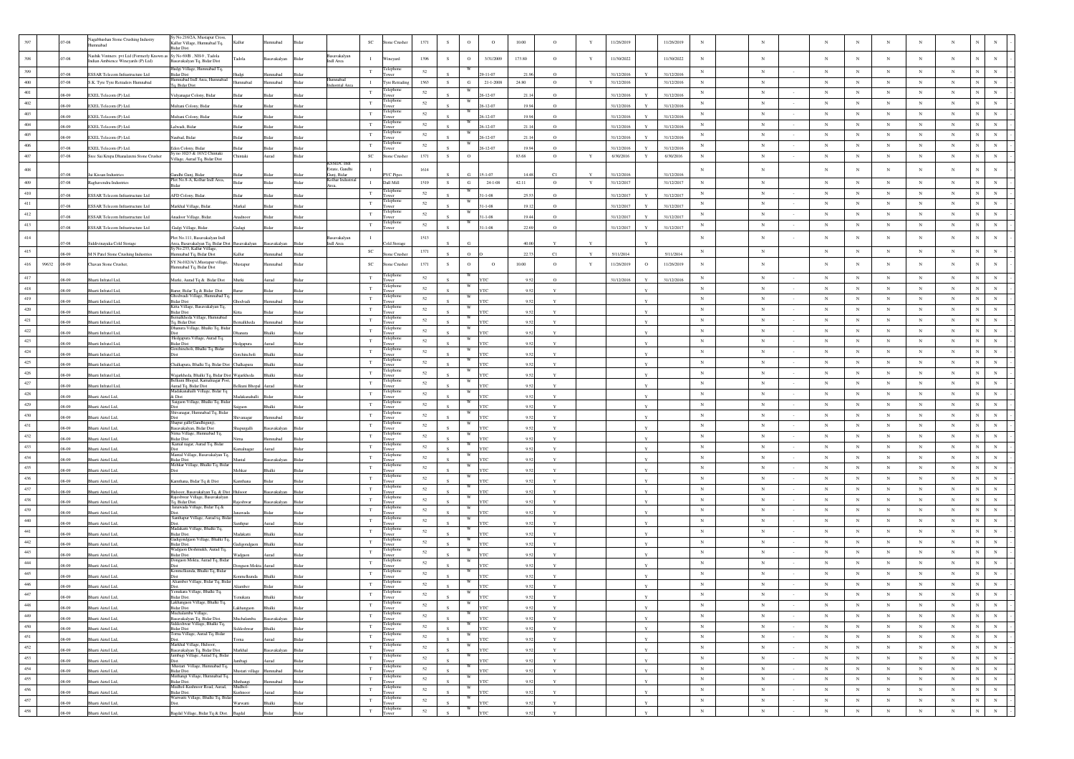|                    | 07-08               | Vagabhushan Stone Crushing Industry<br>hadammu                                                            | Sy No.216/2A, Mustapur Cross,<br>Kallur Village, Humnabad Tq,                       | Kallur              | hadam                   |                                      | $\protect\operatorname{SC}$ | Stone Crusher                   | 1371         | s         | $\mathcal{O}$           | $\circ$                       | 10.00       | $\circ$             |             | 11/26/2019               |              | 11/26/2019<br>$_{\rm N}$               |                           |                  |                          |                               |                          |                          |                                        |                                            |
|--------------------|---------------------|-----------------------------------------------------------------------------------------------------------|-------------------------------------------------------------------------------------|---------------------|-------------------------|--------------------------------------|-----------------------------|---------------------------------|--------------|-----------|-------------------------|-------------------------------|-------------|---------------------|-------------|--------------------------|--------------|----------------------------------------|---------------------------|------------------|--------------------------|-------------------------------|--------------------------|--------------------------|----------------------------------------|--------------------------------------------|
| 398                | $7 - 08$            | Nashik Vintners pvt Ltd (Formerly Known as Sy No 69/B, NH-9, Tadola<br>Indian Ambience Wineyards (P) Ltd) | Basavakalyan Tq, Bidar Dist                                                         | adola <sup>.</sup>  | asavakalyan             | Basavakalyan<br>Bida<br>Indl Area    | $\mathbf{I}$                | Wineyard                        | 1396         | s         | $\Omega$                | 3/31/2009                     | 173.80      | $\circ$             | Y           | 11/30/2022               |              | 11/30/2022<br>$_{\rm N}$               | $_{\rm N}$                |                  | $_{\rm N}$               | $_{\rm N}$                    | $_{\rm N}$               | $\mathbf N$              | $_{\rm N}$<br>N                        |                                            |
| 399                |                     |                                                                                                           | ludgi Village, Humnabad Tq.                                                         |                     |                         |                                      | $_{\rm T}$                  | elephone                        | 52           |           |                         |                               |             |                     |             |                          |              | $_{\rm N}$                             | $_{\rm N}$                |                  | ${\bf N}$                | $_{\rm N}$                    | $_{\rm N}$               | $_{\rm N}$               | $_{\rm N}$                             | $_{\rm N}$                                 |
| $400\,$            | 07-08<br>$.07 - 08$ | ESSAR Telecom Infrastructure Ltd<br>S.K. Tyre Tyre Retraders Humnabad                                     | 3idar Dist<br>lumnabad Indl Area, Humnabad                                          | Humnabad            | nnahad<br>Iumnabad      | <b>lumnabad</b><br>Bidar             | $\mathbf{I}$                | ower<br>Tyre Retrading          | 1563         | S         | ${\bf G}$               | $-11 - 07$<br>$21 - 1 - 2008$ | 24.80       | $\Omega$<br>$\circ$ | Y           | 31/12/2016<br>31/12/2016 |              | 31/12/2016<br>31/12/2016<br>$_{\rm N}$ | N                         |                  | $_{\rm N}$               | $_{\rm N}$                    | $_{\rm N}$               | $_{\rm N}$               | $_{\rm N}$                             | $_{\rm N}$<br>$_{\rm N}$                   |
| $401\,$            | .08-09              | EXEL Telecom (P) Ltd.                                                                                     | Fq, Bidar Dist<br>Vidyanagar Colony, Bidar                                          |                     |                         | ustrial Are<br>Rida                  | $_{\rm T}$                  | elephone<br>ower                | 52           |           |                         | $6 - 12 - 07$                 | 211         | $\circ$             |             | 31/12/2016               |              | $_{\rm N}$<br>31/12/2016               | $_{\rm N}$                |                  | $_{\rm N}$               | $_{\rm N}$                    | $_{\rm N}$               | $_{\rm N}$               | $_{\rm N}$<br>N                        | $_{\rm N}$                                 |
| $402\,$            | .08-09              | EXEL Telecom (P) Ltd.                                                                                     | Multani Colony, Bidar                                                               |                     |                         | Bida                                 | $_{\rm T}$                  | elephone<br>ower                | $52\,$       |           |                         | $-12 - 07$                    | 19.9        | $\circ$             |             | 31/12/2016               |              | $_{\rm N}$<br>31/12/2016               | $_{\rm N}$                |                  | $\mathbf N$              | $_{\rm N}$                    | $_{\rm N}$               | $_{\rm N}$               | N<br>$_{\rm N}$                        | $_{\rm N}$                                 |
| 403                | 08-09               | EXEL Telecom (P) Ltd.                                                                                     | Iultani Colony, Bidar                                                               |                     |                         |                                      | $_{\rm T}$                  | 'elephon<br>wer                 | 52           |           |                         | $-12-07$                      | 199         | $\circ$             |             | 31/12/2016               |              | $_{\rm N}$<br>31/12/2016               | $_{\rm N}$                |                  | $_{\rm N}$               | $_{\rm N}$                    | $_{\rm N}$               | $_{\rm N}$               | $_{\rm N}$                             | $\mathbb{N}$<br>$_{\rm N}$                 |
| $404\,$            | 08-09               | EXEL Telecom (P) Ltd.                                                                                     | alwadi, Bidar                                                                       |                     |                         |                                      | $_{\rm T}$                  | Felephone<br>ower               | 52           |           | W                       | $-12 - 07$                    | 21.1        | $\circ$             |             | 31/12/2016               |              | $_{\rm N}$<br>31/12/2016               | $_{\rm N}$                |                  | $_{\rm N}$               | $_{\rm N}$                    | $_{\rm N}$               | $_{\rm N}$               | $_{\rm N}$                             | $_{\rm N}$<br>$_{\rm N}$                   |
| 405                | 08-09               | EXEL Telecom (P) Ltd.                                                                                     | Jaubad, Bidar                                                                       |                     |                         |                                      | $_{\rm T}$                  | Felephone<br>ower               | 52           |           | W                       | $6 - 12 - 07$                 | 21.14       | $\circ$             |             | 31/12/2016               |              | $_{\rm N}$<br>31/12/2016               | $_{\rm N}$                |                  | $_{\rm N}$               | $_{\rm N}$                    | $_{\rm N}$               | $_{\rm N}$               | $_{\rm N}$<br>$\mathbf N$              | $_{\rm N}$                                 |
| $406\,$            | 07-08               | EXEL Telecom (P) Ltd.                                                                                     | den Colony, Bidar                                                                   |                     |                         |                                      | $_{\rm T}$                  | Felephone<br>ower               | 52           |           | W                       | $-12 - 07$                    | 199         | $\Omega$            |             | 31/12/2016               |              | $_{\rm N}$<br>31/12/2016               | $_{\rm N}$                |                  | $\mathbf N$              | $_{\rm N}$                    | $_{\rm N}$               | $_{\rm N}$               | N<br>$_{\rm N}$                        | $_{\rm N}$                                 |
| $407\,$            | $.07 - 08$          | Sree Sai Krupa Dhanalaxmi Stone Crusher                                                                   | Sy no 102/3 & 103/2 Chintaki<br>/illage, Aurad Tq, Bidar Dist                       | Chintaki            | Aurad                   | Bidar                                | $_{\rm SC}$                 | Stone Crusher                   | 1371         | ${\bf S}$ | $\circ$                 |                               | 83.68       | $\circ$             | $\mathbf Y$ | 6/30/2016                | $\mathbf Y$  | 6/30/2016<br>$_{\rm N}$                | $_{\rm N}$                |                  | $_{\rm N}$               | $_{\rm N}$                    | $_{\rm N}$               | $_{\rm N}$               | $_{\rm N}$                             | $_{\rm N}$<br>$_{\rm N}$                   |
| $408\,$            |                     |                                                                                                           |                                                                                     |                     |                         | <b>KSSIDC</b> Indi<br>istate, Gandhi | $\mathbf{I}$                |                                 | 1614         |           |                         | 1.07                          |             | C1                  |             |                          |              | $_{\rm N}$                             | $_{\rm N}$                |                  | $_{\rm N}$               | $_{\rm N}$                    | $_{\rm N}$               | $\mathbf N$              | $_{\rm N}$<br>$_{\rm N}$               | $_{\rm N}$                                 |
| $409\,$            | 07-08<br>$.07 - 08$ | Jai Kissan Industries<br>Raghavendra Industries                                                           | andhi Gunj, Bidar<br>Plot No.8-A, Kolhar Indl Area,                                 | Bidar               | Bidar                   | Gunj, Bidar<br>Kolhar Indus<br>Bidar | $\;$ I                      | <b>PVC</b> Pipes<br>Dall Mill   | 1519         | S         | G                       | $24 - 1 - 08$                 | 42.11       | $\circ$             | $\mathbf Y$ | 31/12/2016<br>31/12/2017 |              | 31/12/2016<br>31/12/2017<br>$_{\rm N}$ | $_{\rm N}$                |                  | $_{\rm N}$               | $_{\rm N}$                    | $\,$ N $\,$              | $_{\rm N}$               | $_{\rm N}$                             | ${\bf N}$<br>$_{\rm N}$                    |
| $410\,$            | 07-08               | ESSAR Telecom Infrastructure Ltd                                                                          | AFD Colony, Bidar.                                                                  |                     |                         |                                      | $_{\rm T}$                  | Felephon                        | 52           |           |                         | $-1 - 08$                     | 255         | $\circ$             |             | 31/12/2017               |              | $_{\rm N}$<br>31/12/201                | $_{\rm N}$                |                  | $\mathbf N$              | $_{\rm N}$                    | N                        | $_{\rm N}$               | $_{\rm N}$<br>$_{\rm N}$               | $_{\rm N}$                                 |
| $411\,$            | .07-08              | ESSAR Telecom Infrastructure Ltd                                                                          | Markhal Village, Bidar                                                              | Markal              |                         | Ridar                                | $_{\rm T}$                  | Felephone<br>'ower              | 52           |           |                         | $1 - 1 - 08$                  | 19.12       | $\circ$             |             | 31/12/2017               |              | $_{\rm N}$<br>31/12/2017               | $_{\rm N}$                |                  | $_{\rm N}$               | $_{\rm N}$                    | $_{\rm N}$               | $_{\rm N}$               | $_{\rm N}$<br>N                        | $_{\rm N}$                                 |
| $412\,$            | 07-08               | ESSAR Telecom Infrastructure Ltd                                                                          | Inadoor Village, Bidar.                                                             | nadnoor             |                         | Bida                                 | $\mathbf T$                 | Telephone                       | $52\,$       |           |                         | $-1 - 08$                     | 19.4        | $\circ$             |             | 31/12/2017               |              | $_{\rm N}$<br>31/12/2017               | $_{\rm N}$                |                  | $_{\rm N}$               | $_{\rm N}$                    | $_{\rm N}$               | $_{\rm N}$               | $_{\rm N}$<br>N                        | $_{\rm N}$                                 |
| 413                | .07-08              | ESSAR Telecom Infrastructure Ltd                                                                          | Gadgi Village, Bidar.                                                               | kadaei              | <b>Sidar</b>            | Rida                                 | T                           | elephone<br>ower                | 52           |           | W                       | $-1-08$                       | 22.6        | $\circ$             |             | 31/12/2017               |              | $_{\rm N}$<br>31/12/2017               | $_{\rm N}$                |                  | $_{\rm N}$               | $_{\rm N}$                    | $_{\rm N}$               | $_{\rm N}$               | $_{\rm N}$                             | $_{\rm N}$<br>$_{\rm N}$                   |
| $414\,$            |                     |                                                                                                           | Plot No.111, Basavakalyan Indl                                                      |                     |                         | Basavakalyan                         | $\mathbf{I}$                |                                 | 1513         |           |                         |                               |             |                     |             |                          |              | $_{\rm N}$                             | $_{\rm N}$                |                  | $_{\rm N}$               | $_{\rm N}$                    | $_{\rm N}$               | $\mathbf N$              | $_{\rm N}$<br>N                        | $_{\rm N}$                                 |
| 415                | 17-08<br>08-09      | Siddivinayaka Cold Storage                                                                                | Area, Basavakalyan Tq, Bidar Dist Basavakalyan<br>Sv No.233. Kallur Village         | Callur.             | Basavakalyan<br>badammu | Indl Area<br>Bidar<br>Ridar          | $_{\rm SC}$                 | old Storage<br>one Crush        | 1371         |           |                         |                               | 40.0        | C1                  |             | 5/11/2014                |              | $\,$ N<br>5/11/2014                    | $_{\rm N}$                |                  | $_{\rm N}$               | $_{\rm N}$                    | $_{\rm N}$               | $_{\rm N}$               | $_{\rm N}$                             | ${\bf N}$<br>$_{\rm N}$                    |
| $416\,$            | 99632<br>$.08 - 09$ | M N Patel Stone Crushing Industries<br>Chavan Stone Crusher,                                              | mnabad Tq, Bidar Dist<br>SY.No102/A/1,Mustapur village,                             | Mustapur            | mnabad                  |                                      | $_{\rm SC}$                 | tone Crusher                    | 1371         | $\,$ s    | $\Omega$                | $\circ$                       | 10.00       | $\circ$             | Y           | 11/26/2019               | $\Omega$     | 11/26/2019<br>$_{\rm N}$               | $_{\rm N}$                |                  | $_{\rm N}$               | $_{\rm N}$                    | $_{\rm N}$               | $_{\rm N}$               | $_{\rm N}$<br>N                        | $_{\rm N}$                                 |
|                    |                     |                                                                                                           | lumnabad Tq, Bidar Dist                                                             |                     |                         |                                      |                             | elephon                         |              |           |                         |                               |             |                     |             |                          |              |                                        |                           |                  |                          |                               |                          |                          |                                        |                                            |
| $417\,$<br>$418\,$ | 08-09               | harti Infratel Ltd,                                                                                       | Murki, Aurad Tq & Bidar Dist                                                        | Murki               | urad                    |                                      | T<br>T                      | elepho                          | 52<br>52     |           |                         |                               |             |                     |             | 31/12/2016               |              | $_{\rm N}$<br>31/12/2016<br>$_{\rm N}$ | $_{\rm N}$<br>$_{\rm N}$  |                  | $_{\rm N}$<br>$_{\rm N}$ | $_{\rm N}$<br>$_{\rm N}$      | $_{\rm N}$<br>N          | $_{\rm N}$<br>$_{\rm N}$ | $\,$ N<br>$_{\rm N}$<br>$_{\rm N}$     | $_{\rm N}$<br>$_{\rm N}$<br>$_{\rm N}$     |
| 419                | 08.09               | harti Infratel Ltd.                                                                                       | arur, Bidar Tq & Bidar Dist<br>Ghodwadi Village, Humnabad Tq,                       |                     |                         |                                      | $_{\rm T}$                  | <b>OWPE</b><br>Felephone        | 52           |           |                         |                               | 05          | $\mathbf{Y}$        |             |                          | $\mathbf{v}$ | $_{\rm N}$                             | $_{\rm N}$                |                  | $_{\rm N}$               | $_{\rm N}$                    | $_{\rm N}$               | $_{\rm N}$               | $_{\rm N}$                             | $_{\rm N}$                                 |
| 420                | .08-09<br>08.09     | harti Infratel Ltd,                                                                                       | 3idar Dist<br>Kitta Village, Basavakalyan Tq,<br><b>Ridar Dist</b>                  | Ghodvadi            | hadammu                 | Bidar                                | $\mathbf T$                 | ower<br>'elephone               | 52           |           | W                       |                               | 9.5<br>0.57 | $\mathbf{Y}$        |             |                          |              | $_{\rm N}$                             | $_{\rm N}$                |                  | $_{\rm N}$               | $_{\rm N}$                    | $_{\mathrm{N}}$          | $_{\rm N}$               | $_{\rm N}$<br>$\mathbf N$              | $_{\rm N}$                                 |
| $421\,$            | .08-09              | harti Infratel Ltd,<br>Sharti Infratel Ltd,                                                               | emalkheda Village, Humnabad<br>Tq, Bidar Dist                                       | malkheda            | mnabad                  | Bida                                 | $_{\rm T}$                  | 'elephone<br>ower               | 52           |           | W                       |                               | 9.5         |                     |             |                          |              | $_{\rm N}$                             | $_{\rm N}$                | $\sim$           | $_{\rm N}$               | $_{\rm N}$                    | $_{\rm N}$               | $_{\rm N}$               | $_{\rm N}$                             | $_{\rm N}$<br>$_{\rm N}$                   |
| 422                | 90-80               | Sharti Infratel Ltd                                                                                       | Ohanura Village, Bhalki Tq, Bida                                                    |                     |                         |                                      | $\mathbf T$                 | Felephone<br>ower               | 52           |           | W                       |                               | 0.57        |                     |             |                          |              | $_{\rm N}$                             | $_{\rm N}$                |                  | $_{\rm N}$               | $_{\rm N}$                    | $_{\mathrm{N}}$          | $_{\rm N}$               | $_{\rm N}$<br>$_{\rm N}$               | $_{\rm N}$                                 |
| 423                | $.08 - 09$          | Bharti Infratel Ltd,                                                                                      | Hedgapura Village, Aurad Tq,<br>Bidar Dist                                          | edgapura            | urad                    | Bida                                 | $_{\rm T}$                  | Felephone<br>ower               | 52           |           | W                       |                               | 9.52        |                     |             |                          |              | $_{\rm N}$                             | $_{\rm N}$                |                  | $_{\rm N}$               | $_{\rm N}$                    | $_{\rm N}$               | $_{\rm N}$               | $_{\rm N}$<br>N                        | $_{\rm N}$                                 |
| $424\,$            | 08.09               | Bharti Infratel Ltd,                                                                                      | šorchincholi, Bhalki Tq, Bidar                                                      | <b>Gorchincholi</b> | <b>Rhalki</b>           | Rida                                 | $\mathbf T$                 | Felephon                        | 52           |           | W                       |                               | 9.52        |                     |             |                          |              | $_{\rm N}$                             | N                         | $\sim$           | $_{\rm N}$               | $_{\rm N}$                    | $_{\rm N}$               | $_{\rm N}$               | $_{\rm N}$<br>$\mathbf N$              | $_{\rm N}$                                 |
| $425\,$            | 08-09               | Sharti Infratel Ltd,                                                                                      | Chalkapura, Bhalki Tq, Bidar Dist Chalkapura                                        |                     | halki                   | Rida                                 | $_{\rm T}$                  | Felephone<br>ower               | $52\,$       |           |                         |                               |             |                     |             |                          |              | $_{\rm N}$                             | $_{\rm N}$                | $\sim$           | $_{\rm N}$               | $_{\rm N}$                    | $_{\rm N}$               | $_{\rm N}$               | $_{\rm N}$                             | $_{\rm N}$<br>$_{\rm N}$                   |
| 426                | 08-09               | harti Infratel Ltd,                                                                                       | ajarkheda, Bhalki Tq, Bidar Dist Wajarkheda<br>elkuni Bhonal Kamalnaear Pos         |                     |                         |                                      | $_{\rm T}$                  | 'elepho                         | 52           |           |                         |                               | 95          |                     |             |                          |              | $_{\rm N}$                             | $_{\rm N}$                |                  | $\mathbf N$              | $_{\rm N}$                    | $_{\rm N}$               | $_{\rm N}$               | $_{\rm N}$<br>$_{\rm N}$               | $_{\rm N}$                                 |
| $427\,$            | .08-09              | Bharti Infratel Ltd,                                                                                      | Aurad Tq, Bidar Dist<br>adakanahalli Village, Bidar Tq                              | Belkuni Bhopal      | urad                    | Bidar                                | $_{\rm T}$                  | Felephon<br>ower<br>'elephone   | $52\,$       |           |                         |                               | 9.52        |                     |             |                          |              | $_{\rm N}$                             | $_{\rm N}$                |                  | $_{\rm N}$               | $_{\rm N}$                    | $_{\rm N}$               | $_{\rm N}$               | $_{\rm N}$<br>$\mathbf N$              | $_{\rm N}$                                 |
| $428\,$            | 08-09               | harti Airtel Ltd,                                                                                         | k Dist<br>.<br>Saigaon Village, Bhalki Tq, Bidar                                    | Madakanahalli       |                         |                                      | $\mathbf T$                 | elephon                         | 52           |           |                         |                               |             |                     |             |                          |              | $_{\rm N}$                             | $_{\rm N}$                |                  | $_{\rm N}$               | $_{\rm N}$                    | $_{\rm N}$               | $_{\rm N}$               | $_{\rm N}$<br>N                        | $_{\rm N}$                                 |
| $429\,$<br>$430\,$ | 08-09               | harti Airtel Ltd,                                                                                         | Humnabad Tq, Bidan<br>hivanagar                                                     | caon                | halki                   |                                      | $_{\rm T}$                  | <b>TWPE</b><br>elephor          | 52           |           |                         |                               | 95          |                     |             |                          |              | $_{\rm N}$                             | $_{\rm N}$                |                  | $_{\rm N}$               | $_{\rm N}$                    | $_{\rm N}$               | $_{\rm N}$               | $_{\rm N}$                             | $_{\rm N}$<br>$_{\rm N}$                   |
| 431                | 08-09               | harti Airtel Ltd                                                                                          | hapur galli(Gandhigunj)                                                             | Shivanagar          |                         |                                      | $_{\rm T}$<br>$_{\rm T}$    | Tower<br>elephone               | $52\,$<br>52 |           | W                       |                               | 95          |                     |             |                          |              | $_{\rm N}$<br>$_{\rm N}$               | $_{\rm N}$<br>$_{\rm N}$  |                  | $_{\rm N}$<br>$_{\rm N}$ | $_{\rm N}$<br>$_{\rm N}$      | $_{\rm N}$<br>$_{\rm N}$ | $_{\rm N}$<br>$_{\rm N}$ | $_{\rm N}$<br>$_{\rm N}$<br>$_{\rm N}$ | $_{\rm N}$<br>$_{\rm N}$<br>$_{\rm N}$     |
| 432                | .08-09              | Bharti Airtel Ltd.                                                                                        | ısavakalyan, Bidar Dist<br>virna Village, Humnabad Tq,                              | apurgalli           | avakalvar               | Rida                                 | $\mathbf T$                 | 'ower<br>Felephone              | $52\,$       |           | W                       |                               | 9.52        |                     |             |                          |              | $_{\rm N}$                             | $_{\rm N}$                |                  | $_{\rm N}$               | $_{\rm N}$                    | $_{\rm N}$               | $_{\rm N}$               | $_{\rm N}$<br>N                        | $_{\rm N}$                                 |
| 433                | 08-09<br>08-09      | Sharti Airtel Ltd,<br>Sharti Airtel Ltd.                                                                  | <b>Sidar Dist</b><br>Kamal nagar, Aurad Tq, Bidar<br><b>Dist</b>                    |                     | mnabad<br>mad           | Bida<br>Rida                         | $_{\rm T}$                  | ower<br>elephone<br>ower        | 52           |           |                         |                               | 957         |                     |             |                          |              | $_{\rm N}$                             | $_{\rm N}$                |                  | $_{\rm N}$               | $_{\rm N}$                    | $_{\rm N}$               | $_{\rm N}$               | $_{\rm N}$                             | $_{\rm N}$<br>$_{\rm N}$                   |
| $434\,$            | 08-09               | harti Airtel Ltd,                                                                                         | Mantal Village, Basavakalyan Tq.<br><b>Sidar Dist</b>                               | Mantal              | savakalya               | Bida                                 | $_{\rm T}$                  | Telephone<br>ower               | $52\,$       |           | W                       |                               | 9.52        |                     |             |                          |              | $\,$ N                                 | $_{\rm N}$                | $\sim$           | $_{\rm N}$               | $_{\rm N}$                    | $_{\rm N}$               | $_{\rm N}$               | $_{\rm N}$                             | ${\bf N}$<br>${\bf N}$                     |
| 435                | 08-09               | <b>Bharti Airtel Ltd</b>                                                                                  | Mehkar Village, Bhalki Tq. Bida<br><b>Dist</b>                                      | Mehkar              | <b>Shalki</b>           | Rida                                 | $_{\rm T}$                  | 'elephon<br>ower                | 52           |           | W                       |                               | 957         |                     |             |                          |              | $_{\rm N}$                             | $_{\rm N}$                |                  | $_{\rm N}$               | $_{\rm N}$                    | $_{\rm N}$               | $_{\rm N}$               | $_{\rm N}$<br>$\mathbf N$              | $_{\rm N}$                                 |
| $436\,$            | 08-09               | Bharti Airtel Ltd,                                                                                        | amthana, Bidar Tq & Dist                                                            | amthana             | Bidar                   | Bida                                 | $_{\rm T}$                  | elephone                        | $52\,$       |           | W                       |                               | 9.52        | $\mathbf{v}$        |             |                          | Y            | $_{\rm N}$                             | $_{\rm N}$                |                  | $_{\rm N}$               | $_{\rm N}$                    | $_{\rm N}$               | $_{\rm N}$               | N<br>$_{\rm N}$                        | $_{\rm N}$                                 |
| 437                | 08.09               | harti Airtel Ltd,                                                                                         | lulsoor, Basavakalyan Tq, & Dist Hulsoor                                            |                     | avakalyar               | <b>Bida</b>                          | $_{\rm T}$                  | elephon                         | 52           |           |                         |                               | 05          | $\mathbf{v}$        |             |                          |              | $_{\rm N}$                             | $_{\rm N}$                | $\sim$           | $_{\rm N}$               | $_{\rm N}$                    | $_{\rm N}$               | $_{\rm N}$               | $_{\rm N}$                             | $_{\rm N}$<br>$_{\rm N}$                   |
| 438                | .08-09              | harti Airtel Ltd,                                                                                         | tajeshwar Village, Basavakalyan<br>Fq, Bidar Dist.                                  | <b>Rajeshwar</b>    | asavakalyan             | Bidar                                | $_{\rm T}$                  | elephon<br>ower                 | 52           |           |                         |                               |             |                     |             |                          |              | $_{\rm N}$                             | $_{\rm N}$                |                  | $_{\rm N}$               | $_{\rm N}$                    | $_{\rm N}$               | $_{\rm N}$               | $\,$ N<br>$_{\rm N}$                   | $_{\rm N}$                                 |
| 439                | 08.09               | arti Airtel Ltd                                                                                           | ada Village, Bidar Tq &<br>Santhapur Village, Aurad tq, Bid                         |                     |                         |                                      | $_{\rm T}$                  | eleph<br>elepho                 | 52           |           |                         |                               | 0.57        | $\mathbf{v}$        |             |                          | $\mathbf{v}$ | $_{\rm N}$                             | $_{\rm N}$                |                  | $_{\rm N}$               | $_{\rm N}$                    | $_{\rm N}$               | $_{\rm N}$               | $_{\rm N}$                             | $_{\rm N}$<br>$\,$ N $\,$                  |
| $440\,$            | $.08 - 09$          | Bharti Airtel Ltd,                                                                                        | Madakatti Village, Bhalki Tq,                                                       | nthpur              | urad                    | Bida                                 | $_{\rm T}$                  | wer<br>elepho                   | 52           |           |                         |                               | 9.52        |                     |             |                          |              | $_{\rm N}$                             | $_{\rm N}$                |                  | $_{\rm N}$               | $_{\rm N}$                    | $_{\rm N}$               | $_{\rm N}$               | $_{\rm N}$<br>N                        | $_{\rm N}$                                 |
| $441\,$            | 90-80               | arti Airtel Ltd                                                                                           | <b>Ridar Dist</b><br>'illage, Bhalki Tq                                             | fadakatti           | balki                   |                                      | $_{\rm T}$                  | elepho                          | 52           |           |                         |                               |             |                     |             |                          |              | $_{\rm N}$                             | $_{\rm N}$                | $\sim$           | $_{\rm N}$               | $_{\rm N}$                    | $_{\rm N}$               | $_{\rm N}$               | $_{\rm N}$                             | $_{\rm N}$<br>$_{\rm N}$                   |
| $442\,$<br>443     | .08-09              | harti Airtel Ltd,                                                                                         | Sidar Dist<br>Wadgaon Deshmukh, Aurad Tq,                                           | Gadigondgaon        | halki                   |                                      | $_{\rm T}$<br>$\mathbf T$   | Felephone                       | 52<br>52     |           | W                       |                               | 9.5         |                     |             |                          |              | $_{\rm N}$<br>$_{\rm N}$               | $_{\rm N}$<br>N           |                  | $_{\rm N}$<br>$_{\rm N}$ | $_{\rm N}$<br>$_{\mathrm{N}}$ | $_{\rm N}$<br>$_{\rm N}$ | $_{\rm N}$<br>$_{\rm N}$ | $_{\rm N}$<br>$_{\rm N}$<br>$_{\rm N}$ | $_{\rm N}$<br>$_{\rm N}$<br>$_{\rm N}$     |
| $444\,$            | 90-80               | uti Airtel Ltd                                                                                            | Sidar Dist<br>Jongaon Mokta, Aurad Tq, Bida                                         | Vadgaon             |                         |                                      | $_{\rm T}$                  | ower<br>Felephone               | $52\,$       |           | W                       |                               | 05          |                     |             |                          |              | $_{\rm N}$                             | $_{\rm N}$                |                  | $_{\rm N}$               | $_{\rm N}$                    | $_{\rm N}$               | $_{\rm N}$               | $_{\rm N}$<br>$\mathbf{N}$             | $_{\rm N}$                                 |
| 445                | .08-09              | Sharti Airtel Ltd,                                                                                        | nmelkunda, Bhalki Tq, Bidar                                                         | ngaon Mokta         |                         |                                      | $\mathbf T$                 | wer<br>'elephon                 | 52           |           | w                       |                               | 9.52        |                     |             |                          |              | $_{\rm N}$                             | $_{\rm N}$                |                  | $_{\rm N}$               | $_{\rm N}$                    | $_{\rm N}$               | $_{\rm N}$               | $_{\rm N}$<br>$_{\rm N}$               | $_{\rm N}$                                 |
| 446                | 90.80<br>08-09      | arti Airtel Ltd,<br>arti Airtel Ltd,                                                                      | Aliamber Village, Bidar Tq, Bida                                                    | melkunda<br>mber    | <b>Shalki</b>           |                                      | $_{\rm T}$                  | elephone                        | 52           |           | W                       |                               |             |                     |             |                          |              | $_{\rm N}$                             | $_{\rm N}$                |                  | $_{\rm N}$               | $_{\rm N}$                    | $_{\rm N}$               | $_{\rm N}$               | $_{\rm N}$<br>$_{\rm N}$               | $_{\rm N}$                                 |
| 447                | .08-09              | Sharti Airtel Ltd                                                                                         | fenukara Village, Bhalki Tq.<br>3idar Dist.                                         | enukara             | Rhalki                  |                                      | $\mathbf T$                 | ower<br>Felephone<br>Tower      | $52\,$       |           | W                       |                               |             |                     |             |                          |              | $_{\rm N}$                             | $_{\rm N}$                |                  | $_{\rm N}$               | $_{\rm N}$                    | N                        | $_{\rm N}$               | $_{\rm N}$<br>N                        | $_{\rm N}$                                 |
| 448                | .08-09              | Bharti Airtel Ltd,                                                                                        | Lakhangaon Village, Bhalki Tq,<br>Bidar Dist.                                       | Lakhangaon Bhalki   |                         | Bidar                                | $_{\rm T}$                  | Telephone<br>Tower              | 52           | S         | W                       | YTC                           | 9.52        | Y                   |             |                          | Y            | $\mathbb{N}$                           |                           |                  | N                        | N                             |                          |                          |                                        | $\mathbb{N}$                               |
| 449                | $.08 - 09$          | Bharti Airtel Ltd,                                                                                        | Muchalamba Village,                                                                 | Muchalamba          | Basavakalyan Bidar      |                                      | $_{\rm T}$                  | Telephone<br><b>Fower</b>       | 52           |           | W                       |                               | 9.52        | $\mathbf{Y}$        |             |                          | $\mathbf Y$  | $_{\rm N}$                             | $_{\rm N}$                |                  | $_{\rm N}$               | $_{\rm N}$                    | $_{\rm N}$               | $_{\rm N}$               | $_{\rm N}$                             | ${\bf N}$<br>${\bf N}$                     |
| 450                | .08-09              | Bharti Airtel Ltd,                                                                                        | Basavakalyan Tq, Bidar Dist.<br>Siddeshwar Village, Bhalki Tq,<br><b>Bidar Dist</b> | Siddeshwar          | <b>Shalki</b>           | Ridar                                | $\mathbf T$                 | Telephone<br>Tower              | 52           |           |                         |                               | 9.52        | $\mathbf Y$         |             |                          | $\mathbf{v}$ | ${\bf N}$                              | ${\bf N}$                 | $\sim$           | ${\bf N}$                | $_{\rm N}$                    | $_{\rm N}$               | ${\bf N}$                | ${\bf N}$                              | ${\bf N}$<br>$\mathbf N$                   |
| 451                | $.08 - 09$          | Bharti Airtel Ltd,                                                                                        | sidar Dist<br>"orna Village, Aurad Tq. Bidar<br>Dist.<br>Markhal Village, Hulsoor,  | Toma                | hana                    | Bidar                                | $_{\rm T}$                  | Telephone<br>Tower              | 52           |           | W                       |                               | 9.52        | $\mathbf Y$         |             |                          | $\mathbf Y$  | $\,$ N $\,$                            | ${\bf N}$                 | $\sim$           | $\mathbf N$              | $\,$ N $\,$                   | ${\bf N}$                | $_{\rm N}$               | ${\bf N}$                              | ${\bf N}$<br>$\mathbf N$                   |
| $452\,$            | .08-09              | Bharti Airtel Ltd,                                                                                        | .<br>Basavakalyan Tq, Bidar Dist.<br>Jambagi Village, Aurad Tq, Bidar               | Markhal             | Basavakalyan            | Bidar                                | $_{\rm T}$                  | Telephone<br>Tower              | 52           |           | W                       | <b>YTC</b>                    | 9.52        | $\mathbf Y$         |             |                          | $\mathbf Y$  | $\,$ N $\,$                            | ${\bf N}$                 | $\sim$           | $_{\rm N}$               | $_{\rm N}$                    | $_{\rm N}$               | $_{\rm N}$               | ${\bf N}$                              | ${\bf N}$<br>${\bf N}$                     |
| 453                | $.08 - 09$          | Bharti Airtel Ltd,                                                                                        | Dist.<br>Mustari Village, Humnabad Tq,                                              | Jambagi             | Aurad                   | Bidar                                | $_{\rm T}$                  | Felephone<br>ower<br>Telephone  | 52           |           | W                       |                               | 9.52        | $\mathbf Y$         |             |                          | $\mathbf{v}$ | $_{\rm N}$                             | $_{\rm N}$                | $\sim$           | $_{\rm N}$               | $_{\rm N}$                    | $_{\rm N}$               | N                        | $_{\rm N}$                             | N<br>${\bf N}$                             |
| 454                | .08-09              | Bharti Airtel Ltd,                                                                                        | 3idar Dist.<br>Muthangi Village, Humnabad Tq,                                       | Mustari village     | lumnabad                | Bidar                                | $_{\rm T}$                  | Tower                           | 52           |           | $\ensuremath{\text{W}}$ |                               | 9.52        | $\mathbf Y$         |             |                          | $\mathbf{v}$ | $_{\rm N}$                             | $_{\rm N}$                | $\sim$           | $_{\rm N}$               | $_{\rm N}$                    | $_{\rm N}$               | $_{\rm N}$               | ${\bf N}$                              | ${\bf N}$<br>${\bf N}$                     |
| 455                | .08-09              | Bharti Airtel Ltd,                                                                                        | Bidar Dist.<br>Mudhol-Kushnoor Road, Aurad,                                         | Muthangi<br>Mudhol- | hadan                   | Bidar                                | $_{\rm T}$                  | Telephone<br>Tower<br>Telephone | 52           |           | $\mathbf{W}$            |                               | 9.52        | $\mathbf Y$         |             |                          | $\mathbf{Y}$ | ${\bf N}$                              | $\,$ N                    | $\sim$           | ${\bf N}$                | $_{\rm N}$                    | $_{\rm N}$               | $_{\rm N}$               | ${\bf N}$                              | ${\bf N}$<br>$\mathbf N$                   |
| 456<br>457         | 08-09               | Bharti Airtel Ltd,                                                                                        | Bidar Dist.<br>.<br>Warwatti Village, Bhalki Tq, Bidar                              | Kushnoor            | Aurad                   | Bidar                                | $_{\rm T}$<br>$_{\rm T}$    | Tower<br>Telephone              | 52<br>52     |           | $\ensuremath{\text{W}}$ |                               | 9.52        | $\mathbf Y$         |             |                          | $\mathbf Y$  | $_{\rm N}$<br>$\,$ N $\,$              | $_{\rm N}$<br>$\,$ N $\,$ | $\sim$<br>$\sim$ | $_{\rm N}$               | $_{\rm N}$<br>$_{\rm N}$      | $_{\rm N}$<br>$_{\rm N}$ | $_{\rm N}$<br>$_{\rm N}$ | $_{\rm N}$<br>$\,$ N                   | ${\bf N}$<br>${\bf N}$<br>N<br>$\,$ N $\,$ |
| 458                | .08-09              | Bharti Airtel Ltd,                                                                                        |                                                                                     | Warwatti            | <b>Shalki</b>           | Bidar                                | $_{\rm T}$                  | Tower<br>Telephone              | 52           |           | W                       |                               | 9.52        | $\mathbf{Y}$        |             |                          | $\mathbf Y$  | $_{\rm N}$                             | $_{\rm N}$                | $\sim$           | $_{\rm N}$<br>$_{\rm N}$ | $_{\rm N}$                    | $_{\rm N}$               | $_{\rm N}$               | ${\bf N}$                              | $\,$ N $\,$<br>${\bf N}$                   |
|                    | .08-09              | Bharti Airtel Ltd,                                                                                        | Bagdal Village, Bidar Tq & Dist. Bagdal                                             |                     | Bidar                   | Bidar                                |                             | Tower                           |              |           |                         |                               | 9.52        | $\mathbf Y$         |             |                          | Y            |                                        |                           |                  |                          |                               |                          |                          |                                        |                                            |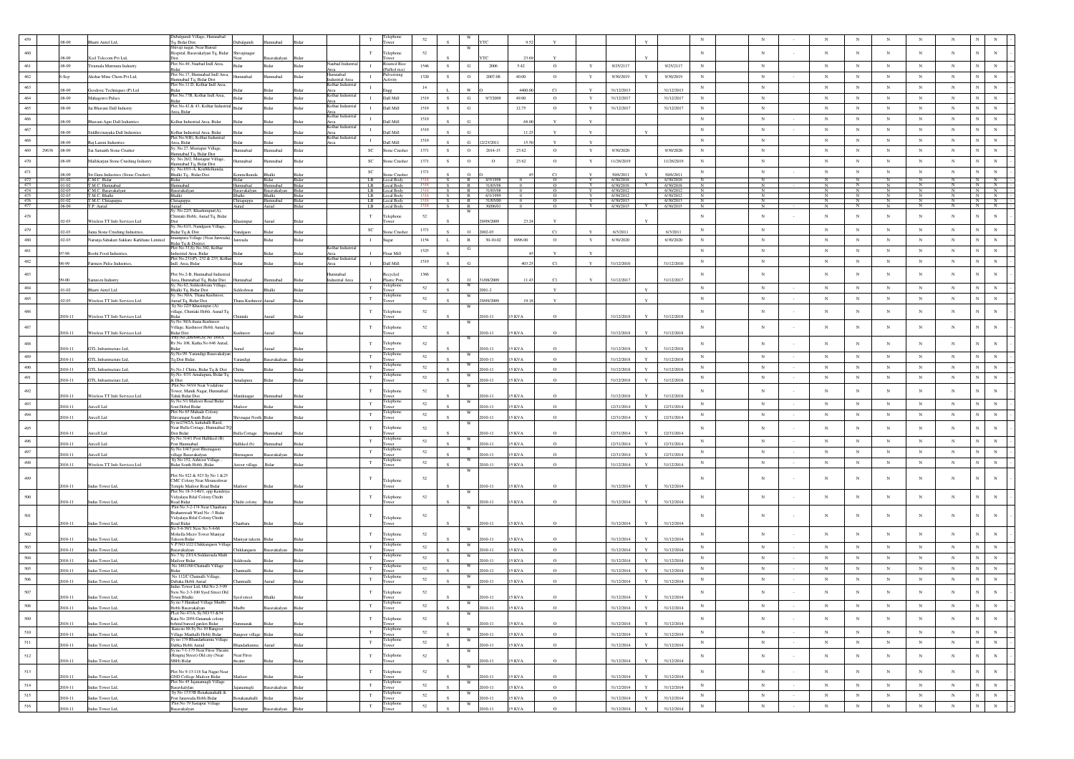|            |       |                          |                                                      | Dubalgundi Village, Humnabad                                         |                      |                                     |                |                                 |                             |                             |        |               |            |                          |               |                       |              |                        |              |                        |              |                 |         |                     |                                   |            |                |                              |                                                                       |
|------------|-------|--------------------------|------------------------------------------------------|----------------------------------------------------------------------|----------------------|-------------------------------------|----------------|---------------------------------|-----------------------------|-----------------------------|--------|---------------|------------|--------------------------|---------------|-----------------------|--------------|------------------------|--------------|------------------------|--------------|-----------------|---------|---------------------|-----------------------------------|------------|----------------|------------------------------|-----------------------------------------------------------------------|
|            |       |                          | arti Airtel Ltd,                                     | Tq, Bidar Dist.<br>ivaji nagar, Near Bansal                          | Dubalgundi           |                                     |                |                                 |                             | wer                         |        |               | W          |                          |               |                       |              |                        |              |                        |              |                 |         |                     |                                   |            |                |                              |                                                                       |
| $460\,$    |       |                          | Keel Telecom Pvt Ltd.                                | Hospital, Basavakalyan Tq, Bidar                                     | šhivajinagar         |                                     |                |                                 | $_{\rm T}$                  | Telephone                   | 52     |               |            |                          |               |                       |              |                        |              |                        | $_{\rm N}$   | $_{\rm N}$      |         | $_{\rm N}$          | $_{\rm N}$                        | $_{\rm N}$ | $_{\rm N}$     | $_{\rm N}$                   |                                                                       |
| 461        |       | 8-09<br>08-09            | Tirumala Murmura Industry                            | Plot No.49, Naubad Indi Area,                                        | Ridar                | Bidar                               | Bidar          | aubad Indus                     | $\mathbf{I}$                | wer<br>pasted Rio           | 1546   | S.            | G          | 2006                     | 5.42          | $\circ$               | Y            | 9/25/2117              |              | 9/25/2117              | ${\bf N}$    | $\,$ N          |         | $_{\rm N}$          | $_{\rm N}$                        | $_{\rm N}$ | $_{\rm N}$     | $_{\rm N}$                   | $_{\rm N}$<br>$_{\rm N}$                                              |
|            |       |                          |                                                      | lot No.17, Humnabad Indi Area                                        |                      |                                     |                | mnabad                          |                             | (Puffed rice)<br>ulverising |        |               |            |                          |               |                       |              |                        |              |                        |              |                 |         |                     |                                   |            |                |                              |                                                                       |
| 462        |       | s-Sep                    | Akshar Mine Chem Pvt Ltd,                            | Iumnabad Tq, Bidar Dist<br>'lot No.11 D, Kolhar Indl Area,           | hadann               | mnabad                              | Bidar          | dustrial Area<br>olhar Industri | $\mathbf{I}$                | <b>Activity</b>             | 1320   | s.            | $\circ$    | 2007-08                  | 40.00         | $\circ$               | Y            | 9/30/2019              | Y            | 9/30/2019              | $_{\rm N}$   | $_{\rm N}$      |         | $_{\rm N}$          | $_{\rm N}$                        | $_{\rm N}$ | $_{\rm N}$     | $_{\rm N}$<br>N              | $_{\rm N}$                                                            |
| 463        |       | 08-09                    | Geodesic Techniques (P) Ltd                          |                                                                      |                      |                                     |                |                                 | $\mathbf{I}$                |                             | 14     |               |            |                          | 4400.0        | C1                    |              | 31/12/2013             |              | 31/12/2013             | $_{\rm N}$   | $\,$ N          |         | $_{\rm N}$          | $_{\rm N}$                        | $_{\rm N}$ | $_{\rm N}$     | N<br>$_{\rm N}$              | $_{\rm N}$                                                            |
| $464\,$    |       | 08-09                    | Mahagonvi Pulses                                     | Plot No.77B, Kolhar Indi Area,                                       | 3ida                 | 3idar                               | Bidar          | Colhar Indus<br>rea             | $\mathbf{I}$                | Dall Mill                   | 1519   | s.            | $_{\rm G}$ | 9/7/2009                 | 49.00         | $\circ$               | $\mathbf Y$  | 31/12/2017             |              | 31/12/2017             | $_{\rm N}$   | $_{\rm N}$      |         | $_{\rm N}$          | $_{\rm N}$                        | $_{\rm N}$ | $_{\rm N}$     | $_{\rm N}$                   | $_{\rm N}$<br>$_{\rm N}$                                              |
| 465        |       | 08-09                    | Jai Bhavani Dall Industry                            | Plot No.42 & 43. Kolhar Industria                                    | <b>Bidar</b>         | Ridar                               | Bidar          | Kolhar Indus                    | $\mathbf{I}$                | Dall Mill                   | 1519   | S             | G          |                          | 12.75         | $\circ$               | $\mathbf Y$  | 31/12/2017             |              | 31/12/2017             | ${\bf N}$    | $_{\rm N}$      |         | $_{\rm N}$          | $_{\rm N}$                        | $_{\rm N}$ | $_{\rm N}$     | $_{\rm N}$                   | $_{\rm N}$<br>$_{\rm N}$                                              |
| 466        |       |                          |                                                      | Area, Bidar                                                          |                      |                                     |                | Area<br>Kolhar Industr          | $\mathbf{I}$                |                             | 1519   |               |            |                          |               |                       |              |                        |              |                        | $_{\rm N}$   | $_{\rm N}$      |         | $_{\rm N}$          | $_{\rm N}$                        | N          | $_{\rm N}$     | N                            | $_{\rm N}$<br>$_{\rm N}$                                              |
|            |       | 18.09                    | avani Agro Dall Industries                           | Colhar Industrial Area, Bidar                                        |                      |                                     |                | Area<br>Kolhar Indus            |                             | Dall Mill                   |        |               | G.         |                          | 68.00         |                       | $\mathbf{Y}$ |                        |              |                        |              |                 |         |                     |                                   |            |                |                              |                                                                       |
| 467        |       | 38-09                    | Siddhivinayaka Dall Industries                       | Colhar Industrial Area, Bidar                                        |                      |                                     |                |                                 |                             | Dall Mill                   | 1519   |               |            |                          | 11.2          |                       |              |                        |              |                        | $_{\rm N}$   | $_{\rm N}$      |         | $_{\rm N}$          | $_{\rm N}$                        | $_{\rm N}$ | $_{\rm N}$     | $_{\rm N}$                   | $_{\rm N}$                                                            |
| 468        |       | 00.8                     | Raj Laxmi Industrie                                  | Plot No.9(B), Kolhar Industrial<br>Area, Bidar                       |                      |                                     |                | Colhar Industr                  | $\mathbf{I}$                | HiM llet                    | 1519   |               | G.         | 2/201                    | 15.5          |                       | Y            |                        |              |                        | $_{\rm N}$   | $_{\rm N}$      |         | $_{\rm N}$          | $_{\mathrm{N}}$                   | $_{\rm N}$ | $_{\rm N}$     | $_{\rm N}$                   | $\mathbf N$<br>$_{\rm N}$                                             |
| 469        | 29638 | .08-09                   | Sai Samarth Stone Crusher                            | Sy. No.27, Mustapur Village,<br>Iumnabad Tq, Bidar Dist              | hedsm                | umnabad                             | Bidar          |                                 | $\protect\operatorname{SC}$ | Stone Crusher               | 1371   | S             | $\circ$    | 2014-15                  | 23.62         | $\circ$               | $\mathbf Y$  | 9/30/2020              |              | 9/30/2020              | $_{\rm N}$   | $_{\rm N}$      |         | $_{\rm N}$          | $_{\rm N}$                        | $_{\rm N}$ | $_{\rm N}$     | $_{\rm N}$                   | $_{\rm N}$<br>$_{\rm N}$                                              |
| 470        |       | 08-09                    | Mallikarjun Stone Crushing Industry                  | Sy. No.26/2, Mustapur Village,                                       | hedsm                | mnabad                              | Bidar          |                                 | SC                          | Stone Crusher               | 1371   | S.            | $\circ$    | $\circ$                  | 23.62         | $\circ$               | Y            | 11/26/2019             |              | 11/26/2019             | $_{\rm N}$   | $_{\rm N}$      |         | $_{\rm N}$          | $_{\rm N}$                        | $_{\rm N}$ | $_{\rm N}$     | $_{\rm N}$<br>N              | $_{\rm N}$                                                            |
| 471        |       |                          |                                                      | lumnabad Tq, Bidar Dist<br>sv. No.65/1-A. KonMelkunda                |                      |                                     |                |                                 | $_{\rm SC}$                 |                             | 1371   |               |            |                          |               |                       |              |                        |              |                        | $_{\rm N}$   | $_{\rm N}$      |         | $_{\rm N}$          | $_{\rm N}$                        | $_{\rm N}$ | $_{\rm N}$     | $_{\rm N}$<br>$\mathbf N$    | $_{\rm N}$                                                            |
| 472        |       | $.01 - 02$               | Sri Guru Industries (Stone Crusher),<br>C.M.C. Bidar | Bhalki Tq., Bidar Dist.<br>Bidar                                     | nmelkunda<br>Bidar   | halki<br>Bidar                      | 3idar<br>Bidar |                                 | LB                          | tone Crusher<br>Local Body  | 1518   | S             | $\circ$    | R 8/5/1998               |               | C1<br>$\circ$         | Y            | 30/6/2011<br>6/30/2018 |              | 30/6/2011<br>6/30/2018 | $_{\rm N}$   | $_{\rm N}$      |         | $_{\rm N}$          | N                                 | N          | N              |                              | N<br>$\mathbb N$                                                      |
| 473        |       | $.01 - 02$               | T.M.C. Humnabad                                      | <b>funnabad</b>                                                      | Humnabad             | Humnabad                            | Bidar          |                                 | LB.                         | Local Body                  |        | S.            | R          | 31/03/98                 |               |                       |              | 6/30/2018              |              | 6/30/2018              |              |                 |         |                     |                                   |            |                |                              | N<br>N                                                                |
| 474<br>475 |       | $.02 - 03$<br>$.02 - 03$ | C.M.C. Basavakalyan<br>T.M.C. Bhalki                 | Basavakalyan<br>Bhalki                                               | Bhalki               | Basayakalyan Basayakalyan<br>Bhalki | Bidar<br>Bidar |                                 | LB                          | Local Body<br>LB Local Body |        | S<br>S        | R          | 31/03/98<br>R 6/1/1999   | $^{\circ}$    | $\circ$<br>$^{\circ}$ | Y            | 6/30/2012<br>6/30/2012 |              | 6/30/2012<br>6/30/2012 | N            | $_{\rm N}$<br>N |         | N<br>$_{\rm N}$     | $_{\rm N}$                        | N          | N              |                              | $N$ $N$<br>$N$ $N$ $\sim$                                             |
| 476<br>477 |       | $.01 - 02$<br>08-09      | T.M.C. Chitaguppa<br>T.P. Aurad                      | Chitaguppa                                                           | Chitaguppa           | Humnabad<br>Aurad                   | Bidar<br>Bidar |                                 | LB<br>LB                    | Local Body<br>ocal Body     |        | S<br>S        |            | R 31/03/00<br>R 30/06/01 |               | $\circ$               |              | 6/30/2013<br>6/30/2015 |              | 6/30/2013<br>6/30/2015 | $_{\rm N}$   | N<br>N          |         | N<br>$\overline{N}$ | $_{\mathrm{N}}$<br>$\overline{N}$ | N          | $\overline{N}$ | $_{\rm N}$                   | $\begin{array}{c c c}\nN & N \\ \hline\nN & N \\ \hline\n\end{array}$ |
|            |       |                          |                                                      | Aurad<br>Sy. No.22/5, Khashimpur(A),                                 |                      |                                     |                |                                 |                             |                             |        |               | W          |                          |               |                       |              |                        |              |                        |              |                 |         |                     |                                   |            |                |                              |                                                                       |
| 478        |       | $12 - 03$                | Wireless TT Info Services Ltd                        | Chintaki Hobli, Aurad Tq, Bidar                                      |                      |                                     |                |                                 | $_{\rm T}$                  | elephone<br>wer             | 52     |               |            | 09/2009                  |               |                       |              |                        |              |                        | $_{\rm N}$   | $_{\rm N}$      |         | $_{\rm N}$          | $_{\rm N}$                        | $_{\rm N}$ | $_{\rm N}$     | $_{\rm N}$                   | $_{\rm N}$<br>$_{\rm N}$                                              |
| 479        |       | 02-03                    | Janta Stone Crushing Industries                      | v. No.61/1, Nandgaon Village,<br>Bidar Tq & Dist                     | ndgaon               | Ridar                               |                |                                 | $_{\rm SC}$                 | one Crush                   | 1371   |               | $\circ$    | 2002-03                  |               | C1                    |              | 6/3/2011               |              | 6/3/2011               | $_{\rm N}$   | $_{\rm N}$      |         | $_{\rm N}$          | $_{\rm N}$                        | $_{\rm N}$ | $_{\rm N}$     | $_{\rm N}$                   | $_{\rm N}$<br>$_{\rm N}$                                              |
| $480\,$    |       | $02-03$                  | Naranja Sahakari Sakkare Karkhane Limited            | mampura Village (Near Janwada),                                      | mwada                | <b>Ridar</b>                        | Rida           |                                 | $\mathbf{I}$                | ugar                        | 1154   | L             | R          | $30 - 10 - 02$           | 8996.00       | $\circ$               | $\mathbf Y$  | 6/30/2020              |              | 6/30/2020              | $_{\rm N}$   | $_{\rm N}$      |         | $_{\rm N}$          | $_{\rm N}$                        | $_{\rm N}$ | $_{\rm N}$     | $_{\rm N}$                   | $\mathbf{N}$<br>$_{\rm N}$                                            |
| 481        |       |                          |                                                      | Bidar Tq & District<br>Plot No.33,Sy No.302, Kolhar                  |                      |                                     |                | Kolhar Indus                    |                             |                             |        |               | ${\bf G}$  |                          |               |                       |              |                        |              |                        | N            | $_{\rm N}$      |         | $_{\rm N}$          |                                   |            | $_{\rm N}$     |                              | $_{\rm N}$                                                            |
|            |       | $-98$                    | Roohi Food Industries                                | ndustrial Area, Bidar<br>Plot No.231(P), 232 & 233, Kolha            |                      |                                     |                | Area<br>Kolhar Indust           |                             | Flour Mill                  | 1525   |               |            |                          |               |                       |              |                        |              |                        |              |                 |         |                     | $_{\rm N}$                        | $_{\rm N}$ |                | $_{\rm N}$                   | $_{\rm N}$                                                            |
| $482\,$    |       | 8.99                     | Farmers Pulse Industries                             | Indl. Area, Bidar                                                    |                      |                                     |                | Area                            |                             | Dall Mill                   | 1519   |               | G.         |                          | 403.2         | $_{\rm C1}$           |              | 31/12/2010             |              | 31/12/2010             | ${\bf N}$    | ${\bf N}$       |         | $_{\rm N}$          | $_{\rm N}$                        | $_{\rm N}$ | $_{\rm N}$     | $\,$ N                       | $_{\rm N}$<br>$_{\rm N}$                                              |
| 483        |       |                          |                                                      | Plot No.2-B. Humnabad Industria                                      |                      |                                     |                | mnabad                          |                             | ecycled                     | 1366   |               |            |                          |               |                       |              |                        |              |                        | $_{\rm N}$   | $_{\rm N}$      |         | $_{\rm N}$          | $_{\rm N}$                        | $_{\rm N}$ | $_{\rm N}$     | N<br>$_{\rm N}$              | $_{\rm N}$                                                            |
|            |       | $9-00$                   | Samreen Industry                                     | Area, Humnabad Tq, Bidar Dist<br>Sy. No.62, Siddeshwara Village,     | Hummabad             | mnaba                               |                | dustrial Area                   |                             | lastic Pots                 |        |               | $\Omega$   | 1/08/2009                |               | C1                    |              | 31/12/2017             |              | 31/12/2017             |              |                 |         |                     |                                   |            |                |                              |                                                                       |
| $484\,$    |       | $1-02$                   | arti Airtel Ltd                                      | <b>Shalki Tq, Bidar Dist</b>                                         |                      |                                     |                |                                 | T                           | elephone<br>Tower           | 52     |               |            | 2001-2                   |               | $\mathbf{Y}$          |              |                        |              |                        | $_{\rm N}$   | N               |         | $_{\rm N}$          | $_{\rm N}$                        | N          | $_{\rm N}$     | $_{\rm N}$                   | $_{\rm N}$<br>$_{\rm N}$                                              |
| 485        |       | 12-03                    | Wireless TT Info Services Ltd                        | v No 30/A Thana Kushnoor<br>Aurad Tq, Bidar Dist                     | Thana Kushnoor Aurad |                                     |                |                                 | $_{\rm T}$                  | elephon<br>ower             | $52\,$ |               |            | 9/09/2009                |               |                       |              |                        |              |                        | $_{\rm N}$   | $_{\rm N}$      |         | $_{\rm N}$          | $_{\rm N}$                        | $_{\rm N}$ | $_{\rm N}$     | $_{\rm N}$<br>N              | $_{\rm N}$                                                            |
|            |       |                          |                                                      | y No 22/5 Khasimpur (A)                                              |                      |                                     |                |                                 |                             |                             |        |               |            |                          |               |                       |              |                        |              |                        |              |                 |         |                     |                                   |            |                |                              |                                                                       |
| 486        |       | 010-11                   | Wireless TT Info Services Ltd                        | illage, Chintaki Hobli. Aurad Tq                                     | Chintaki             |                                     |                |                                 | $_{\rm T}$                  | Telephone                   | 52     |               |            | $10 - 11$                | KVA           |                       |              | 31/12/2018             |              | 31/12/2011             | $_{\rm N}$   | $_{\rm N}$      |         | $_{\rm N}$          | $_{\rm N}$                        | $_{\rm N}$ | $_{\rm N}$     | $_{\rm N}$                   | $_{\rm N}$<br>$_{\rm N}$                                              |
| 487        |       |                          |                                                      | iuaa<br>y.No 30/A thana Kushnoor<br>/illage, Kushnoor Hobli Aurad tq |                      |                                     |                |                                 | $_{\rm T}$                  | Telephone                   | 52     |               | W          |                          |               |                       |              |                        |              |                        | $_{\rm N}$   | $_{\rm N}$      |         | $_{\rm N}$          | $_{\rm N}$                        | $_{\rm N}$ | $_{\rm N}$     | $_{\rm N}$                   | $_{\rm N}$<br>$_{\rm N}$                                              |
|            |       | 2010-11                  | Wireless TT Info Services Ltd                        | idar Dist                                                            | Cushnoor             |                                     |                |                                 |                             |                             |        |               |            | $10 - 11$                | 5 KVA         |                       |              | 31/12/2018             |              | 31/12/2018             |              |                 |         |                     |                                   |            |                |                              |                                                                       |
| $488\,$    |       |                          |                                                      | Prty No.208/646, Sy No 189/A<br>Rv.No 108, Katha No 646 Aurad,       |                      |                                     |                |                                 | $_{\rm T}$                  | Telephone                   | 52     |               |            |                          |               |                       |              |                        |              |                        | $_{\rm N}$   | $_{\rm N}$      |         | $_{\rm N}$          | $_{\rm N}$                        | $_{\rm N}$ | $_{\rm N}$     | N<br>$_{\rm N}$              | $_{\rm N}$                                                            |
|            |       | 010-11                   | GTL Infrastructure Ltd,                              | y.No.99. Yarandigi Basavakalyan                                      |                      |                                     |                |                                 |                             | lelephon                    |        |               |            | $010 - 11$               | 5 KVA         | $\Omega$              |              | 31/12/2018             |              | 31/12/2018             |              |                 |         |                     |                                   |            |                |                              |                                                                       |
| 489        |       | 010-11                   | GTL Infrastructure Ltd,                              | Tq Dist Bidar.                                                       | Yarandigi            | avakalyan                           |                |                                 | T                           |                             | $52\,$ |               |            | 010-11                   | 5 KVA         | $\Omega$              |              | 31/12/2018             |              | 31/12/2018             | ${\bf N}$    | $_{\rm N}$      |         | $_{\rm N}$          | $_{\rm N}$                        | $_{\rm N}$ | $_{\rm N}$     | $_{\rm N}$                   | $_{\rm N}$<br>$_{\rm N}$                                              |
| 490        |       | 2010-11                  | GTL Infrastructure Ltd                               |                                                                      | Chitta               |                                     |                |                                 | $_{\rm T}$                  | :lenh<br>ower               | $52\,$ |               |            | 2010-11                  | 5 KVA         | $\Omega$              |              | 31/12/2018             |              | 31/12/2018             | $_{\rm N}$   | $_{\rm N}$      |         | $_{\rm N}$          | $_{\rm N}$                        | $_{\rm N}$ | $_{\rm N}$     | $_{\rm N}$                   | $_{\rm N}$                                                            |
| $491\,$    |       | 010-11                   | GTL Infrastructure Ltd,                              | Sy.No.1 Chitta, Bidar Tq & Dist<br>Sy.No. 67/1 Amalapura, Bidar Tq   |                      |                                     |                |                                 | $_{\rm T}$                  | elephon                     | 52     |               |            | 010-11                   | 5 KVA         |                       |              | 31/12/2018             |              | 31/12/2018             | $_{\rm N}$   | $_{\rm N}$      | $\sim$  | $_{\rm N}$          | $_{\rm N}$                        | $_{\rm N}$ | $_{\rm N}$     | $_{\rm N}$<br>$\overline{N}$ | $_{\rm N}$                                                            |
|            |       |                          |                                                      | & Dist<br>Plot No 343/4 Near Vodafone                                | nalapura             |                                     |                |                                 |                             | ower                        |        |               |            |                          |               |                       |              |                        |              |                        |              |                 |         |                     |                                   |            |                |                              |                                                                       |
| $492\,$    |       | 010-11                   | Wireless TT Info Services Ltd                        | 'ower, Manik Nagar, Humnabad<br><b>Faluk Bidar Dist</b>              | Maniknagar           | mnabad                              |                |                                 | $_{\rm T}$                  | Telephone<br>wer            | 52     |               |            | $010 - 11$               | 5 KVA         |                       |              | 31/12/2018             |              | 31/12/2018             | $_{\rm N}$   | $_{\rm N}$      |         | $_{\rm N}$          | $_{\rm N}$                        | $_{\rm N}$ | $_{\rm N}$     | $_{\rm N}$<br>N              | $_{\rm N}$                                                            |
| 493        |       | $10-11$                  | Aircell Ltd                                          | y No 5/1 Malioor Road Bidar<br>out Hobal Ridar                       |                      |                                     |                |                                 | $_{\rm T}$                  | Felephone                   | 52     |               | W          | $10 - 11$                | <b>SKVA</b>   | $\Omega$              |              | 12/31/2014             |              | 12/31/2014             | N            | $_{\rm N}$      |         | $_{\rm N}$          | $_{\rm N}$                        | $_{\rm N}$ | $_{\rm N}$     | $_{\rm N}$<br>N              | $_{\rm N}$                                                            |
| 494        |       |                          |                                                      | Plot No 65 Mahade Colon                                              |                      |                                     |                |                                 | $_{\rm T}$                  | Telephone                   | 52     |               |            |                          |               |                       |              |                        |              |                        | $_{\rm N}$   | $_{\rm N}$      | $\sim$  | $_{\rm N}$          | $_{\rm N}$                        | $_{\rm N}$ | $_{\rm N}$     | $_{\rm N}$<br>$_{\rm N}$     | $_{\rm N}$                                                            |
|            |       | 010-11                   | Aircell Ltd                                          | Shivanagar South Bidar<br>Sy no234/2A, kattahalli Raod               | hivnagar North Bidar |                                     |                |                                 |                             | Tower                       |        |               | W          | 010-11                   | 5 KVA         | $\circ$               |              | 12/31/2014             |              | 12/31/2014             |              |                 |         |                     |                                   |            |                |                              |                                                                       |
| 495        |       |                          |                                                      | Near Bulla Cottage, Humnabad TQ<br>Dist Ridar                        |                      |                                     |                |                                 | $_{\rm T}$                  | Telephone                   | 52     |               |            |                          | KVA           |                       |              |                        |              |                        | $_{\rm N}$   | $_{\rm N}$      |         | $_{\rm N}$          | $_{\rm N}$                        | $_{\rm N}$ | $_{\rm N}$     | $_{\rm N}$<br>$\mathbf N$    | $_{\rm N}$                                                            |
| 496        |       | $10 - 11$                | ircell Ltd                                           | y No 314/1 Post Halliked (B)                                         | ulla Cottag          |                                     |                |                                 | $_{\rm T}$                  | elephon                     | 52     |               |            | $10-11$                  |               | $\Omega$              |              | 12/31/2014             |              | 12/31/2014             | $_{\rm N}$   | ${\bf N}$       | $\cdot$ | $_{\rm N}$          | $_{\rm N}$                        | $_{\rm N}$ | $_{\rm N}$     | $\,$ N                       | $_{\rm N}$<br>$_{\rm N}$                                              |
|            |       | 010-11                   | Aircell Ltd                                          | ost Humnabad<br>y No 1/4/3 post Hirenagac                            | Halliked (b)         | nnabad                              |                |                                 |                             | wer<br>eleph                |        |               |            | $010 - 11$               | 5 KVA         | $\circ$               |              | 12/31/2014             |              | 12/31/2014             |              |                 |         |                     |                                   |            |                |                              |                                                                       |
| 497        |       | $10-11$                  | Aircell Ltd                                          | .<br>illage Basavakalyan<br>Sy No 152, Ashtoor Village               | nagao                |                                     |                |                                 | $_{\rm T}$                  |                             | 52     |               |            | $010 - 11$               | <b>SKVA</b>   | $\Omega$              |              | 12/31/2014             |              | 12/31/2014             | $_{\rm N}$   | $_{\rm N}$      | $\sim$  | $_{\rm N}$          | $_{\rm N}$                        | $_{\rm N}$ | $_{\rm N}$     | $_{\rm N}$<br>N              | $_{\rm N}$                                                            |
| $498\,$    |       | 2010-11                  | Wireless TT Info Services Ltd                        | Bidar South Hobli ,Bidar                                             | stoor village        | Bidar                               |                |                                 | $_{\rm T}$                  | elephor<br>ower             | 52     |               |            | 010-11                   | 15 KVA        | $\circ$               |              | 31/12/2014             |              | 31/12/2014             | $_{\rm N}$   | $_{\rm N}$      |         | $_{\rm N}$          | $_{\rm N}$                        | $_{\rm N}$ | $_{\rm N}$     | $_{\rm N}$<br>$\mathbf N$    | $_{\rm N}$                                                            |
|            |       |                          |                                                      | Plot No 922 & 923 Sv No 1 & 25                                       |                      |                                     |                |                                 |                             |                             |        |               |            |                          |               |                       |              |                        |              |                        |              |                 |         |                     |                                   |            |                |                              |                                                                       |
| 499        |       |                          |                                                      | CMC Colony Near Mouneshwar                                           |                      |                                     |                |                                 | T                           | Telephone                   | 52     |               |            |                          |               |                       |              |                        |              |                        |              | $_{\rm N}$      |         | N                   | $_{\rm N}$                        | $_{\rm N}$ | $_{\rm N}$     | $_{\rm N}$<br>N              |                                                                       |
|            |       | 2010-11                  | Indus Tower Ltd,                                     | emple Mailoor Road Bidar<br>Plot No 18-3-140/1, opp Kendriya         |                      |                                     |                |                                 |                             |                             |        |               |            | $010 - 11$               | 15 KVA        |                       |              | 31/12/2014             |              | 31/12/2014             |              |                 |         |                     |                                   |            |                |                              |                                                                       |
| 500        |       |                          |                                                      | Vidyalaya Bilal Colony Chidri<br>oad Bidar                           |                      |                                     |                |                                 | $_{\rm T}$                  | Telephone                   | 52     |               |            |                          |               |                       |              |                        |              |                        | $_{\rm N}$   | $_{\rm N}$      |         | $_{\rm N}$          | $_{\rm N}$                        | $_{\rm N}$ | $_{\rm N}$     | $_{\rm N}$<br>$_{\rm N}$     | $_{\rm N}$                                                            |
|            |       | 2010-11                  | Indus Tower Ltd,                                     | Plot No 3-2-174 Near Chaubara                                        | idri colony          |                                     |                |                                 |                             |                             |        |               |            | $10 - 11$                | 5 KVA         |                       |              | 31/12/2014             |              | 31/12/2014             |              |                 |         |                     |                                   |            |                |                              |                                                                       |
| $501\,$    |       |                          |                                                      | <b>Srahamwadi</b> Ward No -3 Bidar<br>Vidyalaya Bilal Colony Chidri  |                      |                                     |                |                                 | $_{\rm T}$                  | Telephone                   | 52     |               |            |                          |               |                       |              |                        |              |                        | $\mathbf N$  | N               |         | $_{\rm N}$          | N                                 | $_{\rm N}$ | N              | N<br>$_{\rm N}$              | $\mathbf{N}$                                                          |
|            |       | 010-11                   | Indus Tower Ltd,                                     | oad Bidar<br>No 5-4-39/1 New No 5-4-66                               |                      |                                     |                |                                 |                             |                             |        |               |            | $10 - 11$                | 5 KVA         |                       |              | 31/12/2014             |              | 31/12/2014             |              |                 |         |                     |                                   |            |                |                              |                                                                       |
| $502\,$    |       |                          |                                                      | Mohella Micro Tower Maniyar                                          |                      |                                     |                |                                 | T                           | Telephone                   | $52\,$ |               | W          |                          |               |                       |              |                        |              |                        | $_{\rm N}$   | $_{\rm N}$      |         | $_{\rm N}$          | $_{\rm N}$                        | $_{\rm N}$ | $_{\rm N}$     | $_{\rm N}$                   | $_{\rm N}$<br>$_{\rm N}$                                              |
|            |       | $10 - 11$                | Indus Tower Ltd,                                     | <b>Faleem Bidar</b><br>V.P NO 1/22 Chikkangaon Villag                | Aaniyar taleer       |                                     |                |                                 |                             | wer<br>elephon              |        |               |            | $10 - 1$                 | KVA           |                       |              | 31/12/2014             |              | 31/12/201              |              |                 |         |                     |                                   |            |                |                              |                                                                       |
| 503        |       | 110-11                   | Indus Tower Ltd                                      | savakaban                                                            | Chikkangao           | reakaba                             |                |                                 | $_{\rm T}$                  | ower                        | 52     |               |            | $010 - 11$               | <b>SKVA</b>   | $\Omega$              |              | 31/12/2014             |              | 31/12/2014             | $_{\rm N}$   | $_{\rm N}$      | $\sim$  | $_{\rm N}$          | $_{\rm N}$                        | $_{\rm N}$ | $_{\rm N}$     | $_{\rm N}$                   | $_{\rm N}$<br>$\,$ N $\,$                                             |
| 504        |       | 010-11                   | Indus Tower Ltd                                      | vo 7 Sy 23/1A Siddarouda Math<br>Mailoor Bida                        | iddrouda             |                                     |                |                                 | $_{\rm T}$                  | elephon                     | 52     |               | w          | $010 - 11$               | 5 KVA         |                       |              | 31/12/2014             |              | 31/12/2014             | $_{\rm N}$   | ${\bf N}$       |         | $_{\rm N}$          | $_{\rm N}$                        | $_{\rm N}$ | $_{\rm N}$     | $\mathbf{N}$<br>$_{\rm N}$   | $_{\rm N}$                                                            |
| 505        |       | 110-11                   | Indus Tower Ltd,                                     | No 1481160 Chatnalli Village<br>achi?                                | atnalli              |                                     |                |                                 | $_{\rm T}$                  | :lepho                      | 52     |               |            | 010-11                   | KVA           | $\Omega$              |              | 31/12/2014             |              | 31/12/2014             | $_{\rm N}$   | $_{\rm N}$      |         | $_{\rm N}$          | $_{\rm N}$                        | $_{\rm N}$ | $_{\rm N}$     | $_{\rm N}$                   | $_{\rm N}$<br>$_{\rm N}$                                              |
| 506        |       |                          |                                                      | No 112/C Chatnalli Village,                                          |                      |                                     |                |                                 | $_{\rm T}$                  | elepho                      | 52     |               |            |                          |               |                       |              |                        |              |                        | $_{\rm N}$   | $_{\rm N}$      |         | $_{\rm N}$          | $_{\rm N}$                        | $_{\rm N}$ | $_{\rm N}$     | $\,$ N                       | $_{\rm N}$<br>$_{\rm N}$                                              |
|            |       | 2010-11                  | Indus Tower Ltd,                                     | Jabaka Hobli Aurad<br>dus Tower Ltd, Old No 2-3-99                   | hantnalli            | urad                                | 3ida           |                                 |                             | wer                         |        |               |            | 010-11                   | 5 KVA         | $\circ$               |              | 31/12/2014             |              | 31/12/2014             |              |                 |         |                     |                                   |            |                |                              |                                                                       |
| 507        |       | 2010-11                  | Indus Tower Ltd                                      | New No 2-3-100 Syed Street Old<br>own Bhalki                         |                      | Bhalki                              |                |                                 | $_{\rm T}$                  | elephone                    | 52     |               |            | 2010-11                  | 5 KVA         |                       |              | 31/12/2014             | Y            | 31/12/2014             | $_{\rm N}$   | $_{\rm N}$      |         | N                   | N                                 | $_{\rm N}$ | N              | $_{\rm N}$                   |                                                                       |
| 508        |       |                          |                                                      | no 5 Harakud '                                                       | Syed street          |                                     |                |                                 |                             |                             | 52     |               |            |                          |               |                       |              |                        |              |                        | $\mathbb{N}$ |                 |         | N                   | N                                 | N          | N              | N                            | N<br>N                                                                |
|            |       | 2010-11                  | Indus Tower Ltd,                                     | Hobli Basayakalyan<br>PLot No 47/A, Sy NO 53 & 54                    | Mudbi                | Basavakalyan                        | Bidar          |                                 |                             | Tower                       |        | $\mathcal{S}$ | W          | 2010-11                  | <b>15 KVA</b> | $\circ$               |              | 31/12/2014             | Y            | 31/12/2014             |              |                 |         |                     |                                   |            |                |                              |                                                                       |
| 509        |       | $10 - 11$                | Indus Tower Ltd,                                     | Kata No 2058 Gunanak colony<br>ehind bareed garden Bidar             |                      |                                     |                |                                 | $_{\rm T}$                  | Telephone<br>ower           | $52\,$ |               |            | $010 - 11$               | 5 KVA         | $\circ$               |              | 31/12/2014             |              | 31/12/2014             | $_{\rm N}$   | $_{\rm N}$      |         | $_{\rm N}$          | $_{\rm N}$                        | $_{\rm N}$ | $_{\rm N}$     | $_{\rm N}$<br>$_{\rm N}$     | $\,$ N $\,$                                                           |
| 510        |       |                          |                                                      | Kata no 88 Sy No 10 Bangoor                                          |                      |                                     |                |                                 | $\mathbf T$                 | Telephone                   | 52     |               | W          |                          |               |                       |              |                        |              |                        | ${\bf N}$    | $_{\rm N}$      | $\sim$  | $_{\rm N}$          | $_{\rm N}$                        | N          | $_{\rm N}$     | N                            | ${\bf N}$<br>$_{\rm N}$                                               |
|            |       | 010-11                   | Indus Tower Ltd,                                     | .<br>Village Manhalli Hobli Bidar<br>Sy no 179 Bhandarkumta Village  | ingoor villag        |                                     |                |                                 |                             | <b>Telephon</b>             |        |               |            | $010 - 11$               | <b>15 KVA</b> | $\circ$               |              | 31/12/2014             | $\mathbf{v}$ | 31/12/2014             |              |                 |         |                     |                                   |            |                |                              |                                                                       |
| $511\,$    |       | 2010-11                  | Indus Tower Ltd,                                     | Dabka Hobli Aurad<br>Sy no 7-1-175 Near Firoz Theatre                | <b>Shandarkumta</b>  | Aurad                               | Ridar          |                                 | $_{\rm T}$                  | Tower                       | $52\,$ |               |            | 2010-11                  | <b>15 KVA</b> | $\circ$               |              | 31/12/2014             | $\mathbf{v}$ | 31/12/2014             | $_{\rm N}$   | $_{\rm N}$      |         | $_{\rm N}$          | $_{\rm N}$                        | $_{\rm N}$ | $_{\rm N}$     | $_{\rm N}$<br>$_{\rm N}$     | $\,$ N                                                                |
| $512\,$    |       |                          |                                                      | (Ringraj Street) Old city (Near                                      | Near Firoz           |                                     |                |                                 | $_{\rm T}$                  | Telephone                   | $52\,$ |               |            |                          |               |                       |              |                        |              |                        | $_{\rm N}$   | $_{\rm N}$      |         | $_{\rm N}$          | $_{\rm N}$                        | $_{\rm N}$ | $_{\rm N}$     | $_{\rm N}$                   | ${\bf N}$<br>$\,$ N $\,$                                              |
|            |       | 010-11                   | Indus Tower Ltd,                                     | SBH) Bidar                                                           | heatre               |                                     |                |                                 |                             | wer                         |        |               | W          | 010-11                   | 5 KVA         | $\circ$               |              | 31/12/2014             | Y            | 31/12/2014             |              |                 |         |                     |                                   |            |                |                              |                                                                       |
| 513        |       |                          |                                                      | Plot No 9-13-118 Sai Nagar Near<br><b>GND College Mailoor Bidar</b>  |                      |                                     |                |                                 | $_{\rm T}$                  | Telephone                   | 52     |               |            |                          |               | $\Omega$              |              |                        |              |                        | $_{\rm N}$   | $_{\rm N}$      |         | $_{\rm N}$          | $_{\rm N}$                        | $_{\rm N}$ | $_{\rm N}$     | $_{\rm N}$                   | $_{\rm N}$<br>$_{\rm N}$                                              |
| $514\,$    |       | 010-11                   | Indus Tower Ltd,                                     | Plot No 45 Jajanamugli Village                                       | Mailoor              |                                     |                |                                 | $_{\rm T}$                  | ower<br>Telephone           | 52     |               | W          | $10 - 11$                | 5 KVA         |                       |              | 31/12/2014             |              | 31/12/2014             | $_{\rm N}$   | $_{\rm N}$      |         | $_{\rm N}$          | $_{\rm N}$                        | $_{\rm N}$ | $_{\rm N}$     | $_{\rm N}$                   | $_{\rm N}$<br>$_{\rm N}$                                              |
|            |       | 2010-11                  | Indus Tower Ltd,                                     | Basaykalylan<br>Sy No 137/3B Benakanahalli &                         | mamueli              | savakalyan                          | <b>Bidar</b>   |                                 |                             | Tower<br>Telephone          |        |               | W          | 2010-11                  | <b>15 KVA</b> | $\circ$               |              | 31/12/2014             | $\mathbf{v}$ | 31/12/2014             |              |                 |         |                     |                                   |            |                |                              |                                                                       |
| 515        |       | 010-11                   | Indus Tower Ltd,                                     | Post Janawada Hobli Bidar                                            | enakanahalli         |                                     |                |                                 | $_{\rm T}$                  | ower                        | 52     |               |            | 010-11                   | <b>15 KVA</b> | $\circ$               |              | 31/12/2014             | Y            | 31/12/2014             | $\,$ N       | $_{\rm N}$      |         | $_{\rm N}$          | $_{\rm N}$                        | $_{\rm N}$ | $_{\rm N}$     | $_{\rm N}$<br>$_{\rm N}$     | $_{\rm N}$                                                            |
| 516        |       | 010-11                   | Indus Tower Ltd,                                     | Plot No 79 Sastapur Village<br><b>Basavakalyan</b>                   |                      | avakalyan                           |                |                                 | $_{\rm T}$                  | Telephone                   | 52     |               | W          | 010-11                   | 5 KVA         | $\Omega$              |              | 31/12/2014             |              | 31/12/2014             | $_{\rm N}$   | $_{\rm N}$      | $\sim$  | $_{\rm N}$          | $_{\rm N}$                        | $_{\rm N}$ | $_{\rm N}$     | $_{\rm N}$                   | ${\bf N}$<br>$_{\mathrm{N}}$                                          |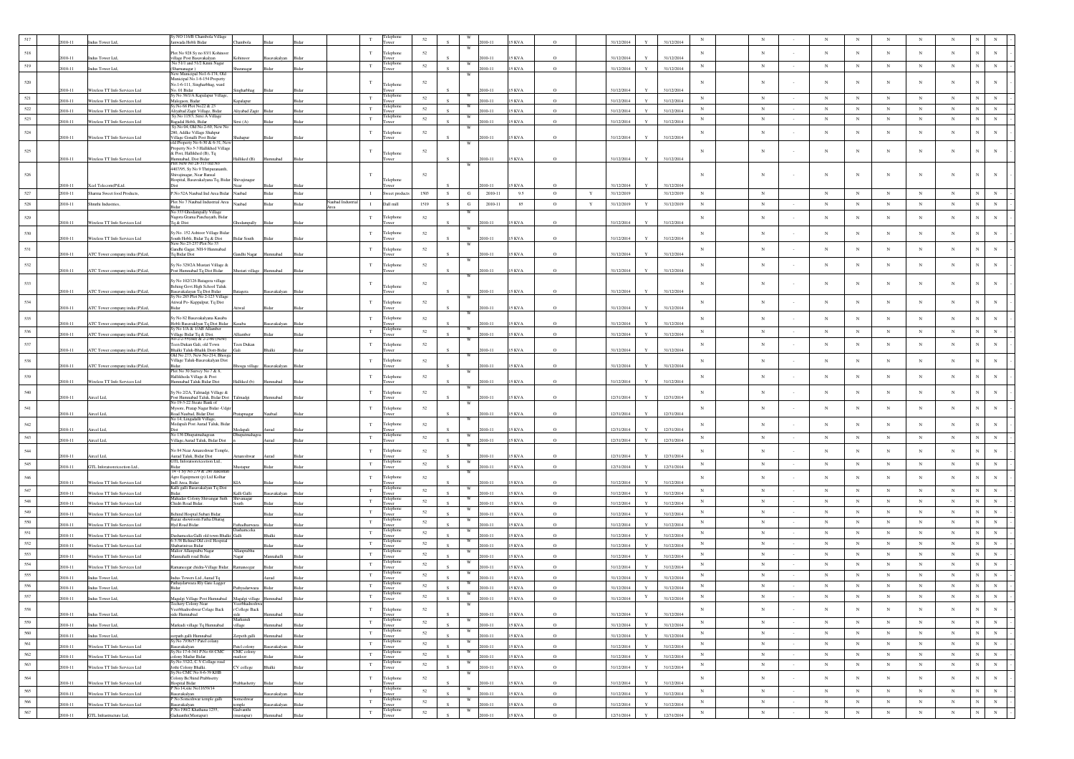|             |           |                                 | v NO 116/B Chambola Village                                                  |                           |              |       |              |              |                         |        |   |            |            |               |          |             |            |              |            |             |             |         |                 |             |             |             |            |                              |
|-------------|-----------|---------------------------------|------------------------------------------------------------------------------|---------------------------|--------------|-------|--------------|--------------|-------------------------|--------|---|------------|------------|---------------|----------|-------------|------------|--------------|------------|-------------|-------------|---------|-----------------|-------------|-------------|-------------|------------|------------------------------|
|             | $10 - 11$ | Indus Tower Ltd,                | anwada Hobli Bidar                                                           | Chambola                  |              |       |              |              | ower                    |        |   |            |            | KVA           |          |             | 31/12/2014 |              | 31/12/201- |             |             |         |                 |             |             |             |            |                              |
| 518         | 010-11    | Indus Tower Ltd.                | Plot No 928 Sy no 83/1 Kohinoor<br>village Post Basavakalvan                 | Kohinoor                  | avakalvar    |       |              | $_{\rm T}$   | Telephone               | 52     |   |            | $010 - 11$ | 5 KVA         | $\Omega$ |             | 31/12/2014 |              | 31/12/2014 | $_{\rm N}$  | $_{\rm N}$  |         | $_{\rm N}$      | $_{\rm N}$  | $_{\rm N}$  | $_{\rm N}$  | $_{\rm N}$ |                              |
| 519         |           |                                 | No 51/1 and 51/2 Kinni Nagar                                                 |                           |              |       |              | $\mathbf T$  | elephor                 | 52     |   |            |            |               |          |             |            |              |            | $_{\rm N}$  | $\,$ N      |         | $_{\rm N}$      | $_{\rm N}$  | $_{\rm N}$  | $_{\rm N}$  | $\,$ N     | $_{\rm N}$<br>$_{\rm N}$     |
|             | 2010-11   | Indus Tower Ltd,                | (Sharnanagar)<br>New Municipal No1-6-174, Old                                | Sharanagar                | Bidar        |       |              |              | ower                    |        |   |            | 010-11     | 5 KVA         | $\circ$  |             | 31/12/2014 |              | 31/12/2014 |             |             |         |                 |             |             |             |            |                              |
| $520\,$     |           |                                 | Municipal No.1-6-154 Property<br>No.1-6-111, Singharbhag, ward               |                           |              |       |              | $\mathbf T$  | Telephone               | 52     |   |            |            |               |          |             |            |              |            |             | $_{\rm N}$  |         | $_{\rm N}$      | $_{\rm N}$  | $_{\rm N}$  | N           | $_{\rm N}$ | $_{\rm N}$                   |
|             | 010-11    | Wireless TT Info Services Ltd   | No. 01 Bidar<br>y No 38/1/A Kapalapur Village,                               |                           |              |       |              |              | <b>Telephon</b>         |        |   |            | $010 - 11$ | 5 KVA         |          |             | 31/12/2014 |              | 31/12/2014 |             |             |         |                 |             |             |             |            |                              |
| 521         | $10 - 11$ | Wireless TT Info Services Ltd   | Malegaon, Badar                                                              | apalapur                  |              |       |              | $\mathbf T$  |                         | 52     |   | w          | $10 - 11$  | 5 KVA         |          |             | 31/12/2014 |              | 31/12/2014 | N           | $_{\rm N}$  |         | $_{\rm N}$      | $_{\rm N}$  | $_{\rm N}$  | $_{\rm N}$  | $_{\rm N}$ | N<br>$_{\rm N}$              |
| $522\,$     | $10 - 11$ | Wireless TT Info Services Ltd   | Sv.No 68 Plot No22 & 23<br>Aliyabad Zagir Village, Bidar                     | liyabad Zagir             |              |       |              | $_{\rm T}$   | Telephon<br>wer         | 52     |   |            | $10 - 11$  | <b>KVA</b>    |          |             | 31/12/201  |              | 31/12/2014 | $_{\rm N}$  | $_{\rm N}$  |         | $_{\rm N}$      | $_{\rm N}$  | $_{\rm N}$  | $_{\rm N}$  | $_{\rm N}$ | $_{\rm N}$<br>$_{\rm N}$     |
| 523         | 010-11    | Wireless TT Info Services Ltd   | sy.No 115/3, Sirsi A Village<br>Bagadal Hobli, Bidar                         | rsi (A)                   |              |       |              | T            | Felephone<br><b>ver</b> | 52     |   |            | $010 - 11$ | <b>SKVA</b>   | $\Omega$ |             | 31/12/2014 |              | 31/12/2014 | N           | $_{\rm N}$  |         | $_{\rm N}$      | $_{\rm N}$  | N           | $_{\rm N}$  | $_{\rm N}$ | $_{\rm N}$<br>$_{\rm N}$     |
| $524\,$     |           |                                 | Sv.No 04, Old No.2-69, New No<br>280, Addke Village Shahpur                  |                           |              |       |              | T            | Telephone               | 52     |   | W          |            |               |          |             |            |              |            | $_{\rm N}$  | $_{\rm N}$  |         | $_{\rm N}$      | $_{\rm N}$  | $_{\rm N}$  | $_{\rm N}$  | $_{\rm N}$ | N<br>$_{\rm N}$              |
|             | 2010-11   | Wireless TT Info Services Ltd   | <b>Village Gonalli Post Bidar<br/>old Property No 6-30 &amp; 6-31, New</b>   | shahapur                  |              |       |              |              | wer                     |        |   |            | $10 - 1$   | 5 KVA         |          |             | 31/12/2014 |              | 31/12/2014 |             |             |         |                 |             |             |             |            |                              |
| 525         |           |                                 | Property No 5-3 Hallikhed Village                                            |                           |              |       |              | $\mathbf T$  |                         | 52     |   |            |            |               |          |             |            |              |            | $_{\rm N}$  | $_{\rm N}$  |         | $_{\rm N}$      | N           | $_{\rm N}$  | N           | $_{\rm N}$ | N<br>$_{\rm N}$              |
|             | 2010-11   | Wireless TT Info Services Ltd   | & Post, Hallikhed (B), Tq<br>amnabad, Dist Bidar                             | falliked (B)              | Humnabad     |       |              |              | Telephone<br>ower       |        |   |            | 010-11     | <b>15 KVA</b> | $\circ$  |             | 31/12/2014 |              | 31/12/2014 |             |             |         |                 |             |             |             |            |                              |
|             |           |                                 | lot New No 28-313 old No<br>4407/95, Sy No 9 Thripurananth,                  |                           |              |       |              |              |                         |        |   |            |            |               |          |             |            |              |            |             |             |         |                 |             |             |             |            |                              |
| 526         |           |                                 | Shivajinaear Near Bansal<br>Jospital, Basayakalyana To, Bidar Shiyajinagar   |                           |              |       |              |              | Telephone               | 52     |   |            |            |               |          |             |            |              |            | $\mathbf N$ | N           |         | $_{\rm N}$      | N           | $_{\rm N}$  | N           | $_{\rm N}$ |                              |
|             | 010-11    | Xcel Telecom(P)Ltd.             |                                                                              |                           |              |       |              |              | ower                    |        |   |            | $10 - 11$  | <b>KVA</b>    |          |             | 31/12/2014 |              | 31/12/2014 |             |             |         |                 |             |             |             |            |                              |
| 527         | 2010-11   | Sharma Sweet food Products,     | P.No 52A Naubad Ind Area Bidar                                               | Naubad                    | Bidar        | Bidar |              | $\;$ I       | Sweet product           | 1503   | S | $_{\rm G}$ | 2010-11    | 9.5           | $\circ$  | $\mathbf Y$ | 31/12/2019 |              | 31/12/2019 | $_{\rm N}$  | $_{\rm N}$  |         | $_{\rm N}$      | $_{\rm N}$  | $_{\rm N}$  | $_{\rm N}$  | $_{\rm N}$ | N                            |
| 528         | 2010-11   | Shruthi Industries.             | Plot No 7 Naubad Industrial Area                                             | Naubad                    | Ridar        | Rida  | aubad Indust | $\mathbf{I}$ | Dall mill               | 1519   | S | G          | 2010-11    | 85            | $\circ$  | Y           | 31/12/2019 | Y            | 31/12/2019 | $_{\rm N}$  | $\,$ N      |         | $_{\rm N}$      | $_{\rm N}$  | $_{\rm N}$  | $_{\rm N}$  | $\,$ N     | $_{\rm N}$<br>$_{\rm N}$     |
| $529\,$     |           |                                 | o 333 Ghod<br>mpally Village<br>Nagora Grama Panchayath, Bidar               |                           |              |       |              | $_{\rm T}$   | Telephone               | 52     |   |            |            |               |          |             |            |              |            | $_{\rm N}$  | $_{\rm N}$  |         | $_{\rm N}$      | $_{\rm N}$  | $_{\rm N}$  | $_{\rm N}$  | $_{\rm N}$ | $\mathbf N$<br>N             |
|             | 2010-11   | Wireless TT Info Services Ltd   | Tq & Dist                                                                    | Ghodampally               |              |       |              |              | wer                     |        |   |            | 010-11     | 5 KVA         | $\circ$  |             | 31/12/2014 |              | 31/12/2014 |             |             |         |                 |             |             |             |            |                              |
| 530         |           |                                 | y.No. 152 Ashtoor Village Bidar                                              |                           |              |       |              | $_{\rm T}$   | elephone                | 52     |   |            |            |               |          |             |            |              |            | $_{\rm N}$  | $_{\rm N}$  |         | $_{\rm N}$      | $_{\rm N}$  | $_{\rm N}$  | $_{\rm N}$  | $_{\rm N}$ | N<br>N                       |
|             | 2010-11   | Wireless TT Info Services Ltd   | South Hobli, Bidar Tq & Dist<br>New No 23-237 Plot No 33                     | <b>Bidar South</b>        |              |       |              |              | wer                     |        |   |            | $10 - 11$  | 5 KVA         |          |             | 31/12/2014 |              | 31/12/2014 |             |             |         |                 |             |             |             |            |                              |
| 531         | 2010-11   | ATC Tower company india (P)Ltd, | Gandhi Gagar, NH-9 Hunmabad<br>Tq Bidar Dist                                 | Gandhi Nagar Humnabad     |              |       |              | T            | Telephone               | 52     |   |            | 010-11     | <b>15 KVA</b> |          |             | 31/12/2014 |              | 31/12/2014 | $_{\rm N}$  | $_{\rm N}$  |         | $_{\rm N}$      | $_{\rm N}$  | $_{\rm N}$  | $_{\rm N}$  | $_{\rm N}$ | $_{\rm N}$<br>$_{\rm N}$     |
| 532         |           |                                 | ly No 329/2A Mustari Village &                                               |                           |              |       |              | $_{\rm T}$   | Telephone               | 52     |   |            |            |               |          |             |            |              |            | $_{\rm N}$  | $_{\rm N}$  |         | $_{\rm N}$      | $_{\rm N}$  | $_{\rm N}$  | $_{\rm N}$  | $_{\rm N}$ | $_{\rm N}$<br>$_{\rm N}$     |
|             | 2010-11   | ATC Tower company india (P)Ltd, | Post Humnabad Tq Dist Bidar                                                  | Mustari village           | Humnabad     |       |              |              | wer                     |        |   | W          | $010 - 11$ | 15 KVA        |          |             | 31/12/2014 |              | 31/12/2014 |             |             |         |                 |             |             |             |            |                              |
| 533         |           |                                 | ly No 102/126 Batagera village                                               |                           |              |       |              | T            |                         | 52     |   |            |            |               |          |             |            |              |            | $\mathbf N$ | N           |         | $_{\rm N}$      | N           | $_{\rm N}$  | $_{\rm N}$  | $_{\rm N}$ | N                            |
|             | 010-11    | ATC Tower company india (P)Ltd  | Behing Govt.High School Taluk<br>asavakalayan Tq Dist Bidar                  | <b>Batagera</b>           | Basavakalyan |       |              |              | Telephone<br>ower       |        |   |            | 010-11     | 5 KVA         |          |             | 31/12/2014 |              | 31/12/2014 |             |             |         |                 |             |             |             |            |                              |
| 534         |           |                                 | v No 285 Plot No 2-123 Villa<br>Atiwal Po- Kappalpur, Tq Dist                |                           |              |       |              | $_{\rm T}$   | elephone                | 52     |   |            |            |               |          |             |            |              |            | $_{\rm N}$  | $_{\rm N}$  |         | $_{\rm N}$      | $_{\rm N}$  | $_{\rm N}$  | $_{\rm N}$  | $_{\rm N}$ | N<br>$_{\rm N}$              |
|             | 010-11    | ATC Tower company india (P)Ltd, | <b>Sidar</b>                                                                 |                           |              |       |              |              | wer                     |        |   |            | $10 - 11$  | 5 KVA         |          |             | 31/12/2014 |              | 31/12/2014 |             |             |         |                 |             |             |             |            |                              |
| 535         | 010-11    | ATC Tower company india (P)Ltd, | iy No 82 Basayakalyana Kasaba<br>Iobli Basavaklyan Tq Dist Bidar             | Gasaba                    | asavakalyan  |       |              | T            | Telephone               | 52     |   |            | 010-11     | 5 KVA         |          |             | 31/12/2014 |              | 31/12/2014 | $_{\rm N}$  | $_{\rm N}$  |         | $_{\rm N}$      | $_{\rm N}$  | $_{\rm N}$  | $_{\rm N}$  | $_{\rm N}$ | N<br>N                       |
| 536         | 010-11    |                                 | y No 1/A & 1/AB Allamber                                                     | iamber                    |              |       |              | $\mathbf T$  | Telephone               | 52     |   | W          | 010-11     | <b>SKVA</b>   | $\Omega$ |             | 31/12/2014 |              | 31/12/2014 | N           | $_{\rm N}$  |         | $_{\rm N}$      | $_{\rm N}$  | $_{\rm N}$  | $_{\rm N}$  | $_{\rm N}$ | $\overline{N}$<br>$_{\rm N}$ |
|             |           | ATC Tower company india (P)Ltd, | .<br>Village Bidar Tq & Dist.<br>No-2-2-55(old) & 2-2-60 (New                |                           |              |       |              |              |                         |        |   |            |            |               |          |             |            |              |            |             |             |         |                 |             |             |             |            |                              |
| 537         | 2010-11   | ATC Tower company india (P)Ltd, | Feen Dukan Gali, old Town<br>halki Taluk-Bhalik Distt-Bidar                  | Teen Dukan<br>Gali        |              |       |              | $_{\rm T}$   | Telephone<br>wer        | 52     |   |            | $010 - 11$ | 5 KVA         |          |             | 31/12/2014 |              | 31/12/2014 | $_{\rm N}$  | $_{\rm N}$  |         | $_{\rm N}$      | $_{\rm N}$  | $_{\rm N}$  | $_{\rm N}$  | $_{\rm N}$ | N<br>N                       |
| 538         |           |                                 | Dld No 273, New No-214, Bhosg<br>Village Taluk-Basavakalyan Dist             |                           |              |       |              | $_{\rm T}$   | Telephone               | $52\,$ |   |            |            |               |          |             |            |              |            | $_{\rm N}$  | $_{\rm N}$  |         | $_{\rm N}$      | $_{\rm N}$  | $_{\rm N}$  | $_{\rm N}$  | $_{\rm N}$ | $_{\rm N}$<br>$_{\rm N}$     |
|             | 2010-11   | ATC Tower company india (P)Ltd, | Plot No 30 Survey No 7 & 8,                                                  | hosga village             | savakalyan   |       |              |              | wer                     |        |   |            | $010 - 11$ | 5 KVA         |          |             | 31/12/2014 |              | 31/12/2014 |             |             |         |                 |             |             |             |            |                              |
| 539         | 010-11    | Wireless TT Info Services Ltd   | Hallikheda Village & Post<br>Humnabad Taluk Bidar Dis                        | alliked (b)               |              |       |              | $_{\rm T}$   | Telephone               | 52     |   |            | $10 - 11$  | 5 KVA         |          |             | 31/12/2014 |              | 31/12/2014 | $_{\rm N}$  | $_{\rm N}$  |         | $_{\rm N}$      | $_{\rm N}$  | $_{\rm N}$  | $_{\rm N}$  | $_{\rm N}$ | $_{\rm N}$<br>$_{\rm N}$     |
| 540         |           |                                 | Sy No 2/2A, Talmadgi Village &                                               |                           |              |       |              | $_{\rm T}$   | Telephone               | 52     |   |            |            |               |          |             |            |              |            | $_{\rm N}$  | $_{\rm N}$  |         | $_{\rm N}$      | $_{\rm N}$  | $_{\rm N}$  | $_{\rm N}$  | $_{\rm N}$ | $_{\rm N}$<br>N              |
|             | 2010-11   | Aircel Ltd                      | ost Humnabad Taluk, Bidar Dist                                               | Talmadgi                  |              |       |              |              |                         |        |   |            | $10 - 11$  | 5 KVA         |          |             | 12/31/2014 |              | 12/31/2014 |             |             |         |                 |             |             |             |            |                              |
| 541         |           |                                 | No 19-3-22 Steate Bank of<br>Mysore, Pratap Nagar Bidar - Udgi               |                           |              |       |              | $_{\rm T}$   | Telephone               | $52\,$ |   |            |            |               |          |             |            |              |            | $_{\rm N}$  | $_{\rm N}$  |         | $_{\rm N}$      | $_{\rm N}$  | $_{\rm N}$  | $_{\rm N}$  | $_{\rm N}$ | $\mathbf N$<br>N             |
|             | 010-11    | Aircel Ltd,                     | toad Naubad, Bidar Dist<br>vo 14, Lingadalli Village                         | Pratapnagar               | Naubad       |       |              |              | ower                    |        |   |            | $010 - 11$ | 5 KVA         |          |             | 12/31/2014 |              | 12/31/2014 |             |             |         |                 |             |             |             |            |                              |
| 542         | $10 - 11$ | ircel Ltd                       | Medapali Post Aurad Taluk, Bida                                              | Medapali                  |              |       |              | $_{\rm T}$   | Telephone               | 52     |   |            | $10 - 11$  | KVA           |          |             | 12/31/2014 |              | 12/31/2014 | $_{\rm N}$  | $_{\rm N}$  |         | $_{\rm N}$      | $_{\rm N}$  | $_{\rm N}$  | $_{\rm N}$  | $_{\rm N}$ | $\mathbf N$                  |
| 543         | $10 - 11$ | Aircel Ltd,                     | No 136 Dhu<br>Village, Aurad Taluk, Bidar Dist                               | apatmahago                |              |       |              | $_{\rm T}$   | Felephone<br>ower       | 52     |   |            | 010-11     | <b>KVA</b>    |          |             | 12/31/2014 |              | 12/31/2014 | $_{\rm N}$  | $_{\rm N}$  |         | $_{\rm N}$      | $_{\rm N}$  | $_{\rm N}$  | $_{\rm N}$  | $_{\rm N}$ | $_{\rm N}$<br>$_{\rm N}$     |
| ${\bf 544}$ |           |                                 | No 84 Near Amareshwar Temple,                                                |                           |              |       |              | $_{\rm T}$   | Telephone               | $52\,$ |   |            |            |               |          |             |            |              |            | $_{\rm N}$  | $_{\rm N}$  |         | $_{\rm N}$      | $_{\rm N}$  | $_{\rm N}$  | $_{\rm N}$  | $_{\rm N}$ | $_{\rm N}$<br>$_{\rm N}$     |
|             | $10 - 11$ | Aircel Ltd.                     | Aurad Taluk, Bidar Dist                                                      | mareshwar                 | Aurad        |       |              |              |                         |        |   |            | 010-11     | 5 KVA         |          |             | 12/31/2014 |              | 12/31/2014 |             |             |         |                 |             |             |             |            |                              |
| 545         | 010-11    | GTL Inforatsoreteeetion Ltd.,   | GTL Inforatsoretceetion Ltd.,<br>Bidar                                       | Austapur                  |              |       |              | $_{\rm T}$   | Telephone<br>wer        | $52\,$ |   | W          | $10 - 11$  | 5 KVA         | $\circ$  |             | 12/31/2014 |              | 12/31/2014 | $_{\rm N}$  | ${\bf N}$   | $\sim$  | $_{\rm N}$      | $_{\rm N}$  | $\,$ N $\,$ | $_{\rm N}$  | $_{\rm N}$ | ${\bf N}$<br>$_{\rm N}$      |
| $546\,$     |           |                                 | 14-1 Sv No 279 & 280 Jaikisha<br>Agro Equipment (p) Ltd Kolhar               |                           |              |       |              | $_{\rm T}$   | Telephone               | 52     |   |            |            |               |          |             |            |              |            | $_{\rm N}$  | $_{\rm N}$  |         | $_{\rm N}$      | $_{\rm N}$  | $_{\rm N}$  | $_{\rm N}$  | $_{\rm N}$ | N<br>$_{\rm N}$              |
| 547         | 010-11    | Wireless TT Info Services Ltd   | Indl Area, Bidar<br>Kalli galli Basavakalyan Tq Dist                         |                           |              |       |              | $_{\rm T}$   | wer<br>elepho           |        |   |            | $010 - 11$ | 5 KVA         | $\Omega$ |             | 31/12/2014 |              | 31/12/2014 | ${\bf N}$   | ${\bf N}$   |         |                 | $_{\rm N}$  | $_{\rm N}$  | $\,$ N      | $_{\rm N}$ | $_{\rm N}$<br>$_{\rm N}$     |
|             | 010-11    | Wireless TT Info Services Ltd   | Bidar.<br>Mahaday Colony Shivangar Suth                                      | Kalli Galli<br>Shivanagar |              |       |              |              | wer<br>elephon          | $52\,$ |   |            | 010-11     | 5 KVA         | $\circ$  |             | 31/12/2014 |              | 31/12/2014 |             |             |         | $_{\rm N}$      |             |             |             |            |                              |
| 548         | 010-11    | Wireless TT Info Services Ltd   | Chidri Road Bidar                                                            | iouth-                    |              |       |              | $_{\rm T}$   | ower<br>elepho          | 52     |   |            | $010 - 11$ | 5 KVA         | $\Omega$ |             | 31/12/2014 |              | 31/12/2014 | $_{\rm N}$  | $_{\rm N}$  |         | $_{\rm N}$      | $_{\rm N}$  | $_{\rm N}$  | $_{\rm N}$  | $_{\rm N}$ | N<br>$_{\rm N}$              |
| 549         | 010-11    | Wireless TT Info Services Ltd   | Behind Hosptal Subari Bidar,                                                 |                           |              |       |              | T            | wer                     | 52     |   |            | 010-11     | 5 KVA         | $\circ$  |             | 31/12/2014 |              | 31/12/2014 | $_{\rm N}$  | ${\bf N}$   |         | $_{\rm N}$      | $_{\rm N}$  | $_{\rm N}$  | $_{\rm N}$  | $_{\rm N}$ | $\mathbf{N}$<br>$_{\rm N}$   |
| 550         | $10 - 11$ | Wireless TT Info Services Ltd   | 3azaz showroom Fatha Dharag<br>Hyd Road Bidar.                               | athadharwaza              |              |       |              | $_{\rm T}$   | elephon<br>wer          | 52     |   |            | 010-11     | <b>KVA</b>    | $\Omega$ |             | 31/12/2014 |              | 31/12/2014 | $_{\rm N}$  | $_{\rm N}$  | $\sim$  | $_{\rm N}$      | $_{\rm N}$  | $_{\rm N}$  | $_{\rm N}$  | $_{\rm N}$ | $_{\rm N}$<br>$_{\rm N}$     |
| 551         | 010-11    | Wireless TT Info Services Ltd   | ashamceka Galli old town Bhalki Galli                                        | Dashameeka                |              |       |              | $_{\rm T}$   | l'elephon<br>wer        | 52     |   |            | 010-11     | 5 KVA         | $\circ$  |             | 31/12/2014 |              | 31/12/2014 | $_{\rm N}$  | $_{\rm N}$  |         | $_{\rm N}$      | $_{\rm N}$  | $_{\rm N}$  | $_{\rm N}$  | $\,$ N     | $_{\rm N}$<br>$_{\rm N}$     |
| 552         | $10 - 11$ | Wireless TT Info Services Ltd   | 6-3-38 Behind Old civil Hospital<br>Shabarinivas Bidar                       |                           |              |       |              | $_{\rm T}$   | elephon<br>ower         | 52     |   |            | $010 - 11$ | 5 KVA         | $\Omega$ |             | 31/12/2014 |              | 31/12/2014 | $_{\rm N}$  | $_{\rm N}$  |         | $_{\rm N}$      | $_{\rm N}$  | $_{\rm N}$  | $_{\rm N}$  | $_{\rm N}$ | N<br>$_{\rm N}$              |
| 553         | 010-11    | Wireless TT Info Services Ltd   | Malior Allanprabu Nagar<br>Mannahalli road Bidar.                            | Allanprabhu<br>agar       |              |       |              | $_{\rm T}$   | <b>Telephone</b><br>wer | $52\,$ |   | W          | $010 - 11$ | 5 KVA         | $\Omega$ |             | 31/12/2014 |              | 31/12/2014 | $_{\rm N}$  | $_{\rm N}$  |         | $_{\rm N}$      | $_{\rm N}$  | $_{\rm N}$  | $_{\rm N}$  | $_{\rm N}$ | $\overline{N}$<br>$_{\rm N}$ |
| 554         | $10 - 11$ | Wireless TT Info Services Ltd   | aneegar chidra-Village Bidar                                                 |                           |              |       |              | $_{\rm T}$   | elephon<br>wer          | 52     |   |            | 010-11     | 5 KVA         | $\Omega$ |             | 31/12/2014 |              | 31/12/2014 | $_{\rm N}$  | $_{\rm N}$  |         | $_{\rm N}$      | $_{\rm N}$  | $_{\rm N}$  | $_{\rm N}$  | $_{\rm N}$ | $_{\rm N}$<br>$_{\rm N}$     |
| 555         |           |                                 | Indus Towers Ltd., Aurad Tq                                                  |                           |              |       |              | $_{\rm T}$   | Felephon                | $52\,$ |   |            | $010 - 11$ |               | $\circ$  |             |            |              |            | $_{\rm N}$  | $_{\rm N}$  |         | $_{\rm N}$      | $_{\rm N}$  | $_{\rm N}$  | $_{\rm N}$  | $_{\rm N}$ | N<br>$_{\rm N}$              |
| 556         | 010-11    | Indus Tower Ltd,                | <sup>2</sup> athaydarwaza Riy Gate Lagger                                    |                           | Aurad        |       |              | $_{\rm T}$   | elephor                 | 52     |   |            |            | 5 KVA         |          |             | 31/12/2014 |              | 31/12/2014 | $_{\rm N}$  | $_{\rm N}$  |         | $_{\rm N}$      | $_{\rm N}$  | $_{\rm N}$  | $_{\rm N}$  | $_{\rm N}$ | N<br>$_{\rm N}$              |
| 557         | 010-11    | Indus Tower Ltd,                | Bidar                                                                        | athyadarwaza              |              |       |              | $_{\rm T}$   | wer<br>elephon          | $52\,$ |   |            | $10 - 11$  | KVA           | $\Omega$ |             | 31/12/2014 | $\mathbf Y$  | 31/12/201- | $_{\rm N}$  | $_{\rm N}$  |         | $_{\rm N}$      | $_{\rm N}$  | $_{\rm N}$  | $_{\rm N}$  | $_{\rm N}$ |                              |
|             | 2010-11   | Indus Tower Ltd,                | Magalgi Village Post Humnabad Magalgi village Humnabad                       |                           |              |       |              |              | wer                     |        |   |            | $010 - 11$ | 5 KVA         |          |             | 31/12/2014 |              | 31/12/2014 |             |             |         |                 |             |             |             |            |                              |
| 558         | 010-11    | Indus Tower Ltd,                | Veerbhadreshwar Colage Back<br>side Humnabad                                 | r College Back            |              |       |              | T            | Telephone<br>ower       | 52     |   |            | $010 - 11$ | <b>15 KVA</b> |          |             | 31/12/2014 |              | 31/12/2014 | $_{\rm N}$  | $_{\rm N}$  |         | $_{\rm N}$      | $_{\rm N}$  | $_{\rm N}$  | $_{\rm N}$  | $_{\rm N}$ | $_{\rm N}$<br>$\,$ N $\,$    |
| 559         | 2010-11   | Indus Tower Ltd,                | Markudi village Tq Humnabad                                                  | Markundi<br>village       | mnabad       | Bidar |              | $_{\rm T}$   | Felephone<br>ower       | $52\,$ |   |            | 010-11     | <b>15 KVA</b> | $\circ$  |             | 31/12/2014 | $\mathbf{v}$ | 31/12/2014 | $_{\rm N}$  | $_{\rm N}$  | $\sim$  | $_{\rm N}$      | $_{\rm N}$  | $_{\rm N}$  | $_{\rm N}$  | $_{\rm N}$ | $\mathbf N$<br>$_{\rm N}$    |
| 560         | 010-11    | Indus Tower Ltd,                | rpath galli Humnabad                                                         |                           | mnabad       | Ridar |              | $_{\rm T}$   | Telephone<br>Tower      | 52     |   |            | 010-11     | <b>15 KVA</b> | $\circ$  |             | 31/12/2014 |              | 31/12/2014 | $_{\rm N}$  | $_{\rm N}$  | $\sim$  | $_{\rm N}$      | $_{\rm N}$  | $_{\rm N}$  | $_{\rm N}$  | $_{\rm N}$ | ${\bf N}$<br>$_{\rm N}$      |
| 561         |           |                                 | y.No 7936/57 Patel colany                                                    | erpeth galli              | vakalvar     |       |              | $_{\rm T}$   | Telephone               | 52     |   | W          |            |               |          |             |            | $\mathbf{v}$ |            | $\,$ N      | ${\bf N}$   | $\sim$  | $_{\mathrm{N}}$ | $_{\rm N}$  | $_{\rm N}$  | $_{\rm N}$  | $_{\rm N}$ | ${\bf N}$<br>${\bf N}$       |
| 562         | 2010-11   | Wireless TT Info Services Ltd   | Basavakalyan<br>Sy.No 17-4-341 P.No 68 CMC                                   | atel colony<br>CMC colony |              |       |              | $_{\rm T}$   | Tower<br>Telephone      | 52     |   | W          | 2010-11    | <b>15 KVA</b> | $\circ$  |             | 31/12/2014 |              | 31/12/2014 | $_{\rm N}$  | $_{\rm N}$  | $\sim$  | $_{\rm N}$      | $_{\rm N}$  | $_{\rm N}$  | $_{\rm N}$  | $_{\rm N}$ | $_{\rm N}$<br>$_{\rm N}$     |
| 563         | 2010-11   | Wireless TT Info Services Ltd   | olony Mailur Bidar.<br>y.No 332/2, C.V.Collage road                          | nailoor                   |              | Rida  |              | $_{\rm T}$   | Tower<br>Telephone      | $52\,$ |   | W          | $010 - 11$ | 5 KVA         | $\circ$  |             | 31/12/2014 |              | 31/12/2014 | $\,$ N      | $_{\rm N}$  | $\cdot$ | $_{\rm N}$      | $_{\rm N}$  | $_{\rm N}$  | $_{\rm N}$  | $\,$ N     | $_{\rm N}$<br>$\,$ N $\,$    |
|             | 2010-11   | Wireless TT Info Services Ltd   | Jothi Colony Bhalki.<br>$Sv$ No CMC No 8-6-39 KHR                            | CV college                | Bhalki       |       |              |              | ower                    |        |   |            | 010-11     | <b>15 KVA</b> | $\circ$  |             | 31/12/2014 | $\mathbf{Y}$ | 31/12/2014 |             |             |         |                 |             |             |             |            |                              |
| 564         | 010-11    | Wireless TT Info Services Ltd   | Colony Be3hind Prabhsetty                                                    | rabhashetty               |              |       |              | $_{\rm T}$   | Telephone<br>ower       | $52\,$ |   |            | $010 - 11$ | 5 KVA         | $\Omega$ |             | 31/12/2014 |              | 31/12/2014 | $_{\rm N}$  | $_{\rm N}$  |         | $_{\rm N}$      | $_{\rm N}$  | $_{\rm N}$  | $_{\rm N}$  | $_{\rm N}$ | $_{\rm N}$<br>$_{\rm N}$     |
| 565         | 2010-11   | Wireless TT Info Services Ltd   | Hospital Bidar<br>P No 14,site No11659/14                                    |                           | avakalyan    | Bidar |              | $\mathbf T$  | Telephone<br>wer        | 52     |   |            | 010-11     | <b>15 KVA</b> | $\circ$  |             | 31/12/2014 | $\mathbf{v}$ | 31/12/2014 | $_{\rm N}$  | $_{\rm N}$  |         | $_{\rm N}$      | $_{\rm N}$  | $_{\rm N}$  | $_{\rm N}$  | $_{\rm N}$ | ${\bf N}$<br>$_{\rm N}$      |
| 566         | 2010-11   | Wireless TT Info Services Ltd   | 1867 -<br>Basayakalyan<br>? No Someshwar temple galli<br><b>Basavakalyan</b> | Someshwar                 | avakalyan    | Bidar |              | $_{\rm T}$   | Telephone<br>Tower      | $52\,$ |   |            | 010-11     | 5 KVA         | $\circ$  |             | 31/12/2014 |              | 31/12/2014 | $_{\rm N}$  | $_{\rm N}$  | $\sim$  | $_{\rm N}$      | $_{\rm N}$  | $\,$ N      | $_{\rm N}$  | $_{\rm N}$ | ${\bf N}$<br>$\,$ N          |
| $567\,$     |           |                                 | No 190/2 Khathana 1255,                                                      | temple<br>Gadvanthi       |              |       |              | $_{\rm T}$   | Telephone               | $52\,$ |   | W          |            |               | $\Omega$ |             |            | $\mathbf{Y}$ |            | $_{\rm N}$  | $\,$ N $\,$ |         | $\,$ N $\,$     | $\,$ N $\,$ | $_{\rm N}$  | $\,$ N $\,$ | $\,$ N     | $_{\rm N}$<br>$\,$ N $\,$    |
|             | 2010-11   | GTL Infrastructure Ltd,         | Gaduanthi(Mustapur)                                                          | mustapur)                 | badann       |       |              |              |                         |        |   |            | $010 - 11$ | <b>15 KVA</b> |          |             | 12/31/2014 |              | 12/31/2014 |             |             |         |                 |             |             |             |            |                              |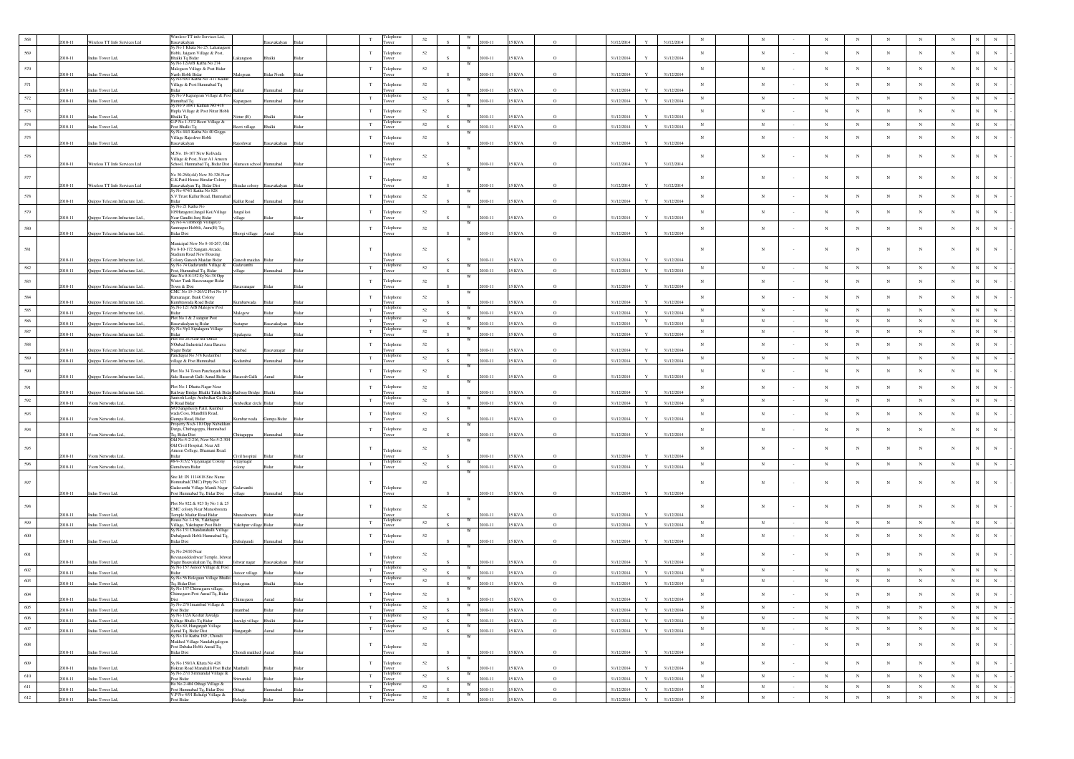|         |           |                                 | Wireless-TT info Services Ltd,                                              |                       |                             |       |             |                    |        |                         |            |               |          |            |              |            |             |             |            |                 |                 |             |            |                            |                               |
|---------|-----------|---------------------------------|-----------------------------------------------------------------------------|-----------------------|-----------------------------|-------|-------------|--------------------|--------|-------------------------|------------|---------------|----------|------------|--------------|------------|-------------|-------------|------------|-----------------|-----------------|-------------|------------|----------------------------|-------------------------------|
|         |           | Wireless TT Info Services Ltd   | Basavakalyan<br>Sy No 1 Khata No 25, Lakanaga                               |                       | avakalyar                   |       |             |                    |        |                         |            | KVA           |          | 31/12/2014 |              | 31/12/2014 |             |             |            |                 |                 |             |            |                            |                               |
| 569     |           |                                 | Hobli, Jaigaon Village & Post,                                              |                       |                             |       | $_{\rm T}$  | Telephone          | 52     |                         |            |               |          |            |              |            | $_{\rm N}$  | $_{\rm N}$  |            | $_{\rm N}$      | $_{\rm N}$      | $_{\rm N}$  | $_{\rm N}$ | $_{\rm N}$                 |                               |
|         | 010-11    | Indus Tower Ltd.                | Bhalki To Bidar<br>y No 12/A/B Katha No 274                                 |                       | halki                       |       |             | wer                |        |                         | $010 - 11$ | 5 KVA         | $\circ$  | 31/12/2014 |              | 31/12/2014 |             |             |            |                 |                 |             |            |                            |                               |
| 570     | 010-11    | Indus Tower Ltd,                | Malegaon Village & Post Bidar                                               |                       | <b>Bidar North</b>          |       | $_{\rm T}$  | elephone           | 52     |                         | $10 - 11$  | 5 KVA         | $\Omega$ | 31/12/2014 |              | 31/12/2014 | $_{\rm N}$  | $_{\rm N}$  |            | $_{\rm N}$      | $_{\rm N}$      | $_{\rm N}$  | $_{\rm N}$ | $_{\rm N}$                 |                               |
|         |           |                                 | -<br>Narth Hobli Bidar<br>Sy No 69/1 Katha No -411 Kallur                   | falegoan              |                             |       |             | wer                |        |                         |            |               |          |            |              |            |             |             |            |                 |                 |             |            |                            |                               |
| 571     | 010-11    | Indus Tower Ltd,                | .<br>Village & Post Humnabad Tq                                             |                       |                             |       | T           | Telephone          | 52     |                         | 010-11     | 5 KVA         |          | 31/12/2014 |              | 31/12/2014 | $_{\rm N}$  | $_{\rm N}$  |            | $_{\rm N}$      | $_{\rm N}$      | $_{\rm N}$  | $_{\rm N}$ | $_{\rm N}$                 |                               |
| 572     | $10 - 11$ | Indus Tower Ltd,                | iy No 9 Kapargoan Village & Po<br>lumnbad Tq                                |                       | mnabad                      |       | $\mathbf T$ | Telephone          | 52     | w                       | $10 - 11$  | 5 KVA         |          | 31/12/2014 |              | 31/12/2014 | N           | $_{\rm N}$  |            | $_{\rm N}$      | $_{\mathrm{N}}$ | $_{\rm N}$  | $_{\rm N}$ | $_{\rm N}$                 | $\mathbf N$<br>$_{\rm N}$     |
|         |           |                                 | Sy No 9 169/1 Kathan NO 418                                                 | apargaon              |                             |       |             |                    |        |                         |            |               |          |            |              |            |             |             |            |                 |                 |             |            |                            |                               |
| 573     | $10 - 11$ | Indus Tower Ltd,                | Hupla Village & Post Nitur Hobli<br>Bhalki Tq                               | Nittur (B)            | 3halk                       |       | T           | Telephone<br>wer   | 52     |                         | 010-11     | 5 KVA         |          | 31/12/2014 |              | 31/12/2014 | $_{\rm N}$  | $_{\rm N}$  |            | $_{\rm N}$      | $_{\rm N}$      | $_{\rm N}$  | $_{\rm N}$ | $_{\rm N}$<br>$\mathbf{N}$ | $_{\rm N}$                    |
| 574     | 010-11    | Indus Tower Ltd.                | G.P No 1-37/2 Beeri Village &<br>Post Bhalki To                             | eri village           | <b>Shalki</b>               |       | $_{\rm T}$  | elephon<br>ower    | 52     |                         | 010-11     | KVA           | $\circ$  | 31/12/2014 |              | 31/12/2014 | $_{\rm N}$  | $_{\rm N}$  |            | $_{\rm N}$      | $_{\rm N}$      | $_{\rm N}$  | $_{\rm N}$ | $_{\rm N}$                 | $_{\rm N}$<br>$_{\rm N}$      |
|         |           |                                 | iy No 44/1 Katha No 40 Gogga                                                |                       |                             |       |             |                    |        |                         |            |               |          |            |              |            |             |             |            |                 |                 |             |            |                            |                               |
| 575     | 2010-11   | Indus Tower Ltd,                | illage Rajeshwr Hobli<br>asavakalyan                                        | <b>Rajeshwar</b>      | Basavakalyan                | Bida  | $_{\rm T}$  | elephone<br>ower   | 52     |                         | 010-11     | 15 KVA        |          | 31/12/2014 |              | 31/12/2014 | $_{\rm N}$  | $_{\rm N}$  |            | $_{\rm N}$      | $_{\rm N}$      | $_{\rm N}$  | $_{\rm N}$ | $_{\rm N}$<br>N            | N                             |
|         |           |                                 | M.No. 18-167 New Kolivada                                                   |                       |                             |       |             |                    |        |                         |            |               |          |            |              |            |             |             |            |                 |                 |             |            |                            |                               |
| 576     |           |                                 | Village & Post, Near A1 Ameen                                               |                       |                             |       | $_{\rm T}$  | Telephone          | 52     |                         |            |               |          |            |              |            | $_{\rm N}$  | $_{\rm N}$  |            | $_{\rm N}$      | $_{\rm N}$      | $_{\rm N}$  | $_{\rm N}$ | $_{\rm N}$<br>N            |                               |
|         | 2010-11   | Wireless TT Info Services Ltd   | ichool, Humnabad Tq, Bidar Dist                                             | neen school           |                             |       |             |                    |        | W                       | $10 - 11$  | 5 KVA         |          | 31/12/2014 |              | 31/12/2014 |             |             |            |                 |                 |             |            |                            |                               |
| 577     |           |                                 | No 30-268(old) New 30-326 Nea<br>G.K.Patil House Biradar Colony             |                       |                             |       | $\mathbf T$ | elephone           | 52     |                         |            |               |          |            |              |            | $\mathbf N$ |             |            | $_{\rm N}$      | N               | $_{\rm N}$  |            | $_{\rm N}$<br>$_{\rm N}$   |                               |
|         | 010-11    | Wireless TT Info Services Ltd   | Basayakalyan Tq, Bidar Dist<br>i No 828                                     |                       | Biradar colony Basavakalyan |       |             | ower               |        |                         | 010-11     | 15 KVA        |          | 31/12/2014 |              | 31/12/2014 |             |             |            |                 |                 |             |            |                            |                               |
| 578     |           |                                 | S.V.Trust Kallur Road, Humnaba                                              |                       |                             |       | T           | Telephone          | $52\,$ |                         |            |               |          |            |              |            | $_{\rm N}$  | $_{\rm N}$  |            | $_{\rm N}$      | $_{\rm N}$      | $_{\rm N}$  | $_{\rm N}$ | $_{\rm N}$                 | $_{\rm N}$<br>$_{\rm N}$      |
|         | 010-11    | Quippo Telecom Infracture Ltd.  | y No 21 Katha No                                                            | Kallur Road           | maha                        |       |             | wer                |        | W                       | $10 - 11$  | 5 KVA         |          | 31/12/2014 |              | 31/12/2014 |             |             |            |                 |                 |             |            |                            |                               |
| 579     | 010-11    |                                 | 05Haragere(Jangal Koi)Village<br>Near Gandhi Junj Bidar                     | Jangal koi            |                             |       | $_{\rm T}$  | Telephone          | 52     |                         | $10 - 11$  | KVA           |          | 31/12/2014 |              | 31/12/2014 | $_{\rm N}$  | $_{\rm N}$  |            | $_{\rm N}$      | $_{\rm N}$      | $_{\rm N}$  | $_{\rm N}$ | $_{\rm N}$                 | $_{\rm N}$<br>$_{\rm N}$      |
|         |           | Quippo Telecom Infracture Ltd   | v No 47/1Bhorgi Village(J)                                                  | llage                 |                             |       |             |                    |        | W                       |            |               |          |            |              |            |             |             |            |                 |                 |             |            |                            |                               |
| $580\,$ | 2010-11   | Quippo Telecom Infracture Ltd., | .<br>antnapur Hobbli, Aura(B) Tq,<br><b>Bidar Dist</b>                      | Bhorgi village        | Aurad                       |       | $_{\rm T}$  | Telephone          | $52\,$ |                         | $010 - 11$ | 15 KVA        |          | 31/12/2014 |              | 31/12/2014 | $_{\rm N}$  | ${\bf N}$   |            | $_{\rm N}$      | $_{\rm N}$      | $_{\rm N}$  | $_{\rm N}$ | $_{\rm N}$                 | $_{\rm N}$<br>$_{\rm N}$      |
|         |           |                                 | Municipal New No 8-10-267, Old                                              |                       |                             |       |             |                    |        |                         |            |               |          |            |              |            |             |             |            |                 |                 |             |            |                            |                               |
| 581     |           |                                 | No 8-10-172 Sangam Arcade,                                                  |                       |                             |       | T           |                    | 52     |                         |            |               |          |            |              |            | $_{\rm N}$  | N           | $\sim$     | $_{\rm N}$      | $\mathbf N$     | $_{\rm N}$  | $_{\rm N}$ | $_{\rm N}$                 | $\mathbf{N}$                  |
|         | 010-11    | Quippo Telecom Infracture Ltd   | Stadium Road New Housing<br>Colony Ganesh Maidan Bidar                      | Ganesh maidan         |                             |       |             | Telephone<br>wer   |        |                         | $10 - 11$  |               |          | 31/12/2014 |              | 31/12/2014 |             |             |            |                 |                 |             |            |                            |                               |
| 582     | 2010-11   | Quippo Telecom Infracture Ltd., | iy No 74 Gadavanthi Village &<br>Post, Humnabad Tq, Bidar                   | Gadavanthi<br>village | badamma                     | Rida  | $_{\rm T}$  | Telephone<br>ower  | 52     |                         | 2010-11    | <b>15 KVA</b> | $\circ$  | 31/12/2014 | Y            | 31/12/2014 | $_{\rm N}$  | $_{\rm N}$  |            | $_{\rm N}$      | $_{\rm N}$      | $_{\rm N}$  | $_{\rm N}$ | $_{\rm N}$                 | N<br>$_{\rm N}$               |
|         |           |                                 | Site No 9-8-152 Sy No 38 Opp                                                |                       |                             |       | T           |                    |        | W                       |            |               |          |            |              |            |             | $_{\rm N}$  |            |                 |                 |             | $_{\rm N}$ | $_{\rm N}$                 | $_{\rm N}$<br>$_{\rm N}$      |
| 583     | 2010-11   | Quippo Telecom Infracture Ltd.  | Water Tank Basayanagar Bidar<br>Town & Dist<br>CMC No 15-3-205/2 Plot No 19 |                       |                             |       |             | Telephone          | 52     |                         | $10 - 11$  | 5 KVA         |          | 31/12/2014 |              | 31/12/2014 | $_{\rm N}$  |             |            | $_{\rm N}$      | $_{\rm N}$      | $_{\rm N}$  |            |                            |                               |
| $584\,$ |           |                                 | Ramanagar, Bank Colony                                                      |                       |                             |       | T           | Telephone          | 52     |                         |            |               |          |            |              |            | $_{\rm N}$  | ${\bf N}$   |            | $_{\rm N}$      | $_{\rm N}$      | $_{\rm N}$  | $_{\rm N}$ | $_{\rm N}$                 | $\mathbf N$<br>$_{\rm N}$     |
|         | 010-11    | Quippo Telecom Infracture Ltd   | mbrawada Road Bidar<br>iy.No 121 A/B Malegow Pos                            |                       |                             |       |             |                    |        |                         | $010-1$    | KVA           |          | 31/12/2014 |              | 31/12/201- |             |             |            |                 |                 |             |            |                            |                               |
| 585     | 010-11    | Quippo Telecom Infracture Ltd., | <b>Sidor</b>                                                                |                       |                             |       | T           | Felephone<br>ower  | 52     |                         | $010 - 11$ | <b>SKVA</b>   | $\Omega$ | 31/12/2014 |              | 31/12/2014 | N           | $_{\rm N}$  |            | $_{\rm N}$      | $_{\rm N}$      | N           | $_{\rm N}$ | N                          | $_{\rm N}$<br>$_{\rm N}$      |
| 586     | 010-11    | Quippo Telecom Infracture Ltd.  | Plot No 1 & 2 satapur Post<br>asavakalyan tq Bidar                          | stapur                | savakalyan                  |       | $_{\rm T}$  | Telephone<br>wer   | 52     | W                       | 010-11     | 5 KVA         |          | 31/12/2014 | $\mathbf Y$  | 31/12/2014 | $_{\rm N}$  | $_{\rm N}$  |            | $_{\rm N}$      | $_{\rm N}$      | $_{\rm N}$  | $_{\rm N}$ | $_{\rm N}$                 | $_{\rm N}$                    |
| 587     | 2010-11   |                                 | y No S/p1 Sipalagera Village                                                |                       |                             |       | $\mathbf T$ | Telephone          | 52     | W                       | 010-11     | <b>SKVA</b>   | $\Omega$ | 31/12/2014 |              | 31/12/2014 | N           | $_{\rm N}$  | $\sim$     | $_{\rm N}$      | $_{\mathrm{N}}$ | $_{\rm N}$  | $_{\rm N}$ | $_{\rm N}$                 | $_{\rm N}$<br>$_{\mathrm{N}}$ |
|         |           | Quippo Telecom Infracture Ltd., | Plot No 26 Near MI Office                                                   |                       |                             |       |             |                    |        |                         |            |               |          |            |              |            |             |             |            |                 |                 |             |            |                            |                               |
| 588     | 010-11    | Quippo Telecom Infracture Ltd., | <b>NOubad Industrial Area Basava</b><br>Nagar Bidar                         | aubad                 |                             |       | $_{\rm T}$  | Telephone          | 52     |                         | 010-11     | 5 KVA         |          | 31/12/2014 |              | 31/12/2014 | $_{\rm N}$  | $_{\rm N}$  |            | $_{\rm N}$      | $_{\rm N}$      | $_{\rm N}$  | $_{\rm N}$ | $_{\rm N}$<br>$\mathbf N$  | N                             |
| 589     | 010-11    |                                 | inchayat No 378 Kodambal                                                    | tambal                |                             |       | $\mathbf T$ | elephon            | 52     |                         | $10-11$    | <b>SKVA</b>   | $\Omega$ | 31/12/2014 |              | 31/12/2014 | $_{\rm N}$  | $_{\rm N}$  | $\epsilon$ | $_{\rm N}$      | $_{\rm N}$      | $_{\rm N}$  | $_{\rm N}$ | $_{\rm N}$                 | ${\bf N}$<br>$_{\rm N}$       |
|         |           | Quippo Telecom Infracture Ltd., | illage & Post Humnabad                                                      |                       |                             |       |             |                    |        |                         |            |               |          |            |              |            |             |             |            |                 |                 |             |            |                            |                               |
| 590     | 2010-11   | Quippo Telecom Infracture Ltd., | Plot No 34 Town Panchayath Back<br>Side Basavab Galli Aurad Bidar           | Basavab Galli Aurad   |                             |       | $_{\rm T}$  | elephone           | 52     |                         | $10 - 11$  | 5 KVA         |          | 31/12/2014 |              | 31/12/2014 | $_{\rm N}$  | $_{\rm N}$  | $\sim$     | $_{\rm N}$      | $_{\rm N}$      | $_{\rm N}$  | $_{\rm N}$ | $_{\rm N}$                 | N<br>$_{\rm N}$               |
| 591     |           |                                 | Plot No-1 Dhatta Nagar Near                                                 |                       |                             |       | T           | Telephone          | 52     |                         |            |               |          |            |              |            | $_{\rm N}$  | $_{\rm N}$  |            | $_{\rm N}$      | $_{\rm N}$      | $_{\rm N}$  | $_{\rm N}$ | $_{\rm N}$                 | N                             |
|         | 2010-11   | Quippo Telecom Infracture Ltd., | Railway Bridge Bhalki Taluk Bidar Railway Bridge Bhalki                     |                       |                             |       |             |                    |        |                         | 010-11     | 5 KVA         |          | 31/12/2014 |              | 31/12/2014 |             |             |            |                 |                 |             |            |                            |                               |
| 592     | $10 - 11$ | Viom Networks Ltd.              | Santosh Lodge Ambedkar Circle, Z-<br>N Road Bidar                           | mbedkar circle        |                             |       | $_{\rm T}$  | l'elephon          | 52     | w                       | $10 - 11$  | KVA           |          | 31/12/2014 |              | 31/12/2014 | $_{\rm N}$  | $_{\rm N}$  |            | $_{\rm N}$      | $_{\rm N}$      | $_{\rm N}$  | $_{\rm N}$ | $_{\rm N}$                 | N<br>$_{\rm N}$               |
| 593     |           |                                 | 70 Sangsheety Patil, Kumba<br>vada Coss, Mandhlli Road,                     |                       |                             |       | T           | Telephone          | 52     |                         |            |               |          |            |              |            | $_{\rm N}$  | $_{\rm N}$  |            | $_{\rm N}$      | $_{\rm N}$      | $_{\rm N}$  | $_{\rm N}$ | $_{\rm N}$<br>$\mathbf N$  | N                             |
|         | 2010-11   | Viom Networks Ltd.,             | <b>Jumpa Road</b> , Bidar                                                   |                       | mbar wada Gumpa Bidar       |       |             | wer                |        |                         | 010-11     | <b>15 KVA</b> | $\circ$  | 31/12/2014 |              | 31/12/2014 |             |             |            |                 |                 |             |            |                            |                               |
| 594     |           |                                 | roperty No,6-110 Opp Nabiddar<br>Darga, Chithagoppa, Humnabad               |                       |                             |       | $_{\rm T}$  | Telephone          | $52\,$ |                         |            |               |          |            |              |            | $_{\rm N}$  | $_{\rm N}$  |            | $_{\rm N}$      | $_{\rm N}$      | $_{\rm N}$  | $_{\rm N}$ | $_{\rm N}$                 | $_{\rm N}$<br>$_{\rm N}$      |
|         | 2010-11   | Viom Networks Ltd.              | <sup>r</sup> q, Bidar Dist<br>01d No-5-2-216, New No-5-2-3                  | hitaguppa             | nnahad                      |       |             | wer                |        |                         | 010-11     | <b>15 KVA</b> | $\Omega$ | 31/12/2014 |              | 31/12/2014 |             |             |            |                 |                 |             |            |                            |                               |
| 595     |           |                                 | Old Civil Hospital, Near All                                                |                       |                             |       | T           |                    | 52     |                         |            |               |          |            |              |            | $_{\rm N}$  | N           |            | $_{\rm N}$      | $_{\rm N}$      | $_{\rm N}$  | $_{\rm N}$ | $_{\rm N}$                 | N                             |
|         | 010-11    | Viom Networks Ltd.              | Ameen College, Bhamani Road.                                                | Tvil hospital         |                             |       |             | Telephone          |        |                         | 010-11     | 5 KVA         |          | 31/12/2014 |              | 31/12/2014 |             |             |            |                 |                 |             |            |                            |                               |
| 596     | 2010-11   | Viom Networks Ltd.              | #8-9-315/2 Vijayanagar Colony<br>Jurudwara Bidar                            | Vijaynagar<br>colony  |                             |       | $_{\rm T}$  | Telephone<br>Tower | $52\,$ | W                       | $10 - 11$  | 15 KVA        | $\circ$  | 31/12/2014 |              | 31/12/2014 | $_{\rm N}$  | ${\bf N}$   |            | $_{\rm N}$      | $_{\rm N}$      | $\,$ N $\,$ | $_{\rm N}$ | $\,$ N                     | $_{\rm N}$<br>$_{\rm N}$      |
|         |           |                                 |                                                                             |                       |                             |       |             |                    |        |                         |            |               |          |            |              |            |             |             |            |                 |                 |             |            |                            |                               |
| 597     |           |                                 | Site Id: IN 1114618 Site Name<br>Homnabad(TMC) Prpty No 327                 |                       |                             |       | T           |                    | 52     |                         |            |               |          |            |              |            | $_{\rm N}$  | N           | $\sim$     | $_{\rm N}$      | N               | $_{\rm N}$  | $_{\rm N}$ | $_{\rm N}$<br>N            |                               |
|         | 010-11    | Indus Tower Ltd,                | Gadavanthi Village Manik Nagar<br>Post Humnabad Tq, Bidar Dist              | Gadavanthi<br>village |                             |       |             | Telephone<br>ower  |        |                         | 010-11     | 15 KVA        |          | 31/12/2014 | $\mathbf{Y}$ | 31/12/2014 |             |             |            |                 |                 |             |            |                            |                               |
|         |           |                                 |                                                                             |                       |                             |       |             |                    |        | W                       |            |               |          |            |              |            |             |             |            |                 |                 |             |            |                            |                               |
| 598     |           |                                 | Plot No 922 & 923 Sv No 1 & 25<br>CMC colony Near Muneshwatra               |                       |                             |       | $_{\rm T}$  | elephone           | 52     |                         |            |               |          |            |              |            |             | $_{\rm N}$  |            | $_{\rm N}$      | N               | $_{\rm N}$  | N          | $_{\rm N}$<br>$_{\rm N}$   | N                             |
|         | 010-11    | Indus Tower Ltd                 | lemple Mailur Road Bidar<br>No 1-156, Yakthapur                             |                       |                             |       |             | elephon            |        |                         | 010-11     | 5 KVA         |          | 31/12/2014 |              | 31/12/2014 |             |             |            |                 |                 |             |            |                            |                               |
| 599     | 010-11    | Indus Tower Ltd,                | Village, Yakthapur Post Bidr<br>Sy No 131 Chandanahalli Village             | akthpur village       |                             |       | $_{\rm T}$  | wer                | 52     |                         | 010-11     | <b>SKVA</b>   | $\Omega$ | 31/12/2014 |              | 31/12/2014 | $_{\rm N}$  | $_{\rm N}$  |            | $_{\rm N}$      | $_{\rm N}$      | $_{\rm N}$  | $_{\rm N}$ | $_{\rm N}$                 | $_{\rm N}$<br>$_{\rm N}$      |
| 600     |           |                                 | Dubalgundi Hobli Humnabad Tq,                                               |                       |                             |       | $_{\rm T}$  | elephone           | 52     |                         |            |               |          |            |              |            | $_{\rm N}$  | $_{\rm N}$  |            | $_{\rm N}$      | $_{\rm N}$      | $_{\rm N}$  | $_{\rm N}$ | $_{\rm N}$                 | $_{\rm N}$<br>$_{\rm N}$      |
|         | 2010-11   | Indus Tower Ltd,                | <b>Bidar Dist</b>                                                           | Jubalgundi            | Humnabad                    |       |             | wer                |        |                         | 010-11     | 5 KVA         | $\circ$  | 31/12/2014 |              | 31/12/2014 |             |             |            |                 |                 |             |            |                            |                               |
| 601     |           |                                 | Sy No 24/10 Near                                                            |                       |                             |       |             |                    | 52     |                         |            |               |          |            |              |            |             | $_{\rm N}$  |            | $_{\rm N}$      | $_{\rm N}$      | $_{\rm N}$  | $_{\rm N}$ | $_{\rm N}$<br>N            |                               |
|         | 010-11    | Indus Tower Ltd,                | Revanasiddeshwar Temple, Ishwar<br>Nagar Basavakalyan Tq, Bidar             | Ishwar nagar          |                             |       |             | Telephone          |        |                         | 010-11     | 5 KVA         |          | 31/12/2014 |              | 31/12/2014 |             |             |            |                 |                 |             |            |                            |                               |
| 602     | 110-11    | Indus Tower Ltd                 | y No 157 Astoor Village & Post                                              | stoor village         |                             |       | $_{\rm T}$  | elepho             | 52     |                         | $10 - 11$  | KVA           | $\Omega$ | 31/12/2014 |              | 31/12/2014 | $_{\rm N}$  | $_{\rm N}$  |            | $_{\rm N}$      | $_{\rm N}$      | $_{\rm N}$  | $_{\rm N}$ | $_{\rm N}$                 | $_{\rm N}$<br>$_{\rm N}$      |
| 603     |           |                                 | No 56 Bolegaun Village Bhalki                                               |                       | Bhalki                      |       | $_{\rm T}$  | :leph              | 52     |                         | 010-11     | <b>15 KVA</b> | $\circ$  | 31/12/2014 |              | 31/12/2014 | $_{\rm N}$  | $_{\rm N}$  |            | $_{\rm N}$      | $_{\rm N}$      | $_{\rm N}$  | $_{\rm N}$ | $_{\rm N}$<br>$\mathbf N$  | $_{\rm N}$                    |
|         | 2010-11   | Indus Tower Ltd,                | Tq, Bidar Dist<br>y No 137 Chimegaon village                                | 3olegoan              |                             |       |             | ower               |        |                         |            |               |          |            |              |            |             |             |            |                 |                 |             |            |                            |                               |
| $604\,$ | 2010-11   | Indus Tower Ltd,                | Chimegaon Post Aurad Tq, Bidar                                              |                       |                             |       | $_{\rm T}$  | Telephone          | $52\,$ |                         | $010 - 11$ | KVA           |          | 31/12/2014 |              | 31/12/2014 | $\mathbf N$ | $_{\rm N}$  |            | $_{\rm N}$      | $_{\rm N}$      | $_{\rm N}$  | N          | $_{\rm N}$                 |                               |
| 605     | 2010-11   |                                 | iy No 278 Imambad Village &                                                 |                       | Bidar                       |       | $\mathbf T$ | :lephone           | 52     |                         | 2010-11    | <b>15 KVA</b> | $\Omega$ | 31/12/2014 | $\mathbf{v}$ | 31/12/2014 | $_{\rm N}$  | $_{\rm N}$  |            | $_{\rm N}$      | $_{\rm N}$      | $_{\rm N}$  | $_{\rm N}$ | $_{\rm N}$                 | $_{\rm N}$<br>$_{\rm N}$      |
| 606     |           | Indus Tower Ltd,                | Post Bidar<br>Sy No 1/2A Keshar Jawalga<br>Village Bhalki Tq Bidar          | hadman                |                             | Bidar | $_{\rm T}$  | Tower<br>Telephone | 52     |                         |            |               |          |            |              |            | $_{\rm N}$  | $_{\rm N}$  | $\sim$     | $_{\rm N}$      | $_{\rm N}$      | $_{\rm N}$  | $_{\rm N}$ | $_{\rm N}$                 | ${\bf N}$<br>${\bf N}$        |
|         | 010-11    | Indus Tower Ltd,                | y No 89, Hangargab Village                                                  | valgi village         | Bhalki                      |       |             | Tower              |        | W                       | 010-11     | <b>15 KVA</b> | $\circ$  | 31/12/2014 |              | 31/12/2014 |             |             |            |                 |                 |             |            |                            |                               |
| $607\,$ | 2010-11   | Indus Tower Ltd,                | Aurad Tq, Bidar Dist<br>Sy No 1/0 Katha 189, Chondi                         | fangargab             | Aurad                       |       | $_{\rm T}$  | Telephone<br>Tower | $52\,$ | W                       | 010-11     | <b>15 KVA</b> | $\circ$  | 31/12/2014 | $\mathbf{v}$ | 31/12/2014 | $\,$ N      | $_{\rm N}$  | $\sim$     | $\,$ N          | $\,$ N          | $_{\rm N}$  | $\,$ N     | ${\bf N}$                  | $\mathbf{N}^-$<br>$\,$ N $\,$ |
| $608\,$ |           |                                 | Mukhed Village Nandabigalogon                                               |                       |                             |       | $_{\rm T}$  |                    | 52     |                         |            |               |          |            |              |            | $_{\rm N}$  | $_{\rm N}$  | $\cdot$    | $_{\rm N}$      | $_{\rm N}$      | $_{\rm N}$  | N          | $_{\rm N}$                 | $\mathbf N$<br>$\,$ N         |
|         | 2010-11   | Indus Tower Ltd,                | Post Dabaka Hobli Aurad Tq.<br><b>Bidar Dist</b>                            | Chondi mukhed Aurad   |                             |       |             | Telephone<br>Tower |        |                         | 010-11     | <b>15 KVA</b> |          | 31/12/2014 |              | 31/12/2014 |             |             |            |                 |                 |             |            |                            |                               |
| 609     |           |                                 | Sy No 158/1A Khata No 428                                                   |                       |                             |       | $_{\rm T}$  | Telephone          | $52\,$ |                         |            |               |          |            |              |            | $_{\rm N}$  | $_{\rm N}$  | $\sim$     | $_{\rm N}$      | $_{\rm N}$      | $_{\rm N}$  | $_{\rm N}$ | $_{\rm N}$                 | $\mathbf N$<br>${\bf N}$      |
|         | 2010-11   | Indus Tower Ltd,                | Hokran Road Manahalli Post Bidar Manhalli                                   |                       |                             |       |             | ower               |        |                         | 2010-11    | <b>15 KVA</b> | $\Omega$ | 31/12/2014 |              | 31/12/2014 |             |             |            |                 |                 |             |            |                            |                               |
| 610     | 2010-11   | Indus Tower Ltd,                | y No 27/1 Sirimandal Village &<br>Post Bidar                                | Isbas                 |                             |       | $_{\rm T}$  | Felephone<br>ower  | $52\,$ |                         | 2010-11    | <b>15 KVA</b> | $\circ$  | 31/12/2014 | $\mathbf{v}$ | 31/12/2014 | $\,$ N      | $\,$ N $\,$ | $\sim$     | $_{\rm N}$      | $_{\rm N}$      | $_{\rm N}$  | $_{\rm N}$ | $_{\rm N}$                 | $\mathbf N$<br>${\bf N}$      |
| $611\,$ | 010-11    | Indus Tower Ltd,                | Ho No 2-404 Othagi Village &<br>Post Humnabad Tq, Bidar Dist                | Othagi                | mnabad                      | Ridar | $_{\rm T}$  | Telephone<br>Tower | 52     |                         | 010-11     | 5 KVA         | $\circ$  | 31/12/2014 |              | 31/12/2014 | $_{\rm N}$  | $_{\rm N}$  | $\sim$     | $_{\rm N}$      | $_{\rm N}$      | $_{\rm N}$  | $_{\rm N}$ | $_{\rm N}$                 | ${\bf N}$<br>${\bf N}$        |
| 612     | 2010-11   | Indus Tower Ltd.                | 7.P No 4/91 Rekulgi Village &                                               | Rekulgi               |                             |       | $_{\rm T}$  | Telephone          | $52\,$ | $\ensuremath{\text{W}}$ | 2010-11    | <b>15 KVA</b> | $\circ$  | 31/12/2014 | $\mathbf{v}$ | 31/12/2014 | $_{\rm N}$  | $\,$ N $\,$ | $\sim$     | $_{\mathrm{N}}$ | $_{\rm N}$      | $\,$ N      | $\,$ N     | $\,$ N                     | $\mathbf N$<br>$\,$ N $\,$    |
|         |           |                                 | ost Bidar                                                                   |                       |                             |       |             |                    |        |                         |            |               |          |            |              |            |             |             |            |                 |                 |             |            |                            |                               |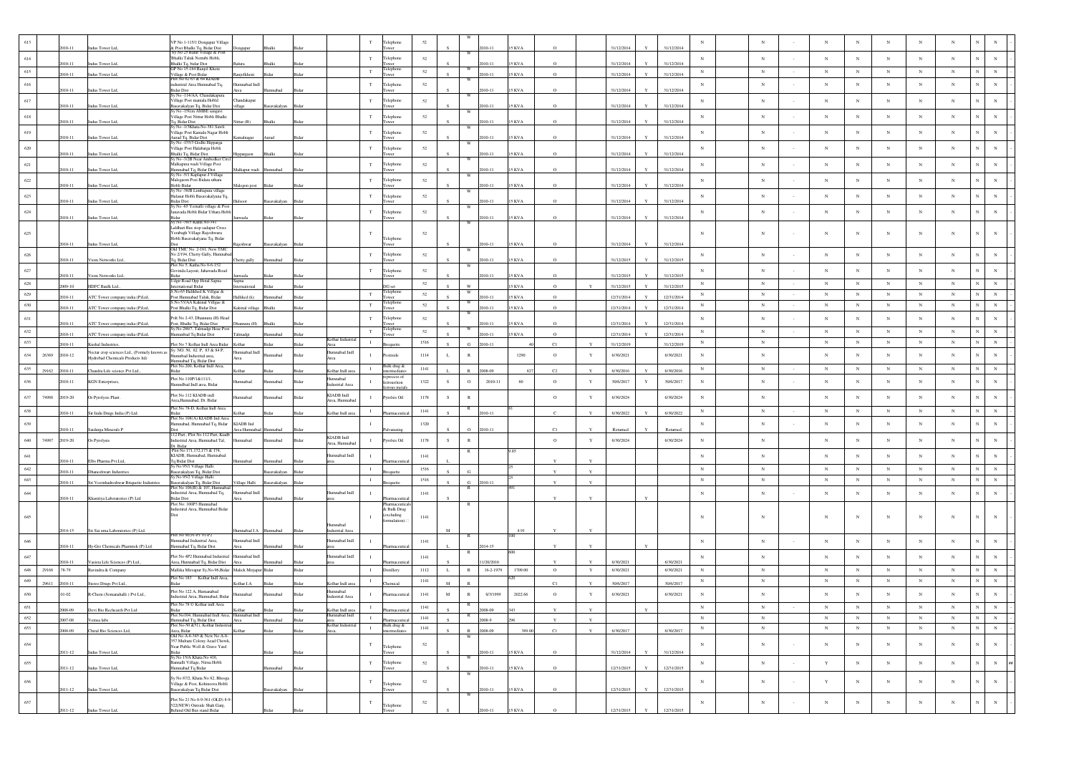|         |       |            |                                              | P No 1-115/1 Dongapur Village                                                        |                       |              |                                   | T<br>lephone                          | 52       |              |                         |               |                                     |            |            |            |             |              |              |                 |              |            |                           |  |
|---------|-------|------------|----------------------------------------------|--------------------------------------------------------------------------------------|-----------------------|--------------|-----------------------------------|---------------------------------------|----------|--------------|-------------------------|---------------|-------------------------------------|------------|------------|------------|-------------|--------------|--------------|-----------------|--------------|------------|---------------------------|--|
|         |       | 11-010     | Indus Tower Ltd,                             | k Post Bhalki Tq, Bidar Dist<br>y No 25 Balur Village & Post                         |                       |              |                                   |                                       |          |              |                         | 5 KV/         | 31/12/2014                          |            | 31/12/2014 |            |             |              |              |                 |              |            |                           |  |
| 614     |       | 910-11     | ndus Tower Ltd.                              | Bhalki Taluk Netrubi Hobli.<br>Bhalki Tq, bidar Dist                                 |                       |              |                                   | Felephone<br>T                        | 52       |              | $010-1$                 | 5 KVA         | 31/12/2014<br>$\Omega$              |            | 31/12/2014 | $_{\rm N}$ | $\mathbf N$ | $_{\rm N}$   | $_{\rm N}$   | $_{\rm N}$      | N            | $_{\rm N}$ | N                         |  |
| 615     |       | 2010-11    |                                              | No 15-184 Ranjol Kher                                                                | jolkheni              |              |                                   | elephone<br>T                         | 52       |              | W<br>$010 - 11$         | <b>15 KVA</b> | $\circ$<br>31/12/2014               |            | 31/12/2014 | N          | $_{\rm N}$  | $_{\rm N}$   | $_{\rm N}$   | $_{\rm N}$      | $_{\rm N}$   | $_{\rm N}$ | $_{\rm N}$                |  |
|         |       |            | Indus Tower Ltd,                             |                                                                                      |                       |              |                                   | wer                                   |          |              |                         |               |                                     |            |            |            |             |              |              |                 |              |            |                           |  |
| 616     |       | 2010-11    | Indus Tower Ltd.                             | adustiral Area Humnabad Tq,<br>idar Dist                                             | mabad Ind             |              |                                   | T<br>Felephone                        | 52       |              | $010-11$                | <b>15 KVA</b> | 31/12/2014<br>$\circ$               |            | 31/12/2014 | $_{\rm N}$ | $_{\rm N}$  | $_{\rm N}$   | $_{\rm N}$   | $_{\rm N}$      | N            | $_{\rm N}$ | N                         |  |
| 617     |       |            |                                              | y No -114/AA. Chandakapura<br>'illage Post mantala Hobld                             | andakapur             |              |                                   | $_{\rm T}$<br>Telephone               | 52       |              |                         |               |                                     |            |            | $_{\rm N}$ | $_{\rm N}$  | $_{\rm N}$   | $_{\rm N}$   | $_{\rm N}$      | $_{\rm N}$   | $_{\rm N}$ | N                         |  |
|         |       | 2010-11    | Indus Tower Ltd.                             | savakalyan Tq, Bidar Dist<br>y No-150,m AMBE sangavi                                 | llage                 | avakalyan    |                                   |                                       |          |              | $010 - 11$              | 15 KVA        | 31/12/2014<br>$\circ$               |            | 31/12/2014 |            |             |              |              |                 |              |            |                           |  |
| 618     |       |            |                                              | .<br>illage Post Nittur Hobli Bhalki                                                 |                       |              |                                   | Felephone<br>$_{\rm T}$               | 52       |              |                         |               |                                     |            |            | $_{\rm N}$ | $_{\rm N}$  | $_{\rm N}$   | $_{\rm N}$   | $\mathbf N$     |              |            | N                         |  |
|         |       | 1010-11    | Indus Tower Ltd,                             | îq, Bidar Dist<br>iy No -1/3Khata No-381 Sawfi                                       | ttur $(B)$            | šhalki       |                                   |                                       |          |              |                         | 5 KV/         | 31/12/2014<br>$\circ$               |            | 31/12/2014 |            |             |              |              |                 |              |            |                           |  |
| 619     |       | 2010-11    | Indus Tower Ltd.                             | 'illage Post Kamala Nagar Hobli<br>urad Tq, Bidar Dist<br>y No -155/3 Godhi Hipparga |                       | urad         |                                   | T<br>Telephone                        | 52       |              | DIO-1                   | 5 KV/         | 31/12/2014<br>$\circ$               |            | 31/12/2014 | $_{\rm N}$ | $_{\rm N}$  | $_{\rm N}$   | $_{\rm N}$   | $_{\rm N}$      | $_{\rm N}$   | $_{\rm N}$ | N<br>$_{\rm N}$           |  |
| $620\,$ |       |            |                                              | 'illage Post Halabarga Hobli                                                         |                       |              |                                   | $_{\rm T}$<br>elephone                | $52\,$   |              |                         |               |                                     |            |            | $_{\rm N}$ | $_{\rm N}$  | $_{\rm N}$   | $_{\rm N}$   | $_{\rm N}$      | $_{\rm N}$   | $_{\rm N}$ | N                         |  |
|         |       | 2010-11    | Indus Tower Ltd.                             | Bhalki Tq, Bidar Dist<br>iy No -3/2B Near Ambedker (                                 | ppargaon              | 3halki       |                                   |                                       |          |              | $010-1$                 | 15 KVA        | $\circ$<br>31/12/2014               |            | 31/12/2014 |            |             |              |              |                 |              |            |                           |  |
| 621     |       |            |                                              | Malkapura wadi Village Post                                                          |                       |              |                                   | elephone<br>$_{\rm T}$                | 52       |              |                         |               |                                     |            |            | $_{\rm N}$ | $_{\rm N}$  | $_{\rm N}$   | $_{\rm N}$   | $_{\rm N}$      | $_{\rm N}$   | $_{\rm N}$ |                           |  |
|         |       | 2010-11    | Indus Tower Ltd,                             | mmabad Tq, Bidar Dist<br>v No -5/1 Kaplapur-J Villas                                 | lalkapur wadi         | Iumnabad     |                                   |                                       |          |              | 010-11                  | 15 KVA        | $\circ$                             | 31/12/2014 | 31/12/2014 |            |             |              |              |                 |              |            |                           |  |
| 622     |       | 2010-11    | Indus Tower Ltd.                             | falegaom Post Bidara uthara<br>lobli Bidar                                           | falegon post          | Bidar        |                                   | Felephone<br>$\mathbf T$              | 52       |              | $010 - 11$              | 15 KVA        | $\circ$                             | 31/12/2014 | 31/12/2014 | $_{\rm N}$ | $_{\rm N}$  | $_{\rm N}$   | $_{\rm N}$   | $_{\rm N}$      | $_{\rm N}$   | $_{\rm N}$ | $\mathbb{N}$<br>N         |  |
| $623\,$ |       |            |                                              | y No -38/B Limbapura village<br>ulasur Hobli Basavakalyana Tq,                       |                       |              |                                   | T<br>Telephone                        | 52       |              |                         |               |                                     |            |            | $_{\rm N}$ | $_{\rm N}$  | $_{\rm N}$   | $_{\rm N}$   | $_{\rm N}$      | $_{\rm N}$   | $_{\rm N}$ | $_{\rm N}$<br>$_{\rm N}$  |  |
|         |       | 2010-11    | Indus Tower Ltd.                             | idar Dist                                                                            | lsoor                 | asavakalyan  |                                   |                                       |          |              | $010-1$                 | 5 KVA         | 31/12/2014<br>$^{\circ}$            |            | 31/12/2014 |            |             |              |              |                 |              |            |                           |  |
| 624     |       |            |                                              | No -65 Yernalli village & Post<br>anavada Hobli Bidar Uthara Hobl                    |                       |              |                                   | Felephone<br>$_{\rm T}$               | $52\,$   |              | W                       |               |                                     |            |            | $_{\rm N}$ | $_{\rm N}$  | $_{\rm N}$   | $_{\rm N}$   | $_{\rm N}$      | $_{\rm N}$   | $_{\rm N}$ | $\mathbf N$<br>$_{\rm N}$ |  |
|         |       | 2010-11    | <b>Indus Tower Ltd</b>                       | v No -38/5 Kaata No-341                                                              | nwada                 |              |                                   |                                       |          |              | W                       | 5 KVA         | 31/12/2014                          |            | 31/12/2014 |            |             |              |              |                 |              |            |                           |  |
| 625     |       |            |                                              | aldhari Bus stop sadapur Cross<br>'erabagh Village Rajeshwara                        |                       |              |                                   | т                                     | 52       |              |                         |               |                                     |            |            | $_{\rm N}$ | N           | $_{\rm N}$   | $_{\rm N}$   | $_{\rm N}$      | $_{\rm N}$   | $_{\rm N}$ |                           |  |
|         |       | 2010-11    |                                              | Hobli Basavakalyana Tq, Bidar                                                        |                       |              |                                   | Felephone                             |          |              |                         | 5 KVA         | $\Omega$                            |            |            |            |             |              |              |                 |              |            |                           |  |
|         |       |            | Indus Tower Ltd.                             | 01d TMC No. 2-181, New TMC                                                           | ajeshwar              | savakalyan   |                                   |                                       |          |              | W                       |               | 31/12/2014                          |            | 31/12/2014 |            |             |              |              |                 |              |            |                           |  |
| 626     |       | 2010-11    | Viom Networks Ltd.                           | No 2/194, Chetty Gally, Humnaba<br><b>Tq, Bidar Dist</b>                             | hetty gally           |              |                                   | $_{\rm T}$<br>Telephone               | 52       |              |                         | 5 KVA         | 31/12/2015<br>$\circ$               |            | 31/12/2015 | $_{\rm N}$ | $_{\rm N}$  | $_{\rm N}$   | $_{\rm N}$   | $_{\rm N}$      | $_{\rm N}$   | $_{\rm N}$ | $_{\rm N}$<br>N           |  |
| 627     |       |            |                                              | lot No 5. Katha No 8-6-152<br>Govinda Layout, Jahawada Road                          |                       |              |                                   | $_{\rm T}$<br>Telephone               | 52       |              |                         |               |                                     |            |            | $_{\rm N}$ | $_{\rm N}$  | $_{\rm N}$   | $_{\rm N}$   | $_{\rm N}$      | $_{\rm N}$   | $_{\rm N}$ | $_{\rm N}$                |  |
|         |       | 2010-11    | Viom Networks Ltd.                           | achii<br>dgir Road Opp Hotal Sapna                                                   |                       |              |                                   |                                       |          |              | 010-1                   | 5 KVA         | 31/12/2015<br>$\circ$               |            | 31/12/2015 |            |             |              |              |                 |              |            |                           |  |
| $628\,$ |       | 2009-10    | HDFC Banlk Ltd.                              | nternational Bidar<br>Mo 65 Halikhed K Villgae &                                     | ipna                  |              |                                   |                                       | 52       |              | $\mathbf{u}$            | 5 KVA         | $\Omega$<br>31/12/2019              |            | 31/12/2015 | $_{\rm N}$ | $_{\rm N}$  | $_{\rm N}$   | $_{\rm N}$   | $_{\rm N}$      | $\mathbb{N}$ | $_{\rm N}$ | $_{\rm N}$                |  |
| 629     |       | 2010-11    | ATC Tower company india (P)Ltd,              | ost Humnabad Taluk, Bidar                                                            | alliked (k)           |              |                                   | elephon<br>$_{\rm T}$<br>wer          | $52\,$   |              | 010-11                  | 15 KVA        | 12/31/2014<br>$\circ$               |            | 12/31/2014 | $_{\rm N}$ | $_{\rm N}$  | $_{\rm N}$   | $_{\rm N}$   | $_{\rm N}$      | $_{\rm N}$   | $_{\rm N}$ | $_{\rm N}$                |  |
| 630     |       | 2010-11    | ATC Tower company india (P)Ltd,              | No 53/AA Kakinal Villgae &<br>Post Bhalki Tq, Bidar Dist                             | skinal village        | Bhalki       |                                   | elephon<br>T<br>wer                   | 52       |              | $10 - 11$               | 15 KVA        | $\circ$<br>12/31/2014               |            | 12/31/2014 | $_{\rm N}$ | N           | $_{\rm N}$   | $_{\rm N}$   | $_{\rm N}$      | $_{\rm N}$   | $_{\rm N}$ | $_{\rm N}$                |  |
| 631     |       |            |                                              | olt No 2-43, Dhannura (H) Head                                                       |                       |              |                                   | $\mathbf T$<br>Felephone              | 52       |              |                         |               |                                     |            |            | $_{\rm N}$ | $_{\rm N}$  | $_{\rm N}$   | $_{\rm N}$   | $_{\mathrm{N}}$ | $_{\rm N}$   | $_{\rm N}$ | $_{\rm N}$<br>N           |  |
|         |       | 2010-11    | ATC Tower company india (P)Ltd,              | Post, Bhalki Tq, Bidar Dist<br>Sy.No 286/7, Talmadgi Heae Post                       | hannura (H)           | shalki       |                                   |                                       |          |              | $010 - 11$              | 5 KVA         | 12/31/2014<br>$\circ$               |            | 12/31/2014 |            |             |              |              |                 |              |            |                           |  |
| 632     |       | 2010-11    | ATC Tower company india (P)Ltd,              | munbad Tq Bidar Dist                                                                 | nade                  |              |                                   | 'elephone<br>$\mathbf T$              | 52       |              | W<br>$010 - 11$         | <b>SKVA</b>   | $\Omega$<br>12/31/2014              |            | 12/31/2014 | $_{\rm N}$ | $_{\rm N}$  | $_{\rm N}$   | $\mathbb{N}$ | $_{\rm N}$      | $_{\rm N}$   | $_{\rm N}$ | $_{\rm N}$                |  |
| 633     |       | 2010-11    | Cushal Industries                            | Plot No 7 Kolhar Indl Area Bidar                                                     | olhar                 |              | Colhar Industri<br>sidar<br>vrea  | $\;$ I<br>quett                       | 1516     |              | $010-11$                |               | C1<br>31/12/2019                    |            | 31/12/2019 | $_{\rm N}$ | $_{\rm N}$  | $_{\rm N}$   | N            | $_{\rm N}$      | $_{\rm N}$   | $_{\rm N}$ | $_{\rm N}$<br>N           |  |
| 634     | 26369 | 2010-12    | Nectar crop sciences Ltd., (Formely known as | Sy. NO. 50, 82 P, 83 & 84 P,<br>mnbad Industrial area,                               | nnabad Indi           |              | Iumnabad Indl                     | stiside                               | 1114     | L            | $\,$ R                  | 1290          | $\,$ O<br>6/30/2021<br>Y            |            | 6/30/2021  | $_{\rm N}$ | $_{\rm N}$  | $_{\rm N}$   | $_{\rm N}$   | $_{\rm N}$      | $_{\rm N}$   | $_{\rm N}$ | $_{\rm N}$                |  |
|         |       |            | <b>Iydrebad Chemicals Products Itd)</b>      | <mark>lumnabad Tq, Bidar Dist</mark><br>'lot No.200, Kolhar Indl Area,               |                       |              | trea                              | ilk drug &                            |          |              |                         |               |                                     |            |            |            |             |              |              |                 |              |            |                           |  |
| 635     | 29162 | 2010-11    | handra Life science Pvt Ltd.,                | Bidar                                                                                |                       |              | olhar Indl are<br>ida             | -1<br>ermediates                      | 1141     |              | 008-09                  |               | C2<br>6/30/2016                     |            | 6/30/2016  | ${\bf N}$  | $_{\rm N}$  | $_{\rm N}$   | $_{\rm N}$   | $_{\rm N}$      | $_{\rm N}$   | $_{\rm N}$ | $_{\rm N}$                |  |
| 636     |       | 2010-11    | <b>KGN</b> Enterprises                       | Plot No 110P/1&111/1,                                                                | sabad                 | mabad        | hadammu<br>Sida                   | process of<br>us/non                  | 1322     | S            | $\,$ O<br>2010-11       | 60            | $\circ$<br>30/6/2017<br>Y           | Y          | 30/6/2017  | $_{\rm N}$ | $_{\rm N}$  | $_{\rm N}$   | $_{\rm N}$   | $_{\rm N}$      | N            | $_{\rm N}$ | $_{\rm N}$                |  |
|         |       |            |                                              | umndbad Indl area, Bidar                                                             |                       |              | dustrial Area                     | rous metal                            |          |              |                         |               |                                     |            |            |            |             |              |              |                 |              |            |                           |  |
| 637     | 74988 | 2019-20    | tr Pyrolysis Plant.                          | Plot No 112 KIADB indl<br>Area.Humnabad, Dt. Bidar                                   | nabad                 | mabad        | KIADB Indi<br>Area, Humnabar      | yrolsis Oil                           | 1178     | $\,$ s       | $\mathbb{R}$            |               | $\circ$<br>6/30/2024<br>Y           |            | 6/30/2024  | $_{\rm N}$ | $_{\rm N}$  | $_{\rm N}$   | N            | $_{\rm N}$      |              | $_{\rm N}$ | N                         |  |
|         |       |            |                                              |                                                                                      |                       |              |                                   |                                       | 1141     |              | $\mathbb{R}$            |               | $\mathcal{C}$                       |            |            | $_{\rm N}$ | $_{\rm N}$  |              |              |                 |              | $_{\rm N}$ | $_{\rm N}$<br>$_{\rm N}$  |  |
|         |       |            |                                              | Plot No 78-D, Kolhar Indi Area                                                       |                       |              |                                   |                                       |          |              |                         |               |                                     |            | 6/30/2022  |            |             |              |              |                 |              |            |                           |  |
| 638     |       | 2010-11    | Sir Indu Drugs India (P) Ltd.                | Plot No 108(A) KIADB Ind Area                                                        |                       |              | olhar Indi are                    | -1                                    |          |              |                         |               | 6/30/2022                           |            |            |            |             | $_{\rm N}$   | $_{\rm N}$   | $_{\rm N}$      | $_{\rm N}$   |            |                           |  |
| 639     |       |            |                                              | lumnabad, Humnabad Tq, Bidar                                                         | <b>GADB</b> Ind       |              |                                   |                                       | 1320     |              |                         |               |                                     |            |            | $_{\rm N}$ | $_{\rm N}$  | $_{\rm N}$   | $_{\rm N}$   | $_{\rm N}$      | $_{\rm N}$   | $_{\rm N}$ | $_{\rm N}$                |  |
|         |       | 2010-11    | Saidurga Minerals P                          | 112 Part . Plot No 112 Part. Kiadł                                                   | ea Humnaba            |              | KIADB Indi                        |                                       |          |              |                         |               | C1<br>Returned                      |            | Returned   |            |             |              |              |                 |              |            |                           |  |
| 640     | 74987 | 2019-20    | Os Pyrolysis                                 | ndustrial Area, Humnabad Tal,                                                        | mabad                 | hadann       | sida<br>trea, Humnaba             | yrolsis Oil                           | 1178     | s            | $\mathbb{R}$            |               | $\circ$<br>6/30/2024<br>Y           |            | 6/30/2024  | $_{\rm N}$ | $_{\rm N}$  | $_{\rm N}$   | $_{\rm N}$   | $_{\rm N}$      | $_{\rm N}$   | $_{\rm N}$ | $_{\rm N}$                |  |
| 641     |       |            |                                              | /t. Bidar<br>Plot No 171,172,173 & 174,<br>KIADB, Humnabad, Humnabad                 |                       |              | IbnI bedsmmu                      | $\mathbf{I}$                          | 1141     |              |                         |               |                                     |            |            | $_{\rm N}$ | $_{\rm N}$  | $_{\rm N}$   | $_{\rm N}$   | $_{\rm N}$      | $_{\rm N}$   | $_{\rm N}$ | $_{\rm N}$<br>N           |  |
|         |       | 2010-11    | Elbs Pharma Pvt.Ltd,                         | q Bidar Dist                                                                         | nabad                 | ımnabac      |                                   |                                       |          |              |                         |               |                                     |            |            |            |             |              |              |                 |              |            |                           |  |
| 642     |       | 2010-11    | Dhaneshwari Industrie                        | y No 95/1 Village Hall<br>savakalyan Tq, Bidar Dist                                  |                       | avakalya     |                                   | $\blacksquare$                        | 1516     |              |                         |               | $\mathbf{v}$<br>$\mathbf{v}$        |            |            | $_{\rm N}$ | $_{\rm N}$  | $_{\rm N}$   | $_{\rm N}$   | $_{\rm N}$      | $_{\rm N}$   | $_{\rm N}$ | $_{\rm N}$                |  |
| 643     |       | 2010-11    | Sri Veernhadreshwar Briquette Industries     | Sy No 95/2 Village Halli<br>asavakalyan Tq, Bidar Dist                               | 'illage Halli         | isavakalyan  | Bidar                             | $\mathbf{I}$<br>equett                | 1516     |              | 010-1                   |               |                                     |            |            | $_{\rm N}$ | $_{\rm N}$  | $_{\rm N}$   | $_{\rm N}$   | $_{\rm N}$      | $_{\rm N}$   | $_{\rm N}$ | $_{\rm N}$<br>N           |  |
| 644     |       |            |                                              | lot No 106(B) & 107, Humnah<br>Industrial Area, Humnabad Tq,                         | mabad Indi            |              | umnabad Indl                      | $\;$ I                                | 1141     |              | R                       |               |                                     |            |            | $_{\rm N}$ | $_{\rm N}$  | $_{\rm N}$   | $_{\rm N}$   | $_{\rm N}$      | $_{\rm N}$   | $_{\rm N}$ | $_{\rm N}$                |  |
|         |       | 2010-11    | Khastriya Laboratories (P) Ltd.              | <b>Ridar Dist</b><br>Plot No: 100P3 Humnabad                                         |                       | nnabad       |                                   |                                       |          |              |                         |               |                                     |            |            |            |             |              |              |                 |              |            |                           |  |
|         |       |            |                                              | Industiral Area, Humnabad Bidar                                                      |                       |              |                                   | & Bulk Drug                           |          |              |                         |               |                                     |            |            |            |             |              |              |                 |              |            |                           |  |
| 645     |       |            |                                              |                                                                                      |                       |              |                                   | xcluding<br>nulation)                 | 1141     |              |                         |               |                                     |            |            | $_{\rm N}$ | $_{\rm N}$  | $_{\rm N}$   | N            | $_{\rm N}$      | $_{\rm N}$   | $_{\rm N}$ |                           |  |
|         |       | 2014-15    | Sri Sai uma Laboratories (P) Ltd.            |                                                                                      | mnabad I A            | amnabad      | mnabad<br>ndustrial Area<br>Bidar |                                       |          |              |                         | 4.91          |                                     |            |            |            |             |              |              |                 |              |            |                           |  |
| 646     |       |            |                                              | lot No 90,91-P1 91-P2<br>imnabad Industrial Area,                                    | nnabad Indl           |              | Iumnabad Indl                     |                                       | 1141     |              |                         |               |                                     |            |            | $_{\rm N}$ | $_{\rm N}$  | $_{\rm N}$   | $_{\rm N}$   | $_{\rm N}$      | $_{\rm N}$   | $_{\rm N}$ | ${\bf N}$<br>$_{\rm N}$   |  |
|         |       | 2010-11    | Hy-Gro Chemicals Pharmtek (P) Ltd.           | mnabad Tq, Bidar Dist.                                                               |                       | nabad        |                                   |                                       |          |              | 014-15                  |               |                                     |            |            |            |             |              |              |                 |              |            |                           |  |
| 647     |       |            |                                              | Plot No 4P2 Humnabad Industrial                                                      | mnabad Indi           |              | umnabad Indl                      | $\mathbf I$                           | 1141     |              |                         |               |                                     |            |            | $_{\rm N}$ | $_{\rm N}$  | $_{\rm N}$   | $_{\rm N}$   | $_{\rm N}$      | $_{\rm N}$   | $_{\rm N}$ | $_{\rm N}$                |  |
|         |       | $010 - 11$ | sista Life Sciences (P) Ltd.,                | Area, Humnabad Tq, Bidar Dist                                                        |                       |              |                                   |                                       |          |              |                         |               | 6/30/202                            |            | 6/30/2021  |            |             |              |              |                 |              |            |                           |  |
| 648     | 29168 | .78-79     | Ravindra & Company                           | Mallika Mirzapur Sy, No-96, Bidar<br>Plot No 183 Kolhar Indi Area,                   | Malick Mirjapur Bidar |              | Bidar                             | istillery<br>$\mathbf{I}$             | 1112     | $\mathbf L$  | 16-2-1979<br>$\,$ R     | 1709.00       | 6/30/2021<br>$\circ$<br>$\mathbf Y$ |            | 6/30/2021  | $_{\rm N}$ | $_{\rm N}$  | $_{\rm N}$   | $_{\rm N}$   | $_{\rm N}$      | $_{\rm N}$   | $_{\rm N}$ | $_{\rm N}$                |  |
| 649     | 29611 | 2010-11    | itereo Drugs Pvt Ltd.                        |                                                                                      | lhar I.A              |              | olhar Indi are                    | $\;$ I<br>emica                       | $1141\,$ | $\mathbf{M}$ |                         |               | 30/6/2017<br>C1                     |            | 30/6/2017  | $_{\rm N}$ | $_{\rm N}$  | $_{\rm N}$   | $\mathbb{N}$ | $_{\rm N}$      | $_{\rm N}$   | $_{\rm N}$ | $_{\rm N}$                |  |
| 650     |       | $.01 - 02$ | R-Chem (Somanahalli) Pvt Ltd.,               | Plot No 122 A, Humanabad<br>dustrial Area, Humnabad, Bidar                           | mabad                 | mnabad       | lumnabad<br>Bidar                 |                                       | 1141     | $\mathbf M$  | R<br>8/3/1999           | 2022.66       | $\circ$<br>6/30/2021                |            | 6/30/2021  | $_{\rm N}$ | $_{\rm N}$  | $_{\rm N}$   | $_{\rm N}$   | $\mathbf N$     | N            | $_{\rm N}$ |                           |  |
|         |       |            |                                              | 78 © Kolhar indl Area                                                                |                       |              | astrial Area                      | $\mathbf{I}$                          |          |              |                         |               |                                     |            |            | N          | $_{\rm N}$  | $_{\rm N}$   | N            | $_{\rm N}$      | $_{\rm N}$   | $_{\rm N}$ | $_{\rm N}$<br>$_{\rm N}$  |  |
| 651     |       | 2008-09    | Devi Bio Rechearch Pvt Ltd                   | Bidar<br>Plot No104, Humnabad Indl Area,                                             | nabad Ind             |              | Kolhar Indi area<br>Sidar         | armaceutical                          | 1141     |              | 2008-09                 |               | $\mathbf{Y}$<br>Y                   |            |            |            |             |              |              |                 |              |            |                           |  |
| 652     |       | 2007-08    | msa labs                                     | Humnabad Tq, Bidar Dist<br>Plot No-50 &51), Kolhar Indust                            |                       | hadann       | Ridar<br>olhar Indust             | $\mathbf{I}$<br>entics<br>Bulk drug & | 1141     |              | 008-9                   |               | $\mathbf{Y}$<br>$\mathbf{Y}$        |            |            | $_{\rm N}$ | $_{\rm N}$  | $_{\rm N}$   | $_{\rm N}$   | ${\bf N}$       | $_{\rm N}$   | $_{\rm N}$ | ${\bf N}$<br>$_{\rm N}$   |  |
| 653     |       | 2008-09    | Chiral Bio Sciences Ltd,                     |                                                                                      | .<br>olhar            |              | Bidar<br>trea,                    | $\mathbf{I}$<br>termediates           | 1141     | $\epsilon$   | 2008-09<br>$\mathbf{D}$ | 389.00        | C1<br>$\mathbf Y$<br>6/30/2017      |            | 6/30/2017  | $\,$ N     | $_{\rm N}$  | $_{\rm N}$   | $_{\rm N}$   | N               | ${\bf N}$    | ${\bf N}$  | $_{\rm N}$<br>${\bf N}$   |  |
| 654     |       |            |                                              | Area, Bidar<br>Old No A-8-345 & New No A-8-<br>357 Multani Colony Azad Chowk         |                       |              |                                   |                                       |          |              | w                       |               |                                     |            |            | $_{\rm N}$ | $_{\rm N}$  | $_{\rm N}$   | $_{\rm N}$   | $_{\rm N}$      | $_{\rm N}$   | $_{\rm N}$ | $_{\rm N}$                |  |
|         |       | 2011-12    | Indus Tower Ltd,                             | Near Public Well & Grave Yard                                                        |                       |              |                                   | $_{\rm T}$<br>Telephone<br>wer        | $52\,$   |              | 010-11                  | <b>15 KVA</b> | $\circ$                             | 31/12/2014 | 31/12/2014 |            |             |              |              |                 |              |            | $_{\rm N}$                |  |
|         |       |            |                                              | iy No 15/A Khata No 416,<br>annalli Village, Nirna Hobli                             |                       |              |                                   | T                                     |          |              |                         |               |                                     |            |            |            | $_{\rm N}$  | Y            | $_{\rm N}$   |                 |              |            |                           |  |
| 655     |       | 2011-12    | Indus Tower Ltd,                             | umnabad Tq Bidar                                                                     |                       | umnabad      | Ridar                             | Telephone                             | $52\,$   |              | 010-11                  | <b>15 KVA</b> | 12/31/2015<br>$\circ$               |            | 12/31/2015 | $_{\rm N}$ |             |              |              | $_{\rm N}$      | $_{\rm N}$   | $_{\rm N}$ | $_{\rm N}$<br>$_{\rm N}$  |  |
| 656     |       |            |                                              | y No 87/2, Khata No 82, Bhosga                                                       |                       |              |                                   | $_{\rm T}$                            | 52       |              |                         |               |                                     |            |            | $_{\rm N}$ | $_{\rm N}$  | $\mathbf{Y}$ | $_{\rm N}$   | $_{\rm N}$      | $_{\rm N}$   | $_{\rm N}$ | $\mathbf N$<br>$_{\rm N}$ |  |
|         |       | 2011-12    | Indus Tower Ltd,                             | Village & Post, Kohinoora Hobli<br>Basayakalyan Tq Bidar Dist                        |                       | sasavakalyan | Bidar                             | elephone<br>ower                      |          |              | 010-11                  | 15 KVA        | $\circ$                             | 12/31/2015 | 12/31/2015 |            |             |              |              |                 |              |            |                           |  |
| 657     |       |            |                                              | Plot No 21 No 8-9-361 (OLD) 8-9<br>522(NEW) Outside Shah Ganj,                       |                       |              |                                   | $_{\rm T}$<br>Telephone               | $52\,$   |              | W                       |               |                                     |            |            | $_{\rm N}$ | $_{\rm N}$  | $_{\rm N}$   | $\mathbb{N}$ | $\overline{N}$  | $_{\rm N}$   | $_{\rm N}$ | $_{\rm N}$<br>$\,$ N $\,$ |  |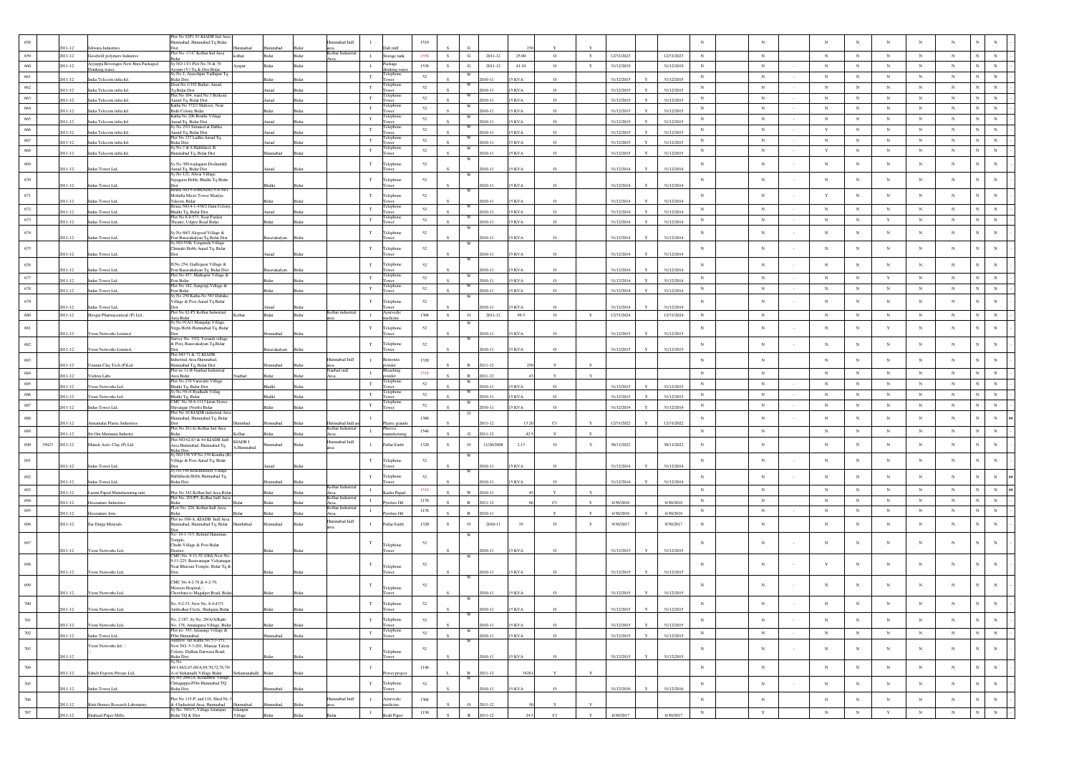|               |             |                                             | lot No 92P1 93 KIADB Ind Are                                                                        |                     |               |       |                  |              |                                |          |    |               |             |               |              |              |            |              |            |            |              |        |             |            |             |             |             |                              |
|---------------|-------------|---------------------------------------------|-----------------------------------------------------------------------------------------------------|---------------------|---------------|-------|------------------|--------------|--------------------------------|----------|----|---------------|-------------|---------------|--------------|--------------|------------|--------------|------------|------------|--------------|--------|-------------|------------|-------------|-------------|-------------|------------------------------|
|               | 2011-12     | wara Industries                             | lumnabad ,Humnabad Tq Bidar                                                                         |                     |               |       | IbnI badamm      |              |                                | 1519     |    |               |             |               |              |              |            |              |            |            |              |        |             |            | N           |             |             |                              |
| 659           | 2011-12     | loodwill polymers Industres                 | Plot No-17-C Kolhar Ind Area                                                                        | ilhar               | idar          | Bida  | Colhar Industria | $\;$ I       | Storage tank                   | 1358     | s. | $_{\rm G}$    | $2011 - 12$ | 25.00         | $\circ$      | $\mathbf Y$  | 12/31/2023 |              | 12/31/2023 | $_{\rm N}$ | $_{\rm N}$   |        | $_{\rm N}$  | $_{\rm N}$ | $_{\rm N}$  | $_{\rm N}$  | $_{\rm N}$  |                              |
|               |             | <b>Syyappa Beverages New Jhira Packaged</b> | Sv NO 13/1 Plot No 78 & 79                                                                          |                     |               |       |                  |              |                                |          |    |               |             |               |              |              |            |              |            |            |              |        |             |            |             |             |             |                              |
| 660           | 2011-12     | rinking water.                              | Ayspur (V) Tq & Dist Bidar<br>Sy No 1, Ayaeshpur Yadlapur T                                         | <b>Ayspur</b>       | <b>Sichar</b> | Ridar |                  | $\mathbf{I}$ | Package<br><b>Irinking</b> wat | 1538     | s. | G             | 2011-12     | 41.10         | $\circ$      | $\mathbf Y$  | 31/12/2019 |              | 31/12/2019 | $_{\rm N}$ | ${\bf N}$    |        | $_{\rm N}$  | $_{\rm N}$ | $_{\rm N}$  | $_{\rm N}$  | ${\bf N}$   | $_{\rm N}$<br>$_{\rm N}$     |
| 661           | 2011-12     | ndia Telecom infra Itd.                     | <b>Bidar Dist.</b>                                                                                  |                     |               |       |                  | $_{\rm T}$   | ower                           | 52       |    |               | $10 - 11$   | <b>KVA</b>    | $\Omega$     |              | 31/12/2015 |              | 31/12/2015 | $_{\rm N}$ | $_{\rm N}$   |        | $_{\rm N}$  | $_{\rm N}$ | $_{\rm N}$  | $_{\rm N}$  | $_{\rm N}$  |                              |
| 662           | 2011-12     | India Telecom infra Itd.                    | Door No 1/192 Ballur, Aurad<br>Tq.Bidar.Dist                                                        |                     | bem           |       |                  | $_{\rm T}$   | <b>Telephone</b>               | 52       |    | w             | 010-11      | <b>KVA</b>    | $\circ$      |              | 31/12/2015 |              | 31/12/2015 | $_{\rm N}$ | $_{\rm N}$   |        | $_{\rm N}$  | $_{\rm N}$ | $_{\rm N}$  | $_{\rm N}$  | $\mathbf N$ | $_{\rm N}$                   |
| 663           |             |                                             | lot No 104, ward No.3 Belkoni                                                                       |                     |               |       |                  | $_{\rm T}$   | elepho                         | 52       |    |               |             |               |              |              |            |              |            | $_{\rm N}$ | $_{\rm N}$   |        | $_{\rm N}$  | $_{\rm N}$ | $_{\rm N}$  | $_{\rm N}$  | $_{\rm N}$  | $_{\rm N}$                   |
|               | 2011-12     | ndia Telecom infra Itd.                     | Aurud Tq, Bidar Dist<br>latha No 372/1 Malioor. Near                                                |                     | bem           |       |                  |              | elepho                         |          |    |               | 010-11      | 5 KVA         | $\Omega$     |              | 31/12/2015 |              | 31/12/2015 |            |              |        |             |            |             |             |             |                              |
| $\,$ 664 $\,$ | $2011 - 12$ | ndia Telecom infra Itd.                     | an<br>Bidri Colony Bidar<br>Katha No 206 Bonthi Village                                             |                     |               |       |                  | $_{\rm T}$   | elepho                         | 52       |    |               | $10 - 11$   | <b>KVA</b>    |              |              | 31/12/2015 |              | 31/12/2013 | $_{\rm N}$ | $\mathbf N$  |        | $_{\rm N}$  | $_{\rm N}$ | $_{\rm N}$  | $_{\rm N}$  | $_{\rm N}$  | $_{\rm N}$<br>$_{\rm N}$     |
| 665           | 2011-12     | India Telecom infra Itd.                    | Aurad Tq, Bidar Dist                                                                                |                     |               |       |                  | T            | Tower                          | 52       |    |               | $010 - 11$  | <b>SKVA</b>   | $\Omega$     |              | 31/12/2015 |              | 31/12/2015 | $_{\rm N}$ | $_{\rm N}$   |        | N           | $_{\rm N}$ | N           | $_{\rm N}$  | $_{\rm N}$  | $_{\rm N}$                   |
| 666           | 2011-12     | India Telecom infra ltd.                    | y No 25/1 Situated at Dabka<br>Aurud Tq, Bidar Dist                                                 |                     | benu          | Bida  |                  | $_{\rm T}$   | <b>Telephon</b><br>wer         | 52       |    |               | 010-11      | 5 KVA         | $\circ$      |              | 31/12/2015 |              | 31/12/2015 | $_{\rm N}$ | $_{\rm N}$   |        | $\mathbf Y$ | $_{\rm N}$ | $_{\rm N}$  | $_{\rm N}$  | $_{\rm N}$  |                              |
| 667           |             |                                             | lot No 127 Ladha Aurad Tq.                                                                          |                     |               |       |                  | $_{\rm T}$   | l'elephon                      | 52       |    | W             |             |               |              |              |            |              |            | $_{\rm N}$ | $_{\rm N}$   |        | $_{\rm N}$  | $_{\rm N}$ | $_{\rm N}$  | $_{\rm N}$  | $_{\rm N}$  | $_{\rm N}$                   |
|               | 2011-12     | India Telecom infra Itd.                    | <b>Bidar Dist</b><br>v No 7 & 8 Hallikhed, B.                                                       |                     |               |       |                  |              | elephon                        |          |    |               | $10 - 11$   | KVA           | $\Omega$     |              | 31/12/2015 |              | 31/12/2015 |            |              |        |             |            |             |             |             |                              |
| 668           | 2011-12     | India Telecom infra ltd.                    | umnabad Tq, Bidar Dist                                                                              |                     | nnabad        |       |                  | $_{\rm T}$   | ower                           | 52       |    |               | $10 - 11$   | 5 KVA         | $\circ$      |              | 31/12/2015 |              | 31/12/2015 | $_{\rm N}$ | $_{\rm N}$   |        | $\mathbf Y$ | $_{\rm N}$ | $_{\rm N}$  | $_{\rm N}$  | $_{\rm N}$  | $_{\rm N}$<br>$_{\rm N}$     |
| 669           |             |                                             | y No 309, wadagaon Deshumkh                                                                         |                     |               |       |                  | $_{\rm T}$   | elephon                        | $52\,$   |    |               |             |               |              |              |            |              |            | $_{\rm N}$ | $_{\rm N}$   |        | $_{\rm N}$  | $_{\rm N}$ | $_{\rm N}$  | $_{\rm N}$  | $_{\rm N}$  |                              |
|               | 2011-12     | Indus Tower Ltd,                            | Aurad Tq. Bidar Dist<br>Sy No 121, Alwai Villa                                                      |                     |               |       |                  |              |                                |          |    |               | $10 - 11$   | 5 KVA         |              |              | 31/12/2014 |              | 31/12/2014 |            |              |        |             |            |             |             |             |                              |
| 670           |             |                                             | .<br>sayagaon Hobli, Bhalki Tq Bidar                                                                |                     |               |       |                  | $_{\rm T}$   | elephone                       | 52       |    |               |             |               |              |              |            |              |            | $_{\rm N}$ | $_{\rm N}$   |        | $_{\rm N}$  | $_{\rm N}$ | $_{\rm N}$  | $_{\rm N}$  | $_{\rm N}$  |                              |
|               | 2011-12     | Indus Tower Ltd,                            | nst<br>Iouse NO 5-4-66(New) 5-4-39/1                                                                |                     | Bhalki        |       |                  |              |                                |          |    |               | $10 - 11$   | 5 KVA         | $\circ$      |              | 31/12/2014 |              | 31/12/2014 |            |              |        |             |            |             |             |             |                              |
| 671           | 2011-12     | Indus Tower Ltd,                            | Mohalla Micro Tower Maniya<br>aleem, Bidar                                                          |                     |               |       |                  | T            | Felephone                      | 52       |    |               | 010-11      | 5 KVA         |              |              | 31/12/2014 |              | 31/12/2014 | $_{\rm N}$ | $_{\rm N}$   |        | Y           | $_{\rm N}$ | $_{\rm N}$  | $_{\rm N}$  | $_{\rm N}$  | N                            |
| 672           |             |                                             | ouse NO 4-1-438/2 Guru Colon                                                                        |                     |               |       |                  | T            | l'elephon                      | 52       |    | W             |             |               |              |              |            |              |            | $_{\rm N}$ | $_{\rm N}$   |        | N           | $_{\rm N}$ | $_{\rm N}$  | $_{\rm N}$  | $_{\rm N}$  |                              |
|               | 2011-12     | Indus Tower Ltd,                            | Bhalki Tq, Bidar Dist<br>Plot No 8-9-573. Near Farden                                               |                     | hem           |       |                  |              | wer<br>elephon                 |          |    |               | 010-11      | <b>SKVA</b>   | $\Omega$     |              | 31/12/2014 |              | 31/12/2014 |            |              |        |             |            |             |             |             |                              |
| 673           | 2011-12     | ndus Tower Ltd.                             | heatre, Udgire Road Bidar                                                                           |                     |               |       |                  | $_{\rm T}$   | ower                           | 52       |    |               | $10 - 11$   | 5 KVA         |              |              | 31/12/2014 |              | 31/12/2014 | $_{\rm N}$ | $_{\rm N}$   | $\sim$ | $_{\rm N}$  | $_{\rm N}$ | $\mathbf Y$ | $_{\rm N}$  | $_{\rm N}$  | $_{\rm N}$<br>$_{\rm N}$     |
| $\sqrt{674}$  |             |                                             | y No 60/3 Alogood Village &                                                                         |                     |               |       |                  | $_{\rm T}$   | Telephone                      | $52\,$   |    |               |             |               |              |              |            |              |            | $_{\rm N}$ | $_{\rm N}$   |        | $_{\rm N}$  | $_{\rm N}$ | $_{\rm N}$  | $_{\rm N}$  | $_{\rm N}$  |                              |
|               | 2011-12     | Indus Tower Ltd,                            | ost Basavakalyan Tq Bidar Dist<br>y NO 55/K Yengunda Village                                        |                     | Basavakalyan  | Bidar |                  |              |                                |          |    |               | 010-11      | 5 KVA         | $\Omega$     |              | 31/12/2014 |              | 31/12/2014 |            |              |        |             |            |             |             |             |                              |
| 675           |             |                                             | Chintaki Hobli Aurad Tq, Bidar                                                                      |                     |               |       |                  | $_{\rm T}$   | elephone                       | 52       |    |               |             |               |              |              |            |              |            | $_{\rm N}$ | $_{\rm N}$   |        | $_{\rm N}$  | $_{\rm N}$ | $_{\rm N}$  | $_{\rm N}$  | $_{\rm N}$  |                              |
|               | 2011-12     | Indus Tower Ltd,                            |                                                                                                     |                     | benu          |       |                  |              |                                |          |    |               | $10 - 11$   | 15 KVA        |              |              | 31/12/2014 |              | 31/12/2014 |            |              |        |             |            |             |             |             |                              |
| 676           |             |                                             | LNo 254, Gadlegaon Village &                                                                        |                     |               |       |                  | T            | Felephone                      | 52       |    |               |             |               |              |              |            |              |            | $_{\rm N}$ | $_{\rm N}$   |        | $_{\rm N}$  | $_{\rm N}$ | $_{\rm N}$  | $_{\rm N}$  | $_{\rm N}$  |                              |
| 677           | 2011-12     | Indus Tower Ltd,                            | Post Basavakalyan Tq, Bidar Dis<br>lot No 457, Malkapur Village &                                   |                     | Basavakalyan  | Bida  |                  | $_{\rm T}$   | Felephon                       | 52       |    | W             | 010-11      | 15 KVA        |              |              | 31/12/2014 |              | 31/12/2014 | $_{\rm N}$ | $_{\rm N}$   |        | $_{\rm N}$  | $_{\rm N}$ | $\mathbf Y$ | $_{\rm N}$  | $_{\rm N}$  |                              |
|               | 2011-12     | Indus Tower Ltd,                            | Post Bidar<br>Plot No 182, Sangolgi Village &                                                       |                     |               |       |                  |              | elephone                       |          |    |               | $10 - 11$   | KVA           | $\Omega$     |              | 31/12/2014 |              | 31/12/2014 |            |              |        |             |            |             |             |             |                              |
| 678           | 2011-12     | ndus Tower Ltd,                             | Post Bidar                                                                                          |                     |               |       |                  | $_{\rm T}$   | ower                           | 52       |    |               | $10 - 11$   | 5 KVA         | $\circ$      |              | 31/12/2014 |              | 31/12/2014 | $_{\rm N}$ | $_{\rm N}$   |        | $_{\rm N}$  | $_{\rm N}$ | $_{\rm N}$  | $_{\rm N}$  | $_{\rm N}$  | $_{\rm N}$                   |
| 679           |             |                                             | Sy No 250 Katha No 583 Dabaka<br>'illage & Post Aurad Tq Bidar                                      |                     |               |       |                  | $_{\rm T}$   | Telephone                      | 52       |    |               |             |               |              |              |            |              |            | $_{\rm N}$ | $_{\rm N}$   |        | $_{\rm N}$  | $_{\rm N}$ | $_{\rm N}$  | $_{\rm N}$  | $_{\rm N}$  |                              |
|               | 1011-12     | dus Tower Ltd,                              |                                                                                                     |                     |               |       |                  |              |                                |          |    |               | $0 - 1$     | <b>KVA</b>    |              |              | 31/12/2014 |              | 31/12/201  |            |              |        |             |            |             |             |             |                              |
| 680           | 2011-12     | Hoogar Pharmaceutical (P) Ltd.,             | Plot No 82-P2 Kolhar Industrial                                                                     | Kolhar              | Bidar         | Bidar | olhar indust     | $\mathbf{I}$ | Ayurvedio<br>edicine           | 1304     | S  | $\circ$       | $2011 - 12$ | 99.5          | $\circ$      | $\mathbf Y$  | 12/31/2024 |              | 12/31/2024 | $_{\rm N}$ | $_{\rm N}$   |        | $_{\rm N}$  | $_{\rm N}$ | $_{\rm N}$  | $_{\rm N}$  | $_{\rm N}$  | $_{\rm N}$                   |
| 681           |             |                                             | Area Bidar<br>Sy No 91A/1 Mangalgi Village,<br>lirga Hobli Humnabad Tq, Bida                        |                     |               |       |                  | $_{\rm T}$   | Telephone                      | 52       |    | W             |             |               |              |              |            |              |            | $_{\rm N}$ | $_{\rm N}$   |        | $_{\rm N}$  | $_{\rm N}$ | $\mathbf Y$ | $_{\rm N}$  | $_{\rm N}$  | $\mathbf N$                  |
|               | 2011-12     | Viom Networks Limited                       |                                                                                                     |                     | Iomnabad      |       |                  |              | <b>TWPF</b>                    |          |    |               | $010 - 11$  | 5 KVA         |              |              | 31/12/2015 |              | 31/12/2015 |            |              |        |             |            |             |             |             |                              |
| 682           |             |                                             | urvey No. 33/2, Yerandi villag<br>& Post, Basavakalyan Tq, Bidar                                    |                     |               |       |                  | $_{\rm T}$   | Felephone                      | $52\,$   |    |               |             |               |              |              |            |              |            | $_{\rm N}$ | $_{\rm N}$   |        | $_{\rm N}$  | $_{\rm N}$ | $_{\rm N}$  | $_{\rm N}$  | $_{\rm N}$  |                              |
|               | 2011-12     | Viom Networks Limited                       | lot NO 71 & 72 KIADB                                                                                |                     | asavakalyan   |       |                  |              |                                |          |    |               | 010-11      | 5 KVA         | $\Omega$     |              | 31/12/2015 |              | 31/12/2015 |            |              |        |             |            |             |             |             |                              |
| 683           |             |                                             | ndustrial Area Humnabad,                                                                            |                     |               |       | IbnI badam       | $\mathbf{I}$ | entonite                       | 1320     |    |               |             |               |              |              |            |              |            | $_{\rm N}$ | $_{\rm N}$   |        | $_{\rm N}$  | $_{\rm N}$ | $_{\rm N}$  | N           | $_{\rm N}$  |                              |
|               | 2011-12     | Jnimin Clay Tech (P)Ltd                     | umnabad Tq, Bidar Dist<br>lot no 11-B Naubad Industrial                                             |                     | omnabad       |       | ubad indl        |              | wder<br>eaching                |          |    |               | 011-12      |               |              |              |            |              |            |            |              |        |             |            |             |             |             |                              |
| 684           | 2011-12     | ishwa Labs                                  | nea Ridar                                                                                           | bedo                |               |       |                  | $\;$ I       | wder                           | 1518     |    |               | 011-12      |               |              | $\mathbf{v}$ |            |              |            | $_{\rm N}$ | $_{\rm N}$   |        | $_{\rm N}$  | $_{\rm N}$ | $_{\rm N}$  | $_{\rm N}$  | $_{\rm N}$  | $_{\rm N}$                   |
| 685           | 2011-12     | iom Networks Ltd                            | lot No 270 Varavatti Village<br><b>Bhalki Tq, Bidar Dist</b>                                        |                     | halki         | sida  |                  | $_{\rm T}$   | elephon<br>wer                 | 52       |    |               | 010-11      | <b>KVA</b>    | $\circ$      |              | 31/12/2015 |              | 31/12/2015 | $_{\rm N}$ | $_{\rm N}$   |        | $_{\rm N}$  | $_{\rm N}$ | $_{\rm N}$  | $_{\rm N}$  | $_{\rm N}$  | N<br>$_{\rm N}$              |
| 686           | 2011-12     | iom Networks Ltd                            | y No 59-/4 Byalhalli Villag                                                                         |                     | halki         |       |                  | $_{\rm T}$   | elepho                         | 52       |    |               | $010 - 11$  | KVA           | $\Omega$     |              | 31/12/2015 | $\mathbf{v}$ | 31/12/2015 | $_{\rm N}$ | $_{\rm N}$   |        | $_{\rm N}$  | $_{\rm N}$ | $_{\rm N}$  | $_{\rm N}$  | $_{\rm N}$  | $\overline{N}$<br>$_{\rm N}$ |
| 687           |             |                                             | a<br>Bhalki Tq, Bidar<br>CMC No 19-6-1113 kiran Stores                                              |                     |               |       |                  | $_{\rm T}$   | lenh                           | 52       |    |               |             |               |              |              |            |              |            | $_{\rm N}$ | $_{\rm N}$   |        | $_{\rm N}$  | $_{\rm N}$ | $_{\rm N}$  | $_{\rm N}$  | $_{\rm N}$  |                              |
|               | $2011 - 12$ | Indus Tower Ltd,                            | Shivangar (North) Bidar<br>Plot No 10 KIADB industrial An                                           |                     | Bidar         | Bidar |                  |              | ower                           |          |    |               | 010-11      | <b>15 KVA</b> | $\circ$      |              | 31/12/2014 |              | 31/12/2014 |            |              |        |             |            |             |             |             |                              |
| $688\,$       | 2011-12     |                                             | lumnabad, Humnabad Tq, Bidar                                                                        |                     |               |       | mnabad Ind       |              |                                | 1366     |    |               | $011 - 12$  | 13.2          | C1           |              | 12/31/2022 |              | 12/31/2022 | $_{\rm N}$ | $_{\rm N}$   |        | $_{\rm N}$  | $_{\rm N}$ | $_{\rm N}$  | $_{\rm N}$  | $_{\rm N}$  | $_{\rm N}$<br>$_{\rm N}$     |
| 689           |             | namalai Plastic Industrie                   | Plot No 20 (A) Kolhar Ind Area                                                                      | hedm                | omnabad       |       | Kolhar Industri: | $\mathbf{I}$ | astic gran<br>Phoova           | 1546     |    |               |             |               |              |              |            |              |            | $_{\rm N}$ | $_{\rm N}$   |        | $_{\rm N}$  | $_{\rm N}$ | $_{\rm N}$  | $\,$ N      | $_{\rm N}$  |                              |
|               | 2011-12     | Sri Om Murmura Industry                     | idar<br>Plot NO 62,63 & 64 KIADB Indi                                                               |                     |               |       |                  |              | nufactu                        |          |    | G.            | 011-12      |               |              |              |            |              |            |            |              |        |             |            |             |             |             |                              |
| 690<br>35023  | 2011-12     | Manek Activ Clay (P) Ltd                    | Area Humnabad, Humnabad Tq                                                                          | I ADB I<br>Iumnabad | hadam         | Rida  | Humnabad Indl    | $\mathbf{I}$ | Fullar Earth                   | 1320     | s. | $\circ$       | 11/26/2008  | 2.13          | $\circ$      | Y            | 30/11/2022 |              | 30/11/2022 | $_{\rm N}$ | $_{\rm N}$   |        | $_{\rm N}$  | $_{\rm N}$ | $\mathbf N$ | $_{\rm N}$  | $_{\rm N}$  | $_{\rm N}$                   |
|               |             |                                             | iidar Dist<br>y NO 156 VP No 159 Koutha (1                                                          |                     |               |       |                  |              |                                |          |    |               |             |               |              |              |            |              |            |            |              |        |             |            |             |             |             |                              |
| 691           | 2011-12     | Indus Tower Ltd,                            | 'illage & Post Aurad Tq, Bidar                                                                      |                     | benu          |       |                  | $_{\rm T}$   | Telephone<br>ister.            | $52\,$   |    |               | $10 - 11$   | 15 KVA        | $\Omega$     |              | 31/12/2014 |              | 31/12/2014 | $_{\rm N}$ | $_{\rm N}$   |        | $_{\rm N}$  | $_{\rm N}$ | $_{\rm N}$  | $_{\rm N}$  | $_{\rm N}$  |                              |
|               |             |                                             | .<br>Sy.No 148 Benchincholi Village                                                                 |                     |               |       |                  |              |                                |          |    |               |             |               |              |              |            |              |            |            |              |        |             |            |             |             |             |                              |
| 692           | 2011-12     | ndus Tower Ltd,                             | fallikheda Hobli Humnabad Tq,<br>idar Dist                                                          |                     |               |       |                  | $_{\rm T}$   | Felephone                      | 52       |    |               | $10 - 11$   | KVA           |              |              | 31/12/2014 |              | 31/12/2014 | $_{\rm N}$ | $_{\rm N}$   |        | $_{\rm N}$  | $_{\rm N}$ | $_{\rm N}$  | $_{\rm N}$  | $_{\rm N}$  | $_{\rm N}$                   |
| 693           |             |                                             |                                                                                                     |                     |               |       | Kolhar Indus     | $\mathbf{I}$ |                                | 1519     |    |               |             |               |              |              |            |              |            | $_{\rm N}$ | $_{\rm N}$   |        | $_{\rm N}$  | $_{\rm N}$ | $_{\rm N}$  | $_{\rm N}$  | $_{\rm N}$  | $\overline{N}$<br>$_{\rm N}$ |
| 694           | 2011-12     | axmi Papad Manufacturing unit               | Plot No 342 Kolhar Ind Area Bid:<br>Plot No. 291/P5, Kolhar Indl Area                               |                     |               | Sida  | Kolhar Industri  | $\mathbf{I}$ | Kacha Papa                     |          |    | $\mathbf{W}$  | 2010-11     |               |              |              |            |              |            |            |              |        |             |            | $_{\rm N}$  |             |             | $_{\rm N}$                   |
|               | 2011-12     | enature Industries                          | PLot No. 224, Kolhar Indi Area,                                                                     |                     |               |       | Kolhar Indus     |              | rolsis Oil                     | $1178\,$ |    |               | 2011-12     |               | C1           | Y            | 6/30/2018  |              | 6/30/2018  | $_{\rm N}$ | $_{\rm N}$   |        | $_{\rm N}$  | $_{\rm N}$ |             | $_{\rm N}$  | $_{\rm N}$  |                              |
| 695           | 2011-12     | eenature Ions                               |                                                                                                     |                     |               |       |                  | $\mathbf{I}$ | rolsis Oil                     | 1178     |    |               | 010-11      |               |              |              | 6/30/2018  |              | 6/30/2018  | $_{\rm N}$ | $_{\rm N}$   |        | $_{\rm N}$  | $_{\rm N}$ | $_{\rm N}$  | $_{\rm N}$  | $_{\rm N}$  | $\mathbf N$<br>$_{\rm N}$    |
| 696           | 2011-12     | Sai Durga Minerals                          | Plot no 108-A. KIADB Indi Area<br>fumnabad, Humnabad Tq, Bidar                                      | hadadmu             | hadamno       |       | Ilumnabad Indl   | $\mathbf{I}$ | Fullar Earth                   | 1320     | s  | $\circ$       | $2010 - 11$ | 19            | $\mathbf{o}$ | Y            | 9/30/2017  |              | 9/30/2017  | $_{\rm N}$ | $_{\rm N}$   |        | $_{\rm N}$  | $_{\rm N}$ | $_{\rm N}$  | $_{\rm N}$  | $_{\rm N}$  |                              |
|               |             |                                             | )ist<br>lo- 18-1-315, Behind Hanuman                                                                |                     |               |       |                  |              |                                |          |    |               |             |               |              |              |            |              |            |            |              |        |             |            |             |             |             |                              |
| 697           |             |                                             | 'emple,                                                                                             |                     |               |       |                  | $_{\rm T}$   |                                | 52       |    |               |             |               |              |              |            |              |            | $_{\rm N}$ | N            |        | $_{\rm N}$  | $_{\rm N}$ | $_{\rm N}$  | N           | $_{\rm N}$  |                              |
|               | 2011-12     | Viom Networks Ltd.                          | Chidri Village & Post Bidar                                                                         |                     |               |       |                  |              | Felephone                      |          |    |               | $10 - 11$   | KVA           |              |              | 31/12/2015 |              | 31/12/2015 |            |              |        |             |            |             |             |             |                              |
|               |             |                                             | лятет.<br>2MC-No. 9-11-52 (Old) New Ne<br>9-11-225, Basavanagar Vidyanag                            |                     |               |       |                  |              |                                |          |    |               |             |               |              |              |            |              |            |            |              |        |             |            |             |             |             |                              |
| 698           |             |                                             | Near Bhavani Temple, Bidar Tq &                                                                     |                     |               |       |                  | T            | Telephone                      | $52\,$   |    |               |             |               |              |              |            |              |            | $_{\rm N}$ | N            |        | Y           | $_{\rm N}$ | $_{\rm N}$  | N           | $_{\rm N}$  | $_{\rm N}$                   |
|               | 2011-12     | Viom Networks Ltd,                          |                                                                                                     |                     | Bidar         |       |                  |              |                                |          |    |               | 010-11      | <b>15 KVA</b> |              |              | 31/12/2015 |              | 31/12/2015 |            |              |        |             |            |             |             |             |                              |
|               |             |                                             | CMC No 4-2-78 & 4-2-79,                                                                             |                     |               |       |                  | T            |                                | 52       |    |               |             |               |              |              |            |              |            | $_{\rm N}$ | N            |        | $_{\rm N}$  | $_{\rm N}$ | N           | $_{\rm N}$  | $_{\rm N}$  |                              |
|               | 2011-12     | Viom Networks Ltd,                          | Mission Hospital,<br>Chowbara to Magalpet Road, Bida                                                |                     |               |       |                  |              | Felephone                      |          |    |               |             | 5 KVA         |              |              | 31/12/2015 |              | 31/12/2015 |            |              |        |             |            |             |             |             |                              |
|               |             |                                             | $0.0.22$ Map Ms. $0.4.47/2$                                                                         |                     |               |       |                  |              |                                |          |    | W             |             |               |              |              |            |              |            |            |              |        |             |            |             |             |             |                              |
|               | 2011-12     | Viom Networks Ltd,                          | Ambedkar Circle, Shahgunj Bidar                                                                     |                     | Bidar         | Bidar |                  |              | <b>Fower</b>                   |          |    |               | 2010-11     | 15 KVA        | $\circ$      |              | 31/12/2015 | $\mathbf{Y}$ | 31/12/2015 |            |              |        |             |            |             |             |             |                              |
| $701\,$       |             |                                             | No. 2-187, Sy No. 29/A/A/Kath                                                                       |                     |               |       |                  | $_{\rm T}$   | Telephone                      | 52       |    |               |             |               |              |              |            |              |            | $_{\rm N}$ | $_{\rm N}$   | $\sim$ | $_{\rm N}$  | $_{\rm N}$ | $_{\rm N}$  | $\mathbf N$ | $_{\rm N}$  |                              |
|               | 2011-12     | Viom Networks Ltd,                          | No. 178, Amalapura Village, Bida<br>Plot no. 393, Jalasangi Village &                               |                     |               |       |                  |              | ower                           |          |    |               | 010-11      | 5 KVA         | $\circ$      |              | 31/12/2015 |              | 31/12/2015 |            |              |        |             |            |             |             |             |                              |
| $702\,$       | 2011-12     | ndus Tower Ltd,                             | POst Humnabad<br>Address old Katha No 5-3-151,                                                      |                     | mnabad        | Ridar |                  | $_{\rm T}$   | Felephone<br><b>Fower</b>      | $52\,$   |    |               | 010-11      | 5 KVA         | $\circ$      |              | 31/12/2015 |              | 31/12/2015 | $\,$ N     | ${\bf N}$    | $\sim$ | $_{\rm N}$  | $_{\rm N}$ | $\,$ N      | ${\bf N}$   | ${\bf N}$   | $_{\rm N}$<br>$_{\rm N}$     |
|               |             | Viom Networks Itd                           | New NO. 5-3-201, Manyar Talem                                                                       |                     |               |       |                  |              |                                |          |    |               |             |               |              |              |            |              |            |            |              |        |             |            |             |             |             |                              |
| $703\,$       |             |                                             | Colony, Dulhan Darwaza Road,                                                                        |                     |               |       |                  | $_{\rm T}$   | Felephone                      | 52       |    |               |             |               |              |              |            |              |            | $_{\rm N}$ | $_{\rm N}$   | $\sim$ | $_{\rm N}$  | $_{\rm N}$ | $_{\rm N}$  | $\mathbf N$ | $_{\rm N}$  | $_{\rm N}$<br>$_{\rm N}$     |
|               | $2011 - 12$ |                                             | 3idar Dist                                                                                          |                     |               | Bidar |                  |              | ower                           |          |    |               | $010 - 11$  | <b>15 KVA</b> | $\circ$      |              | 31/12/2015 |              | 31/12/2015 |            |              |        |             |            |             |             |             |                              |
| $704\,$       |             |                                             | <br>56/1,66/2,67,68/A,69,70,72,78,79/                                                               |                     |               |       |                  | $\;$ I       |                                | 1146     |    |               |             | 3426          | $\mathbf{Y}$ | $\mathbf{Y}$ |            |              |            | $_{\rm N}$ | $_{\rm N}$   |        | $_{\rm N}$  | $_{\rm N}$ | $_{\rm N}$  | $_{\rm N}$  | $_{\rm N}$  | $_{\rm N}$<br>$_{\rm N}$     |
|               | 2011-12     | Saheli Exports Private Ltd,                 | .<br>A of Sirkatnalli Village Bidar<br>Sy No 204/2A, Kodambal Village.                              | irkantanahalli      |               |       |                  |              |                                |          |    | W             | 2011-12     |               |              |              |            |              |            |            |              |        |             |            |             |             |             |                              |
| $705\,$       | 2011-12     | Indus Tower Ltd.                            | hitaguppa POst Humnabad TQ<br>idar Dist                                                             |                     |               |       |                  | $_{\rm T}$   | Felephone<br>ower              | 52       |    |               | 010-11      | <b>15 KVA</b> | $\circ$      |              | 31/12/2016 |              | 31/12/2016 | $\,$ N     | $_{\rm N}$   | $\sim$ | $_{\rm N}$  | $_{\rm N}$ | $_{\rm N}$  | $_{\rm N}$  | $_{\rm N}$  | $_{\rm N}$<br>$_{\rm N}$     |
|               |             |                                             |                                                                                                     |                     |               |       |                  |              |                                |          |    |               |             |               |              |              |            |              |            |            |              |        |             |            |             |             |             | $\overline{N}$               |
| $706\,$       | 2011-12     | Kirti Homeo Research Laboratary.            | Plot No 115-P, and 116, Shed No<br>& 4 Industrial Area, Humnabad<br>Sy No. 39/1/3, Village Islampur | Humnabad            | mnabad        |       | Ilumnabad Indl   | $\;$ I       | Ayurvedic<br>edicine           | $1304\,$ |    | $\circ$       | 2011-12     |               |              |              |            |              |            | $\,$ N     | $_{\rm N}$   |        | $_{\rm N}$  | $_{\rm N}$ | $_{\rm N}$  | $_{\rm N}$  | $_{\rm N}$  | $\,$ N                       |
| $707\,$       | 2011-12     | Shahzad Paper Mills,                        | idar TQ & Dist                                                                                      | Islampur<br>illage  |               |       |                  | $\;$ I       | Kraft Paper                    | 1150     |    | $\mathbb R^-$ | 2011-12     |               | C1           | $\mathbf{Y}$ | 6/30/2017  |              | 6/30/2017  | $\,$ N     | $\mathbf{Y}$ |        | $_{\rm N}$  | $_{\rm N}$ | $\mathbf Y$ | $\mathbf N$ | $\,$ N      | $_{\rm N}$<br>$_{\rm N}$     |
|               |             |                                             |                                                                                                     |                     |               |       |                  |              |                                |          |    |               |             |               |              |              |            |              |            |            |              |        |             |            |             |             |             |                              |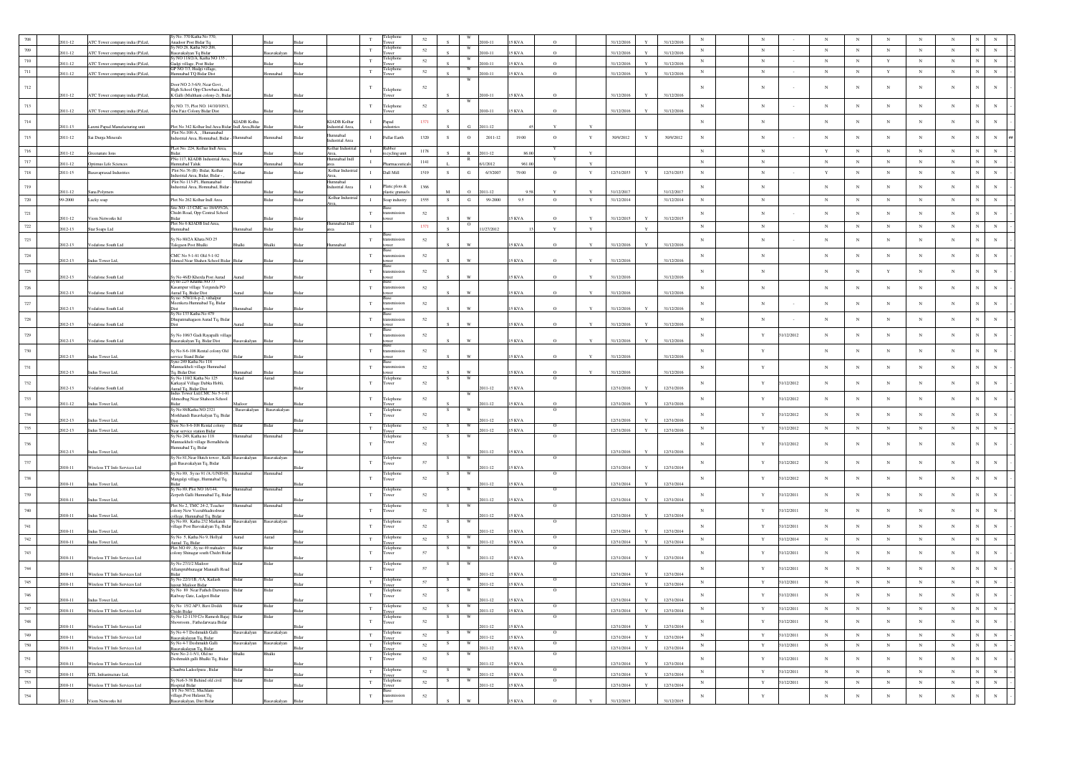|         |           |                                 | iy No. 370 Katha No 370.                                                              |                     |               |       |                                        |              |                        |        |    |            |            |               |              |              |            |              |            |             |             |            |             |                 |             |            |            |                               |
|---------|-----------|---------------------------------|---------------------------------------------------------------------------------------|---------------------|---------------|-------|----------------------------------------|--------------|------------------------|--------|----|------------|------------|---------------|--------------|--------------|------------|--------------|------------|-------------|-------------|------------|-------------|-----------------|-------------|------------|------------|-------------------------------|
|         |           | ATC Tower company india (P)Ltd, | <b>Anadoor Post Bidar Tq</b>                                                          |                     |               |       |                                        |              |                        | 52     |    |            |            | KVA           |              |              | 31/12/201  |              | 31/12/2016 |             |             |            |             |                 | N           |            |            |                               |
| 709     | 011-12    | ATC Tower company india (P)Ltd, | v NO 28. Katha NO 208<br>asavakalyan Tq Bidar                                         |                     | avakalyar     |       |                                        | $_{\rm T}$   | elephon<br>ower        | 52     |    |            | 2010-11    | <b>15 KVA</b> | $\circ$      |              | 31/12/2016 |              | 31/12/2016 | $_{\rm N}$  | $_{\rm N}$  |            | $_{\rm N}$  | $_{\rm N}$      | $_{\rm N}$  | $_{\rm N}$ | $_{\rm N}$ | N                             |
| $710\,$ |           |                                 | iy NO 118/2/A, Katha NO 135                                                           |                     |               |       |                                        | $_{\rm T}$   | <b>Telephone</b>       | 52     |    | W          |            |               |              |              |            |              |            | $_{\rm N}$  | $_{\rm N}$  |            | $_{\rm N}$  | $_{\rm N}$      | $\mathbf Y$ | $_{\rm N}$ | $_{\rm N}$ | $\mathbf{N}$<br>$_{\rm N}$    |
|         | $11 - 12$ | ATC Tower company india (P)Ltd, | kadgi village, Post Bidar<br>GP NO 7/3, Hudgi village                                 |                     |               |       |                                        |              | wer<br>elephone        |        |    | W          | 010-11     | 5 KVA         | $\Omega$     |              | 31/12/2016 |              | 31/12/2016 |             |             |            |             |                 |             |            |            |                               |
| 711     | 2011-12   | ATC Tower company india (P)Ltd, | Iumnabad TQ Bidar Dist                                                                |                     | mnahad        |       |                                        | $_{\rm T}$   | ower                   | 52     |    |            | 010-11     | KVA           | $\Omega$     |              | 31/12/2016 |              | 31/12/2016 | $_{\rm N}$  | $_{\rm N}$  |            | $_{\rm N}$  | $_{\rm N}$      | $\mathbf Y$ | $_{\rm N}$ | $_{\rm N}$ | $_{\rm N}$<br>$_{\rm N}$      |
| $712\,$ |           |                                 | Door NO 2-3-6/9, Near Govt                                                            |                     |               |       |                                        | T            |                        | 52     |    | W          |            |               |              |              |            |              |            | $\mathbf N$ | N           |            | $_{\rm N}$  | N               | $_{\rm N}$  | N          | $_{\rm N}$ | $\mathbf{N}$<br>N             |
|         | 011-12    | ATC Tower company india (P)Ltd, | High School Opp Chowbara Road                                                         |                     |               |       |                                        |              | elephone               |        |    |            | $10 - 11$  | 5 KVA         |              |              | 31/12/2016 |              | 31/12/2016 |             |             |            |             |                 |             |            |            |                               |
|         |           |                                 | K Galli (Multhani colony-2), Bida                                                     |                     |               |       |                                        |              |                        |        |    |            |            |               |              |              |            |              |            |             |             |            |             |                 |             |            |            |                               |
| $713\,$ | 2011-12   | ATC Tower company india (P)Ltd, | Sy NO. 73, Plot NO. 14/10/105/1<br>Abu Faiz Colony Bidar Dist                         |                     |               |       |                                        | T            | Telephone<br>wer       | 52     |    |            | 010-11     | KVA           |              |              | 31/12/2016 |              | 31/12/2016 | $_{\rm N}$  | $_{\rm N}$  |            | $_{\rm N}$  | $_{\rm N}$      | $_{\rm N}$  | $_{\rm N}$ | $_{\rm N}$ | N                             |
|         |           |                                 |                                                                                       |                     |               |       |                                        |              |                        |        |    |            |            |               |              |              |            |              |            |             |             |            |             |                 |             |            |            |                               |
| $714\,$ | 011-13    | Laxmi Papad Manufacturing unit  | Plot No 342 Kolhar Ind Area Bidar Indl Area, Bidar                                    | <b>KIADB</b> Kolha  |               |       | <b>KIADB</b> Kolhar<br>ndustrial Area. |              | Papad                  | 1371   |    | G          | 2011-12    |               |              |              |            |              |            | $_{\rm N}$  | $_{\rm N}$  |            | $_{\rm N}$  | $_{\rm N}$      | $_{\rm N}$  | $_{\rm N}$ | $_{\rm N}$ | N<br>$_{\rm N}$               |
|         |           |                                 | Plot No.108-A, , Humanabad                                                            |                     |               |       | hedsmm                                 |              |                        |        |    |            |            |               |              |              |            |              |            |             |             |            |             |                 |             |            |            |                               |
| $715\,$ | 2011-12   | Sai Durga Minerals              | ndustrial Area, Homnabad, Bidar -                                                     | hadam               | nnabad        |       | dustrial Area                          | $\mathbf{I}$ | Fullar Earth           | 1320   |    | $\circ$    | 2011-12    | 19.00         | $\mathbf{o}$ | $\mathbf Y$  | 30/9/2012  | $\mathbf Y$  | 30/9/2012  | $_{\rm N}$  | $_{\rm N}$  |            | $_{\rm N}$  | $_{\rm N}$      | $_{\rm N}$  | $_{\rm N}$ | $_{\rm N}$ | N<br>$_{\rm N}$               |
| 716     | 011-12    | Greenature Ions                 | Lot No. 224, Kolhar Indi Area,                                                        |                     |               |       | Kolhar Indus                           | $\mathbf{I}$ |                        | 1178   |    |            | 2011-12    | 86.0          |              | Y            |            |              |            | $_{\rm N}$  | $\,$ N      |            | $\mathbf Y$ | $_{\rm N}$      | $_{\rm N}$  | $_{\rm N}$ | $\,$ N     | $_{\rm N}$<br>$_{\rm N}$      |
| $717\,$ |           |                                 | 3idar.<br>No.117 KIADR Industrial Are                                                 |                     |               |       | Area,<br>nahad Ir                      | $\mathbf{I}$ | recycling uni          | 1141   |    |            |            |               |              |              |            |              |            | $_{\rm N}$  | $_{\rm N}$  |            | $_{\rm N}$  | $_{\mathrm{N}}$ | $_{\rm N}$  | $_{\rm N}$ | $_{\rm N}$ | $_{\rm N}$<br>N               |
|         | 11-12     | Optimus Life Sciences           | fumnabad Taluk<br>Plot No.76 (B) Bidar, Kolhar                                        |                     | mabas         |       | Kolhar Indus                           |              |                        |        |    |            | 1/2012     | 961.0         |              | $\mathbf{v}$ |            |              |            |             |             |            |             |                 |             |            |            |                               |
| 718     | 2011-15   | <b>Basavaprasad Industries</b>  | ndustrial Area, Bidar, Bidar -                                                        | Kolhar              | idar          | Bidar | Area,                                  | $\mathbf{I}$ | Dall Mill              | 1519   | S  | G          | 6/3/2007   | 79.00         | $\circ$      | $\mathbf Y$  | 12/31/2033 | $\mathbf Y$  | 12/31/2033 | $_{\rm N}$  | $_{\rm N}$  |            | $\mathbf Y$ | $_{\rm N}$      | $_{\rm N}$  | $_{\rm N}$ | $_{\rm N}$ | $_{\rm N}$<br>$_{\rm N}$      |
| $719\,$ |           |                                 | Plot No 113-P1. Humanabad<br>ndustrial Area, Homnabad, Bidar                          | fumnahar            |               |       | mnabad                                 | $\mathbf{I}$ | Platic plots &         | 1366   |    |            |            |               |              |              |            |              |            | $_{\rm N}$  | $_{\rm N}$  |            | $_{\rm N}$  | $_{\rm N}$      | $_{\rm N}$  | $_{\rm N}$ | $_{\rm N}$ | N<br>$_{\rm N}$               |
|         | 011-12    | Sana Polymers                   |                                                                                       |                     |               |       | ndustrial Area                         |              | astic granue           |        |    |            | 011-12     |               |              |              | 31/12/2017 |              | 31/12/2017 |             |             |            |             |                 |             |            |            |                               |
| $720\,$ | 99-2000   | Lucky soap                      | Plot No 262 Kolhar Indi Area                                                          |                     | Bidar         | Rida  | Kolhar Industr                         | $\mathbf{I}$ | Soap industry          | 1555   | S  | $_{\rm G}$ | 99-2000    | 9.5           | $\circ$      | Y            | 31/12/2014 |              | 31/12/2014 | N           | $_{\rm N}$  |            | $_{\rm N}$  | $_{\rm N}$      | $_{\rm N}$  | $_{\rm N}$ | $_{\rm N}$ | $_{\rm N}$<br>$_{\rm N}$      |
|         |           |                                 | Site NO -13 CMC no 18/4/95/26.<br>Chidri Road, Opp Central School                     |                     |               |       |                                        |              |                        |        |    |            |            |               |              |              |            |              |            |             |             |            |             |                 | $_{\rm N}$  |            | $_{\rm N}$ | $_{\rm N}$<br>$_{\rm N}$      |
| $721\,$ | 011-12    | Viom Networks Itd               |                                                                                       |                     |               |       |                                        | T            | ismission              | 52     |    |            |            | 5 KVA         |              |              | 31/12/2015 |              | 31/12/2015 | $_{\rm N}$  | $_{\rm N}$  |            | $_{\rm N}$  | $_{\rm N}$      |             | $_{\rm N}$ |            |                               |
| $722\,$ | 012-13    | Star Soaps Ltd                  | lot No 6 KIADB Ind Area,<br>herlenn                                                   |                     |               |       | nnabad In                              | $\;$ I       |                        | 1371   |    | $\circ$    | 1/27/2012  |               | $\mathbf{v}$ | $\mathbf{Y}$ |            | $\mathbf{v}$ |            | $_{\rm N}$  | $_{\rm N}$  |            | $_{\rm N}$  | $_{\rm N}$      | $_{\rm N}$  | $_{\rm N}$ | $_{\rm N}$ | $_{\rm N}$<br>$_{\rm N}$      |
|         |           |                                 |                                                                                       |                     |               |       |                                        |              |                        |        |    |            |            |               |              |              |            |              |            |             |             |            |             |                 |             |            |            |                               |
| $723\,$ | 012-13    | Vodafone South Ltd              | y No 80/2A Khata NO 25<br>alegaon Post Bhalki                                         |                     |               |       |                                        | $_{\rm T}$   |                        | 52     |    |            |            | KVA           |              |              | 31/12/2016 |              | 31/12/2016 | $_{\rm N}$  | $_{\rm N}$  |            | $_{\rm N}$  | $_{\rm N}$      | $_{\rm N}$  | $_{\rm N}$ | $_{\rm N}$ | N<br>$\mathbf N$              |
| $724\,$ |           |                                 | CMC No 5-1-81 Old 5-1-92                                                              |                     |               |       |                                        | T            |                        |        |    |            |            |               |              |              |            |              |            | $_{\rm N}$  |             |            |             | $_{\rm N}$      |             | $_{\rm N}$ | $_{\rm N}$ | $\overline{N}$<br>N           |
|         | 2012-13   | Indus Tower Ltd,                | Ahmed Near Shahen School Bidar                                                        |                     |               |       |                                        |              |                        | 52     |    |            |            | 5 KVA         | $\circ$      |              | 31/12/2016 |              | 31/12/2016 |             | $_{\rm N}$  |            | $_{\rm N}$  |                 | $_{\rm N}$  |            |            |                               |
| $725\,$ |           |                                 |                                                                                       |                     |               |       |                                        | $_{\rm T}$   |                        | 52     |    |            |            |               |              |              |            |              |            | $_{\rm N}$  | $_{\rm N}$  |            | $_{\rm N}$  | $_{\rm N}$      | $\mathbf Y$ | $_{\rm N}$ | $_{\rm N}$ | N                             |
|         | 012-13    | Vodafone South Ltd              | Sy No 46/D Kherda Post Aurad<br>Sy no 22/5 Khatha NO 73                               |                     |               |       |                                        |              |                        |        |    |            |            | 5 KVA         |              |              | 31/12/2016 |              | 31/12/2016 |             |             |            |             |                 |             |            |            |                               |
| $726\,$ |           |                                 | Casampur village Yergunda PO                                                          |                     |               |       |                                        | $_{\rm T}$   |                        | 52     |    |            |            |               |              |              |            |              |            | $_{\rm N}$  | $_{\rm N}$  |            | $_{\rm N}$  | $_{\rm N}$      | $_{\rm N}$  | $_{\rm N}$ | $_{\rm N}$ | N                             |
|         | 012-13    | Vodafone South Ltd              | Aurad Tq, Bidar Dist                                                                  |                     |               |       |                                        |              |                        |        |    |            |            | 5 KVA         |              |              | 31/12/2016 |              | 31/12/2016 |             |             |            |             |                 |             |            |            |                               |
| 727     |           |                                 | v no 578/1/A-p-2, vithalpu<br>Meenkera Humnabad Tq, Bidar                             |                     |               |       |                                        | T            | smission               | 52     |    |            |            |               |              |              |            |              |            | $_{\rm N}$  | $_{\rm N}$  |            | $_{\rm N}$  | $_{\rm N}$      | $_{\rm N}$  | $_{\rm N}$ | $_{\rm N}$ | N<br>N                        |
|         | 2012-13   | Vodafone South Ltd              | Sy No 133 Katha No 479                                                                | badann              |               |       |                                        |              |                        |        |    |            |            | 15 KVA        |              |              | 31/12/2016 |              | 31/12/2016 |             |             |            |             |                 |             |            |            |                               |
| $728\,$ |           |                                 | Dhupatmahagaon Aurad Tq, Bidar                                                        |                     |               |       |                                        | $_{\rm T}$   |                        | 52     |    |            |            |               |              |              |            |              |            | $_{\rm N}$  | $_{\rm N}$  |            | $_{\rm N}$  | $_{\rm N}$      | $_{\rm N}$  | $_{\rm N}$ | $_{\rm N}$ | $_{\rm N}$<br>$_{\rm N}$      |
|         | 2012-13   | Vodafone South Ltd              |                                                                                       |                     |               |       |                                        |              |                        |        |    |            |            | 5 KVA         |              |              | 31/12/2016 |              | 31/12/2016 |             |             |            |             |                 |             |            |            |                               |
| $729\,$ |           |                                 | Sy No 106/3 Gadi Rayapalli village                                                    |                     |               |       |                                        | $_{\rm T}$   |                        | 52     |    |            |            |               |              |              |            |              |            | $_{\rm N}$  | $\mathbf Y$ | 1/12/2012  | $_{\rm N}$  | $_{\rm N}$      | $_{\rm N}$  | $_{\rm N}$ | $_{\rm N}$ | N                             |
|         | 012-13    | Vodafone South Ltd              | Basavakalyan Tq, Bidar Dist                                                           | Basavakalyan        |               |       |                                        |              |                        |        |    |            |            | KVA           |              |              | 31/12/2016 |              | 31/12/201  |             |             |            |             |                 |             |            |            |                               |
| 730     | 2012-13   |                                 | Sy No 8-6-108 Rental colony Old                                                       |                     |               |       |                                        | T            | ismissior              | 52     |    |            |            | 5 KVA         |              |              | 31/12/2016 |              | 31/12/2016 | $_{\rm N}$  | Y           |            | $_{\rm N}$  | $_{\rm N}$      | $_{\rm N}$  | $_{\rm N}$ | $_{\rm N}$ | $\mathbf N$<br>$_{\rm N}$     |
|         |           | Indus Tower Ltd,                | ervice Stand Bidar<br>Syno 249 Katha No 118                                           |                     |               |       |                                        |              |                        |        |    |            |            |               |              |              |            |              |            |             |             |            |             |                 |             |            |            |                               |
| 731     | 2012-13   | Indus Tower Ltd,                | Mannaekheli village Humnabad<br>l'a. Bidar Dist                                       | mabac               |               |       |                                        | $_{\rm T}$   |                        | 52     |    |            |            | 5 KVA         |              |              | 31/12/2016 |              | 31/12/2016 | $_{\rm N}$  | $\mathbf Y$ |            | $_{\rm N}$  | N               | $_{\rm N}$  | $_{\rm N}$ | $_{\rm N}$ | N<br>$_{\rm N}$               |
|         |           |                                 | šv No 110/2 Katha No 125                                                              | Aurad               | Aurad         |       |                                        |              | Telephone              |        | -S | W          |            |               | $\circ$      |              |            |              |            |             |             |            |             |                 |             |            |            |                               |
| 732     | 2012-13   | Vodafone South Ltd              | Karkayal Village Dabka Hobli,                                                         |                     |               |       |                                        | $_{\rm T}$   | Tower                  | 52     |    |            | 011-12     | 15 KVA        |              |              | 12/31/2016 |              | 12/31/2016 | $_{\rm N}$  | $\mathbf Y$ | 1/12/2012  | $_{\rm N}$  | $_{\rm N}$      | $_{\rm N}$  | $_{\rm N}$ | $_{\rm N}$ | N<br>N                        |
|         |           |                                 | Aurad Tq, Bidar Dist<br>Indus Tower Ltd,CMC No 5-1-81<br>Ahmedbag Near Shaheen School |                     |               |       |                                        |              | Telephone              |        |    |            |            |               |              |              |            |              |            | $_{\rm N}$  |             | 1/12/2012  | $_{\rm N}$  | $_{\rm N}$      | $_{\rm N}$  | $_{\rm N}$ | $_{\rm N}$ | N                             |
| 733     | 2011-12   | Indus Tower Ltd,                | 3idar                                                                                 | Mailoor             |               |       |                                        | $_{\rm T}$   | wer                    | 52     |    |            | 011-12     | 15 KVA        |              |              | 12/31/2016 |              | 12/31/2016 |             | Y           |            |             |                 |             |            |            | N                             |
| 734     |           |                                 | iy No 88/Katha NO 2321                                                                | , Basavakalyan      | , Basavakalya |       |                                        | $_{\rm T}$   | l'elephon              | 52     |    |            |            |               |              |              |            |              |            | $_{\rm N}$  | Y           |            | $_{\rm N}$  | $_{\rm N}$      | $_{\rm N}$  | $_{\rm N}$ | $_{\rm N}$ | N                             |
|         | 012-13    | Indus Tower Ltd,                | Morkhandi Basavkalyan Tq, Bida                                                        |                     |               |       |                                        |              | ower                   |        |    |            | 011-12     | 5 KVA         |              |              | 12/31/2016 |              | 12/31/2016 |             |             | 31/12/2012 |             |                 |             |            |            |                               |
| $735\,$ | 012-13    | Indus Tower Ltd,                | New No 8-6-108 Rental colony<br>Near service station Bidar                            | Bidar               | Bidar         |       |                                        | $_{\rm T}$   | Telephone<br>ower      | 52     | -S | W          | 011-12     | <b>15 KVA</b> | $\circ$      |              | 12/31/2016 | $\mathbf{v}$ | 12/31/2016 | $_{\rm N}$  | $\mathbf Y$ | 31/12/2012 | $_{\rm N}$  | $_{\rm N}$      | $_{\rm N}$  | $_{\rm N}$ | $_{\rm N}$ | $\mathbf N$<br>$_{\rm N}$     |
|         |           |                                 | Sy No 249, Katha no 118                                                               | mabad               | nnabad        |       |                                        |              | <b>Telephon</b>        |        |    |            |            |               |              |              |            |              |            |             |             |            |             |                 |             |            |            |                               |
| 736     |           |                                 | Mannaekheli village Bemalkheda<br>lumnabad Tq, Bidar                                  |                     |               |       |                                        | $_{\rm T}$   | ower                   | 52     |    |            |            |               |              |              |            |              |            | $_{\rm N}$  | Y           | 1/12/2012  | $_{\rm N}$  | $_{\rm N}$      | $_{\rm N}$  | $_{\rm N}$ | $_{\rm N}$ | N                             |
|         | 2012-13   | Indus Tower Ltd,                | Sy No 81, Near Hutch tower, Kalli Basavakalyan                                        |                     |               |       |                                        |              |                        |        |    |            | 2011-12    | <b>15 KVA</b> |              |              | 12/31/2016 |              | 12/31/2016 |             |             |            |             |                 |             |            |            |                               |
| 737     |           |                                 | gali Basavakalyan Tq, Bidar                                                           |                     | 3asavakalyan  |       |                                        | $_{\rm T}$   | <b>Telephon</b><br>wer | 57     |    |            |            |               |              |              |            |              |            | $_{\rm N}$  | $\mathbf Y$ | 31/12/2012 | $_{\rm N}$  | $_{\rm N}$      | $_{\rm N}$  | $_{\rm N}$ | $_{\rm N}$ | $_{\rm N}$                    |
|         | 2010-11   | Wireless TT Info Services Ltd   | Sy No 89, Sy no 91 /A /1/NH-09,                                                       | mnabad              | lumnabad      |       |                                        |              | Telephon               |        |    |            | 011-12     | 15 KVA        | $\circ$      |              | 12/31/2014 |              | 12/31/2014 |             |             |            |             |                 |             |            |            |                               |
| 738     |           |                                 | Mangalgi village, Humnabad Tq,                                                        |                     |               |       |                                        | $_{\rm T}$   | ower                   | 52     |    |            |            |               |              |              |            |              |            | $_{\rm N}$  | $\mathbf Y$ | 1/12/2012  | $_{\rm N}$  | $_{\rm N}$      | $_{\rm N}$  | $_{\rm N}$ | $_{\rm N}$ | $\overline{N}$                |
|         | 2010-11   | Indus Tower Ltd,                | Sy No 89, Plot NO 16/144,                                                             | Humnabad            | Humnabad      |       |                                        |              | Telephon               |        |    |            | 011-12     | 5 KVA         | $\circ$      |              | 12/31/2014 |              | 12/31/2014 |             |             |            |             |                 |             |            |            |                               |
| 739     |           |                                 | Zerpeth Galli Humnabad Tq, Bidar                                                      |                     |               |       |                                        | T            | ower                   | 52     |    |            |            |               |              |              |            |              |            | $_{\rm N}$  | Y           | 1/12/2011  | $_{\rm N}$  | $_{\rm N}$      | $_{\rm N}$  | $_{\rm N}$ | $_{\rm N}$ | $_{\rm N}$                    |
|         | 2010-11   | Indus Tower Ltd,                | Plot No 2, TMC 24-2, Teacher                                                          | mabad               | mnabac        |       |                                        |              | elephon                |        |    |            | 011-12     | 15 KVA        |              |              | 12/31/2014 |              | 12/31/2014 |             |             |            |             |                 |             |            |            |                               |
| 740     | 2010-11   | Indus Tower Ltd,                | olony New Veerabhadreshwar                                                            |                     |               |       |                                        | $_{\rm T}$   | ower                   | 52     |    |            | $011 - 12$ | 15 KVA        |              |              | 12/31/2014 |              | 12/31/2014 | $_{\rm N}$  | Y           | 31/12/2011 | $_{\rm N}$  | $_{\rm N}$      | $_{\rm N}$  | $_{\rm N}$ | $_{\rm N}$ | $_{\rm N}$<br>$_{\rm N}$      |
|         |           |                                 | ollege, Humnabad Tq, Bidar<br>iy No 89, Katha 232 Markandi                            | <b>Basavakalyan</b> | Basavakalyan  |       |                                        |              | Telephone              |        |    |            |            |               | $^{\circ}$   |              |            |              |            |             |             |            |             |                 |             |            |            |                               |
| $741\,$ | $10 - 11$ | Indus Tower Ltd                 | rillage Post Basvakalyan Tq, Bidar                                                    |                     |               |       |                                        | $_{\rm T}$   | ower                   | 52     |    |            | $11-12$    | KVA           |              |              | 12/31/2014 |              | 12/31/2014 | $_{\rm N}$  | $\mathbf Y$ | 1/12/2011  | $_{\rm N}$  | $_{\rm N}$      | $_{\rm N}$  | $_{\rm N}$ | $_{\rm N}$ | $_{\rm N}$                    |
| $742\,$ | 2010-11   | Indus Tower Ltd,                | šy No 5, Katha No 9, Hollyal                                                          | Aurad               | Aurad         |       |                                        | $_{\rm T}$   | Telephone              | 52     |    | W          | $011 - 12$ | 5 KVA         | $\circ$      |              | 12/31/2014 |              | 12/31/2014 | $_{\rm N}$  | $\mathbf Y$ | 31/12/2014 | $_{\rm N}$  | $_{\rm N}$      | $_{\rm N}$  | $_{\rm N}$ | $_{\rm N}$ | $_{\rm N}$                    |
|         |           |                                 | Aurad Tq, Bidar<br>Plot NO 49, Sy no 49 mahadev                                       | Bidar               | Bidar         |       |                                        |              | wer<br>Telephone       |        | -S | W          |            |               | $\circ$      |              |            |              |            |             |             |            |             |                 |             |            |            |                               |
| 743     | 2010-11   | Wireless TT Info Services Ltd   | olony Shinagar south Chidri Bida                                                      |                     |               |       |                                        | $_{\rm T}$   | ower                   | 57     |    |            | 2011-12    | 15 KVA        |              |              | 12/31/2014 |              | 12/31/2014 | $_{\rm N}$  | $\mathbf Y$ | 1/12/2011  | $_{\rm N}$  | $_{\rm N}$      | $_{\rm N}$  | $_{\rm N}$ | $_{\rm N}$ | $_{\rm N}$<br>$_{\rm N}$      |
|         |           |                                 | Sy No 27/1/2 Mailoon                                                                  |                     |               |       |                                        |              | elephon                |        |    |            |            |               | $\circ$      |              |            |              |            |             |             |            |             |                 |             |            |            |                               |
| $744\,$ | 010-11    | Wireless TT Info Services Ltd   | Allamprubhunagar Mannalli Road<br>3idar                                               |                     |               |       |                                        | $_{\rm T}$   | ower                   | 57     |    |            | 011-12     | 5 KVA         |              |              | 12/31/2014 |              | 12/31/2014 | $_{\rm N}$  | $\mathbf Y$ | 31/12/2011 | $_{\rm N}$  | $_{\rm N}$      | $_{\rm N}$  | $_{\rm N}$ | $_{\rm N}$ | N                             |
| $745\,$ | 2010-11   |                                 | y No 22/1/1B, /1A, Kailash                                                            | Bidar               | Bidar         |       |                                        | $_{\rm T}$   | elephon                | 57     |    |            | $011 - 12$ | 15 KVA        |              |              | 12/31/2014 | $\mathbf{v}$ | 12/31/2014 | $_{\rm N}$  | $\mathbf Y$ | 31/12/2011 | $_{\rm N}$  | $_{\rm N}$      | $_{\rm N}$  | $_{\rm N}$ | $_{\rm N}$ | $_{\rm N}$<br>$_{\rm N}$      |
|         |           | Wireless TT Info Services Ltd   | yout Mailoor Bidar<br>Sy No 89 Near Fatheh Darwarza Bidar                             |                     |               |       |                                        |              | elephone               |        |    |            |            |               |              |              |            |              |            |             |             |            |             |                 |             |            |            |                               |
| $746\,$ | 2010-11   | Indus Tower Ltd,                | Railway Gate, Ladgeri Bidar                                                           |                     |               |       |                                        | $_{\rm T}$   | Tower                  | $52\,$ |    |            | 011-12     | <b>SKVA</b>   |              |              | 12/31/2014 | $\mathbf{Y}$ | 12/31/2014 | $_{\rm N}$  | $\mathbf Y$ | 1/12/2011  | $_{\rm N}$  | $_{\rm N}$      | $_{\rm N}$  |            | $_{\rm N}$ |                               |
| $747\,$ |           |                                 | šy No 15/2 AP3, Bavi Doddi                                                            | Bida                | Bidar         |       |                                        | $_{\rm T}$   | elephon                | $52\,$ |    | w          |            |               | $\Omega$     |              |            |              |            | $_{\rm N}$  | $\mathbf Y$ | 31/12/2011 | $_{\rm N}$  | $_{\rm N}$      | $_{\rm N}$  | $_{\rm N}$ | $_{\rm N}$ | $\,$ N $\,$<br>N              |
|         | 2010-11   | Wireless TT Info Services Ltd   | Chidri Bidar<br>Sy No 12-1139 C/o Ramesh Bajaj Bidar                                  |                     | Bidar         |       |                                        |              | Tower                  |        |    |            | 2011-12    | 15 KVA        | $\circ$      |              | 12/31/2014 | $\mathbf Y$  | 12/31/2014 |             |             |            |             |                 |             |            |            |                               |
| 748     |           |                                 | towroom, Fathedarwaza Bidar                                                           |                     |               |       |                                        | $_{\rm T}$   | Telephone<br>Tower     | 52     |    |            |            |               |              |              |            |              |            | $_{\rm N}$  | $\mathbf Y$ | 31/12/2011 | $_{\rm N}$  | $_{\rm N}$      | $_{\rm N}$  | $_{\rm N}$ | $_{\rm N}$ | $_{\rm N}$<br>$_{\rm N}$      |
|         | $10 - 11$ | Wireless TT Info Services Ltd   | iy No 4-7 Deshmukh Galli                                                              | savakalyan          | asavakalyan   |       |                                        | $_{\rm T}$   | Telephone              | 52     |    |            | 011-12     | 5 KVA         | $\circ$      |              | 12/31/2014 |              | 12/31/2014 |             |             | 31/12/2011 |             |                 | $_{\rm N}$  | $_{\rm N}$ |            | $_{\rm N}$<br>${\bf N}$       |
| 749     | 2010-11   | Wireless TT Info Services Ltd   | .<br>Basavakalayan Tq, Bidar<br>Sy No 4-7 Deshmukh Galli                              | avakalyan           | avakalyan     |       |                                        |              | ower<br>Telephone      |        |    |            | 2011-12    | <b>15 KVA</b> | $\circ$      |              | 12/31/2014 | $\mathbf Y$  | 12/31/2014 | $_{\rm N}$  | $\mathbf Y$ |            | $_{\rm N}$  | $_{\rm N}$      |             |            | $\,$ N     |                               |
| 750     | 010-11    | Wireless TT Info Services Ltd   | .<br>Basayakalayan Tq, Bidar                                                          |                     |               |       |                                        | $_{\rm T}$   | ower                   | 52     |    |            | $011 - 12$ | 5 KVA         |              |              | 12/31/2014 |              | 12/31/2014 | $_{\rm N}$  | $\mathbf Y$ | 31/12/2011 | $_{\rm N}$  | $_{\rm N}$      | $_{\rm N}$  | $_{\rm N}$ | $_{\rm N}$ | ${\bf N}$<br>${\bf N}$        |
| 751     |           |                                 | New No 2-1-5/1, Old no<br>Deshmukh galli Bhalki Tq, Bidar                             |                     | halki         |       |                                        | $_{\rm T}$   | Telephone<br>Tower     | 52     |    |            |            |               | $\circ$      |              |            |              |            | $_{\rm N}$  | $\mathbf Y$ | 1/12/2011  | $_{\rm N}$  | $_{\rm N}$      | $_{\rm N}$  | $_{\rm N}$ | $_{\rm N}$ | $_{\rm N}$<br>$_{\rm N}$      |
|         | 010-11    | Wireless TT Info Services Ltd   |                                                                                       |                     | Bidar         |       |                                        |              |                        |        |    |            | 011-12     | 5 KVA         |              |              | 12/31/2014 |              | 12/31/2014 |             |             |            |             |                 |             |            |            |                               |
| 752     | 010-11    | GTL Infrastructure Ltd,         | haubra Ladeefpura, Bidar                                                              |                     |               |       |                                        | $_{\rm T}$   | Telephone              | 52     |    |            | 2011-12    | 5 KVA         |              |              | 12/31/2014 |              | 12/31/2014 | $_{\rm N}$  | $\mathbf Y$ | 31/12/2011 | $_{\rm N}$  | $_{\rm N}$      | $_{\rm N}$  | $_{\rm N}$ | $_{\rm N}$ | ${\bf N}$<br>${\bf N}$        |
| 753     | 2010-11   | Wireless TT Info Services Ltd   | Sy No6-3-38 Behind old civil                                                          | Bidar               | Bidar         | Bida  |                                        | $_{\rm T}$   | Telephone<br>Tower     | $52\,$ | S. | W          | 011-12     | <b>15 KVA</b> | $\circ$      |              | 12/31/2014 | $\mathbf{Y}$ | 12/31/2014 | $\,$ N      | $\mathbf Y$ | 31/12/2011 | $_{\rm N}$  | $_{\rm N}$      | $\,$ N $\,$ | $_{\rm N}$ | $\,$ N     | $\mathbf{N}^-$<br>$\,$ N $\,$ |
|         |           |                                 | Iospital Bidar<br>SY No 507/2, Muchlam                                                |                     |               |       |                                        |              |                        |        |    |            |            |               |              |              |            |              |            |             |             |            |             |                 |             |            |            | $\mathbf{N}$                  |
| $754\,$ | 011-12    | Viom Networks Itd               | illage, Post Hulasur, Tq<br>Basavakalyan, Dist Bidar                                  |                     | rvakalyan     |       |                                        | $_{\rm T}$   |                        | $52\,$ |    |            |            | 5 KVA         |              |              | 31/12/2015 |              | 31/12/2015 | $\,$ N      | $\mathbf Y$ |            | $_{\rm N}$  | $_{\rm N}$      | $_{\rm N}$  | $_{\rm N}$ | $_{\rm N}$ | $_{\rm N}$                    |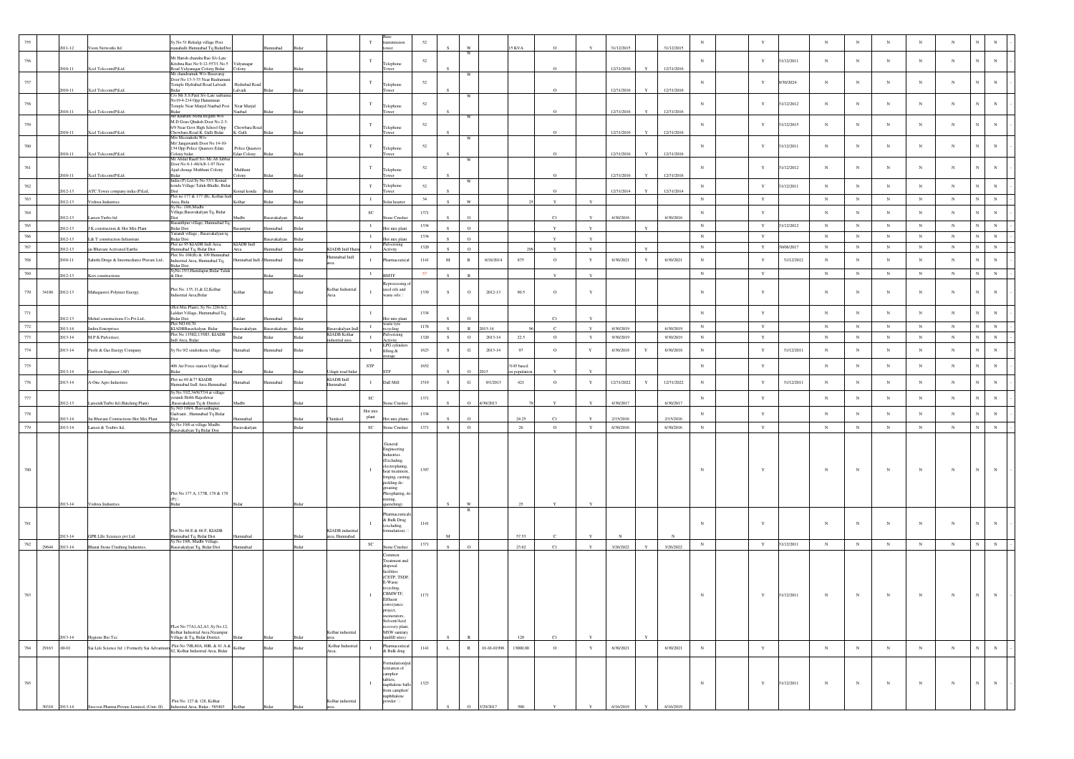| 755            |               | 1011-12            | Viom Networks Itd                            | y No 51 Rekulgi village Post<br>nahalli Humnabad Tq BidarDis                                          |                               |                      |                |                                        | $_{\rm T}$                                       | 52           |              |              |                       | 5 KVA                    |                         |             | 31/12/2015             |              | 31/12/2015             | $_{\rm N}$               | $\mathbf{Y}$               |            | $_{\rm N}$           | $_{\rm N}$               | $_{\rm N}$           | $_{\rm N}$               | N                        |                         |  |
|----------------|---------------|--------------------|----------------------------------------------|-------------------------------------------------------------------------------------------------------|-------------------------------|----------------------|----------------|----------------------------------------|--------------------------------------------------|--------------|--------------|--------------|-----------------------|--------------------------|-------------------------|-------------|------------------------|--------------|------------------------|--------------------------|----------------------------|------------|----------------------|--------------------------|----------------------|--------------------------|--------------------------|-------------------------|--|
| $756\,$        |               |                    |                                              | Mr Harish chandra Rao S/o Late                                                                        |                               |                      |                |                                        | $_{\rm T}$                                       | $52\,$       |              |              |                       |                          |                         |             |                        |              |                        | $_{\rm N}$               | $\mathbf Y$                | 1/12/2011  | $_{\rm N}$           | $_{\rm N}$               | $_{\rm N}$           | $_{\rm N}$               | $_{\rm N}$               | $_{\rm N}$              |  |
|                |               | 2010-11            | Xcel Telecom(P)Ltd.                          | Krishna Rao No 9-12-557/1 No.5<br>Road Vidyanagar Colony Bidar<br><i>A</i> r chandramuk W/o Basavaraj | Vidyanagar<br>Colony          | Bidar                | Bidar          |                                        | Telephone                                        |              |              |              |                       |                          | $\mathbf{o}$            |             | 12/31/2016             |              | 12/31/2016             |                          |                            |            |                      |                          |                      |                          |                          |                         |  |
| 757            |               |                    |                                              | Door No 13-3-33 Near Rudramur<br>Temple Hydrabad Road Lalvadi                                         | Hydrabad Road                 |                      |                |                                        | $_{\rm T}$<br>Telephone                          | 52           |              |              |                       |                          |                         |             |                        |              |                        | $_{\rm N}$               | $\mathbf{Y}$               | 9/30/2024  | $_{\rm N}$           | $_{\rm N}$               | $_{\rm N}$           | $_{\rm N}$               | $_{\rm N}$               | $_{\rm N}$              |  |
|                |               | 2010-11            | Xcel Telecom(P)Ltd.                          | C/o Mr S.S.Patil S/o Late saiban                                                                      | alvadi                        | Bidar                |                |                                        | ower                                             |              |              |              |                       |                          | $\circ$                 |             | 12/31/2016             |              | 12/31/2016             |                          |                            |            |                      |                          |                      |                          |                          |                         |  |
| 758            |               |                    |                                              | No19-4-214 Opp Hanumnan<br>Temple Near Marjid Naubad Post                                             | Near Marjid                   |                      |                |                                        | $_{\rm T}$<br>Telephone                          | 52           |              |              |                       |                          |                         |             |                        |              |                        | $_{\rm N}$               | $\mathbf Y$                | 1/12/2012  | $_{\rm N}$           | $_{\rm N}$               | $_{\rm N}$           | $_{\rm N}$               | $_{\rm N}$               | $_{\rm N}$              |  |
|                |               | 2010-11            | Xcel Telecom(P)Ltd.                          | 3idar<br>Mr Kharum Nisha Begam W/o<br>M.D Gous Qhuksh Door No 2-3-                                    | Naubad                        |                      |                |                                        | Tower                                            |              |              |              |                       |                          | $\circ$                 |             | 12/31/2016             |              | 12/31/2016             |                          |                            |            |                      |                          |                      |                          |                          |                         |  |
| 759            |               | 2010-11            | Xcel Telecom(P)Ltd.                          | 6/9 Near Govt High School Opp<br>howbara Road K. Galli Bidar                                          | Chowbara Road<br>K. Galli     | <b>Ridar</b>         |                |                                        | T<br>Telephone                                   | 52           |              |              |                       |                          | $\circ$                 |             | 12/31/2016             | Y            | 12/31/2016             | $_{\rm N}$               | Y                          | 31/12/2015 | $_{\rm N}$           | $_{\rm N}$               | $_{\rm N}$           | $_{\rm N}$               | $_{\rm N}$               | $_{\rm N}$              |  |
| 760            |               |                    |                                              | Irs Meenakshi W/o<br>Mr/Jangawanth Door No 14-10-                                                     |                               |                      |                |                                        | $\mathbf T$                                      | 52           |              | W            |                       |                          |                         |             |                        |              |                        | $_{\rm N}$               | Y                          | 31/12/2011 | $_{\rm N}$           | $_{\rm N}$               | $_{\rm N}$           | $_{\rm N}$               | $_{\rm N}$               | $_{\rm N}$              |  |
|                |               | 2010-11            | Xcel Telecom(P)Ltd.                          | 134 Opp Police Quasters Edan<br>Colony bidar.<br>Mr Abdul Rauff S/o Mr. Ab Jabba                      | Police Quaster<br>Edan Colony | Bidar                |                |                                        | Telephone                                        |              |              |              |                       |                          | $\Omega$                |             | 12/31/2016             |              | 12/31/2016             |                          |                            |            |                      |                          |                      |                          |                          |                         |  |
| $761\,$        |               |                    |                                              | Door No 8-1-48/A/8-1-97 New<br>Ajad chouqe Multhani Colony                                            | Multhani                      |                      |                |                                        | $_{\rm T}$<br>Telephone                          | 52           |              |              |                       |                          |                         |             |                        |              |                        | $_{\rm N}$               | Y                          | 1/12/2012  | $_{\rm N}$           | $_{\rm N}$               | $_{\rm N}$           | $\mathbf{N}$             | $_{\rm N}$               | $_{\rm N}$              |  |
|                |               | 2010-11            | Xcel Telecom(P)Ltd.                          | dar i<br>India (P) Ltd Sy No 53/1 Komal                                                               | colony.                       |                      |                |                                        |                                                  |              |              | W            |                       |                          | $\circ$                 |             | 12/31/2016             |              | 12/31/2016             |                          |                            |            |                      |                          |                      |                          |                          |                         |  |
| 762            |               | 2012-13            | ATC Tower company india (P)Ltd,              | konda Village Taluk-Bhalki, Bidar                                                                     | Komal konda                   |                      |                |                                        | $_{\rm T}$<br>Telephone                          | $52\,$       |              |              |                       |                          | $\circ$                 |             | 12/31/2014             |              | 12/31/2014             | $_{\rm N}$               | $\mathbf Y$                | 1/12/2011  | $_{\rm N}$           | $_{\rm N}$               | $_{\rm N}$           | $_{\rm N}$               | $_{\rm N}$               | $_{\rm N}$              |  |
| 763            |               | 2012-13            | Vishwa Industries                            | Plot no 177 & 177 (B), Kolhar Indl<br>Area, Bida<br>Sy.No. 19/6,Mudbi                                 | Kolbar                        | Ridar                | Rida           |                                        | $\;$ I<br>iolar hearter                          | 34           | $\mathbf{c}$ | W            |                       |                          | $\mathbf{v}$            |             |                        |              |                        | $_{\rm N}$               | $\mathbf Y$                |            | $_{\rm N}$           | $_{\rm N}$               | ${\bf N}$            | ${\bf N}$                | $_{\rm N}$               | $_{\rm N}$              |  |
| 764            |               | 1012-13            | arsen Turbo Itd                              | .<br>illage, Basavakalyan Tq, Bidar<br>Dist                                                           | Audbi                         |                      |                |                                        | $_{\rm SC}$<br>one Crush                         | 1371         |              |              |                       |                          | C1                      |             | 6/30/2016              |              | 6/30/2016              | $_{\rm N}$               | $\mathbf Y$                |            | $_{\rm N}$           | $_{\rm N}$               | $_{\rm N}$           | $_{\rm N}$               | $_{\rm N}$               | $_{\rm N}$              |  |
| 765            |               | 2012-13            | K construction & Hot Mix Plant               | asanthpur village, Humnabad Tq,<br><b>Bidar Dist</b>                                                  | antpur                        | nnabad               | Ridar          |                                        | $\mathbf{T}$<br>Hot mix plan                     | 1334         | $\mathbf{s}$ | $\Omega$     |                       |                          | $\mathbf Y$             | $\mathbf Y$ |                        |              |                        | $_{\rm N}$               | $\mathbf Y$                | 1/12/2012  | $_{\rm N}$           | $_{\rm N}$               | $_{\rm N}$           | $_{\rm N}$               | $_{\rm N}$               | $_{\rm N}$              |  |
| 766            |               | 2012-13            | L& T construction Infrastrure                | farandi village, Basavakalyan tq<br><b>Bidar Dist</b>                                                 |                               | avakalyan            |                |                                        | $\mathbf{I}$<br>Hot mix plan                     | 1334         |              | $\Omega$     |                       |                          | Y                       | Y           |                        |              |                        | $_{\rm N}$               | Y                          |            | $_{\rm N}$           | $_{\rm N}$               | $_{\rm N}$           | $_{\rm N}$               | $_{\rm N}$               | $_{\rm N}$              |  |
| 767            |               | 2012-13            | jai Bhavani Activated Earths                 | Plot no 95 KIADB Indl Area,<br>Humnabad Tq, Bidar Dist                                                | KIADB Indl<br>Area            | nnahad               | <b>Sidar</b>   | <b>CIADB</b> Indl Ht                   | iiverising<br>$\;$ I<br>Activity                 | 1320         |              | $\Omega$     |                       |                          | Y                       | Y           |                        |              |                        | $_{\rm N}$               | $\mathbf Y$                | 30/06/2017 | $_{\rm N}$           | $_{\rm N}$               | $_{\rm N}$           | $_{\rm N}$               | $_{\rm N}$<br>$_{\rm N}$ | $_{\rm N}$              |  |
| 768            |               | 2010-11            | Sahithi Drugs & Intermediates Pravate Ltd.,  | Plot No 108(B) & 109 Humnabad<br>ndustrial Area, Humnabad Tq,                                         | Mahad Indl                    | lumnabad             | Bidar          | Humnabad Indl                          | $\mathbf{I}$<br>Pharmaceutical                   | 1141         | $_{\rm M}$   | $\,$ R       | 8/16/2014             | 875                      | $\circ$                 | Y           | 6/30/2021              | Y            | 6/30/2021              | $_{\rm N}$               | $\mathbf Y$                | 31/12/2012 | $_{\rm N}$           | $_{\rm N}$               | $_{\rm N}$           | $_{\rm N}$               | $_{\rm N}$               | $_{\rm N}$              |  |
| 769            |               | 2012-13            | Kori constructions                           | Bidar Dist<br>SyNo.15/3,Hamilapur,Bidar Taluk<br>& Dist                                               |                               | Ridar                | Bidar          |                                        | $\;$ I<br><b>BMTF</b>                            | 57           |              |              |                       |                          | $\mathbf Y$             | Y           |                        |              |                        | ${\bf N}$                | $\mathbf Y$                |            | $_{\rm N}$           | $\,$ N                   | $\,$ N               | $_{\rm N}$               | $_{\rm N}$<br>${\bf N}$  | $\,$ N $\,$             |  |
|                |               |                    |                                              | Plot No. 135, 11,& 12, Kolhar                                                                         |                               |                      |                | Kolhar Industrial                      | Reprocessing<br>used oils and                    |              |              |              |                       |                          |                         |             |                        |              |                        |                          |                            |            |                      |                          |                      |                          |                          |                         |  |
| 770            | 34180         | 2012-13            | Mahagaonvi Polymer Energy,                   | ndustrial Area, Bidar                                                                                 | Kolhar                        | Bidar                | Bidar          |                                        | л.<br>aste oils□                                 | 1339         | S            | $\circ$      | 2012-13               | 90.5                     | $\circ$                 | Y           |                        |              |                        | $_{\rm N}$               | Y                          |            | $_{\rm N}$           | $_{\rm N}$               | $_{\rm N}$           | $_{\rm N}$               | $_{\rm N}$               | $_{\rm N}$              |  |
| 771            |               |                    |                                              | Hot Mix Plant), Sy No 228/A/2,<br>Laldari Village, Humnnabad Tq,                                      |                               |                      |                |                                        | $\;$ I                                           | 1334         |              |              |                       |                          |                         |             |                        |              |                        | $_{\rm N}$               | $\mathbf Y$                |            | $_{\rm N}$           | $_{\rm N}$               | $_{\rm N}$           | $_{\rm N}$               | $_{\rm N}$               | $_{\rm N}$              |  |
|                |               | 2012-13            | Mehul constructions Co.Pvt.Ltd.,             | <b>Gdar Dist</b><br>lot NO 69,70                                                                      |                               |                      |                |                                        | vaste tyre                                       |              |              |              |                       |                          | C1                      |             |                        |              |                        |                          |                            |            |                      |                          |                      |                          | $\mathbb{N}$             |                         |  |
| $772\,$<br>773 |               | 2013-14<br>2013-14 | ndira Enterprises<br>M.P.K Pulveriser,       | KIADBBasavkalyan Bidar<br>Plot No 135H2,135H3, KIADB                                                  | savakalyan<br>Bidar           | isavakalyan<br>Bidar | Bidar<br>Bidar | isavakalyan Ind<br><b>KIADB</b> Kolhar | $\mathbf I$<br>recycling<br>ilverising<br>$\;$ I | 1178<br>1320 | S            | $\circ$      | 013-14<br>$2013 - 14$ | 22.5                     | $\mathbf{c}$<br>$\circ$ | $\mathbf Y$ | 6/30/2019<br>9/30/2019 |              | 6/30/2019<br>9/30/2019 | $_{\rm N}$<br>$_{\rm N}$ | $\mathbf Y$<br>$\mathbf Y$ |            | $\,$ N<br>$_{\rm N}$ | $_{\rm N}$<br>$_{\rm N}$ | $\,$ N<br>$_{\rm N}$ | $_{\rm N}$<br>$_{\rm N}$ | $_{\rm N}$<br>$_{\rm N}$ | ${\bf N}$<br>$_{\rm N}$ |  |
| 774            |               |                    | Profit & Gas Energy Company                  | ndl Area, Bidar                                                                                       |                               |                      |                | lustrial area                          | <b>kctivity</b><br>LPG cylinde                   |              |              | $_{\rm G}$   |                       | 97                       |                         |             |                        | Y            |                        |                          |                            | 31/12/2011 |                      |                          | $_{\rm N}$           | $_{\rm N}$               |                          | $_{\rm N}$              |  |
|                |               | 2013-14            |                                              | Sy No 9/2 sindenkera village                                                                          | lumabad                       | mnabad               | Bidar          |                                        | $\mathbf{T}$<br>filling &<br>orage               | 1623         | S            |              | $2013 - 14$           |                          | $\circ$                 | $\mathbf Y$ | 6/30/2018              |              | 6/30/2018              | $_{\rm N}$               | $\mathbf Y$                |            | $_{\rm N}$           | $_{\rm N}$               |                      |                          | $_{\rm N}$               |                         |  |
| 775            |               | 2013-14            | Garrison Engineer (AF)                       | 406 Air Force station Udgir Road                                                                      |                               |                      | 3idar          | dagit road bid                         | ${\tt STP}$                                      | 1652         |              |              |                       | 3145 based<br>m populati |                         |             |                        |              |                        | $_{\rm N}$               | $\mathbf Y$                |            | $_{\rm N}$           | $_{\rm N}$               | $_{\rm N}$           | $_{\rm N}$               | $_{\rm N}$               | $_{\rm N}$              |  |
| 776            |               | 2013-14            | A-One Agro Industries                        | Plot no 69 & 77 KTADB<br>lumnabad Indl Area Humnabad                                                  | mabad                         | nnabad               | Bida           | KIADB Indl<br>mnabad                   | $\mathbf{I}$<br>Dall Mill                        | 1519         | ${\bf S}$    | ${\bf G}$    | 9/1/2013              | 421                      | $\,$ O                  | $\mathbf Y$ | 12/31/2022             | Y            | 12/31/2022             | $_{\rm N}$               | $\mathbf Y$                | 31/12/2011 | $_{\rm N}$           | $_{\rm N}$               | $_{\rm N}$           | $_{\rm N}$               | $_{\rm N}$               | $_{\rm N}$              |  |
| $777\,$        |               |                    |                                              | y No 33/2,34/8/37/4 at village<br>erandi Hobli Rajeshwar                                              |                               |                      |                |                                        | $_{\rm SC}$                                      | 1371         |              |              |                       |                          |                         |             |                        |              |                        | $_{\rm N}$               | $\mathbf Y$                |            | $_{\rm N}$           | $_{\rm N}$               | $_{\rm N}$           | $_{\rm N}$               | $_{\rm N}$               | $_{\rm N}$              |  |
|                |               | 2012-13            | Larsen&Turbo Itd (Batching Plant)            | Basavakalyan Tq & District<br>iy NO 198/4, Basvanthapur,                                              | Iudbi                         |                      |                |                                        | one Crusher                                      |              |              | $\Omega$     | 4/30/2013             |                          | Y                       |             | 6/30/2017              |              | 6/30/2017              |                          |                            |            |                      |                          |                      |                          |                          |                         |  |
| 778            |               | 2013-14            | Jai Bhavani Contructions Hot Mix Plant       | Gadvanti, Humnabad Tq Bidar                                                                           | nabad                         |                      | Bidar          | himkod                                 | Hot mix<br>plant<br>ot mix plant                 | 1334         |              |              |                       | 24.25                    | C1                      |             | 2/15/2016              |              | 2/15/2016              | $_{\rm N}$               | $\mathbf Y$                |            | $_{\rm N}$           | $_{\rm N}$               | $_{\rm N}$           | $_{\rm N}$               | $_{\rm N}$               | $_{\rm N}$              |  |
| 779            |               | 2013-14            | Larsen & Toubro Itd.                         | ly No 19/6 at village Mudbi<br>savakalyan Tq Bidar Dist                                               | <b>Basayakalyan</b>           |                      | Bidar          |                                        | $_{\rm SC}$<br>Stone Crusher                     | 1371         | S            | $\circ$      |                       | -26                      | $\circ$                 | Y           | 6/30/2016              |              | 6/30/2016              | $_{\rm N}$               | Y                          |            | N                    | $_{\rm N}$               | N                    | $_{\rm N}$               | $_{\rm N}$<br>$_{\rm N}$ | ${\bf N}$               |  |
|                |               |                    |                                              |                                                                                                       |                               |                      |                |                                        | General                                          |              |              |              |                       |                          |                         |             |                        |              |                        |                          |                            |            |                      |                          |                      |                          |                          |                         |  |
|                |               |                    |                                              |                                                                                                       |                               |                      |                |                                        | ngineering<br>strie:                             |              |              |              |                       |                          |                         |             |                        |              |                        |                          |                            |            |                      |                          |                      |                          |                          |                         |  |
|                |               |                    |                                              |                                                                                                       |                               |                      |                |                                        | (Excluding<br>lectroplating<br>$\mathbf{I}$      |              |              |              |                       |                          |                         |             |                        |              |                        | $_{\rm N}$               | $\mathbf{Y}$               |            | $_{\rm N}$           |                          | $_{\rm N}$           |                          |                          | $_{\rm N}$              |  |
|                |               |                    |                                              |                                                                                                       |                               |                      |                |                                        | heat treatmen<br>forging, castin                 | 1397         |              |              |                       |                          |                         |             |                        |              |                        |                          |                            |            |                      | $_{\rm N}$               |                      | $_{\rm N}$               | $_{\rm N}$               |                         |  |
|                |               |                    |                                              |                                                                                                       |                               |                      |                |                                        | pickling de-<br>greasing                         |              |              |              |                       |                          |                         |             |                        |              |                        |                          |                            |            |                      |                          |                      |                          |                          |                         |  |
|                |               | 2013-14            |                                              | Plot No 177 A, 177B, 178 & 178<br>Ridar                                                               |                               |                      |                |                                        | Phosphating, d<br>isting,                        |              | S            | W            |                       | 25                       | $\mathbf Y$             | Y           |                        |              |                        |                          |                            |            |                      |                          |                      |                          |                          |                         |  |
|                |               |                    | Vishwa Industries                            |                                                                                                       | Bidar                         |                      |                |                                        | uenching)<br>armaceutic:                         |              |              | $\mathbb{R}$ |                       |                          |                         |             |                        |              |                        |                          |                            |            |                      |                          |                      |                          |                          |                         |  |
| 781            |               |                    |                                              |                                                                                                       |                               |                      |                |                                        | & Bulk Drug<br>excluding                         | 1141         |              |              |                       |                          |                         |             |                        |              |                        | $_{\rm N}$               | Y                          |            | $_{\rm N}$           | $_{\rm N}$               | $_{\rm N}$           | $_{\rm N}$               | $_{\rm N}$               | $_{\rm N}$              |  |
|                |               | 2013-14            | GPR LIfe Sciences pvt Ltd                    | Plot No 66 E & 66 F, KIADB<br>Humnabad Tq, Bidar Dist<br>Sy No 19/6, Mudbi Village,                   | mabad                         |                      | Bidar          | KIADB industri<br>rea, Humnabad        | mulation).                                       |              | M            |              |                       | 57.53                    |                         |             |                        |              |                        |                          |                            |            |                      |                          |                      |                          |                          |                         |  |
| 782            | 29644         | 2013-14            | <b>Bharat Stone Crushing Industries</b>      | asavakalyan Tq, Bidar Dist                                                                            | badann                        |                      | Bidar          |                                        | $_{\rm SC}$<br>one Crushe                        | 1371         | S            | $\circ$      |                       | 23.62                    | C1                      | Y           | 3/26/2022              | $\mathbf{v}$ | 3/26/2022              | $_{\rm N}$               | $\mathbf Y$                | 31/12/2011 | $\,$ N               | $_{\rm N}$               | $_{\rm N}$           | $_{\rm N}$               | ${\bf N}$<br>$_{\rm N}$  | $\,$ N $\,$             |  |
|                |               |                    |                                              |                                                                                                       |                               |                      |                |                                        | ommon<br>reatment and                            |              |              |              |                       |                          |                         |             |                        |              |                        |                          |                            |            |                      |                          |                      |                          |                          |                         |  |
|                |               |                    |                                              |                                                                                                       |                               |                      |                |                                        | disposal<br>facilities                           |              |              |              |                       |                          |                         |             |                        |              |                        |                          |                            |            |                      |                          |                      |                          |                          |                         |  |
|                |               |                    |                                              |                                                                                                       |                               |                      |                |                                        | (CETP, TSDF.<br>E-Waste                          |              |              |              |                       |                          |                         |             |                        |              |                        |                          |                            |            |                      |                          |                      |                          |                          |                         |  |
|                |               |                    |                                              |                                                                                                       |                               |                      |                |                                        | ecycling.<br>CBMWTF.                             | 1171         |              |              |                       |                          |                         |             |                        |              |                        | $_{\rm N}$               | $\mathbf Y$                | 31/12/2011 | $_{\rm N}$           | $_{\rm N}$               | $_{\rm N}$           | $_{\rm N}$               | N                        |                         |  |
|                |               |                    |                                              |                                                                                                       |                               |                      |                |                                        | Effluent<br>onveyance                            |              |              |              |                       |                          |                         |             |                        |              |                        |                          |                            |            |                      |                          |                      |                          |                          |                         |  |
|                |               |                    |                                              |                                                                                                       |                               |                      |                |                                        | project,<br>incinerators,                        |              |              |              |                       |                          |                         |             |                        |              |                        |                          |                            |            |                      |                          |                      |                          |                          |                         |  |
|                |               |                    |                                              | PLot No 77A1, A2, A3, Sy No.12,<br>Kolhar Industrial Area, Nizampur                                   |                               |                      |                | Kolhar industrial                      | Solvent/Acid<br>overy plant,<br>MSW sanitary     |              |              |              |                       |                          |                         |             |                        |              |                        |                          |                            |            |                      |                          |                      |                          |                          |                         |  |
|                |               | 2013-14            | Hygiene Bio Tec                              | Village & Tq, Bidar District.                                                                         |                               |                      |                |                                        | andfill sites)                                   |              |              |              |                       | 128                      | C1                      |             |                        |              |                        |                          |                            |            |                      |                          |                      |                          |                          |                         |  |
| 784            | 29163         | $.00 - 01$         | Sai Life Science Itd (Formerly Sai Advantius | Plot No 79B,80A, 80B, & 81 A &<br>82, Kolhar Industrial Area, Bidar Kolhar                            |                               | Bidar                | Bidar          | Kolhar Industrial<br>Area.             | armaceutical<br>$\mathbf{I}$<br>& Bulk drug      | 1141         | $\mathbf L$  | $\,$ R $\,$  | 01-01-01996           | 13000.00                 | $\circ$                 | $\mathbf Y$ | 6/30/2021              |              | 6/30/2021              | ${\bf N}$                | $\mathbf Y$                |            | $_{\rm N}$           | $_{\rm N}$               | $_{\rm N}$           | $_{\rm N}$               | $_{\rm N}$<br>$_{\rm N}$ | ${\bf N}$               |  |
|                |               |                    |                                              |                                                                                                       |                               |                      |                |                                        | emulation/pa<br>tization of                      |              |              |              |                       |                          |                         |             |                        |              |                        |                          |                            |            |                      |                          |                      |                          |                          |                         |  |
|                |               |                    |                                              |                                                                                                       |                               |                      |                |                                        | camphor<br>tablets,                              |              |              |              |                       |                          |                         |             |                        |              |                        |                          |                            |            |                      |                          |                      |                          |                          |                         |  |
| 785            |               |                    |                                              |                                                                                                       |                               |                      |                |                                        | $\;$ I<br>napthalene bal<br>from camphor/        | 1323         |              |              |                       |                          |                         |             |                        |              |                        | $_{\rm N}$               | $\mathbf Y$                | 31/12/2011 | $_{\rm N}$           | $_{\rm N}$               | $_{\rm N}$           | $_{\rm N}$               | $_{\rm N}$<br>$_{\rm N}$ | $_{\rm N}$              |  |
|                |               |                    |                                              |                                                                                                       |                               |                      |                |                                        | aphthalene                                       |              |              |              |                       |                          |                         |             |                        |              |                        |                          |                            |            |                      |                          |                      |                          |                          |                         |  |
|                | 30310 2013-14 |                    |                                              | Plot No. 127 & 128, Kolhar<br>Industrial Area, Bidar - 585403                                         |                               |                      |                | Colhar industrial                      | wder                                             |              |              |              |                       |                          |                         |             |                        |              |                        |                          |                            |            |                      |                          |                      |                          |                          |                         |  |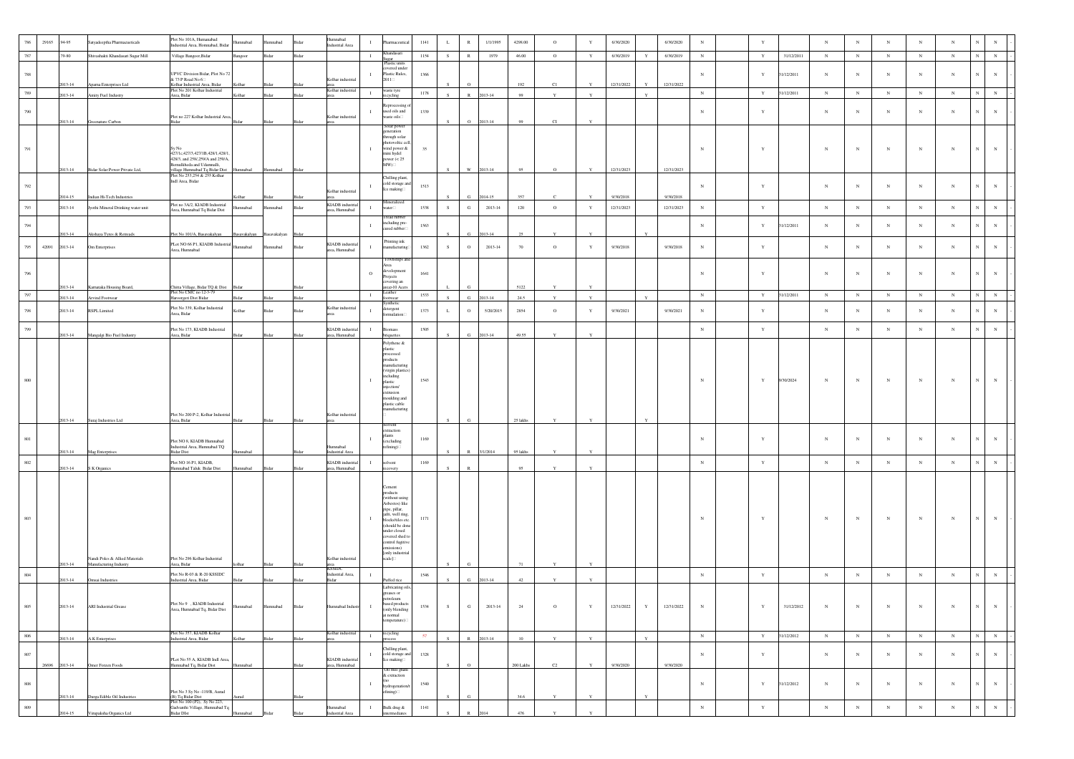| 786     | 29165 | .94-95             | Satyadeeptha Pharmacueticals                             | Plot No 101A, Humanabad<br>dustrial Area, Homnabad, Bidar                                  | nnabad       | mnabad                 | Bida  | Humnabad<br><b>Industrial Area</b> | $\mathbf{I}$ | irmaceutica                                             | 1141     | L            | $\,$ R       | 1/1/1995  | 4298.00   | $\circ$            | Y            | 6/30/2020  |              | 6/30/2020  | $_{\rm N}$  | $\mathbf{Y}$ |            | $_{\rm N}$   | $_{\rm N}$  | $_{\rm N}$ | $_{\rm N}$  | N           |                               |
|---------|-------|--------------------|----------------------------------------------------------|--------------------------------------------------------------------------------------------|--------------|------------------------|-------|------------------------------------|--------------|---------------------------------------------------------|----------|--------------|--------------|-----------|-----------|--------------------|--------------|------------|--------------|------------|-------------|--------------|------------|--------------|-------------|------------|-------------|-------------|-------------------------------|
| 787     |       | .79-80             | Shivashakti Khandasari Sugar Mill                        | Village Bangoor, Bidar                                                                     | angoor       | Bidar                  | Bidar |                                    | $\mathbf{I}$ | Khandasari<br>ugar<br>Plastic units                     | 1154     | S            | R            | 1979      | 46.00     | $\circ$            | Y            | 6/30/2019  | Y            | 6/30/2019  | $_{\rm N}$  | Y            | 31/12/2011 | $\mathbb{N}$ | $_{\rm N}$  | ${\bf N}$  | ${\bf N}$   | $_{\rm N}$  | $\mathbf N$<br>$_{\rm N}$     |
| 788     |       |                    |                                                          | UPVC Division Bidar, Plot No 72<br>& 73 P Road No $6\Box$                                  |              |                        |       | Kolhar industria                   |              | vered under<br>Plastic Rules,<br>$2011 \square$         | 1366     |              |              |           |           |                    |              |            |              |            | $_{\rm N}$  | $\mathbf Y$  | 1/12/2011  | $_{\rm N}$   | $_{\rm N}$  | $_{\rm N}$ | $_{\rm N}$  | $_{\rm N}$  | $_{\rm N}$<br>N               |
| 789     |       | 2013-14<br>2013-14 | Apama Enterprises Ltd<br>Amity Fuel Industry             | Kolhar Industrial Area, Bidar<br>Plot No 201 Kolhar Industrial<br>Area, Bidar              | olhar        | Bidar                  |       | area<br>Kolhar industri:           | $\mathbf{I}$ | aste tyre                                               | $1178\,$ |              | $\mathbb{R}$ | 2013-14   | 192<br>99 | C1<br>$\mathbf{Y}$ |              | 12/31/2022 |              | 12/31/2022 | $\,$ N      | $\mathbf Y$  | 1/12/2011  | $_{\rm N}$   | $_{\rm N}$  | $_{\rm N}$ | $_{\rm N}$  | $_{\rm N}$  | $\mathbf N$<br>$\,$ N         |
|         |       |                    |                                                          |                                                                                            |              |                        |       |                                    |              | ecycling<br>eprocessing                                 |          |              |              |           |           |                    |              |            |              |            |             |              |            |              |             |            |             |             |                               |
| 790     |       | 2013-14            | Greenature Carbon                                        | Plot no 227 Kolhar Industrial Area,<br>idar -                                              |              |                        |       | Kolhar industria                   | п.           | used oils and<br>aste oils⊟                             | 1339     |              | $\circ$      | 2013-14   | 99        | C1                 |              |            |              |            | $_{\rm N}$  | Y            |            | $_{\rm N}$   | $_{\rm N}$  | $_{\rm N}$ | $_{\rm N}$  | $_{\rm N}$  | $_{\rm N}$                    |
|         |       |                    |                                                          |                                                                                            |              |                        |       |                                    |              | Solar power<br>eneration                                |          |              |              |           |           |                    |              |            |              |            |             |              |            |              |             |            |             |             |                               |
| 791     |       |                    |                                                          |                                                                                            |              |                        |       |                                    |              | through solar<br>totovoltic cel<br>wind power &         | 35       |              |              |           |           |                    |              |            |              |            | $_{\rm N}$  | $\mathbf{Y}$ |            | $_{\rm N}$   | $_{\rm N}$  | $_{\rm N}$ | $_{\rm N}$  | $_{\rm N}$  | $_{\rm N}$<br>$_{\rm N}$      |
|         |       |                    |                                                          | 427/1c, 427/3, 427/1B, 428/1, 428/1,<br>428/3, and 258/,259/A and 259/A,                   |              |                        |       |                                    |              | ini hydel<br>power $(< 25$                              |          |              |              |           |           |                    |              |            |              |            |             |              |            |              |             |            |             |             |                               |
|         |       | 2013-14            | Bidar Solar Power Private Ltd,                           | emulkheda and Udamnalli,<br>village Humnabad Tq Bidar Dist<br>Plot No 253,254 & 255 Kolhar | nnabad       | Humnabad               | Bida  |                                    |              | $MW) \Box$                                              |          |              | $\mathbf{W}$ | 2013-14   | 95        | $\circ$            | Y            | 12/31/2023 |              | 12/31/2023 |             |              |            |              |             |            |             |             |                               |
| 792     |       |                    |                                                          | Indl Area, Bidar                                                                           |              |                        |       |                                    | п.           | Chilling plant,<br>cold storage and                     | 1513     |              |              |           |           |                    |              |            |              |            | $_{\rm N}$  | Y            |            | $_{\rm N}$   | $_{\rm N}$  | $_{\rm N}$ | $_{\rm N}$  | $_{\rm N}$  | $_{\rm N}$<br>$_{\rm N}$      |
|         |       | 014-15             | Indian Hi-Tech Industries                                |                                                                                            |              |                        |       | Kolhar industria                   |              | e making $\Box$                                         |          |              |              | 014-15    | 357       |                    |              | 9/30/2018  |              | 9/30/2018  |             |              |            |              |             |            |             |             |                               |
| 793     |       | 2013-14            | Jyothi Mineral Drinking water unit                       | Plot no 3A/2, KIADB Industrial<br>Area, Humnabad Tq Bidar Dist                             | hadan        | nnabad                 |       | KIADB industria<br>area, Humnabad  |              | <i>dineralized</i><br>$\arctan$                         | 1538     | S            | $_{\rm G}$   | 2013-14   | $120\,$   | $\circ$            | $\mathbf Y$  | 12/31/2023 |              | 12/31/2023 | $_{\rm N}$  | $\mathbf Y$  |            | $\,$ N       | $_{\rm N}$  | $_{\rm N}$ | $_{\rm N}$  | $_{\rm N}$  | $_{\rm N}$<br>$\mathbf{v}$    |
| 794     |       |                    |                                                          |                                                                                            |              |                        |       |                                    | $\mathbf{I}$ | read rubbe<br>acluding pre-                             | 1563     |              |              |           |           |                    |              |            |              |            | $_{\rm N}$  | Y            | 31/12/2011 | $_{\rm N}$   | $_{\rm N}$  | $_{\rm N}$ | $_{\rm N}$  | $_{\rm N}$  | $_{\rm N}$<br>$_{\rm N}$      |
|         |       | 013-14             | Akshaya Tyres & Retreads                                 | Plot No 101/A, Basavakalyan                                                                |              | avakalyan Basavakalyan | Bidar |                                    |              | red rubber                                              |          |              | Ġ.           | 013-14    | 25        |                    |              |            |              |            |             |              |            |              |             |            |             |             |                               |
| 795     | 42091 | 2013-14            | Om Enterprises                                           | PLot NO 66 P1, KIADB Industrial<br>Area, Humnabad                                          | bedsmmab     | ammabad                | Bida  | KIADB industria<br>rea, Humnabad   |              | Printing ink<br>anufacturing                            | 1362     | S            | $\circ$      | 2013-14   | 70        | $\circ$            | Y            | 9/30/2018  |              | 9/30/2018  | $_{\rm N}$  | Y            |            | $_{\rm N}$   | $_{\rm N}$  | $_{\rm N}$ | $_{\rm N}$  | $_{\rm N}$  | $_{\rm N}$<br>$_{\rm N}$      |
|         |       |                    |                                                          |                                                                                            |              |                        |       |                                    |              | ownships                                                |          |              |              |           |           |                    |              |            |              |            |             |              |            |              |             |            |             |             |                               |
| 796     |       |                    |                                                          |                                                                                            |              |                        |       |                                    | $\circ$      | development<br>ojects                                   | 1641     |              |              |           |           |                    |              |            |              |            | $_{\rm N}$  | Y            |            | $_{\rm N}$   | $_{\rm N}$  | $_{\rm N}$ | $_{\rm N}$  | $_{\rm N}$  | $_{\rm N}$<br>$_{\rm N}$      |
|         |       | 2013-14            | Karnataka Housing Board,                                 | Chitta Village, Bidar TQ & Dist<br>Plot No CMC no 12-3-79                                  |              |                        |       |                                    |              | vering an<br>ea>10 Ace                                  |          |              |              |           | 5122      |                    |              |            |              |            |             |              |            |              |             |            |             |             |                               |
| 797     |       | 2013-14            | <b>Arvind Footwear</b>                                   | aroorgeri Dist Bidar                                                                       |              |                        |       |                                    | $\mathbf{I}$ | eather<br>otwear<br>nthetic                             | 1533     | $\mathbf{c}$ | $\alpha$     | 2013-14   | 24.5      | $\mathbf Y$        | $\mathbf{v}$ |            |              |            | ${\bf N}$   | $\mathbf Y$  | 31/12/2011 | $_{\rm N}$   | $_{\rm N}$  | $_{\rm N}$ | $_{\rm N}$  | $_{\rm N}$  | $\,$ N $\,$<br>$\overline{N}$ |
| 798     |       | 2013-14            | RSPL Limited                                             | Plot No 339, Kolhar Industrial<br>Area, Bidar                                              |              |                        |       | Kolhar industria                   |              | letergent<br>mulation                                   | 1373     | $\mathbf L$  | $\circ$      | 5/20/2015 | 2854      | $\,$ O             |              | 9/30/2021  |              | 9/30/2021  | $_{\rm N}$  | $\mathbf Y$  |            | $_{\rm N}$   | $_{\rm N}$  | $_{\rm N}$ | $_{\rm N}$  | $\mathbf N$ | $_{\rm N}$                    |
| 799     |       |                    |                                                          | Plot No 173, KIADB Industrial                                                              |              |                        |       | <b>KIADB</b> industri              | $\mathbf{I}$ | <b>Biomass</b>                                          | 1505     |              |              |           |           |                    |              |            |              |            | $_{\rm N}$  | $\mathbf Y$  |            | $\,$ N       | $_{\rm N}$  | $_{\rm N}$ | $_{\rm N}$  | $_{\rm N}$  | $_{\rm N}$<br>N               |
|         |       | 2013-14            | Mangalgi Bio Fuel Industry                               | Area, Bidar                                                                                |              |                        |       | area, Humnabad                     |              | priquettes<br>Polythene &                               |          |              | G            | 2013-14   | 49.55     | Y                  |              |            |              |            |             |              |            |              |             |            |             |             |                               |
|         |       |                    |                                                          |                                                                                            |              |                        |       |                                    |              | plastic<br>processed                                    |          |              |              |           |           |                    |              |            |              |            |             |              |            |              |             |            |             |             |                               |
|         |       |                    |                                                          |                                                                                            |              |                        |       |                                    |              | products<br>mufacturing<br>virgin plastics              |          |              |              |           |           |                    |              |            |              |            |             |              |            |              |             |            |             |             |                               |
|         |       |                    |                                                          |                                                                                            |              |                        |       |                                    |              | including<br>plastic                                    | 1543     |              |              |           |           |                    |              |            |              |            | $_{\rm N}$  | $\mathbf Y$  | 9/30/2024  | $_{\rm N}$   | $_{\rm N}$  | $_{\rm N}$ | $_{\rm N}$  | $_{\rm N}$  | $_{\rm N}$<br>$_{\rm N}$      |
|         |       |                    |                                                          |                                                                                            |              |                        |       |                                    |              | ijection/<br>xtrusion                                   |          |              |              |           |           |                    |              |            |              |            |             |              |            |              |             |            |             |             |                               |
|         |       |                    |                                                          |                                                                                            |              |                        |       |                                    |              | noulding and<br>plastic cable<br>anufacturing           |          |              |              |           |           |                    |              |            |              |            |             |              |            |              |             |            |             |             |                               |
|         |       | 2013-14            | Suraj Industries Ltd                                     | Plot No 200 P-2, Kolhar Industrial<br>Area, Bidar                                          | Bidar        |                        |       | Kolhar industria                   |              |                                                         |          |              |              |           | 25 lakhs  | Y                  | Y            |            |              |            |             |              |            |              |             |            |             |             |                               |
|         |       |                    |                                                          |                                                                                            |              |                        |       |                                    |              | Solvent<br>traction                                     |          |              |              |           |           |                    |              |            |              |            |             |              |            |              |             |            |             |             |                               |
| $801\,$ |       |                    |                                                          | Plot NO 8, KIADB Humnabad<br>ndustrial Area, Humnabad TQ                                   |              |                        |       | mnabad                             |              | lants<br>excluding<br>efining)                          | 1169     |              |              |           |           |                    |              |            |              |            | $_{\rm N}$  | $\mathbf{Y}$ |            | $_{\rm N}$   | $_{\rm N}$  | $_{\rm N}$ | $_{\rm N}$  | $_{\rm N}$  | $_{\rm N}$<br>$_{\rm N}$      |
|         |       | 013-14             | <b>Mag Enterprises</b>                                   | idar Dist                                                                                  |              |                        |       | Industrial Area                    |              |                                                         |          |              | R            | 3/1/2014  | 95 lakhs  |                    |              |            |              |            |             |              |            |              |             |            |             |             |                               |
| $802\,$ |       | 2013-14            | S K Organics                                             | Plot NO 16 P1, KIADB,<br><b>Imnabad Taluk Bidar Dist</b>                                   |              |                        |       | KIADB industria<br>area, Humnabad  | $\;$ I       | solvent<br>covery                                       | 1169     |              |              |           | 95        |                    |              |            |              |            | $_{\rm N}$  | $\mathbf Y$  |            | $_{\rm N}$   | $_{\rm N}$  | $_{\rm N}$ | $_{\rm N}$  | $_{\rm N}$  | $_{\rm N}$<br>$\mathbf N$     |
|         |       |                    |                                                          |                                                                                            |              |                        |       |                                    |              |                                                         |          |              |              |           |           |                    |              |            |              |            |             |              |            |              |             |            |             |             |                               |
|         |       |                    |                                                          |                                                                                            |              |                        |       |                                    |              | ement<br>roducts<br>without using                       |          |              |              |           |           |                    |              |            |              |            |             |              |            |              |             |            |             |             |                               |
|         |       |                    |                                                          |                                                                                            |              |                        |       |                                    |              | Asbestos) like<br>pipe, pillar,                         |          |              |              |           |           |                    |              |            |              |            |             |              |            |              |             |            |             |             |                               |
|         |       |                    |                                                          |                                                                                            |              |                        |       |                                    | л.           | jafri, well ring,<br>blocks/tiles etc<br>should be done | 1171     |              |              |           |           |                    |              |            |              |            | $_{\rm N}$  | Y            |            | $_{\rm N}$   | $_{\rm N}$  | $_{\rm N}$ | ${\bf N}$   | $_{\rm N}$  | $_{\rm N}$<br>N               |
|         |       |                    |                                                          |                                                                                            |              |                        |       |                                    |              | mder closed<br>wered shed t                             |          |              |              |           |           |                    |              |            |              |            |             |              |            |              |             |            |             |             |                               |
|         |       |                    |                                                          |                                                                                            |              |                        |       |                                    |              | control fugitive<br>(anoissin                           |          |              |              |           |           |                    |              |            |              |            |             |              |            |              |             |            |             |             |                               |
|         |       | 2013-14            | Nandi Poles & Allied Materials<br>Manufacturing Industry | Plot No 296 Kolhar Industrial<br>Area, Bidar                                               |              |                        | Bidar | Kolhar industria<br>area           |              | <b>Ionly</b> industrial<br>cale]⊟                       |          |              |              |           | 71        | Y                  |              |            |              |            |             |              |            |              |             |            |             |             |                               |
| $804\,$ |       |                    |                                                          | Plot No R-03 & R-20 KSSIDC                                                                 |              |                        |       | <b>KSSIDC</b><br>Industrial Area,  | $\;$ I       |                                                         | 1546     |              |              |           |           |                    |              |            |              |            | $\,$ N      | $\mathbf Y$  |            | $\,$ N       | $\,$ N      | $_{\rm N}$ | $_{\rm N}$  | $_{\rm N}$  | $_{\rm N}$<br>$_{\rm N}$      |
|         |       | 2013-14            | Omsai Industries                                         | ndustrial Area, Bidar                                                                      |              |                        | Ridar | Bidar                              |              | uffed rice<br>Lubricating oils                          |          |              | G            | 2013-14   | 42        | Y                  | Y            |            |              |            |             |              |            |              |             |            |             |             |                               |
|         |       |                    |                                                          |                                                                                            |              |                        |       |                                    |              | reases or<br>etroleum                                   |          |              |              |           |           |                    |              |            |              |            |             |              |            |              |             |            |             |             |                               |
| 805     |       | 2013-14            | <b>ARI</b> Industrial Grease                             | Plot No 9 , KIADB Industrial<br>Area, Humnabad Tq, Bidar Dist                              | mabad        | lumnabad               |       | Indi                               |              | ased prodi<br>(only blending<br>at normal               | 1534     | - S          | G            | 2013-14   | - 24      | $\circ$            |              | 12/31/2022 | Y            | 12/31/2022 | N           |              | 31/12/2012 | N            |             |            |             |             |                               |
|         |       |                    |                                                          |                                                                                            |              |                        |       |                                    |              | mperature)                                              |          |              |              |           |           |                    |              |            |              |            |             |              |            |              |             |            |             |             |                               |
| $806\,$ |       | 2013-14            | A.K Enterprises                                          | Plot No 357, KIADB Kolhar<br>ndustrial Area, Bidar                                         | <b>ilhar</b> | Bidar                  | Bidar | Kolhar industria                   | $\mathbf{I}$ | recycling<br>ocess                                      | 57       | $\mathbf{c}$ | $\mathbb R$  | 2013-14   | $10\,$    | $\mathbf Y$        | $\mathbf{Y}$ |            | $\mathbf{Y}$ |            | $\,$ N $\,$ | $\mathbf{Y}$ | 31/12/2012 | $\,$ N       | $\,$ N $\,$ | $_{\rm N}$ | $\mathbf N$ | $\,$ N $\,$ | $_{\rm N}$<br>$\mathbf{N}$    |
| 807     |       |                    |                                                          |                                                                                            |              |                        |       |                                    | л.           | Chilling plant,<br>cold storage and                     | 1328     |              |              |           |           |                    |              |            |              |            | $_{\rm N}$  | $\mathbf{Y}$ |            | $_{\rm N}$   | $_{\rm N}$  | N          | $_{\rm N}$  | $_{\rm N}$  | $_{\rm N}$<br>$_{\rm N}$      |
|         | 26696 | 2013-14            | Omer Forzen Foods                                        | PLot No 55 A, KIADB Indl Area,<br>lumnabad Tq, Bidar Dist                                  | hadam        |                        |       | KIADB industria<br>area, Humnabad  |              | Ice making <sup>□</sup>                                 |          |              | $\alpha$     |           | 200 Lakhs | C2                 | $\mathbf{Y}$ | 9/30/2020  |              | 9/30/2020  |             |              |            |              |             |            |             |             |                               |
|         |       |                    |                                                          |                                                                                            |              |                        |       |                                    |              | Oil mill ghani<br>& extraction                          |          |              |              |           |           |                    |              |            |              |            |             |              |            |              |             |            |             |             |                               |
| $808\,$ |       |                    |                                                          | Plot No 3 Sy No -119/B, Aurad                                                              |              |                        |       |                                    | $\;$ I       | hydrogenation/<br>fining)                               | 1540     |              |              |           |           |                    |              |            |              |            | $_{\rm N}$  | $\mathbf Y$  | 31/12/2012 | $_{\rm N}$   | $_{\rm N}$  | $_{\rm N}$ | $_{\rm N}$  | $_{\rm N}$  | $\,$ N<br>$_{\rm N}$          |
|         |       | 013-14             | Durga Edible Oil Industries                              | (B) Tq Bidar Dist<br>Plot No 100 (P2), Sy No 223,                                          |              |                        |       |                                    |              |                                                         |          |              |              |           | 34.6      |                    | Y            |            |              |            |             |              |            |              |             |            |             |             |                               |
| $809\,$ |       | 2014-15            | Virupaksha Organics Ltd                                  | Gadvanthi Village, Humnabad Tq<br>idar DIst                                                |              |                        |       | mnabad<br>strial An                | $\mathbf{I}$ | Bulk drug &                                             | $1141\,$ |              |              |           | 476       |                    |              |            |              |            | $_{\rm N}$  | $\mathbf Y$  |            | $_{\rm N}$   | $_{\rm N}$  | $_{\rm N}$ | $_{\rm N}$  | $_{\rm N}$  | $_{\rm N}$<br>$\mathbb{N}$    |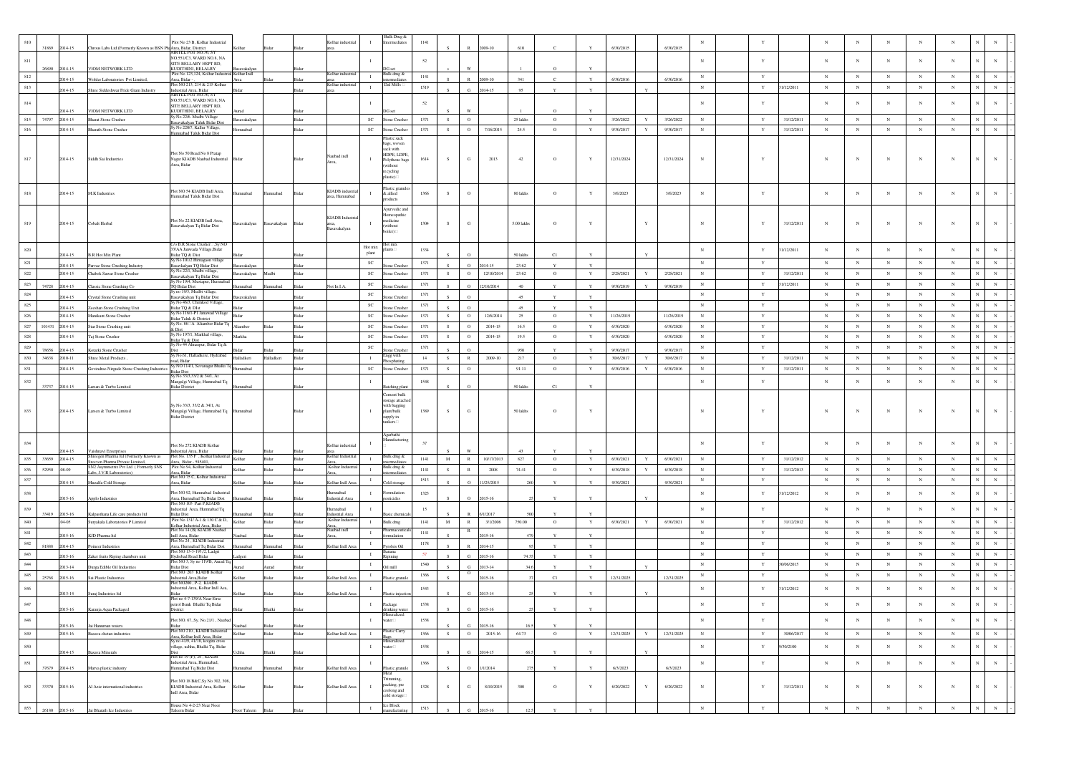|         |                             |                                                                      |                                                                                      |                            |               |                                         |                  | ulk Drug &                  |      |             |                            |              |               |              |            |                           |            |              |            |             |              |             |              |              |             |             |
|---------|-----------------------------|----------------------------------------------------------------------|--------------------------------------------------------------------------------------|----------------------------|---------------|-----------------------------------------|------------------|-----------------------------|------|-------------|----------------------------|--------------|---------------|--------------|------------|---------------------------|------------|--------------|------------|-------------|--------------|-------------|--------------|--------------|-------------|-------------|
|         |                             |                                                                      | Plot No 23 B, Kolhar Industrial                                                      |                            |               | olhar industrial                        |                  | <i>rmediates</i>            | 1141 |             |                            |              |               |              |            |                           |            |              |            |             |              |             |              |              |             |             |
|         | 31869<br>2014-15            | Chrous Labs Ltd.(Formerly Known as BSN Ph:Area, Bidar, District      | <b>IRTEL POT NO.36, SY</b>                                                           |                            |               |                                         |                  |                             |      |             | 1009-10                    |              |               |              | 6/30/2015  | 6/30/2015                 |            |              |            |             |              |             |              |              |             |             |
| 811     |                             |                                                                      | NO.551/C3, WARD NO.8, NA                                                             |                            |               |                                         |                  |                             | 52   |             |                            |              |               |              |            |                           | $_{\rm N}$ | Y            |            |             | N            | N           |              | $\mathbf{N}$ | N           | N           |
|         | 26890<br>2014-15            | VIOM NETWORK LTD                                                     | SITE BELLARY HSPT RD,<br><b>JUDITHINI, BELALRY</b>                                   |                            |               |                                         |                  |                             |      |             |                            |              | $\Omega$      |              |            |                           |            |              |            |             |              |             |              |              |             |             |
| 812     | 2014-15                     |                                                                      | Plot No 123.124. Kolhar Industri                                                     | nasayakarya<br>Kolhar Indl |               | olhar indus                             | $\blacksquare$   | Bulk drug å                 | 1141 |             | $\mathbb{R}$               | 341          | $\mathcal{C}$ | $\mathbf{v}$ | 6/30/2016  | 6/30/2016                 | $_{\rm N}$ | Y            |            | $_{\rm N}$  | $_{\rm N}$   | $_{\rm N}$  | $_{\rm N}$   | $_{\rm N}$   |             | $_{\rm N}$  |
|         |                             | Wohler Laboratories Pvt Limited.                                     | Irea, Bidar -<br>Plot NO 213, 214 & 215 Kolha                                        |                            |               | Ridar<br>Kolhar industria               |                  | ermediate<br>Dal Mills ⊟    |      |             | 2009-10                    |              |               |              |            |                           |            |              |            |             |              |             |              |              |             |             |
| 813     | 2014-15                     | Shree Siddeshwar Fride Gram Industry                                 | Industrial Area, Bidar<br>AIRTEL POT NO.36, SY                                       |                            |               |                                         | $\mathbf{I}$     |                             | 1519 |             | $\alpha$<br>2014-15        | 95           | Y             | $\mathbf{Y}$ |            |                           | $_{\rm N}$ | $\mathbf Y$  | 31/12/2011 | ${\bf N}$   | $_{\rm N}$   | $_{\rm N}$  | $\mathbf N$  | $_{\rm N}$   |             | $_{\rm N}$  |
|         |                             |                                                                      | NO.551/C3, WARD NO.8, NA                                                             |                            |               |                                         |                  |                             |      |             |                            |              |               |              |            |                           |            |              |            |             |              |             |              |              | N           |             |
| 814     |                             |                                                                      | SITE BELLARY HSPT RD,                                                                |                            |               |                                         |                  |                             | 52   |             |                            |              |               |              |            |                           |            |              |            |             | N            | N           | $_{\rm N}$   | $_{\rm N}$   |             | $_{\rm N}$  |
| 815     | 1014-15<br>2014-15<br>74797 | <b>JIOM NETWORK LTD</b><br><b>Bharat Stone Crusher</b>               | KUDITHINI, BELALRY<br>v No 22/6. Mudbi Village                                       | savakalyan                 |               | Bidar                                   | $_{\rm SC}$      | Stone Crusher               | 1371 | S           | $\circ$                    | 25 lakhs     | $\circ$       | $\mathbf Y$  | 3/26/2022  | 3/26/2022                 | ${\bf N}$  |              | 31/12/2011 | ${\bf N}$   | $_{\rm N}$   | $_{\rm N}$  | $\mathbf N$  | $_{\rm N}$   |             | $_{\rm N}$  |
|         |                             |                                                                      | asayakalyan Taluk Bidar Dist                                                         |                            |               |                                         |                  |                             |      |             |                            |              |               |              |            | $\mathbf Y$               |            | Y            |            |             |              |             |              |              |             |             |
| 816     | 2014-15                     | <b>Bharath Stone Crusher</b>                                         | Sy No 220/7, Kallur Village<br>umnabad Taluk Bidar Dist                              | mnabad                     |               | Ridar                                   | <b>SC</b>        | one Crushe                  | 1371 | S.          | $\circ$<br>7/16/2015       | 24.5         | $\circ$       | Y            | 9/30/2017  | Y<br>9/30/2017            | N          | Y            | 31/12/2011 | $_{\rm N}$  | $_{\rm N}$   | $_{\rm N}$  | ${\bf N}$    | $_{\rm N}$   |             | $_{\rm N}$  |
|         |                             |                                                                      |                                                                                      |                            |               |                                         |                  | istic sack                  |      |             |                            |              |               |              |            |                           |            |              |            |             |              |             |              |              |             |             |
|         |                             |                                                                      |                                                                                      |                            |               |                                         |                  | ags, woven<br>ck with       |      |             |                            |              |               |              |            |                           |            |              |            |             |              |             |              |              |             |             |
|         |                             |                                                                      | Plot No 50 Road No 8 Pratap                                                          |                            |               | laubad indl                             |                  | HDPE, LDPE,                 |      |             |                            |              |               |              |            |                           |            |              |            |             |              |             |              |              |             |             |
| 817     | 2014-15                     | Siddh Sai Industries                                                 | Jagar KIADB Naubad Industrial<br>rea, Bidar                                          | ida                        |               | Bida<br>Area                            |                  | Polythene bag<br>without    | 1614 | S           | ${\bf G}$<br>2013          | $42\,$       | $\,$ O        |              | 12/31/2024 | 12/31/2024                | $_{\rm N}$ |              |            | $_{\rm N}$  |              | $_{\rm N}$  | N            |              | N           | $_{\rm N}$  |
|         |                             |                                                                      |                                                                                      |                            |               |                                         |                  | ecycling                    |      |             |                            |              |               |              |            |                           |            |              |            |             |              |             |              |              |             |             |
|         |                             |                                                                      |                                                                                      |                            |               |                                         |                  | astic) ⊟                    |      |             |                            |              |               |              |            |                           |            |              |            |             |              |             |              |              |             |             |
|         |                             |                                                                      |                                                                                      |                            |               |                                         |                  | lastic granule              |      |             |                            |              |               |              |            |                           |            |              |            |             |              |             |              |              |             |             |
|         | 2014-15                     | M.K Industries                                                       | Plot NO 54 KIADB Indl Area,<br>Iumnabad Taluk Bidar Dist                             | nnabad                     | hadamma       | KIADB industr<br>Bidar<br>rea. Humnabad |                  | & allied                    | 1366 | s           | $\circ$                    | 80 lakhs     | $\circ$       |              | 3/6/2023   | 3/6/2023                  | $_{\rm N}$ | Y            |            |             | N            | $\mathbf N$ |              |              | $_{\rm N}$  | $_{\rm N}$  |
|         |                             |                                                                      |                                                                                      |                            |               |                                         |                  | <b>xducts</b>               |      |             |                            |              |               |              |            |                           |            |              |            |             |              |             |              |              |             |             |
|         |                             |                                                                      |                                                                                      |                            |               |                                         |                  | vurvedic and                |      |             |                            |              |               |              |            |                           |            |              |            |             |              |             |              |              |             |             |
|         |                             |                                                                      | Plot No 22 KIADB Indl Area,                                                          |                            |               | KIADB Indus                             |                  | meopathic<br>nedicine       |      |             |                            |              |               |              |            |                           |            |              |            |             |              |             |              |              |             |             |
| 819     | 2014-15                     | Cobalt Herbal                                                        | asavakalyan Tq Bidar Dist                                                            | savakalyan                 | sasavakalyan  | Bidar<br>Basavakalyan                   |                  | vithout                     | 1304 | -S          | G                          | 5.00 lakhs   | $\circ$       |              |            |                           | $_{\rm N}$ | Y            | 31/12/2011 | $_{\rm N}$  | N            | $\mathbf N$ | N            | $\mathbf{N}$ |             |             |
|         |                             |                                                                      |                                                                                      |                            |               |                                         |                  | oiler)                      |      |             |                            |              |               |              |            |                           |            |              |            |             |              |             |              |              |             |             |
|         |                             |                                                                      | C/o B.R Stone Crusher Sy NO                                                          |                            |               |                                         |                  | lot mi:                     |      |             |                            |              |               |              |            |                           |            |              |            |             |              |             |              |              |             |             |
| 820     |                             |                                                                      | 3/AA Janwada Village,Bidar                                                           |                            |               |                                         | Hot mix<br>plant | ints.                       | 1334 |             |                            |              |               |              |            |                           | $_{\rm N}$ | Y            | 1/12/2011  | $_{\rm N}$  | $_{\rm N}$   | $_{\rm N}$  | $_{\rm N}$   | $_{\rm N}$   | N           | $_{\rm N}$  |
|         | 2014-15                     | <b>B.R Hot Mix Plant</b>                                             | sidar TQ & Dist<br>y No 101/2 Hirnag                                                 |                            |               |                                         |                  |                             |      |             |                            | $50\,$ lakhs | C1            |              |            |                           |            |              |            |             |              |             |              |              |             |             |
| 821     | 1014-15                     | Parvaz Stone Crushing Industry                                       | asavkalyan TQ Bidar Dist                                                             | vakalya                    |               |                                         | $_{\rm SC}$      | me Crush                    | 1371 |             | 014-15<br>$\Omega$         | 23.62        |               |              |            |                           | $_{\rm N}$ | Y            |            | $_{\rm N}$  | $_{\rm N}$   | $_{\rm N}$  | $_{\rm N}$   | $_{\rm N}$   |             | $_{\rm N}$  |
| $822\,$ | 2014-15                     | Chabok Sawar Stone Crusher                                           | Sv No 22/1. Mudbi village.                                                           | avakalyan                  | Iudbi         | Ridar                                   | <b>SC</b>        | tone Crusher                | 1371 | S           | 12/10/2014<br>$\circ$      | 23.62        | $\circ$       | Y            | 2/28/2021  | Y<br>2/28/2021            | $_{\rm N}$ | Y            | 31/12/2011 | ${\bf N}$   | N            | ${\bf N}$   | ${\bf N}$    | ${\bf N}$    |             | $_{\rm N}$  |
| 823     | 74728                       |                                                                      | iasavakalyan Tq Bidar Dist<br>'y No 19/4, Mustapur, Humnaba                          |                            |               | lot In LA.<br>Ridar                     | <b>SC</b>        |                             | 1371 |             | $\Omega$<br>2/10/2014      | 40           | $\mathbf{v}$  |              | 9/30/2019  |                           | N          | Y            | 1/12/2011  | N           | $_{\rm N}$   | N           | $\mathbb{N}$ | $_{\rm N}$   |             | $_{\rm N}$  |
|         | 2014-15                     | lassic Stone Crushing Co.                                            | TQ Bidar Dist<br>Sy no 19/3, Mudbi village                                           | nabad                      | mabad         |                                         |                  | me Crush                    |      |             |                            |              |               |              |            | 9/30/2019                 | $_{\rm N}$ | Y            |            |             | $_{\rm N}$   | $_{\rm N}$  | $_{\rm N}$   |              |             | $_{\rm N}$  |
| 824     | 2014-15                     | Crystal Stone Crushing unit                                          | savakalyan Tq Bidar Dist<br>No 46/3, Chimkod Village,                                | savakalyan                 |               |                                         | $_{\rm SC}$      | one Crushe                  | 1371 |             | $\Omega$                   | 45           |               |              |            |                           |            |              |            | $_{\rm N}$  |              |             |              | $_{\rm N}$   |             |             |
| 825     | 014-15                      | eshan Stone Crushing Unit                                            | idar TQ & DIst                                                                       |                            |               |                                         | SC               | ne Crush                    | 1371 |             | $\alpha$                   | 45           | Y             |              |            |                           | $_{\rm N}$ | $\mathbf{Y}$ |            | $_{\rm N}$  | $\mathbb{N}$ | N           | $_{\rm N}$   | $_{\rm N}$   |             | $_{\rm N}$  |
| 826     | 2014-15                     | Manikant Stone Crusher                                               | Sy No 116/1-P1 Janawad Village<br>idar Taluk & District                              | Bidar                      |               | Bidar                                   | $_{\rm SC}$      | one Crusher                 | 1371 | S           | $\circ$<br>12/6/2014       | 25           | $\circ$       | Y            | 11/26/2019 | 11/26/2019                | $_{\rm N}$ | $\mathbf Y$  |            | ${\bf N}$   | $_{\rm N}$   | $_{\rm N}$  | ${\bf N}$    | $_{\rm N}$   | N           | $\,$ N      |
| 827     | 101431<br>2014-15           | Star Stone Crushing unit                                             | y No. 86⊟A Aliamber Bidar To                                                         | iamber                     | idar          | Bidar                                   | $_{\rm SC}$      | tone Crusher                | 1371 | S.          | $\circ$<br>2014-15         | 16.5         | $\circ$       | Y            | 6/30/2020  | 6/30/2020                 | $_{\rm N}$ | $\mathbf Y$  |            | $_{\rm N}$  | $_{\rm N}$   | $_{\rm N}$  | $_{\rm N}$   | $_{\rm N}$   |             | $_{\rm N}$  |
|         |                             |                                                                      | bist<br>y No 197/1, Markhal village,                                                 |                            |               |                                         |                  |                             |      |             |                            |              |               |              |            |                           |            |              |            |             |              |             |              |              |             |             |
| $828\,$ | 2014-15                     | 'aj Stone Crusher                                                    | idar Tq & Dist                                                                       | arkha                      |               |                                         | $_{\rm SC}$      | one Crushe                  | 1371 | S           | $\circ$<br>2014-15         | 19.5         | $\,$ O        | Y            | 6/30/2020  | 6/30/2020                 | $_{\rm N}$ | $\mathbf Y$  |            | $_{\rm N}$  | $_{\rm N}$   | $_{\rm N}$  | $_{\rm N}$   | $_{\rm N}$   |             | $_{\rm N}$  |
| 829     | 78656<br>2014-15            | Cotarki Stone Crusher                                                | y No 44 Almaspur, Bidar Tq &                                                         |                            |               |                                         | <b>SC</b>        | one Crust                   | 1371 |             |                            | 950          |               |              | 9/30/2017  | 9/30/2017                 | $_{\rm N}$ | $\mathbf{Y}$ |            | $_{\rm N}$  | $\mathbf N$  | $_{\rm N}$  | $_{\rm N}$   | $_{\rm N}$   | N           | $_{\rm N}$  |
| 830     | 34638<br>2010-11            | Shree Metal Products                                                 | y No.61, Halladkere, Hydrabad                                                        | Halladkeri                 | falladkeri    | Bida                                    | $\mathbf{I}$     | ngg with                    | 14   | ${\bf S}$   | $\,$ R<br>$2009 - 10$      | 217          | $\,$ O        | $\mathbf Y$  | 30/6/2017  | 30/6/2017<br>$\mathbf Y$  | $_{\rm N}$ | $\mathbf Y$  | 31/12/2011 | $_{\rm N}$  | $_{\rm N}$   | $_{\rm N}$  | $_{\rm N}$   | $_{\rm N}$   | N           | $\,$ N      |
|         |                             |                                                                      | ad, Bidar<br>iy NO 114/1, Sevanagar Bhalki 7                                         |                            |               |                                         |                  | xphati                      |      |             |                            |              |               |              |            |                           |            |              |            |             |              |             |              |              |             |             |
| 831     | 2014-15                     | Govindrao Nireude Stone Crushing Industries                          |                                                                                      | mnabad                     |               | Bidar                                   | <b>SC</b>        | Stone Crusher               | 1371 | S           | $\circ$                    | 91.11        | $\circ$       | Y            | 6/30/2016  | 6/30/2016<br>Y            | $_{\rm N}$ | Y            | 31/12/2011 | N           | N            | $_{\rm N}$  | $\mathbf N$  | $_{\rm N}$   |             | $_{\rm N}$  |
|         |                             |                                                                      |                                                                                      |                            |               |                                         |                  |                             |      |             |                            |              |               |              |            |                           |            |              |            |             |              |             |              |              |             |             |
|         |                             |                                                                      | Bidar Dist<br>ly No 33/3,33/2 & 34/1, At                                             |                            |               |                                         |                  |                             |      |             |                            |              |               |              |            |                           |            |              |            |             |              |             |              |              |             |             |
| 832     | 33737<br>2014-15            | Larsan & Turbo Limited                                               | Aangalgi Village, Humnabad Tq<br><b>Bidar District</b>                               |                            |               |                                         | $\blacksquare$   |                             | 1548 |             |                            | 50 lakhs     | C1            |              |            |                           | $_{\rm N}$ | $\mathbf{Y}$ |            | $_{\rm N}$  | $_{\rm N}$   | $_{\rm N}$  | $_{\rm N}$   | $_{\rm N}$   | $_{\rm N}$  | $_{\rm N}$  |
|         |                             |                                                                      |                                                                                      |                            |               |                                         |                  | ement bulk                  |      |             |                            |              |               |              |            |                           |            |              |            |             |              |             |              |              |             |             |
|         |                             |                                                                      |                                                                                      |                            |               |                                         |                  | orage attache               |      |             |                            |              |               |              |            |                           |            |              |            |             |              |             |              |              |             |             |
| 833     | 2014-15                     | Larsen & Turbo Limited                                               | Sy No 33/3, 33/2 & 34/1, At                                                          | mnabad                     |               | Rida                                    | л.               | ith bagging<br>plant/bulk   | 1389 | S.          | G                          | 50 lakhs     | $\mathbf{o}$  | Y            |            |                           | $_{\rm N}$ | $\mathbf{Y}$ |            | $_{\rm N}$  | N            | N           | $_{\rm N}$   | $_{\rm N}$   | N           |             |
|         |                             |                                                                      | Mangalgi Village, Humnabad Tq<br><b>Bidar District</b>                               |                            |               |                                         |                  | upply in                    |      |             |                            |              |               |              |            |                           |            |              |            |             |              |             |              |              |             |             |
|         |                             |                                                                      |                                                                                      |                            |               |                                         |                  | ankers <sup>[1</sup>        |      |             |                            |              |               |              |            |                           |            |              |            |             |              |             |              |              |             |             |
|         |                             |                                                                      |                                                                                      |                            |               |                                         |                  | tgarbathi                   |      |             |                            |              |               |              |            |                           |            |              |            |             |              |             |              |              |             |             |
| 834     |                             |                                                                      |                                                                                      |                            |               |                                         |                  | lanufacturin                | 37   |             |                            |              |               |              |            |                           | $_{\rm N}$ | $\mathbf{Y}$ |            | $\mathbf N$ | N            | $\mathbf N$ |              | $\mathbf{N}$ | $_{\rm N}$  | $_{\rm N}$  |
|         | 2014-15                     | Vaishnavi Enterprises                                                | lot No 272 KIADB Kolhar<br>ndustrial Area, Bidar                                     |                            |               | olhar industria                         |                  |                             |      |             |                            |              |               |              |            |                           |            |              |            |             |              |             |              |              |             |             |
| 835     | 33659<br>2014-15            | Shreegen Pharma Itd (Formerly Known as                               | Plot No. 135 F . Kolhar Industrial                                                   | Kolbar                     | <b>Nichar</b> | Kolhar Industria<br>Ridar               | $\mathbf{I}$     | Bulk drug &                 | 1141 | M           | $\mathbb{R}$<br>10/17/2013 | 827          | $\circ$       | $\mathbf Y$  | 6/30/2021  | $\mathbf{Y}$<br>6/30/2021 | N          | Y            | 31/12/2012 | ${\bf N}$   | $_{\rm N}$   | $_{\rm N}$  | $_{\rm N}$   | $_{\rm N}$   |             | $_{\rm N}$  |
|         |                             | even Pharma Private Limited,<br>SN2 Asymmetrix Pvt Ltd (Formerly SNS | rea, Bidar - 585401<br>Plot No 94, Kolhar Industrial                                 |                            |               | Solhar Industri                         |                  | mediat<br>ılk drug &        |      |             |                            |              |               |              |            |                           |            |              |            |             |              |             |              |              |             |             |
| 836     | 52950<br>.08-09             | abs, J.V.R Laboratories)                                             |                                                                                      | Kolhar                     | <b>Sidar</b>  | Bidar                                   | $\blacksquare$   | ermediate                   | 1141 | S           | $\,$ R<br>2008             | 74.41        | $\circ$       | $\mathbf Y$  | 6/30/2018  | Y<br>6/30/2018            | $_{\rm N}$ | Y            | 31/12/2013 | $_{\rm N}$  | $_{\rm N}$   | $_{\rm N}$  | ${\bf N}$    | $_{\rm N}$   |             | ${\bf N}$   |
| 837     | 2014-15                     | Muzalfa Cold Storage                                                 | Area, Bidar<br>Plot NO 75 C, Kolhar Industrial<br>Area, Bidar                        |                            | sidar         | Colhar Indl Are<br>Bidar                | $\mathbf{I}$     | old storage                 | 1513 |             | 1/25/2015                  |              |               |              | 9/30/2021  | 9/30/2021                 | $_{\rm N}$ | $\mathbf Y$  |            | $_{\rm N}$  | $_{\rm N}$   | $_{\rm N}$  | $_{\rm N}$   | ${\bf N}$    |             | $_{\rm N}$  |
|         |                             |                                                                      | Plot NO 92. Humnabad Industria                                                       |                            |               | <b>lumnabad</b>                         |                  | mulation                    |      |             |                            |              |               |              |            |                           |            |              |            |             |              |             |              |              |             |             |
| 838     | 2015-16                     | Applo Industries                                                     |                                                                                      | mabad                      | Bidar         | ndustrial Area<br>Bidar                 |                  | sticides                    | 1323 |             | $\Omega$<br>2015-16        |              | Y             |              |            |                           | $_{\rm N}$ | $\mathbf Y$  | 1/12/2012  | $_{\rm N}$  | $_{\rm N}$   | $_{\rm N}$  | N            | $_{\rm N}$   |             | $_{\rm N}$  |
|         |                             |                                                                      | Area, Humnabad Tq Bidar Dist<br>Plot NO 105 Part P,KIADB                             |                            |               |                                         |                  |                             | 15   |             |                            |              |               |              |            |                           | $_{\rm N}$ | $\mathbf Y$  |            | $_{\rm N}$  | $_{\rm N}$   | $_{\rm N}$  | $_{\rm N}$   | $_{\rm N}$   |             |             |
| 839     | 33419<br>$2015 - 16$        | Kalpasthana Life care products ltd                                   | ndustrial Area, Humnabad Tq<br>Sidar Dist                                            |                            |               | hadam<br>dustrial Are                   |                  |                             |      |             |                            |              |               |              |            |                           |            |              |            |             |              |             |              |              |             | $_{\rm N}$  |
| 840     | $.04 - 05$                  | Suryakala Laboratories P Limited                                     | Plot No 131/ A-1 & 130 C & D,                                                        | Kolhar                     | <b>Sidar</b>  | Kolhar Industi<br>Bidar                 | $\;$ I           | Bulk drug                   | 1141 | $\mathbf M$ | $\,$ R<br>3/1/2006         | 750.00       | $\circ$       | Y            | 6/30/2021  | 6/30/2021<br>$\mathbf Y$  | $_{\rm N}$ | $\mathbf Y$  | 31/12/2012 | $_{\rm N}$  | $_{\rm N}$   | $_{\rm N}$  | $_{\rm N}$   | $_{\rm N}$   |             | $_{\rm N}$  |
|         |                             |                                                                      | Colhar Industrial Area, Bidar<br>lot No 14 (B) KIADB Naubad                          |                            |               | Area,<br>Naubad indl                    | $\mathbf{I}$     | armaceutic                  | 1141 |             | $\mathbb{R}$               |              |               |              |            |                           | $_{\rm N}$ | Y            |            | $_{\rm N}$  | $_{\rm N}$   | N           | $_{\rm N}$   | N            | N           | $_{\rm N}$  |
| 841     | 2015-16                     | KJD Pharma Itd                                                       | ndl Area, Bidar<br>lot No 24 . KIADB Industrial                                      |                            |               |                                         |                  | mulation                    |      |             | $15 - 16$                  |              | Y             | $\mathbf{v}$ |            |                           |            |              |            |             |              |             |              |              |             |             |
| $842\,$ | 81888<br>2014-15            | oineer Industries                                                    | rea, Humnabad Tq Bidar Dist                                                          | nabad                      | mnabad        | Colhar Indl Are<br>Sidar                | $\mathbf{I}$     | rolsis Oil                  | 1178 |             | 2014-15                    |              |               |              |            |                           | $_{\rm N}$ | $\mathbf Y$  |            | $_{\rm N}$  | $_{\rm N}$   | $_{\rm N}$  | $_{\rm N}$   | $_{\rm N}$   |             | $_{\rm N}$  |
| 843     | 2015-16                     |                                                                      | lot NO 13-3-195,/2, Ladgri                                                           |                            |               |                                         | $\mathbf{I}$     | nana                        | 57   |             | $\alpha$<br>2015-16        | 74.3         |               | $\mathbf{v}$ |            |                           | $_{\rm N}$ | $\mathbf{Y}$ |            | $_{\rm N}$  | $\mathbf N$  | $_{\rm N}$  | $_{\rm N}$   | $_{\rm N}$   |             | $_{\rm N}$  |
| 844     |                             | Zaker fruits Riping chambers unit                                    | <b>Iydrebad Road Bidar</b><br>Plot NO 3, Sy no 119/B, Aurad To                       |                            |               |                                         | $\mathbf{I}$     | pining                      | 1540 |             |                            |              |               |              |            |                           | $_{\rm N}$ | $\mathbf Y$  | 0/06/2015  | $_{\rm N}$  | $_{\rm N}$   | $_{\rm N}$  | $_{\rm N}$   | $_{\rm N}$   |             | ${\bf N}$   |
|         | 2013-14                     | Jurga Edible Oil Industrie                                           | Sidar Dist<br>lot NO 203 KIADB Kolhar                                                |                            | med           | Sidar                                   |                  | 1 mill                      |      |             | 2013-14<br>$\circ$         |              | Y             |              |            |                           |            |              |            |             |              |             |              |              |             |             |
| 845     | 25768<br>2015-16            | Sai Plastic Industries                                               |                                                                                      |                            | sidar         | Bidar<br>Colhar Indl Are                | $\mathbf{I}$     | astic grant                 | 1366 |             | 015-16                     |              | C1            | Y            | 12/31/2025 | 12/31/2025                | N          | Y            |            | $_{\rm N}$  | N            | $_{\rm N}$  | $\mathbb{N}$ | $_{\rm N}$   |             | $_{\rm N}$  |
| 846     |                             |                                                                      | Industrial Area, Bidar<br>Plot NO200, P-2, KIADB<br>ndustrial Area, Kolhar Indl Aea, |                            |               |                                         | -1               |                             |      |             |                            |              |               |              |            |                           | $_{\rm N}$ | $\mathbf Y$  | 1/12/2012  | $_{\rm N}$  | $_{\rm N}$   | $_{\rm N}$  | $_{\rm N}$   | $_{\rm N}$   |             | $_{\rm N}$  |
|         | 2013-14                     | Suraj Industries Itd                                                 |                                                                                      |                            |               | Colhar Indi Are                         |                  |                             | 1543 |             | G<br>2013-14               |              |               |              |            |                           |            |              |            |             |              |             |              |              |             |             |
|         |                             |                                                                      | Plot no 4-7-139/A Near Sirse<br>ol Bunk Bhalki Tq Bidar                              |                            |               |                                         |                  |                             | 1538 |             |                            |              |               |              |            |                           |            |              |            |             |              |             |              |              |             |             |
|         | 2015-16                     | Karanja Aqua Packaged                                                | District                                                                             | Bidar                      | Bhalki        | Bidar                                   |                  | drinking water              |      |             | G<br>2015-16               |              | $\mathbf Y$   | $\mathbf{Y}$ |            |                           |            |              |            |             |              |             |              |              |             |             |
| $848\,$ |                             |                                                                      | Plot NO. 67, Sy. No.21/1, Nauba                                                      |                            |               |                                         |                  | ineralized<br>ter           | 1538 |             |                            |              |               |              |            |                           | $_{\rm N}$ | $\mathbf{Y}$ |            | $_{\rm N}$  | $_{\rm N}$   | $_{\rm N}$  | $_{\rm N}$   | $_{\rm N}$   |             | $_{\rm N}$  |
|         | 2015-16                     | Jai Hanuman waters                                                   |                                                                                      |                            |               | Sidar                                   |                  |                             |      |             | G<br>2015-16               |              |               |              |            |                           |            |              |            |             |              |             |              |              |             |             |
| 849     | 2015-16                     | Basava chetan industries                                             | Plot NO 210, KIADB Industrial                                                        | Kolhar                     | Bidar         | Bidar<br>Kolhar Indl Area               | $\;$ I           | astic Carry                 | 1366 | S           | $\circ$<br>2015-16         | 64.73        | $\circ$       | $\mathbf Y$  | 12/31/2025 | $\mathbf Y$<br>12/31/2025 | ${\bf N}$  | $\mathbf Y$  | 30/06/2017 | ${\bf N}$   | $_{\rm N}$   | ${\bf N}$   | $_{\rm N}$   | ${\bf N}$    | $_{\rm N}$  | $\,$ N $\,$ |
|         |                             |                                                                      | Area, Kolhar Indl Area, Bidar<br>Sy no 41/9, 41/10, kotgira cross                    |                            |               |                                         |                  | neralizo                    |      |             |                            |              |               |              |            |                           |            |              |            |             |              |             |              |              |             |             |
| $850\,$ | 2014-15                     | sava Minerals                                                        | illage, uchha, Bhalki Tq, Bidar                                                      |                            |               |                                         | $\mathbf{I}$     | iter⊟                       | 1538 |             | G.<br>2014-15              |              | $\mathbf{v}$  |              |            |                           | $_{\rm N}$ | $\mathbf Y$  | /30/2100   | $_{\rm N}$  | $_{\rm N}$   | $_{\rm N}$  | $_{\rm N}$   | $_{\rm N}$   | $_{\rm N}$  | $\,$ N      |
|         |                             |                                                                      | lot no 19 (P), 26, KIADB                                                             |                            |               |                                         |                  |                             |      |             |                            |              |               |              |            |                           |            |              |            |             |              |             |              |              |             |             |
| 851     | 37679 2014-15               | Marva plastic industry                                               | ndustrial Area, Humnabad,<br>umnabad Tq Bidar Dist                                   |                            | amnabad       | olhar Indi Area                         | $\mathbf{I}$     | lastic granul               | 1366 |             | $\circ$<br>1/1/2014        |              | Y             | $\mathbf{Y}$ | 6/3/2023   | 6/3/2023                  | $_{\rm N}$ | $\mathbf Y$  |            | $_{\rm N}$  | $_{\rm N}$   | $_{\rm N}$  | $_{\rm N}$   | $_{\rm N}$   | $_{\rm N}$  | $_{\rm N}$  |
|         |                             |                                                                      |                                                                                      |                            |               |                                         |                  | $\rm_{Meal}$                |      |             |                            |              |               |              |            |                           |            |              |            |             |              |             |              |              |             |             |
|         |                             |                                                                      | Plot NO 18 B&C, Sy No 302, 308,                                                      |                            |               |                                         |                  | rimming.                    |      |             |                            |              |               |              |            |                           |            |              |            |             |              |             |              |              |             |             |
| 852     | 33370<br>2015-16            | Al Aziz international industries                                     | KIADB Industrial Area, Kolhar<br>Indl Area, Bidar                                    | Kolhar                     | Bidar         | Bidar<br>Kolhar Indl Area               | $\mathbf{I}$     | packing, pre<br>coolong and | 1328 | ${\bf S}$   | $_{\rm G}$<br>8/10/2015    | 300          | $\circ$       | Y            | 6/20/2022  | 6/20/2022<br>Y            | $_{\rm N}$ | Y            | 31/12/2011 | ${\bf N}$   | $_{\rm N}$   | $_{\rm N}$  | ${\bf N}$    | $_{\rm N}$   | $\mathbf N$ | $\,$ N $\,$ |
|         |                             |                                                                      |                                                                                      |                            |               |                                         |                  | cold storage                |      |             |                            |              |               |              |            |                           |            |              |            |             |              |             |              |              |             |             |
| 853     | 26180 2015-16               | Jai Bharath Ice Industries                                           | fouse No 4-2-23 Near Noor<br>Taleem Bidar                                            | oor Taleem                 | Bidar         | Bidar                                   | $\mathbf{I}$     | lee Block<br>nufacturin     | 1513 |             | G<br>2015-16               | 12.5         | $\mathbf{Y}$  | $\mathbf Y$  |            |                           | $\,$ N     | $\mathbf Y$  |            | $_{\rm N}$  | $_{\rm N}$   | ${\bf N}$   | $_{\rm N}$   | $\,$ N       | $_{\rm N}$  | $\mathbf N$ |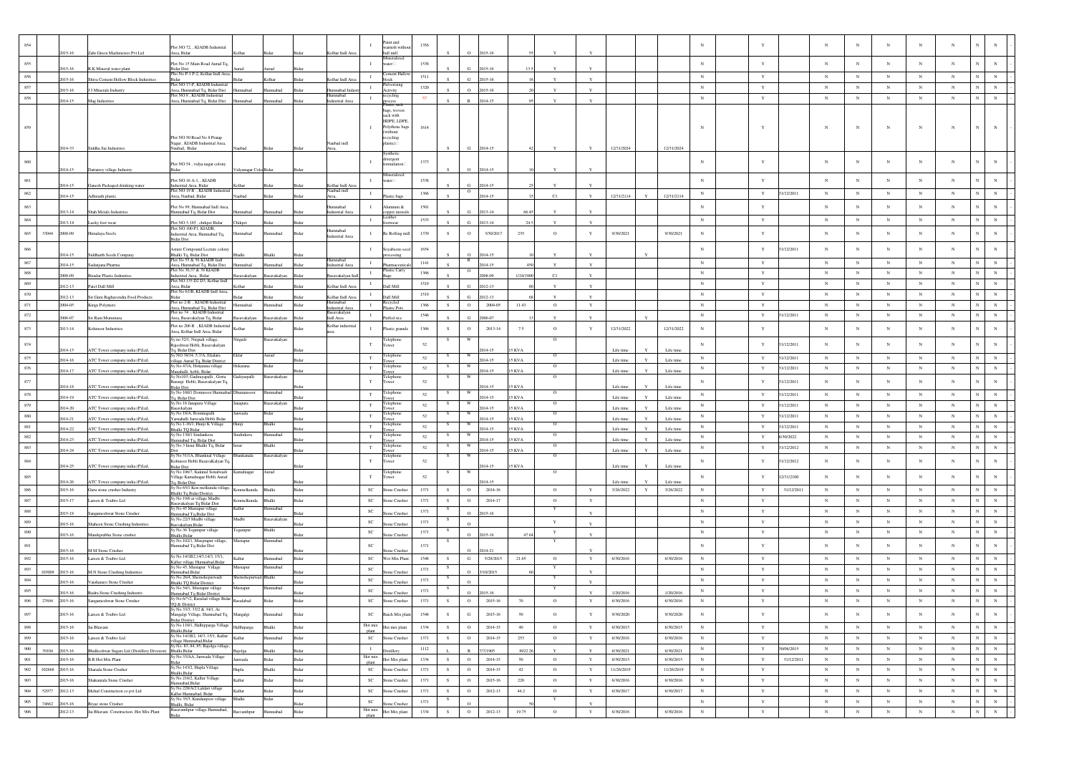| 854     |        |                  |                                                                | Plot NO 72, , KIADB Industrial                                                      |                    |                 |              |                              |                             | aint and<br>amish witho       | 1356     |               |                |                      |             |              |              |                        |             |                       |                          |              |            |            | N               | $_{\rm N}$  |            |            |                              |             |
|---------|--------|------------------|----------------------------------------------------------------|-------------------------------------------------------------------------------------|--------------------|-----------------|--------------|------------------------------|-----------------------------|-------------------------------|----------|---------------|----------------|----------------------|-------------|--------------|--------------|------------------------|-------------|-----------------------|--------------------------|--------------|------------|------------|-----------------|-------------|------------|------------|------------------------------|-------------|
|         |        | 115-16           | Zahi Green Machineires Pvt Ltd                                 | ea, Bida                                                                            |                    |                 |              | lhar Indl An                 |                             | ill mill<br>neralize          |          |               |                | 015-16               |             |              |              |                        |             |                       |                          |              |            |            |                 |             |            |            |                              |             |
| 855     |        | $15 - 16$        | R.K Mineral water plant                                        | Plot No 15 Main Road Aurad Tq.<br>3idar Dist<br>Plto No P-1 P-2, Kolhar Indl Are:   |                    |                 |              |                              | $\mathbf{I}$                | water                         | 1538     |               |                | $15 - 16$            |             |              |              |                        |             |                       | $_{\rm N}$               | $\mathbf Y$  |            | $_{\rm N}$ | $_{\rm N}$      | $_{\rm N}$  | $_{\rm N}$ | $_{\rm N}$ | $_{\rm N}$<br>$_{\rm N}$     |             |
| 856     |        | 2015-16          | Shiva Cement Hollow Block Industries                           |                                                                                     |                    | Colhar          |              | olhar Indl Are               | $\mathbf{I}$                | ment H<br>block               | 1511     |               | $\alpha$       | 2015-16              |             |              | $\mathbf{v}$ |                        |             |                       | $_{\rm N}$               | $\mathbf Y$  |            | $_{\rm N}$ | $_{\rm N}$      | $_{\rm N}$  | $_{\rm N}$ | $_{\rm N}$ | N<br>$_{\rm N}$              |             |
| 857     |        | $15-16$          | J J Minerals Industry                                          | Plot NO 17-P, KIADB Industria<br>Area, Humnabad Tq, Bidar Dist                      | mnabad             | amnabad         |              | umnabad Indi                 | $\;$ I                      | dlverising<br>Activity        | 1320     |               | $\circ$        | 015-16               |             |              | Y            |                        |             |                       | $_{\rm N}$               | $\mathbf Y$  |            | $_{\rm N}$ | $_{\rm N}$      | $_{\rm N}$  | $_{\rm N}$ | $_{\rm N}$ | $\overline{N}$               | $_{\rm N}$  |
| 858     |        | 2014-15          | Mag Industries                                                 | Plot NO 8 KLADB Indu<br>Area, Humnabad Tq, Bidar Dist                               | Humnabad           | mnabad          | <b>Sidar</b> | Industrial Area              | $\mathbf{I}$                | recycling                     | 57       |               |                | 014-15               |             |              | $\mathbf{v}$ |                        |             |                       | $\mathbf N$              | $\mathbf Y$  |            | $_{\rm N}$ | $_{\rm N}$      | $_{\rm N}$  | $_{\rm N}$ | $_{\rm N}$ | $_{\rm N}$<br>$_{\rm N}$     |             |
|         |        |                  |                                                                |                                                                                     |                    |                 |              |                              |                             | astre saek<br>ags, woven      |          |               |                |                      |             |              |              |                        |             |                       |                          |              |            |            |                 |             |            |            |                              |             |
|         |        |                  |                                                                |                                                                                     |                    |                 |              |                              |                             | sack with                     |          |               |                |                      |             |              |              |                        |             |                       |                          |              |            |            |                 |             |            |            |                              |             |
|         |        |                  |                                                                |                                                                                     |                    |                 |              |                              |                             | HDPE, LDPE,<br>Polythene bags | 1614     |               |                |                      |             |              |              |                        |             |                       | $\mathbf N$              |              |            | $_{\rm N}$ | N               | $_{\rm N}$  | N          | N          | $_{\rm N}$<br>$\mathbb{N}$   |             |
|         |        |                  |                                                                | Plot NO 50 Road No 8 Pratap                                                         |                    |                 |              |                              |                             | ithout<br>ecycling            |          |               |                |                      |             |              |              |                        |             |                       |                          |              |            |            |                 |             |            |            |                              |             |
|         |        | 2014-33          | Siddha Sai Industrie                                           | Nagar, KIADB Industrial Area<br>Jaubad, Bidar                                       |                    |                 |              | Vaubad indl                  |                             | astic)                        |          |               | G.             | 2014-15              |             |              |              | 12/31/2024             |             | 12/31/2024            |                          |              |            |            |                 |             |            |            |                              |             |
|         |        |                  |                                                                |                                                                                     |                    |                 |              |                              |                             |                               |          |               |                |                      |             |              |              |                        |             |                       |                          |              |            |            |                 |             |            |            |                              |             |
| 860     |        |                  |                                                                | Plot NO 54, vidya nagar colony                                                      |                    |                 |              |                              |                             | detergent                     | 1373     |               |                |                      |             |              |              |                        |             |                       | $\mathbf N$              | Y            |            | $_{\rm N}$ | N               | $_{\rm N}$  |            | N          | N<br>$_{\rm N}$              |             |
|         |        | 2014-15          | Dattatrey village Industry                                     |                                                                                     | lyanagar Colo Bida |                 |              |                              |                             | linerali:                     |          |               | $\Omega$       | 1014-15              |             |              |              |                        |             |                       |                          |              |            |            |                 |             |            |            |                              |             |
| 861     |        | 14-15            | Ganesh Packaged drinking water                                 | Plot NO 16 A-1, , KIADB<br>ndustrial Area, Bidar                                    |                    |                 |              | olhar Indl As                | $\mathbf{I}$                | ater                          | 1538     |               |                | 014-15               |             |              |              |                        |             |                       | $_{\rm N}$               | Y            |            | $_{\rm N}$ | $_{\rm N}$      | $_{\rm N}$  | $_{\rm N}$ | $_{\rm N}$ |                              |             |
| 862     |        | 2014-15          | Adhinath plastic                                               | Plot NO 19 B, KIADB Indu<br>Area, Naubad, Bidar                                     | laubad             |                 |              | Vaubad indl<br>Area.         | $\;$ I                      | astic ba                      | 1366     |               | $\rm _O$       | 014-15               |             | C1           | Y            | 12/31/2114             |             | 12/31/2114            | $_{\rm N}$               | $\mathbf Y$  | 31/12/2011 | $_{\rm N}$ | $_{\rm N}$      | $_{\rm N}$  | $_{\rm N}$ | $_{\rm N}$ | $_{\rm N}$<br>$_{\rm N}$     |             |
| 863     |        |                  |                                                                | Plot No 99, Humnabad Indl Area                                                      |                    |                 |              | nnabad                       | - 1                         | amium &                       | 1501     |               |                |                      |             |              |              |                        |             |                       | $_{\rm N}$               | $\mathbf Y$  |            | $_{\rm N}$ | $_{\rm N}$      | $_{\rm N}$  | $_{\rm N}$ | $_{\rm N}$ | N<br>N                       |             |
|         |        | 013-14           | Shah Metals Industries                                         | Humnabad Tq, Bidar Dist                                                             | mnabad             | mnahad          |              | Industrial Are               |                             | pper utens<br>eather          |          |               | G.             | 2013-14              | 664         |              |              |                        |             |                       |                          |              |            |            |                 |             |            |            |                              |             |
| 864     |        | $13 - 14$        | Lucky foot wear                                                | Plot NO 3-185, chikpet Bidar                                                        | Thikpet            |                 |              |                              | $\mathbf{I}$                | otwear                        | 1533     |               |                | 013-14               |             |              |              |                        |             |                       | $_{\rm N}$               | $\mathbf Y$  |            | $_{\rm N}$ | $_{\rm N}$      | $\,$ N      | $_{\rm N}$ | $_{\rm N}$ | ${\bf N}$<br>$_{\rm N}$      |             |
| $865\,$ | 33044  | 2008-09          | <b>fimalaya</b> Steels                                         | Plot NO 100 P1, KIADB,<br>ndustrial Area, Humnabad Tq,                              | mabad              | nnabad          |              | bedsnmul<br>ndustrial Area   |                             | le Rolling mi                 | 1370     |               | $\circ$        | 3/30/2017            | 235         | $\circ$      | $\mathbf Y$  | 9/30/2021              |             | 9/30/2021             | $_{\rm N}$               | $\mathbf Y$  |            | $_{\rm N}$ | $_{\rm N}$      | $_{\rm N}$  | $_{\rm N}$ | $_{\rm N}$ | $\mathbf N$<br>$_{\rm N}$    |             |
|         |        |                  |                                                                | dar Dist                                                                            |                    |                 |              |                              |                             |                               |          |               |                |                      |             |              |              |                        |             |                       |                          |              |            |            |                 |             |            |            |                              |             |
| $866\,$ |        | $14 - 15$        | Siddharth Seeds Company                                        | <b>Asture Compound Lecture colon</b><br>Bhalki Tq, Bidar Dist                       |                    |                 |              |                              | $\mathbf{I}$                | yabeens se<br>ocessing        | 1654     |               | $\Omega$       | 014-15               |             |              |              |                        |             |                       | $_{\rm N}$               | Y            | 1/12/2011  | $_{\rm N}$ | $_{\rm N}$      | $_{\rm N}$  | $_{\rm N}$ | $_{\rm N}$ | N<br>$_{\rm N}$              |             |
| 867     |        | 014-15           | Sadanjana Pharma                                               | Plot No 55 & 56 KIADB Ind<br>Area, Humnabad To, Bidar Dist                          | mahar              | nnahad          |              | mnabad<br>ndustrial Area     | $\mathbf{I}$                |                               | 1141     |               | R              | 014-15               |             |              | $\mathbf{v}$ |                        |             |                       | $\mathbf N$              | Y            |            | $_{\rm N}$ | $_{\rm N}$      | $_{\rm N}$  | $_{\rm N}$ | $_{\rm N}$ | $_{\rm N}$<br>$_{\rm N}$     |             |
| $868\,$ |        | 008-09           | <b>Biradar Plastic Industries</b>                              | Plot No 36,37 & 38 KIADB<br>ndustrial Area, Bidar                                   | avakalyan          |                 |              | savakalyan                   | $\mathbf{I}$                | Plastic Carry                 | 1366     |               | $\circ$        | 008-09               | 1/24/190    | $_{\rm C1}$  | $\mathbf Y$  |                        |             |                       | $_{\rm N}$               | $\mathbf Y$  |            | $_{\rm N}$ | $\,$ N $\,$     | $_{\rm N}$  | $_{\rm N}$ | $_{\rm N}$ | $_{\rm N}$                   | $_{\rm N}$  |
| 869     |        | $12 - 13$        | Patel Dall Mill                                                | Plot NO 135 D2 D3, Kolhar Indl<br>Area, Bidar                                       | Colbar             |                 |              | olhar Indl Are               | $\mathbf{I}$                | Dall Mill                     | 1519     |               | $\alpha$       | 2012-13              |             |              | Y            |                        |             |                       | $_{\rm N}$               | $\mathbf Y$  |            | $_{\rm N}$ | $_{\rm N}$      | $_{\rm N}$  | $_{\rm N}$ | $_{\rm N}$ | N                            | $_{\rm N}$  |
| $870\,$ |        | $12 - 13$        |                                                                | Plot No 61/B, KIADB Indl Area,                                                      |                    |                 |              | olhar Indl An                | $\mathbf{I}$                | Dall Mill                     | 1519     |               | $\alpha$       | 2012-13              |             |              | $\mathbf{Y}$ |                        |             |                       | ${\bf N}$                | $\mathbf Y$  |            | $_{\rm N}$ | $_{\rm N}$      | $_{\rm N}$  | $_{\rm N}$ | $_{\rm N}$ | N<br>$_{\rm N}$              |             |
| 871     |        | 2004-05          | Sri Guru Raghavendra Food Products<br>Kings Polymers           | lot no 2-B . KIADB Industria                                                        | hadam              | hadamma         | Bida         | nnabad                       | $\mathbf{I}$                | Recycled                      | 1366     | S             | $\circ$        | 2004-05              | 11.43       | $\circ$      | $\mathbf Y$  |                        |             |                       | $\mathbf N$              | $\mathbf Y$  |            | $_{\rm N}$ | $_{\rm N}$      | $_{\rm N}$  | $_{\rm N}$ | $_{\rm N}$ | $_{\rm N}$                   | $_{\rm N}$  |
| $872\,$ |        |                  |                                                                | Area, Humnabad Tq, Bidar Dist.<br>Plot no 74, KIADB Industrial                      |                    |                 |              | ndustrial Are<br>asavakalyan | $\mathbf{I}$                | lastic Pots                   | 1546     |               |                |                      |             |              |              |                        |             |                       | ${\bf N}$                | $\mathbf Y$  | 31/12/2011 | $_{\rm N}$ | $_{\rm N}$      | $_{\rm N}$  | $_{\rm N}$ | $_{\rm N}$ | $_{\rm N}$                   | $_{\rm N}$  |
|         |        | 006-07           | Sri Ram Murumun                                                | Area, Basavakalyan Tq, Bidar                                                        | avakalyan          | avakalyan       |              | ndl Area                     |                             | uffed rice                    |          |               |                | 2006-07              |             |              |              |                        |             |                       |                          |              |            |            |                 |             |            |            |                              |             |
| $873\,$ |        | 2013-14          | Kohinoor Industrie                                             | Plot no 206 B , KIADB Industria<br>Area, Kolhar Indl Area, Bidar                    |                    |                 |              | Kolhar industria             |                             | lastic granul                 | 1366     | S.            | $\circ$        | $2013 - 14$          | 7.5         | $\circ$      | Y            | 12/31/2022             |             | 12/31/2022            | $_{\rm N}$               | Y            |            | $_{\rm N}$ | N               | $_{\rm N}$  | $_{\rm N}$ | $_{\rm N}$ | N<br>$_{\rm N}$              |             |
| $874\,$ |        |                  |                                                                | sy no 52/1, Nirgudi village,                                                        | irgudi             | savakalyan      |              |                              | $_{\rm T}$                  | <b>Telephon</b>               | 52       |               |                |                      |             | $\circ$      |              |                        |             |                       | $_{\rm N}$               | Y            | 1/12/2011  | $_{\rm N}$ | N               | $_{\rm N}$  | $_{\rm N}$ | $_{\rm N}$ | N<br>$_{\rm N}$              |             |
|         |        | 14-15            | ATC Tower company india (P)Ltd,                                | tajeshwar Hobli, Basavakalyan<br><sup>r</sup> q, Bidar Dist                         |                    |                 |              |                              |                             | ower                          |          |               |                | $14 - 15$            | 5 KVA       |              |              | Life time              |             | Life time             |                          |              |            |            |                 |             |            |            |                              |             |
| 875     |        | 014-16           | ATC Tower company india (P)Ltd,                                | y NO 38/14, 5,7/A, Ekalara<br>illage Aurad Tq, Bidar District                       | Ekla               | Aurad           |              |                              | $_{\rm T}$                  | elephone                      | 52       |               | W              | 014-15               | 5 KVA       | $\circ$      |              | Life time              |             | Life time             | $_{\rm N}$               | $\mathbf Y$  | 31/12/2011 | $_{\rm N}$ | $_{\rm N}$      | $_{\rm N}$  | $_{\rm N}$ | $_{\rm N}$ | $_{\rm N}$<br>$_{\rm N}$     |             |
| 876     |        | 014-17           | ATC Tower company india (P)Ltd                                 | Sy No 47/A, Hokarana village<br>Aanahalli hobli, Bidar                              | Hokarana           | Bidar           |              |                              | T                           | Telephone<br>ower             | 52       |               | W              | 014-15               | 5 KVA       | $\circ$      |              | Life time              |             | Life tim              | N                        | Y            | 31/12/2011 | $_{\rm N}$ | $_{\rm N}$      | N           | $_{\rm N}$ | $_{\rm N}$ | $_{\rm N}$                   | $_{\rm N}$  |
| $877\,$ |        |                  |                                                                | šy No103, Gadirayapalli, Gorta<br>Basurgi Hobli, Basavakalyan Tq.                   | Gadiyarpalli       | Basavakalyan    |              |                              | T                           | elephon<br>ower               | 52       |               | W              |                      |             | $\circ$      |              |                        |             |                       | $_{\rm N}$               | Y            | 1/12/2011  | $_{\rm N}$ | $_{\rm N}$      | $_{\rm N}$  | $_{\rm N}$ | $_{\rm N}$ | $_{\rm N}$<br>$_{\rm N}$     |             |
|         |        | 14-18            | ATC Tower company india (P)Ltd,                                | <b>Bidar Dist</b><br>y No 160/1 Domnsoor Humnaba                                    | umansoo            | mnaba           |              |                              |                             | elephone                      |          |               |                | $(14-1)$             | KVA         |              |              | Life time              |             | Life tim              |                          |              |            |            |                 |             |            |            |                              |             |
| 878     |        | 014-19           | ATC Tower company india (P)Ltd,                                | q, Bidar Dist<br>iy No 18 Janapura Village                                          |                    | savakalvar      |              |                              | $_{\rm T}$                  | wer                           | 52       |               |                | 014-15               | <b>SKVA</b> | $\circ$      |              | Life tim               |             | Life tim              | $_{\rm N}$               | $\mathbf Y$  | 31/12/2011 | $_{\rm N}$ | $_{\rm N}$      | $_{\rm N}$  | $_{\rm N}$ | $_{\rm N}$ | $_{\rm N}$                   | $\,$ N $\,$ |
| 879     |        | 14-20            | ATC Tower company india (P)Ltd,                                | savkalyan                                                                           | mapura             |                 |              |                              | T                           | elephone                      | 52       |               |                | 014-15               | 5 KVA       |              |              | Life time              |             | Life time             | $_{\rm N}$               | $\mathbf Y$  | 31/12/2011 | $_{\rm N}$ | $_{\rm N}$      | $_{\rm N}$  | $_{\rm N}$ | $_{\rm N}$ | N                            | $\,$ N $\,$ |
| 880     |        | 14-21            | ATC Tower company india (P)Ltd,                                | / No 18/A, Bommapall<br>famahalli Janwada Hobli Bidar                               | ıwada              |                 |              |                              | $_{\rm T}$                  | ≳lephone<br>wer               | 52       |               |                | 014-15               | KVA         |              |              | Life time              |             | Life time             | $_{\rm N}$               | $\mathbf Y$  | 31/12/2011 | $_{\rm N}$ | $_{\rm N}$      | $_{\rm N}$  | $_{\rm N}$ | $_{\rm N}$ | $_{\rm N}$                   | $_{\rm N}$  |
| 881     |        | 014-22           | ATC Tower company india (P)Ltd                                 | y No 1-16/1, Hunji K Village<br>halki TO Bidar                                      |                    |                 |              |                              | $_{\rm T}$                  | elephon<br>wer                | 52       |               |                | $14 - 15$            | KVA         | $\circ$      |              | Life time              |             | Life time             | $_{\rm N}$               | $\mathbf Y$  | 31/12/2011 | $_{\rm N}$ | $_{\rm N}$      | $_{\rm N}$  | $_{\rm N}$ | $_{\rm N}$ | $_{\rm N}$                   | $_{\rm N}$  |
| $882\,$ |        | 114-23           | ATC Tower company india (P)Ltd,                                | iy No 130/1 Sindankera<br>mnabad Tq, Bidar Dist                                     | indinkera          | amnabad         |              |                              | T                           | Telephone<br>wer              | 52       |               |                | 014-15               | <b>SKVA</b> | $\circ$      |              | Life tim               |             | Life tim              | $_{\rm N}$               | Y            | 5/30/2022  | $_{\rm N}$ | $_{\rm N}$      | $_{\rm N}$  | $_{\rm N}$ | $_{\rm N}$ | $_{\rm N}$<br>N              |             |
| 883     |        | 2014-24          | ATC Tower company india (P)Ltd,                                | Sy No 3 Insur Bhalki Tq, Bidar                                                      |                    | dhalki          |              |                              | $_{\rm T}$                  | Telephone<br>wer              | 52       | $\mathcal{S}$ | W              | 014-15               | 5 KVA       | $\circ$      |              | Life time              |             | Life time             | $_{\rm N}$               | $\mathbf Y$  | 1/12/2012  | $_{\rm N}$ | $_{\rm N}$      | $_{\rm N}$  | $_{\rm N}$ | $_{\rm N}$ |                              | $_{\rm N}$  |
| $884\,$ |        |                  |                                                                | Sy No 51/1A, Bhanknal Village<br>hinoor Hobli BasavaKalyan To                       | Bhankanala         | asavakalyan     |              |                              | $_{\rm T}$                  | Telephone<br>ower             | 52       |               | W              |                      |             | $\circ$      |              |                        |             |                       | $_{\rm N}$               | Y            | 1/12/2012  | $_{\rm N}$ | $_{\rm N}$      | $_{\rm N}$  | $_{\rm N}$ | $_{\rm N}$ | $_{\rm N}$                   | $_{\rm N}$  |
|         |        | 2014-25          | ATC Tower company india (P)Ltd                                 | <b>Sidar Dist</b><br>šv No 106/7. Kakinal Sonalwadi                                 |                    | Aurad           |              |                              |                             |                               |          |               |                | 014-15               | 5 KVA       | $\Omega$     |              | Life time              |             | Life time             |                          |              |            |            |                 |             |            |            |                              |             |
| 885     |        |                  |                                                                | Village Kamalnagar Hobli Aurad                                                      | amalnagar          |                 |              |                              | $_{\rm T}$                  | elephon<br>ower               | 52       |               |                |                      |             |              |              |                        |             |                       | $_{\rm N}$               | $\mathbf Y$  | 12/31/2100 | $_{\rm N}$ | $_{\rm N}$      | $_{\rm N}$  | N          | $_{\rm N}$ | $_{\rm N}$<br>$_{\rm N}$     |             |
| 886     |        | 14-26<br>2015-16 | ATC Tower company india (P)Ltd,<br>Guru stone crusher Industry | Tq, Bidar Dist<br>ly No 65/1 Kon melkunda village                                   | melkunda           | Bhalki          |              |                              | $_{\rm SC}$                 | one Crushe                    | 1371     | s.            | $\circ$        | $14 - 19$<br>2014-16 |             | $\circ$      | $\mathbf Y$  | Life time<br>3/26/2022 | $\mathbf Y$ | Life tim<br>3/26/2022 | $_{\rm N}$               | $\mathbf Y$  | 31/12/2011 | $_{\rm N}$ | $_{\rm N}$      | $_{\rm N}$  | $_{\rm N}$ | $_{\rm N}$ | N                            | $_{\rm N}$  |
| $887\,$ |        | 2015-17          | Larsen & Toubro Ltd                                            | halki Tq Bidar District.<br>iy No 19/6 at village Mudbi                             | Konmelkunda        | Bhalki          | Bidar        |                              | $_{\rm SC}$                 | tone Crushe                   | 1371     | S             | $\circ$        | 2014-17              |             | $\circ$      | $\mathbf Y$  |                        |             |                       | N                        | Y            |            | $_{\rm N}$ | $_{\rm N}$      | $_{\rm N}$  | $_{\rm N}$ | $_{\rm N}$ | $\overline{N}$<br>$_{\rm N}$ |             |
| $888\,$ |        |                  |                                                                | asavakalyan Tq Bidar Dis<br>iy No 45 Mustapur village                               |                    |                 |              |                              | $_{\rm SC}$                 |                               | 1371     |               |                |                      |             |              |              |                        |             |                       | $\mathbf N$              | $\mathbf Y$  |            | $_{\rm N}$ | $_{\rm N}$      | $_{\rm N}$  | $_{\rm N}$ | $_{\rm N}$ | $_{\rm N}$<br>$_{\rm N}$     |             |
|         |        | 015-18           | ngameshwar Stone Crusher                                       | mnabad Tq,Bidar Dist<br>Sy No 22/3 Mudbi village                                    | Mudbi              | Basavakalyar    |              |                              |                             | one Crushe                    |          | - 8           |                | 2015-16              |             |              |              |                        |             |                       |                          |              |            |            |                 |             |            |            |                              |             |
| 889     |        | 015-16           | Shaheen Stone Crushing Industries                              | 3asvakalyan,Bidar<br>ly No 36 Tegampur village                                      | Tegampur           | 3halki          |              |                              | SC                          | e Crush                       | 1371     |               | $\Omega$       |                      |             | $\mathbf Y$  |              |                        |             |                       | $_{\rm N}$               | $\mathbf Y$  |            | $_{\rm N}$ | $_{\rm N}$      | $_{\rm N}$  | $_{\rm N}$ | $_{\rm N}$ | $_{\rm N}$                   | $_{\rm N}$  |
| 890     |        | 2015-16          | Manikprabhu Stone crushe                                       | Shalki.Bidar<br>Sy No 102/1, Musptapur village,                                     | Mustapur           | Humnabad        |              |                              | $\ensuremath{\text{sc}}$    | one Crushe                    | 1371     |               | $\Omega$       | 2015-16              | 47.6        | Y<br>Y       | $\mathbf{Y}$ |                        |             |                       | $_{\rm N}$               | $\mathbf Y$  |            | $_{\rm N}$ | $_{\rm N}$      | $_{\rm N}$  | $_{\rm N}$ | $_{\rm N}$ | N                            | $_{\rm N}$  |
| 891     |        | 015-16           | M M Stone Crushe                                               | lumnabad Tq Bidar Dist                                                              |                    |                 |              |                              | $_{\rm SC}$                 | se Crushe                     | 1371     |               | $\Omega$       | 2014-21              |             |              |              |                        |             |                       | $_{\rm N}$               | $\mathbf Y$  |            | $_{\rm N}$ | $_{\rm N}$      | $_{\rm N}$  | N          | $_{\rm N}$ | N<br>$_{\rm N}$              |             |
| 892     |        | 2015-16          | Larsen & Toubro Ltd                                            | v No 14/1B2,14/3,14/3, 15/1                                                         | Kallur             | mnabad          |              |                              | $_{\rm SC}$                 | Wet Mix Plant                 | 1548     |               | $\mathbf{G}$   | 5/29/2015            | 21.65       | $\circ$      | $\mathbf Y$  | 6/30/2016              |             | 6/30/2016             | $_{\rm N}$               | $\mathbf Y$  |            | $_{\rm N}$ | $_{\rm N}$      | $_{\rm N}$  | $_{\rm N}$ | $_{\rm N}$ |                              | $_{\rm N}$  |
| $893\,$ |        |                  |                                                                | Callur village Humnabad, Bidar<br>v No 45, Mustapur Village                         | Mustapur           | mnabad          |              |                              | $_{\rm SC}$                 |                               | 1371     |               |                |                      |             |              |              |                        |             |                       | N                        | $\mathbf Y$  |            | $_{\rm N}$ | $_{\rm N}$      | $_{\rm N}$  | $_{\rm N}$ | $_{\rm N}$ | N                            | $_{\rm N}$  |
| 894     | 103009 | 2015-16          | <b>M.N Stone Crushing Industries</b>                           | amnabad,Bidar<br>y No 26/4, Shemshepu<br>wad                                        |                    | halk            |              |                              | $_{\rm SC}$                 | one Crush                     | 1371     |               | $\circ$        | 10/2015              |             |              |              |                        |             |                       | $_{\rm N}$               | $\mathbf Y$  |            | $_{\rm N}$ | $_{\rm N}$      | $_{\rm N}$  | $_{\rm N}$ | $_{\rm N}$ | $_{\rm N}$                   | $_{\rm N}$  |
|         |        | 015-16           | Vaishanavi Stone Crusher                                       | halki TQ Bidar District<br>y No 54/1, Mustapur village                              | Austapur           | nnaba           |              |                              |                             | ne Crush                      |          |               |                |                      |             |              |              |                        |             |                       |                          |              |            |            |                 |             |            |            |                              |             |
| 895     |        | 015-16           | Rudra Stone Crushing Industris                                 | Iumnabad Tq Bidar District<br>Sy No 6/*/2, Rasulad village Bidar                    |                    |                 |              |                              | $\protect\operatorname{SC}$ | e Crush                       | 1371     |               | $\rm ^{\circ}$ | $15 - 16$            |             |              |              | 1/20/2016              |             | 1/20/2016             | $_{\rm N}$<br>$_{\rm N}$ | $\mathbf Y$  |            | $_{\rm N}$ | $_{\rm N}$      | $_{\rm N}$  | $_{\rm N}$ | $_{\rm N}$ | $_{\rm N}$                   | $_{\rm N}$  |
| 896     | 27694  | 2015-16          | Sangameshwar Stone Crusher                                     | O.8 District<br>sy No 33/3, 33/2 & 34/1, At                                         | Rasulabad          |                 |              |                              | $\protect\operatorname{SC}$ | Stone Crusher                 | 1371     | s.            | $\,$ O         | 2015-16              | $70\,$      | $\circ$      | Y            | 6/30/2016              |             | 6/30/2016             |                          | $\mathbf Y$  |            | $_{\rm N}$ | $_{\rm N}$      | $_{\rm N}$  | $_{\rm N}$ | $_{\rm N}$ | N                            |             |
| 897     |        | 2015-16          | Larsen & Toubro Ltd                                            | Mangalgi Village, Humnabad Tq                                                       | Mangalgi           | mnabad          |              |                              | $\protect\operatorname{SC}$ | Batch Mix plan                | 1548     | s.            | G              | $2015 - 16$          | 50          | $\circ$      | $\mathbf Y$  | 9/30/2020              |             | 9/30/2020             | $_{\rm N}$               | $\mathbf Y$  |            | $_{\rm N}$ | $_{\rm N}$      | $_{\rm N}$  | $_{\rm N}$ | $_{\rm N}$ | $_{\rm N}$                   | ${\bf N}$   |
| 898     |        | 2015-16          | Jai Bhavani                                                    | <b>Sidar District</b><br>Sy No 110/1, Halhipparga Village                           | Hallhiparga        | Bhalki          | Bidar        |                              | Hot mix                     | Hot mix plant                 | 1334     | S             | $\circ$        | 2014-15              | $40\,$      | $\circ$      | $\mathbf Y$  | 6/30/2015              |             | 6/30/2015             | $_{\rm N}$               | $\mathbf Y$  |            | $_{\rm N}$ | $_{\rm N}$      | $_{\rm N}$  | $_{\rm N}$ | $_{\rm N}$ | $_{\rm N}$                   | $\,$ N $\,$ |
| 899     |        | 2015-16          | Larsen & Toubro Ltd.                                           | 3halki.Bidar<br>Sy No 14/1B2, 14/3, 15/1, Kallur                                    | Kallur             | <b>Iumnabad</b> | Bidar        |                              | plant<br><b>SC</b>          | <b>Stone Crusher</b>          | 1371     | S             | $\circ$        | 2014-15              | 253         | $\circ$      | $\mathbf Y$  | 6/30/2016              |             | 6/30/2016             | $_{\rm N}$               | $\mathbf Y$  |            | $_{\rm N}$ | $_{\mathrm{N}}$ | $_{\rm N}$  | N          | $_{\rm N}$ | ${\bf N}$                    | ${\bf N}$   |
|         |        |                  |                                                                | illage Humnabad, Bidar                                                              |                    |                 |              |                              |                             |                               |          |               |                |                      |             |              |              |                        |             |                       |                          |              |            |            |                 |             |            |            |                              |             |
| 900     | 39104  | 2015-16          | halkeshwar Sugars Ltd (Distillery Division)                    | Sy No. 83, 84, 85, Bajolga village<br>Bhalki, Bidar<br>Sy No 33/AA, Janwada Village |                    | halki           |              |                              | $\;$ I<br>Hot mix           | istiller                      | 1112     |               |                | 7/1905               | 8922.2      | $\mathbf{Y}$ | $\mathbf{Y}$ | 6/30/2021              |             | 6/30/2021             | $_{\rm N}$               | $\mathbf Y$  | 30/06/2015 | $_{\rm N}$ | ${\bf N}$       | $_{\rm N}$  | $_{\rm N}$ | $_{\rm N}$ | ${\bf N}$                    | ${\bf N}$   |
| 901     |        | 2015-16          | <b>B.R Hot Mix Plant</b>                                       | šy No 143/2, Hupla Village                                                          | Janwada            | Bidar           | Bidar        |                              | plant                       | Hot Mix plant                 | 1334     | S             | $\circ$        | 2014-15              | 50          | $\circ$      | $\mathbf Y$  | 6/30/2015              |             | 6/30/2015             | $_{\rm N}$               | Y            | 31/12/2011 | $_{\rm N}$ | ${\bf N}$       | N           | ${\bf N}$  | ${\bf N}$  | ${\bf N}$<br>${\bf N}$       |             |
| $902\,$ | 102668 | 2015-16          | Sharada Stone Crusher                                          | 3halki, Bidar<br>Sy No 216/2, Kallur Village                                        | Hupla              | Bhalki          | Bidar        |                              | $_{\rm SC}$                 | Stone Crusher                 | 1371     | ${\bf S}$     | $\,$ O         | 2014-15              | 42          | $\circ$      | $\mathbf Y$  | 11/26/2019             |             | 11/26/2019            | $_{\rm N}$               | $\mathbf Y$  |            | $_{\rm N}$ | $_{\rm N}$      | $_{\rm N}$  | $_{\rm N}$ | $_{\rm N}$ | $_{\rm N}$                   | $\,$ N $\,$ |
| 903     |        | 2015-16          | Shakuntala Stone Crusher                                       | lumnabad, Bidar                                                                     | Kallur             | Bidar           | Bidar        |                              | $_{\rm SC}$                 | Stone Crusher                 | 1371     | S             | $\circ$        | 2015-16              | 220         | $\circ$      | $\mathbf Y$  | 6/30/2016              |             | 6/30/2016             | $_{\rm N}$               | $\mathbf Y$  |            | $_{\rm N}$ | $_{\rm N}$      | $_{\rm N}$  | $_{\rm N}$ | $_{\rm N}$ | $_{\rm N}$                   | ${\bf N}$   |
| 904     | 52977  | 2012-13          | Mehal Construction co pvt Ltd                                  | iy No 228/A/2 Laldari village<br>Kallur Humnabad, Bidar                             | Kallur             | Bidar           | Bidar        |                              | $_{\rm SC}$                 | Stone Crusher                 | 1371     | S             | $\,$ O         | 2012-13              | 44.2        | $\circ$      | $\mathbf Y$  | 6/30/2017              |             | 6/30/2017             | $_{\rm N}$               | $\mathbf Y$  |            | $_{\rm N}$ | $_{\rm N}$      | $\,$ N      | $_{\rm N}$ | $_{\rm N}$ | ${\bf N}$<br>$\,$ N          |             |
| 905     | 74662  | $15-16$          | Riyaz stone Crusher                                            | y No 35/3, Kundanpoor village<br>3halki, Bidar                                      | Bhalki             | Bidar           |              |                              | $_{\rm SC}$                 | tone Crusher                  | 1371     | S.            | $\circ$        |                      |             | Y            | Y            |                        |             |                       | $_{\rm N}$               | $\mathbf Y$  |            | $_{\rm N}$ | $_{\rm N}$      | $_{\rm N}$  | $_{\rm N}$ | ${\bf N}$  | ${\bf N}$                    | ${\bf N}$   |
| 906     |        | 2012-13          | Jai Bhavani Construction Hot Mix Plant                         | sasavanthpur village Humnabad,<br>idur.                                             | Basvanthpur        | Humnabad        | Bidar        |                              | Hot mix<br>plant            | Hot Mix plant                 | $1334\,$ | ${\bf S}$     | $\circ$        | 2012-13              | 19.75       | $\circ$      | $\mathbf Y$  | 6/30/2016              |             | 6/30/2016             | $\,$ N                   | $\mathbf{Y}$ |            | $_{\rm N}$ | $_{\rm N}$      | $\,$ N $\,$ | $\,$ N     | $\,$ N     | $\mathbf N$                  | ${\bf N}$   |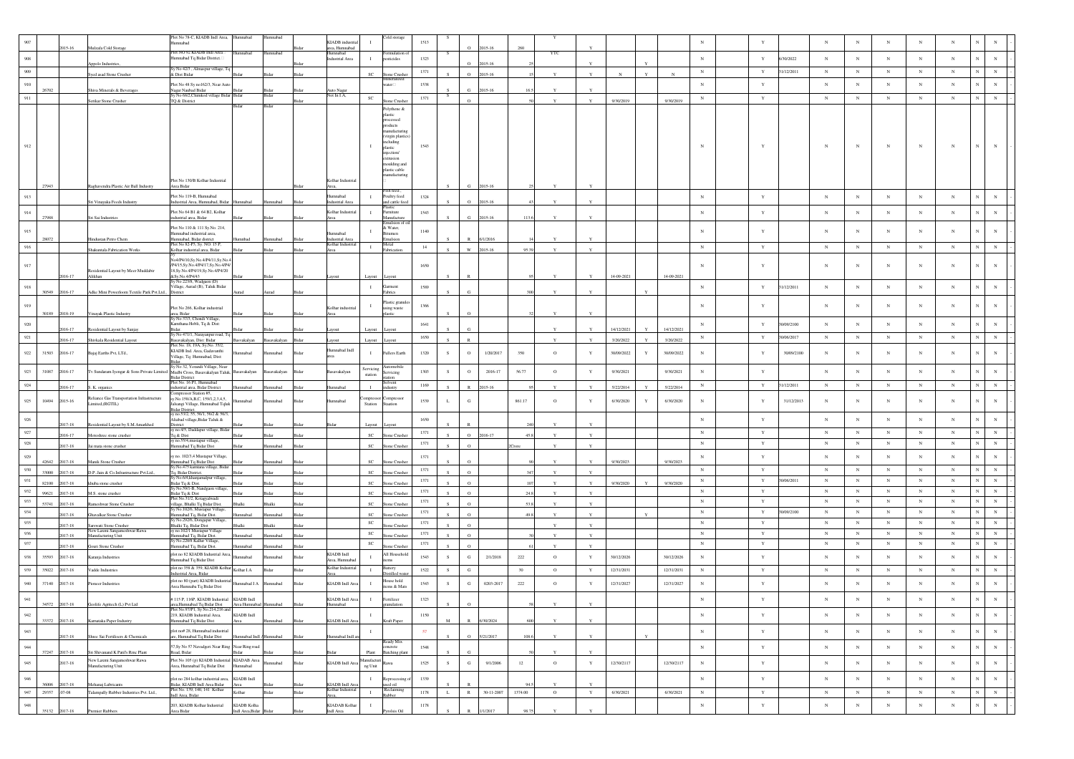|                |                |                       |                                                                             | Plot No 78-C, KIADB Indl Area, Humnabad<br>fumnabad                                   |                                 | Humnabad        |               | KIADB industria                    |                      | <b>Cold</b> storage         | 1513     |             |              |                  |         |              |              |            |             |            | $_{\rm N}$   |              |            | $_{\rm N}$ | N              | $_{\rm N}$ |            |            |                |             |
|----------------|----------------|-----------------------|-----------------------------------------------------------------------------|---------------------------------------------------------------------------------------|---------------------------------|-----------------|---------------|------------------------------------|----------------------|-----------------------------|----------|-------------|--------------|------------------|---------|--------------|--------------|------------|-------------|------------|--------------|--------------|------------|------------|----------------|------------|------------|------------|----------------|-------------|
|                |                | 015-16                | Mulzafa Cold Storage                                                        | lot NO 92 KIADB Indi Area                                                             | mnabad                          | mnabad          |               | area, Humnabad<br>Humnabad         |                      | ormulation c                |          |             | $\circ$      | 2015-16          | 260     | <b>YTC</b>   |              |            |             |            |              |              |            |            |                |            |            |            |                |             |
| 908            |                |                       | ppolo Industrie                                                             | Iumnabad Tq Bidar District.                                                           |                                 |                 |               | ndustrial Area                     |                      | sticides                    | 1323     |             | $\Omega$     | 115-16           |         |              |              |            |             |            | $_{\rm N}$   | $\mathbf Y$  | /30/2022   | $_{\rm N}$ | $_{\rm N}$     | $_{\rm N}$ | $_{\rm N}$ | $_{\rm N}$ | $_{\rm N}$     | $_{\rm N}$  |
| 909            |                |                       |                                                                             | y No 42/3 , Almaspur village, Tq                                                      |                                 |                 |               |                                    |                      |                             | 1371     |             |              |                  |         |              |              |            |             |            | $_{\rm N}$   | $\mathbf Y$  | 31/12/2011 | $_{\rm N}$ | $_{\rm N}$     | $_{\rm N}$ | N          | $_{\rm N}$ | $\mathbf N$    | $_{\rm N}$  |
|                |                |                       | Syed asad Stone Crusher                                                     | & Dist Bidar                                                                          |                                 |                 |               |                                    | <b>SC</b>            | Stone Crushe                |          |             | $\circ$      | 2015-16          |         |              |              |            |             |            |              |              |            |            |                |            |            |            |                |             |
| 910            | 26702          |                       | Shiva Minerals & Beverages                                                  | Plot No 48 Sy no162/3, Near Auto                                                      | 3ida                            |                 |               | Auto Nagar                         |                      | ater                        | 1538     |             | G.           | 015-16           |         |              |              |            |             |            | $\mathbf N$  | $\mathbf{Y}$ |            | $_{\rm N}$ | $_{\rm N}$     | $_{\rm N}$ | N          | $_{\rm N}$ | $_{\rm N}$     | $_{\rm N}$  |
| 911            |                |                       |                                                                             | Nagar Naubad Bidar<br>Sy No 68/2, Chimkod village Bidar Bidar                         |                                 | Bidar           |               | Not In LA.                         | SC                   |                             | 1371     | -S          | $\Omega$     |                  |         |              | $\mathbf{v}$ |            |             |            | $_{\rm N}$   | $\mathbf Y$  |            | $_{\rm N}$ | $_{\rm N}$     | $_{\rm N}$ | $_{\rm N}$ | $_{\rm N}$ | $_{\rm N}$     | $_{\rm N}$  |
|                |                |                       | Serikar Stone Crusher                                                       | TQ & District                                                                         |                                 |                 |               |                                    |                      | e Crus<br>Polythene &       |          |             |              |                  |         |              |              | 9/30/2019  |             | 9/30/2019  |              |              |            |            |                |            |            |            |                |             |
|                |                |                       |                                                                             |                                                                                       |                                 |                 |               |                                    |                      | astic                       |          |             |              |                  |         |              |              |            |             |            |              |              |            |            |                |            |            |            |                |             |
|                |                |                       |                                                                             |                                                                                       |                                 |                 |               |                                    |                      | rocessed<br>oducts          |          |             |              |                  |         |              |              |            |             |            |              |              |            |            |                |            |            |            |                |             |
|                |                |                       |                                                                             |                                                                                       |                                 |                 |               |                                    |                      | nufactur                    |          |             |              |                  |         |              |              |            |             |            |              |              |            |            |                |            |            |            |                |             |
|                |                |                       |                                                                             |                                                                                       |                                 |                 |               |                                    |                      | irgin plastic<br>including  |          |             |              |                  |         |              |              |            |             |            |              |              |            |            |                |            |            |            |                |             |
|                |                |                       |                                                                             |                                                                                       |                                 |                 |               |                                    |                      | plastic<br>njection/        | 1543     |             |              |                  |         |              |              |            |             |            | $\mathbb{N}$ |              |            | $_{\rm N}$ | N              | $_{\rm N}$ |            |            |                | $_{\rm N}$  |
|                |                |                       |                                                                             |                                                                                       |                                 |                 |               |                                    |                      | trusion                     |          |             |              |                  |         |              |              |            |             |            |              |              |            |            |                |            |            |            |                |             |
|                |                |                       |                                                                             |                                                                                       |                                 |                 |               |                                    |                      | oulding and<br>lastic cable |          |             |              |                  |         |              |              |            |             |            |              |              |            |            |                |            |            |            |                |             |
|                |                |                       |                                                                             | Plot No 130/B Kolhar Industrial                                                       |                                 |                 |               | Kolhar Industria                   |                      | nufacturin                  |          |             |              |                  |         |              |              |            |             |            |              |              |            |            |                |            |            |            |                |             |
|                | 27943          |                       | Raghavendra Plastic Air Ball Industry                                       | Area Bidar                                                                            |                                 |                 |               |                                    |                      |                             |          |             | G            | 2015-16          |         |              |              |            |             |            |              |              |            |            |                |            |            |            |                |             |
| 913            |                |                       |                                                                             | Plot No 119-B, Humnabad                                                               |                                 |                 |               | mabad                              |                      | Fish feed,<br>Poultry feed  | 1324     |             |              |                  |         |              |              |            |             |            | $_{\rm N}$   | $\mathbf Y$  |            | $_{\rm N}$ | $_{\rm N}$     | $_{\rm N}$ | $_{\rm N}$ | $_{\rm N}$ | $_{\rm N}$     | $_{\rm N}$  |
|                |                |                       | Sri Vinayaka Feeds Industry                                                 | ndustrial Area, Humnabad, Bidar                                                       | Humnabad                        | Humnabad        |               | lustrial An                        |                      | d cattle fee                |          |             | $\circ$      | 015-16           |         |              |              |            |             |            |              |              |            |            |                |            |            |            |                |             |
| $914\,$        |                |                       |                                                                             | Plot No 64 B1 & 64 B2, Kolhar                                                         |                                 |                 |               | Kolhar Industria                   | $\mathbf{I}$         | umiture                     | 1543     |             |              |                  |         |              |              |            |             |            | $_{\rm N}$   | $\mathbf Y$  |            | $_{\rm N}$ | $_{\rm N}$     | $_{\rm N}$ | $_{\rm N}$ | $_{\rm N}$ | $_{\rm N}$     | $_{\rm N}$  |
|                | 27988          |                       | Sri Sai Industries                                                          | industrial area, Bidar                                                                |                                 |                 |               | Area                               |                      | fanufacture                 |          |             |              | 2015-16          | 113.    |              |              |            |             |            |              |              |            |            |                |            |            |            |                |             |
| 915            |                |                       |                                                                             | Plot No 110 & 111 Sv. No. 214.<br>Humnabad industrial area,                           |                                 |                 |               | hedem                              |                      | & Water,<br>tumen           | 1140     |             |              |                  |         |              |              |            |             |            | $_{\rm N}$   | Y            |            | $_{\rm N}$ | $_{\rm N}$     | N          |            | $_{\rm N}$ | $_{\rm N}$     | $_{\rm N}$  |
|                | 28072          |                       | Hindustan Petro Chem                                                        | Iumnabad, Bidar district<br>Plot No 82-P3, Sy. NO. 15 P                               | badnmul                         | Humnabad        | Bidar         | ndustrial Area<br>Kolhar Indus     |                      | mulsion<br>Metal            |          |             | $\mathbb{R}$ | 6/1/2016         |         |              |              |            |             |            |              |              |            |            |                |            |            |            |                |             |
| 916            |                |                       | Shakuntala Fabrication Works                                                | Kolhar industrial area, Bidar                                                         |                                 |                 |               | Area                               | $\mathbf{I}$         | Fabrication                 | 14       |             | w            | 2015-16          | 95.3    |              | Y            |            |             |            | $_{\rm N}$   | Y            |            | $_{\rm N}$ | $_{\rm N}$     | $_{\rm N}$ | $_{\rm N}$ | $_{\rm N}$ | $_{\rm N}$     | $_{\rm N}$  |
|                |                |                       |                                                                             | Vo4/P4/10,Sy.No.4/P4/11,Sy.No.4                                                       |                                 |                 |               |                                    |                      |                             |          |             |              |                  |         |              |              |            |             |            |              |              |            |            |                |            |            |            |                |             |
| 917            |                |                       |                                                                             | P4/15, Sy No.4/P4/17, Sy No.4/P4/                                                     |                                 |                 |               |                                    |                      |                             | 1650     |             |              |                  |         |              |              |            |             |            | $_{\rm N}$   |              |            | $_{\rm N}$ | N              | $_{\rm N}$ |            | $_{\rm N}$ | N              | $_{\rm N}$  |
|                |                | 016-17                | Residential Layout by Meer Muddabir<br>Alikhan                              | 8, Sy. No. 4/P4/19, Sy. No. 4/P4/20<br>&Sv No 4/P4/43                                 |                                 |                 |               |                                    | Layout               | Layout                      |          |             |              |                  |         |              |              | 14-09-2021 |             | 14-09-2021 |              |              |            |            |                |            |            |            |                |             |
| 918            |                |                       |                                                                             | No 223/8, Wadgaon (1<br>(illage, Aurad (B), Taluk Bidar                               |                                 |                 |               |                                    | $\mathbf{I}$         | arment                      | 1589     |             |              |                  |         |              |              |            |             |            | N            | Y            | 1/12/2011  | $_{\rm N}$ | $_{\rm N}$     | $_{\rm N}$ | $_{\rm N}$ | $_{\rm N}$ | $_{\rm N}$     | $_{\rm N}$  |
|                | 30549          | 2016-17               | Adke Mini Powerloom Textile Park Pvt.Ltd., District                         |                                                                                       |                                 | Aurad           |               |                                    |                      | abrics                      |          |             |              |                  |         |              |              |            |             |            |              |              |            |            |                |            |            |            |                |             |
| 919            |                |                       |                                                                             |                                                                                       |                                 |                 |               |                                    | $\mathbf{I}$         | Plastic granule             | 1366     |             |              |                  |         |              |              |            |             |            | $_{\rm N}$   |              |            | $_{\rm N}$ | N              | $_{\rm N}$ | N          | $_{\rm N}$ | $_{\rm N}$     | $_{\rm N}$  |
|                | 30189          | 2018-19               | Vinayak Plastic Industry                                                    | Plot No 266, Kolhar industrial<br>rea, Bidar                                          |                                 |                 |               | Kolhar industria                   |                      | sing waste                  |          |             |              |                  |         |              |              |            |             |            |              |              |            |            |                |            |            |            |                |             |
| $\,920$        |                |                       |                                                                             | Sv No 37/3, Chondi Village<br>Kamthana Hobli, Tq & Dist:                              |                                 |                 |               |                                    |                      |                             | $1641\,$ |             |              |                  |         |              |              |            |             |            | $_{\rm N}$   | $\mathbf Y$  | 30/09/2100 | $_{\rm N}$ | $_{\rm N}$     | $_{\rm N}$ | $_{\rm N}$ | $_{\rm N}$ | N              | $_{\rm N}$  |
|                |                | 016-17                | Residential Layout by Sanjay                                                |                                                                                       |                                 |                 |               |                                    | Layout               | Layout                      |          |             |              |                  |         |              |              | 14/12/2021 |             | 14/12/2021 |              |              |            |            |                |            |            |            |                |             |
| 921            |                | $16 - 17$             | Shivkala Residential Layout                                                 | Sy No 471/1, Narayanpur road, Tq:<br>Basavakalyan, Dist: Bidar                        | 3asvakalyan                     | avakalyar       |               |                                    | Layout               | ayou                        | 1650     |             |              |                  |         | $\mathbf{v}$ |              | 3/20/2022  |             | 3/20/2022  | $_{\rm N}$   | $\mathbf Y$  | 30/06/2017 | $_{\rm N}$ | $_{\rm N}$     | $_{\rm N}$ | $_{\rm N}$ | $_{\rm N}$ | $_{\rm N}$     | $_{\rm N}$  |
|                |                |                       |                                                                             | Plot No. 18, 19A, Sy.No. 35/2,<br>KIADB Ind. Area, Gadavanthi                         |                                 |                 |               | Indl bodsmu                        |                      |                             |          |             |              |                  |         |              |              |            |             |            |              |              |            |            |                |            |            |            |                |             |
| 922            | 31503          | 2016-17               | Bajaj Earths Pvt, LTd.,                                                     | Village, Tq: Humnabad, Dist:                                                          |                                 |                 |               |                                    |                      | <b>Fullers Earth</b>        | 1320     | S           | $\circ$      | 1/20/2017        | 350     | $\circ$      | Y            | 30/09/2022 | $\mathbf Y$ | 30/09/2022 | $_{\rm N}$   |              | 30/09/2100 | $_{\rm N}$ | N              | N          |            | $_{\rm N}$ | $_{\rm N}$     | $_{\rm N}$  |
|                |                |                       |                                                                             | y No 32, Yerandi Village, Near                                                        |                                 |                 |               |                                    |                      | ıtomobil                    |          |             |              |                  |         |              |              |            |             |            |              |              |            |            |                |            |            |            |                |             |
| 923            | 31087          | 2016-17               | Tv Sundaram Iyengar & Sons Private Limited Mudbi Cross, Basavakalyan Taluk, |                                                                                       | savakalyan                      | avakalyan       | Rida          | savakalyan                         | Servicing<br>station | rvicing                     | 1303     | S           | $\circ$      | 2016-17          | 56.77   | $\circ$      | Y            | 9/30/2021  |             | 9/30/2021  | N            | $\mathbf{Y}$ |            | $_{\rm N}$ | $_{\rm N}$     | $_{\rm N}$ | $_{\rm N}$ | $_{\rm N}$ | $_{\rm N}$     | $_{\rm N}$  |
| $\mathbf{924}$ |                |                       |                                                                             | Bidar District<br>Plot No. 16 P1, Humnabad                                            |                                 |                 |               |                                    |                      | dvent                       | 1169     |             |              |                  |         |              |              |            |             |            | $\,$ N       | $\mathbf Y$  | 1/12/2011  | $_{\rm N}$ | $_{\rm N}$     | $_{\rm N}$ | $_{\rm N}$ | $_{\rm N}$ | $_{\rm N}$     | $_{\rm N}$  |
|                |                | $16 - 17$             | S. K. organics                                                              | ndustrial area, Bidar District<br>Compressor Station #5,                              | nnabac                          |                 |               | mnabad                             |                      | dustry                      |          |             |              | 015-16           |         |              |              | 5/22/2014  |             | 5/22/2014  |              |              |            |            |                |            |            |            |                |             |
| 925            | 10494          | 2015-16               | Reliance Gas Transportation Infrastructure<br>imited,(RGTIL)                | sv.No.158/A.B.C. 159/1.2.3.4.5.<br>alsangi Village, Humnabad Tqluk                    | mabad                           |                 |               | mabad                              | Station              | ompresso<br>noitas          | 1539     |             | $_{\rm G}$   |                  | 861.17  | $\circ$      | Y            | 6/30/2020  | Y           | 6/30/2020  | $_{\rm N}$   |              | 31/12/2013 | $_{\rm N}$ | N              | $_{\rm N}$ | N          | $_{\rm N}$ | N              | $_{\rm N}$  |
|                |                |                       |                                                                             | Bidar District.<br>sy no.53/2, 55, 56/1, 56/2 & 56/3                                  |                                 |                 |               |                                    |                      |                             |          |             |              |                  |         |              |              |            |             |            |              |              |            |            |                |            |            |            |                |             |
| 926            |                |                       |                                                                             | Aliabad village, Bidar Taluk &                                                        |                                 |                 |               |                                    |                      |                             | 1650     |             |              |                  |         |              |              |            |             |            | $_{\rm N}$   | $\mathbf Y$  |            | $_{\rm N}$ | $_{\rm N}$     | $_{\rm N}$ | $_{\rm N}$ | $_{\rm N}$ | $_{\rm N}$     | $_{\rm N}$  |
|                |                | 017-18                | Residential Layout by S.M.Amarkhed                                          | District<br>sy no.4/5, Daddapur village, Bidar                                        |                                 |                 |               |                                    | Layou                | ayout                       |          |             |              |                  |         |              |              |            |             |            |              |              |            |            |                |            |            |            |                |             |
| 927            |                | 16-17                 | Motoshree stone crusher                                                     | Tq & Dist<br>y no.55/4, mustapur village                                              |                                 |                 |               |                                    | sc                   | ne Crush                    | 1371     |             | $\circ$      | 2016-17          |         | $\mathbf{v}$ | Y            |            |             |            | $\,$ N       | $\mathbf Y$  |            | $_{\rm N}$ | $_{\rm N}$     | $_{\rm N}$ | $_{\rm N}$ | $_{\rm N}$ | ${\bf N}$      | $_{\rm N}$  |
| 928            |                | 2017-18               | Jai mata stone crusher                                                      | Iumnabad Tq Bidar Dist                                                                |                                 | mnabad          |               |                                    | <sub>SC</sub>        | tone Crushe                 | 1371     |             | $\circ$      |                  |         |              |              |            |             |            | $_{\rm N}$   | $\mathbf Y$  |            | $_{\rm N}$ | $_{\rm N}$     | $_{\rm N}$ | $_{\rm N}$ | $_{\rm N}$ | $_{\rm N}$     | $_{\rm N}$  |
| 929            |                |                       |                                                                             | y no. 102/3,4 Mustapur Village,                                                       |                                 |                 |               |                                    |                      |                             | 1371     |             |              |                  |         |              |              |            |             |            | $_{\rm N}$   | $\mathbf Y$  |            | $_{\rm N}$ | $_{\rm N}$     | $_{\rm N}$ | $_{\rm N}$ | $_{\rm N}$ | $_{\rm N}$     | $_{\rm N}$  |
|                | 42642          | 017-18                | Manik Stone Crusher                                                         | Humnabad Tq Bidar Dist<br>šy.No.475 kamtana village, Bidar                            | Bida                            | mnahad          |               |                                    | SC                   | one Crush                   |          |             | $\Omega$     |                  |         |              |              | 9/30/2023  |             | 9/30/2023  |              |              |            |            |                |            |            |            |                |             |
| 930            | 33000          | 017-18                | D.P. Jain & Co.Infrastructure Pvt.Ltd.,                                     | Tq, Bidar District.                                                                   |                                 |                 |               |                                    | $\mathbf{SC}$        | one Crushe                  | 1371     |             | $\circ$      |                  |         |              | $\mathbf{v}$ |            |             |            | $_{\rm N}$   | $\mathbf Y$  |            | $_{\rm N}$ | $_{\rm N}$     | $_{\rm N}$ | $_{\rm N}$ | $_{\rm N}$ | $_{\rm N}$     | $\,$ N $\,$ |
| 931            | 82100          | 17-18                 | huba stone crusher                                                          | No.6/4,khanjamalpur village<br>Bidar Tq & Dist.<br>Sy No.59/1-B, Nandga               |                                 |                 |               |                                    | <sub>SC</sub>        | tone Crushe                 | 1371     |             | $\Omega$     |                  |         |              |              | 9/30/2020  |             | 9/30/2020  | N            | Y            | 30/06/2011 | $_{\rm N}$ | $_{\rm N}$     | $_{\rm N}$ | $_{\rm N}$ | $_{\rm N}$ | N              | $_{\rm N}$  |
| 932            | 99621          | 017-18                | M.S. stone crusher                                                          | ıon village                                                                           |                                 |                 |               |                                    | sc                   | one Crushe                  | 1371     |             | $\circ$      |                  |         |              | $\mathbf{Y}$ |            |             |            | $_{\rm N}$   | $\mathbf Y$  |            | $_{\rm N}$ | $_{\rm N}$     | $_{\rm N}$ | $_{\rm N}$ | $_{\rm N}$ | $_{\rm N}$     | $_{\rm N}$  |
| 933            | 53741          | $17 - 18$             |                                                                             | .<br>Bidar Tq & Dist<br>Plot No.31/2, Kotagyalwad                                     |                                 |                 |               |                                    | <sub>SC</sub>        | ne Crusi                    | 1371     |             | $\circ$      |                  | 53      |              | $\mathbf Y$  |            |             |            | N            | Y            |            | $_{\rm N}$ | $_{\rm N}$     | $_{\rm N}$ | $_{\rm N}$ | $_{\rm N}$ | $_{\rm N}$     | $\,$ N $\,$ |
| $\,934$        |                |                       | Rameshwar Stone Crusher                                                     | village, Bhalki Tq Bidar Dist.<br>Sy No. 102/6, Mustapur Village                      |                                 |                 |               |                                    |                      |                             | 1371     |             |              |                  |         |              |              |            |             |            | $_{\rm N}$   | $\mathbf Y$  | 30/09/2100 | $_{\rm N}$ | $_{\rm N}$     | $_{\rm N}$ | $_{\rm N}$ | $_{\rm N}$ | $\mathbf N$    | $\,$ N $\,$ |
|                |                | 017-18                | Ghavalkar Stone Crusher                                                     | Iumnabad Tq, Bidar Dist<br>v No.292/6, Dongapur Village                               | badann                          | mnabad          |               |                                    | <sub>SC</sub>        | one Crushe                  |          |             | $\circ$      |                  |         |              | Y            |            |             |            |              |              |            |            |                |            |            |            | N              |             |
| 935            |                | $17 - 18$             | Sarswati Stone Crusher<br>New Laxmi Sangameshwar Rawa                       | <b>Shalki Tq, Bidar Dist</b><br>y no.102/1 Mustapur Village                           |                                 |                 |               |                                    | $_{\rm SC}$          | one Crushe                  | 1371     |             | $\circ$      |                  |         |              | Y            |            |             |            | $_{\rm N}$   | $\mathbf Y$  |            | $_{\rm N}$ | $_{\rm N}$     | $_{\rm N}$ | $_{\rm N}$ | $_{\rm N}$ |                | $_{\rm N}$  |
| 936            |                | 17-18                 | Manufacturing Unit                                                          | amnabad To, Bidar Dist.                                                               | mahad                           | nnaha           |               |                                    | $_{\rm SC}$          | one Crush                   | 1371     |             | $\Omega$     |                  |         |              | $\mathbf{v}$ |            |             |            | $_{\rm N}$   | $\mathbf Y$  |            | $_{\rm N}$ | $_{\rm N}$     | $_{\rm N}$ | $_{\rm N}$ | $_{\rm N}$ | $_{\rm N}$     | $\,$ N $\,$ |
| 937            |                | 017-18                | <b>Gouri Stone Crusher</b>                                                  | y No.220/8 Kallur Village<br>mnabad Tq, Bidar Dist                                    |                                 | anaba           |               |                                    | SC                   | te Crush                    | 1371     |             | $\Omega$     |                  |         | $\mathbf{v}$ | Y            |            |             |            | N            | $\mathbf Y$  |            | $_{\rm N}$ | $_{\rm N}$     | $_{\rm N}$ | $_{\rm N}$ | $_{\rm N}$ | ${\bf N}$      | $\,$ N $\,$ |
| 938            | 35593          | 017-18                | Karanja Industries                                                          | plot no 82 KIADB Industrial Area                                                      | hadan                           | nnabad          |               | KIADB Indi                         | $\mathbf{I}$         | All Household               | 1543     | -S          | ${\bf G}$    | 2/1/2018         | 222     | $\circ$      | $\mathbf Y$  | 30/12/2026 |             | 30/12/2026 | $_{\rm N}$   | $\mathbf Y$  |            | $_{\rm N}$ | N              | $_{\rm N}$ | $_{\rm N}$ | $_{\rm N}$ | $_{\rm N}$     | $_{\rm N}$  |
|                |                |                       |                                                                             | mnabad Tq Bidar Dist                                                                  |                                 |                 |               | Area, Humnab                       |                      |                             |          |             |              |                  |         |              |              |            |             |            |              |              |            |            |                |            |            |            |                |             |
| 939            | 35022          | 2017-18               | Vadde Industries                                                            | plot no 358 & 359, KIADB Kolhar<br>strial Area, Bidar                                 | Kolhar LA                       | idar            | Bidar         | Kolhar Industri                    | $\mathbf{I}$         | šattery<br>Distilled wa     | 1522     | S.          | G            |                  | 30      | $\circ$      | Y            | 12/31/2031 |             | 12/31/2031 | N            | Y            |            | N          | $_{\rm N}$     | $_{\rm N}$ | $\,$ N     | $_{\rm N}$ | ${\bf N}$      | $_{\rm N}$  |
| 940            | 37140          | 2017-18               | Yioneer Industries                                                          | plot no 80 (part) KIADB Industria                                                     | fumnabad I A                    | mnabad          | Bida          | KIADB Indl An                      | $\blacksquare$       | ouse hold                   | 1543     | S.          | ${\bf G}$    | 0203-2017        | 222     | $\circ$      | Y            | 12/31/2027 |             | 12/31/2027 | $_{\rm N}$   | $\mathbf Y$  |            | $_{\rm N}$ | $_{\rm N}$     | $_{\rm N}$ | $_{\rm N}$ | $_{\rm N}$ | N              | $_{\rm N}$  |
|                |                |                       |                                                                             | Area Humnaba Tq Bidar Dist                                                            |                                 |                 |               |                                    |                      | ms & Mats                   |          |             |              |                  |         |              |              |            |             |            |              |              |            |            |                |            |            |            |                |             |
| 941            |                |                       |                                                                             | #115 P, 116P, KIADB Industrial KIADB Indl                                             |                                 |                 |               | KIADB Indl Are                     | $\mathbf{I}$         | rtilize                     | 1323     |             |              |                  |         |              |              |            |             |            | $_{\rm N}$   | $\mathbf{v}$ |            | $_{\rm N}$ | $\overline{N}$ | $_{\rm N}$ | $_{\rm N}$ | $_{\rm N}$ | $\overline{N}$ |             |
|                | 34572          | 2017-18               | Geolife Agritech (L) Pvt Ltd                                                | irea,Humnabad Tq Bidar Dist<br>Plot No.97/P1, Sy No.214,216 and                       | Area Humnabad                   | <b>Jumnabad</b> | Bidar         | Humnabad                           |                      | anulation                   |          |             |              |                  |         |              |              |            |             |            |              |              |            |            |                |            |            |            |                |             |
| 942            | 33372          | 2017-18               | Karnataka Paper Industry                                                    | 219, KIADB Industrial Area,<br>Humnabad Tq Bidar Dist                                 | KIADB Indl                      | nnabad          |               | <b>KIADB</b> Indl An               | $\;$ I               | <b>Craft Paper</b>          | 1150     | M           |              | V30/2024         |         |              |              |            |             |            | $_{\rm N}$   | $\mathbf Y$  |            | $_{\rm N}$ | $_{\rm N}$     | $_{\rm N}$ | $_{\rm N}$ | $_{\rm N}$ | $_{\rm N}$     | $_{\rm N}$  |
|                |                |                       |                                                                             |                                                                                       |                                 |                 |               |                                    |                      |                             |          |             |              |                  |         |              |              |            |             |            |              |              |            |            |                |            |            |            |                |             |
| 943            |                | 2017-18               | Shree Sai Fertilisers & Chemicals                                           | plot no# 28, Humnabad industrial<br>are, Humnabad Tq Bidar Dist                       | Humnabad Indi / Humnabad        |                 |               | mnabad Indl a                      | $\mathbf{I}$         |                             | 57       |             | $\circ$      | 5/21/2017        | 108.6   |              | Y            |            |             |            | $_{\rm N}$   | $\mathbf{Y}$ |            | $_{\rm N}$ | $_{\rm N}$     | $_{\rm N}$ | $_{\rm N}$ | $_{\rm N}$ | $\mathbf N$    | $_{\rm N}$  |
| $\bf 944$      |                |                       |                                                                             | 57, Sy No 57 Navadgeri Near Ring Near Ring road                                       |                                 |                 |               |                                    |                      | Ready Mix<br>concrete       | $1548\,$ |             |              |                  |         |              |              |            |             |            | $_{\rm N}$   | $\mathbf Y$  |            | $_{\rm N}$ | $_{\rm N}$     | $_{\rm N}$ | $_{\rm N}$ | $\,$ N     | $\mathbf N$    | $\,$ N $\,$ |
|                | 37247          | 2017-18               | Sri Shivanand K Patil's Rmc Plant                                           | Road, Bidar                                                                           | <b>Bidar</b>                    |                 |               |                                    | Plant                | Batching plant              |          |             | G            |                  |         |              |              |            |             |            |              |              |            |            |                |            |            |            |                |             |
| $\,945$        |                | 2017-18               | New Laxmi Sangameshwar Rawa<br>Manufacturing Unit                           | Plot No 105 (p) KIADB Industrial KIADAB Area<br>Area, Humnabad Tq Bidar Dist Humnabad |                                 | hadam           | Bidar         | KIADB Indl Are                     | Manufacturi          | Rawa                        | 1525     | S           | ${\bf G}$    | 9/1/2006         | 12      | $\circ$      | $\mathbf Y$  | 12/30/2117 |             | 12/30/2117 | $_{\rm N}$   | $\mathbf Y$  |            | $_{\rm N}$ | $_{\rm N}$     | $_{\rm N}$ | $_{\rm N}$ | $_{\rm N}$ | $\mathbf N$    | $\,$ N      |
|                |                |                       |                                                                             |                                                                                       |                                 |                 |               |                                    | ng Unit              |                             |          |             |              |                  |         |              |              |            |             |            |              |              |            |            |                |            |            |            |                |             |
| $\,946$        |                |                       |                                                                             | plot no 284 kolhar industrial area, KIADB Indl                                        |                                 |                 |               |                                    | $\mathbf{I}$         | Reprocessing                | 1339     |             |              |                  |         |              |              |            |             |            | $_{\rm N}$   | $\mathbf Y$  |            | $_{\rm N}$ | $_{\rm N}$     | $_{\rm N}$ | $_{\rm N}$ | $_{\rm N}$ | ${\bf N}$      | $\,$ N $\,$ |
| 947            | 36006<br>29357 | 2017-18<br>$.07 - 08$ | Mehanaj Lubricants<br>Talampally Rubber Industries Pvt. Ltd.,               | .<br>Bidar, KIADB Indl Area Bidar<br>Plot No. 139, 140, 141 Kolhar                    | Area<br>Kolhar                  | Bidar           | Bida<br>Bidar | KIADB Indl Are<br>Kolhar Industria | $\mathbf{I}$         | sed oil<br>Reclaiming       | 1178     | $\mathbf L$ | $\,$ R $\,$  | $30 - 11 - 2007$ | 1374.00 | $\circ$      | $\mathbf Y$  | 6/30/2021  |             | 6/30/2021  | $_{\rm N}$   | $\mathbf Y$  |            | $_{\rm N}$ | $_{\rm N}$     | $_{\rm N}$ | $_{\rm N}$ | ${\bf N}$  | ${\bf N}$      | $\,$ N $\,$ |
|                |                |                       |                                                                             | Indl Area, Bidar                                                                      |                                 |                 |               |                                    |                      | <b>Rubber</b>               |          |             |              |                  |         |              |              |            |             |            |              |              |            |            |                |            |            |            |                |             |
| $\bf 948$      | 35132          | 2017-18               | Premier Rubbers                                                             | 203, KIADB Kolhar Industrial<br>Area Bidar                                            | KIADB Kolha<br>Indl Area, Bidar |                 |               | KIADAB Kolhar<br>ndl Area          | $\;$ I               |                             | 1178     |             |              |                  |         |              |              |            |             |            | $_{\rm N}$   | $\mathbf Y$  |            | $_{\rm N}$ | $_{\rm N}$     | $_{\rm N}$ | $_{\rm N}$ | $_{\rm N}$ | $_{\rm N}$     | $_{\rm N}$  |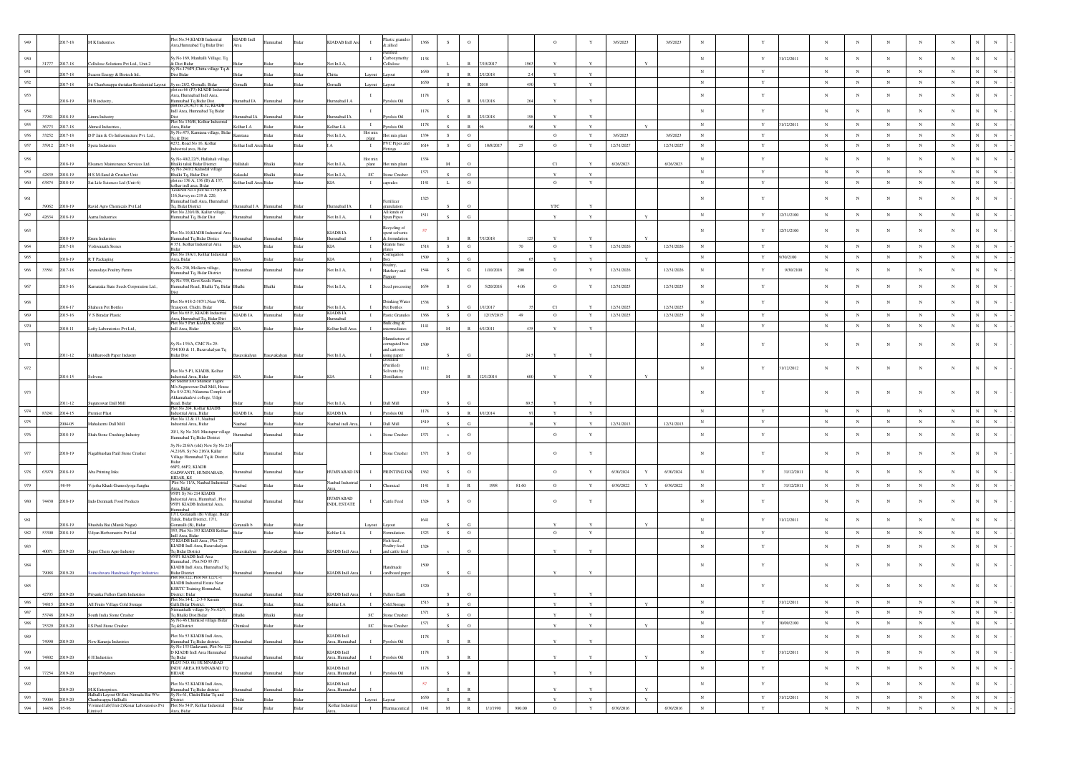|                    |       | 2017-18              | <b>M</b> K Industries                                                                                  | Plot No.54.KIADB Industrial<br>Area, Humnabad Tq Bidar Dist                                        | KIADB Indl                | nabad                   |       | KIADAB Indi A               | $\mathbf{I}$       | Plastic granule<br>k allied              | 1366 |             | $\circ$      |            |         | $\circ$       |              | 3/6/2023                 |              | 3/6/2023                 | $_{\rm N}$  |              |            |            |                 | N          |            |                                          |                               |
|--------------------|-------|----------------------|--------------------------------------------------------------------------------------------------------|----------------------------------------------------------------------------------------------------|---------------------------|-------------------------|-------|-----------------------------|--------------------|------------------------------------------|------|-------------|--------------|------------|---------|---------------|--------------|--------------------------|--------------|--------------------------|-------------|--------------|------------|------------|-----------------|------------|------------|------------------------------------------|-------------------------------|
|                    |       |                      |                                                                                                        |                                                                                                    |                           |                         |       |                             |                    | Purified                                 |      |             |              |            |         |               |              |                          |              |                          |             |              |            |            |                 |            |            |                                          |                               |
| 950                | 31777 | 2017-18              | Cellulose Solutions Pvt Ltd., Unit-2                                                                   | y.No 169, Manhalli Village, Tq<br>& Dist Bidar<br>/ No.175/P1,Chitta village Tq &                  |                           |                         |       | Vot In I.A.                 |                    | arboxymeth<br>ellulose                   | 1138 |             |              | /19/201    |         |               |              |                          |              |                          | $_{\rm N}$  | $\mathbf Y$  | 1/12/2011  | $_{\rm N}$ | $_{\rm N}$      | $_{\rm N}$ | $_{\rm N}$ | $_{\rm N}$                               |                               |
| 951                |       | 017-18               | Seacon Energy & Biotech Itd.,                                                                          | Dist Bidar                                                                                         |                           |                         |       |                             |                    | vout                                     | 1650 |             |              | /1/2018    |         |               |              |                          |              |                          | $_{\rm N}$  | $\mathbf Y$  |            | $_{\rm N}$ | $_{\rm N}$      | $_{\rm N}$ | $_{\rm N}$ | $_{\rm N}$<br>N                          |                               |
| 952                |       | 17-18                | Sri Chanbasappa shetakar Residential Layout Sy no.28/2, Gornalli, Bidar<br>plot no.66 (P3) KIADB Indus |                                                                                                    | <b>Gomalli</b>            |                         |       |                             | Layout             | syout                                    | 1650 |             |              |            |         |               | Y            |                          |              |                          | N           | $\mathbf Y$  |            | ${\bf N}$  | $_{\rm N}$      | $_{\rm N}$ | $_{\rm N}$ | ${\bf N}$                                | $\mathbf N$<br>$_{\rm N}$     |
| 953                |       | 2018-19              | M B industry                                                                                           | Area. Humnabad Indl Area,<br>Iumnabad Tq Bidar Dist.<br>blot no.29,30,31 & 32, KIADB               | mnbad IA                  | mnabad                  | Bidar | Humnabad I A                | $\mathbf{I}$       | rolsis Oi                                | 1178 |             |              | /1/2018    |         |               |              |                          |              |                          | $_{\rm N}$  | $\mathbf Y$  |            | $_{\rm N}$ | $_{\rm N}$      | $_{\rm N}$ | $_{\rm N}$ | $_{\rm N}$<br>N                          | N                             |
| 954                | 37981 | 018-19               |                                                                                                        | Indl Area, Humnabad Tq Bidar                                                                       |                           |                         |       |                             | $\mathbf{I}$       |                                          | 1178 |             |              |            |         |               |              |                          |              |                          | $_{\rm N}$  | Y            |            | $_{\rm N}$ | $_{\rm N}$      | $_{\rm N}$ | $_{\rm N}$ | $_{\rm N}$                               |                               |
| 955                | 36773 | 017-18               | imra Industry<br>hmed Industries.                                                                      | Plot No 130/B, Kolhar Industrial<br>Area, Bidar                                                    | amnabad I.A<br>Kolhar I.A |                         |       | mnabad IA<br>olhar I.A      | $\mathbf{I}$       | rolsis Oil<br>rolsis Oil                 | 1178 |             | $\mathbf{D}$ | (1/2018)   |         | $\mathbf{v}$  | Y            |                          |              |                          | N           | $\mathbf Y$  | 31/12/2011 | $_{\rm N}$ | $_{\rm N}$      | $_{\rm N}$ | $_{\rm N}$ | $_{\rm N}$                               | N<br>$_{\rm N}$               |
| 956                | 33252 | 2017-18              | D P Jain & Co Infrastructure Pvt. Ltd.,                                                                | y No.475, Kamtana village, Bida<br>q & Dist                                                        | Kamtana                   | idar                    | Bidar | Not In I.A,                 | Hot mix<br>plant   | Hot mix plant                            | 1334 | S           | $\circ$      |            |         | $\circ$       | $\mathbf Y$  | 3/6/2023                 |              | 3/6/2023                 | $_{\rm N}$  | $\mathbf Y$  |            | $_{\rm N}$ | $_{\rm N}$      | $_{\rm N}$ | $_{\rm N}$ | $_{\rm N}$<br>N                          | $_{\rm N}$                    |
| 957                | 35912 | 017-18               | Spera Industries                                                                                       | 272. Road No 16, Kolhar<br>dustrial area, Bidar                                                    | Kolhar Indl Area Bidar    |                         | Rida  |                             | $\mathbf{I}$       | VC Pipes and                             | 1614 | S           | $_{\rm G}$   | 10/8/2017  | 25      | $\circ$       | Y            | 12/31/2027               |              | 12/31/2027               | $_{\rm N}$  | $\mathbf Y$  |            | $_{\rm N}$ | $_{\rm N}$      | $_{\rm N}$ | N          | N<br>N                                   | $_{\rm N}$                    |
| 958                |       |                      |                                                                                                        | Sy No 40/2,22/5, Hallahali village                                                                 |                           |                         |       |                             | Hot mix            |                                          | 1334 |             |              |            |         |               |              |                          |              |                          | $_{\rm N}$  | Y            |            | $_{\rm N}$ | $_{\rm N}$      | $_{\rm N}$ | $_{\rm N}$ | $_{\rm N}$                               | $_{\rm N}$<br>$_{\rm N}$      |
| 959                | 42839 | 018-19<br>018-19     | samex Maintenance Services Ltd.                                                                        | Bhalki taluk Bidar District<br>Sy No 24/1/2 Kalasdal village                                       | fallahali<br><b>Isbas</b> |                         |       | Vot In LA                   | plant<br><b>SC</b> | lot mix plan                             | 1371 |             | $\Omega$     |            |         | C1            |              | 6/26/2023                |              | 6/26/2023                | $_{\rm N}$  | $\mathbf Y$  |            | $_{\rm N}$ | $_{\rm N}$      | $_{\rm N}$ | $_{\rm N}$ | $_{\rm N}$<br>$\mathbf N$                | $_{\rm N}$                    |
| 960                | 63874 | 2018-19              | H S M-Sand & Crusher Unit<br>Sai Life Sciences Ltd (Unit-6)                                            | Shalki Tq, Bidar Dist<br>plot no 136 A, 136 (B) & 137,                                             | Kolhar Indl Area Bidar    |                         | Bida  | Not In I.A.<br>KIA          | $\;$ I             | Stone Crushe<br>capsules                 | 1141 | L           | $\circ$      |            |         | $\circ$       | $\mathbf Y$  |                          |              |                          | $_{\rm N}$  | $\mathbf Y$  |            | $_{\rm N}$ | $_{\rm N}$      | $_{\rm N}$ | $_{\rm N}$ | $_{\rm N}$                               | $\mathbf N$<br>$_{\rm N}$     |
|                    |       |                      |                                                                                                        | colhar indl area, Bidar<br>Godown No.4 plot no.115(P)<br>116, Survey no. 219 & 220,                |                           |                         |       |                             |                    |                                          |      |             |              |            |         |               |              |                          |              |                          |             |              |            |            |                 |            |            |                                          |                               |
| 961                | 39062 | 18-19                | Ravid Agro Chemicals Pvt Ltd                                                                           | fumnabad Indl Area, Humnabad<br>Tq, Bidat District                                                 | nabad I A                 | maha                    |       | nnabad IA                   |                    | rtilizer<br>anulation                    | 1323 |             |              |            |         | <b>YTC</b>    |              |                          |              |                          | $_{\rm N}$  |              |            | $_{\rm N}$ | $\mathbf N$     | $_{\rm N}$ | N          | $_{\rm N}$                               |                               |
| 962                | 42634 | 2018-19              | Aarna Industries                                                                                       | lot No 220/1/B, Kallur village,<br>lumnabad Tq, Bidar Dist                                         | badan                     | mnabad                  |       | Not In I.A,                 |                    | All kinds of<br><b>Spun Pipes</b>        | 1511 |             | G.           |            |         |               |              |                          |              |                          | ${\bf N}$   | $\mathbf Y$  | 12/31/2100 | $_{\rm N}$ | $_{\rm N}$      | ${\bf N}$  | $_{\rm N}$ | $_{\rm N}$<br>$_{\rm N}$                 | $_{\rm N}$                    |
| 963                |       |                      |                                                                                                        |                                                                                                    |                           |                         |       |                             |                    | tecycling of                             |      |             |              |            |         |               |              |                          |              |                          | $_{\rm N}$  | Y            | 2/31/2100  | $_{\rm N}$ | $_{\rm N}$      | $_{\rm N}$ |            | N<br>$_{\rm N}$                          |                               |
|                    |       | 18-19                | um Industrie                                                                                           | Plot No.10, KIADB Industrial Area<br>Iumnabad Tq Bidar Distics<br>351, Kolhar Industrial Area      | Humnabad                  |                         |       | KIADB IA<br>ımnabad         |                    | spent solvents<br>& formulatio           |      |             |              |            |         |               |              |                          |              |                          |             |              |            |            |                 |            |            |                                          |                               |
| 964                |       | 2017-18              | Vishwanath Stones                                                                                      | Plot No 18A/1, Kolhar Industrial                                                                   | KIA                       | Bidar                   | Bidar | <b>KIA</b>                  | $\mathbf{I}$       | Granite base<br>ates<br>orrugation       | 1518 | S           | ${\bf G}$    |            | 70      | $\circ$       | $\mathbf Y$  | 12/31/2026               |              | 12/31/2026               | N           | Y            |            | $_{\rm N}$ | $_{\rm N}$      | $_{\rm N}$ | N          | $_{\rm N}$<br>N                          | $_{\rm N}$                    |
| 965                |       | 18-19                | R T Packaging                                                                                          | Area, Bidar<br>Sv No 230, Molkera village                                                          |                           |                         |       |                             |                    | altry,                                   | 1509 |             |              |            |         |               |              |                          |              |                          | $_{\rm N}$  | $\mathbf Y$  | /30/2100   | $_{\rm N}$ | $_{\rm N}$      | $_{\rm N}$ | $_{\rm N}$ | $_{\rm N}$                               | $_{\rm N}$                    |
| 966                | 33561 | 2017-18              | unodays Poultry Farms                                                                                  | Iumnabad Tq, Bidar District                                                                        | nabad                     | mabad                   | Bida  | Not In I.A,                 | $\mathbf{I}$       | Hatchery and                             | 1544 | -S          | G            | 1/10/2016  | $200\,$ | $\circ$       | Y            | 12/31/2026               |              | 12/31/2026               | $_{\rm N}$  | $\mathbf{Y}$ | 9/30/2100  | $_{\rm N}$ | $_{\rm N}$      | $_{\rm N}$ | $_{\rm N}$ | $_{\rm N}$<br>N                          | N                             |
| 967                |       | 2015-16              | Karnataka State Seeds Corporation Ltd.,                                                                | v No 339. Govt Seeds Farm<br>Humnabad Road, Bhalki Tq, Bidar Bhalki                                |                           | Bhalki                  | Bidar | Not In I.A,                 | $\mathbf{I}$       | Seed process                             | 1654 | -S          | $\circ$      | 5/20/2016  | 4.06    | $\circ$       | $\mathbf Y$  | 12/31/2025               |              | 12/31/2025               | $_{\rm N}$  | $\mathbf Y$  |            | $_{\rm N}$ | $_{\rm N}$      | $_{\rm N}$ | $_{\rm N}$ | $_{\rm N}$<br>$_{\rm N}$                 | N                             |
| $968\,$            |       |                      |                                                                                                        | Plot No #18-2-387/1, Near VRL                                                                      |                           |                         |       |                             |                    | rinking Wate                             | 1538 |             |              |            |         |               |              |                          |              |                          | $_{\rm N}$  | $\mathbf Y$  |            | $_{\rm N}$ | $_{\rm N}$      | $_{\rm N}$ | $_{\rm N}$ | N<br>$_{\rm N}$                          | N                             |
|                    |       | $16 - 17$<br>2015-16 | Shaheen Pet Bottles<br>V S Biradar Plastic                                                             | Transport, Chidri, Bidar<br>Plot No 65 F, KIADB Industrial                                         | KIADB IA                  | Humnabad                |       | Not In I.A.<br>KIADB IA     |                    | et Bottles                               | 1366 |             | $\circ$      | 12/15/2015 |         | C1<br>$\circ$ | Y            | 12/31/2025<br>12/31/2025 |              | 12/31/2025<br>12/31/2025 | $_{\rm N}$  | Y            |            | $_{\rm N}$ | $_{\mathrm{N}}$ | $_{\rm N}$ | $_{\rm N}$ | $\mathbf{N}$                             |                               |
| 969<br>970         |       |                      |                                                                                                        | Area, Humnabad Tq, Bidar Dist<br>Plot No 5 Part KIADB, Kolhar                                      |                           |                         | Bidar | mnabad                      | $\mathbf{I}$       | Pastic Granules<br>Bulk drug &           | 1141 | S           |              |            | 49      |               |              |                          |              |                          | $_{\rm N}$  | $\mathbf Y$  |            | $_{\rm N}$ | $_{\rm N}$      | $_{\rm N}$ | $_{\rm N}$ | $_{\rm N}$<br>$_{\rm N}$<br>$\mathbf{N}$ | $_{\rm N}$<br>$_{\rm N}$      |
|                    |       | 2010-11              | Lofty Laboratories Pvt Ltd.,                                                                           | Indl Area, Bidar                                                                                   |                           |                         |       | Kolhar Indl Are             |                    | rmediate:                                |      | M           |              | /2011      |         |               |              |                          |              |                          |             |              |            |            |                 |            |            |                                          |                               |
| 971                |       |                      |                                                                                                        | Sv No 135/A, CMC No 29-                                                                            |                           |                         |       |                             |                    | Manufacture<br>orrugated box             | 1509 |             |              |            |         |               |              |                          |              |                          | $_{\rm N}$  |              |            | $_{\rm N}$ | $_{\rm N}$      | $_{\rm N}$ | N          | $_{\rm N}$                               |                               |
|                    |       | 2011-12              | Siddharoodh Paper Industry                                                                             | 704/100 & 11, Basavakalyan Tq<br>Bidar Dist                                                        |                           | savakalyan Basavakalyan |       | Not In I.A,                 |                    | and cartoons<br>ising paper<br>Distilled |      |             |              |            |         |               |              |                          |              |                          |             |              |            |            |                 |            |            |                                          |                               |
| 972                |       |                      |                                                                                                        | Plot No 5-P1, KIADB, Kolhar                                                                        |                           |                         |       |                             |                    | (Purified)<br>Solvents by                | 1112 |             |              |            |         |               |              |                          |              |                          | $_{\rm N}$  | Y            | 1/12/2012  | $_{\rm N}$ | $_{\rm N}$      | $_{\rm N}$ | $_{\rm N}$ | $_{\rm N}$<br>N                          | $_{\rm N}$                    |
|                    |       | 2014-15              |                                                                                                        | Industrial Area, Bidar<br>Sri Sudhir S/O Shankar Taga                                              |                           |                         |       |                             |                    | Distillation                             |      |             |              | 12/1/2014  |         |               |              |                          |              |                          |             |              |            |            |                 |            |            |                                          |                               |
| 973                |       |                      |                                                                                                        | M/s Sugureswar Dall Mill. House<br>No 8-9-230, Nilamma Complex o                                   |                           |                         |       |                             |                    |                                          | 1519 |             |              |            |         |               |              |                          |              |                          | $_{\rm N}$  |              |            | $_{\rm N}$ | N               | $_{\rm N}$ |            | $_{\rm N}$                               |                               |
|                    |       | $11 - 12$            | Sugureswar Dall Mill                                                                                   | Akkamahadevi college, Udgir<br>load, Bidar                                                         |                           |                         |       | Vot In L                    |                    | Dall Mill                                |      |             |              |            |         |               |              |                          |              |                          |             |              |            |            |                 |            |            |                                          |                               |
| 974                | 83241 | 014-15               | nier Plast                                                                                             | Plot No 204, Kolhar KIADB<br>Industrial Area, Bidar<br>Plot No 12 & 13. Naubad                     | <b>CIADBIA</b>            |                         |       | KIADR JA                    |                    | rolsis Oil                               | 1178 |             | $\mathbf{D}$ | 8/1/2014   |         | $\mathbf{v}$  | $\mathbf{v}$ |                          |              |                          | N           | Y            |            | $_{\rm N}$ | $_{\rm N}$      | $_{\rm N}$ | $_{\rm N}$ | $_{\rm N}$<br>N                          | $_{\rm N}$                    |
| 975                |       | 004-05               | Mahalazmi Dall Mill                                                                                    | Industrial Area, Bidar                                                                             | Naubad                    |                         | 3idar | aubad indl Are              |                    | Dall Mill                                | 1519 |             | G            |            |         |               |              | 12/31/2013               |              | 12/31/2013               | $_{\rm N}$  | $\mathbf Y$  |            | $_{\rm N}$ | $_{\rm N}$      | $_{\rm N}$ | $_{\rm N}$ | $_{\rm N}$                               | $_{\rm N}$                    |
| 976                |       | 2018-19              | Shah Stone Crushing Industry                                                                           | 20/1, Sy No 20/1 Mustapur village Humnabad<br>Humnabad Tq Bidar District                           |                           | hadann                  |       |                             |                    | tone Crushe                              | 1371 | ${\bf s}$   | $\circ$      |            |         | $\circ$       | Y            |                          |              |                          | $_{\rm N}$  | $\mathbf Y$  |            | $_{\rm N}$ | $_{\rm N}$      | $_{\rm N}$ | $_{\rm N}$ | $_{\rm N}$                               | $_{\rm N}$<br>$_{\rm N}$      |
| 977                |       | 2018-19              | Nagabhushan Patil Stone Crusher                                                                        | Sv No 216/A (old) New Sv No 21<br>/4.216/8. Sv No 216/A Kallur                                     | Kallur                    | mnabad                  |       |                             | $\mathbf{I}$       | Stone Crusher                            | 1371 | -S          | $\circ$      |            |         | $\circ$       | Y            |                          |              |                          | $_{\rm N}$  | $\mathbf{Y}$ |            | $_{\rm N}$ | N               | $_{\rm N}$ | N          | N<br>$_{\rm N}$                          | N                             |
|                    |       |                      |                                                                                                        | Village Humnabad Tq & District<br>Bidar<br>66P2, 66P2, KIADB                                       |                           |                         |       |                             |                    |                                          |      |             |              |            |         |               |              |                          |              |                          |             |              |            |            |                 |            |            |                                          |                               |
| 978                | 63970 | 2018-19              | Aba Printing Inks                                                                                      | GADWANTI, HUMNABAD.<br><b>BIDAR, KS</b>                                                            | badann                    | mnabad                  | Rida  | HUMNABAD II                 | $\mathbf{I}$       | PRINTING IP                              | 1362 | S.          | $\circ$      |            |         | $\circ$       | Y            | 6/30/2024                | Y            | 6/30/2024                | N           | Y            | 31/12/2011 | $_{\rm N}$ | $_{\rm N}$      | $_{\rm N}$ | $_{\rm N}$ | $_{\rm N}$                               | N                             |
| 979                |       | 98-99                | Vijetha Khadi Gramodyoga Sangha                                                                        | Plot No 11/A, Naubad Industrial<br>Area, Bidar<br>95/P1 Sy No 214 KIADB                            | Naubad                    | Bidar                   | Bidar | ubad Indus                  | $\;$ I             | Chemical                                 | 1141 | S           | $\,$ R       | 1998       | 81.60   | $\circ$       | $\mathbf Y$  | 6/30/2022                | $\mathbf Y$  | 6/30/2022                | $_{\rm N}$  | $\mathbf Y$  | 31/12/2011 | $_{\rm N}$ | $_{\rm N}$      | $_{\rm N}$ | $_{\rm N}$ | $_{\rm N}$                               | $_{\rm N}$<br>$_{\rm N}$      |
| 980                | 74430 | 2018-19              | Indo Denmark Food Products                                                                             | Industrial Area, Humnbad, Plot                                                                     | bedsmm                    | mnabad                  | Rida  | <b>HUMNABAD</b>             | $\mathbf{I}$       | Cattle Feed                              | 1324 | S.          | $\circ$      |            |         | $\circ$       | Y            |                          |              |                          | $\mathbf N$ | $\mathbf{Y}$ |            | $_{\rm N}$ | N               | N          | N          | $\mathbf{N}$<br>$_{\rm N}$               | N                             |
|                    |       |                      |                                                                                                        | 95/P1 KIADB Industrial Area,<br>lumnabad<br>7/1, Goranalli (B) Village, Bidar                      |                           |                         |       | <b>INDL ESTATE</b>          |                    |                                          |      |             |              |            |         |               |              |                          |              |                          |             |              |            |            |                 |            |            |                                          |                               |
| 981                |       | $18 - 19$            | hushila Bai (Manik Nagar)                                                                              | Taluk, Bidar District, 17/1,<br>Goranalli (B), Bidar                                               |                           |                         |       |                             |                    | iyoul                                    | 1641 |             |              |            |         |               |              |                          |              |                          | $\mathbf N$ | $\mathbf Y$  | 31/12/2011 | $_{\rm N}$ | $_{\rm N}$      | $_{\rm N}$ | $_{\rm N}$ | $_{\rm N}$<br>N                          | N                             |
| 982                | 53300 | 2018-19              | Udyan Herbomatrix Pvt Ltd                                                                              | 553, Plot No 353 KIADB Kolhar                                                                      | Bidar                     | 3idar                   | Bida  | Kohlar I.A                  | $\mathbf{I}$       | ormulation                               | 1323 | S.          | $\circ$      |            |         | $\circ$       | $\mathbf Y$  |                          |              |                          | $_{\rm N}$  | $\mathbf Y$  |            | $_{\rm N}$ | $_{\rm N}$      | $_{\rm N}$ | $_{\rm N}$ | $_{\rm N}$<br>N                          | $_{\rm N}$                    |
| 983                |       |                      |                                                                                                        | Indl Area, Bidar<br>72 KIADB Indl Area , Plot 72<br>KIADB Indl Area, Basavakalyan                  |                           |                         |       |                             |                    | Fish feed,<br>oultry feed                | 1324 |             |              |            |         |               |              |                          |              |                          | $_{\rm N}$  | $\mathbf Y$  |            | $_{\rm N}$ | $_{\rm N}$      | $_{\rm N}$ | $_{\rm N}$ | $_{\rm N}$<br>N                          | N                             |
|                    | 40071 | 2019-20              | Super Chem Agro Industry                                                                               | Tq Bidar District<br>95/P1 KIADB Indl Area                                                         | avakalyan                 | asavakalyan             |       | <b>KIADB</b> Indl An        |                    | and cattle fee                           |      |             |              |            |         |               |              |                          |              |                          |             |              |            |            |                 |            |            |                                          |                               |
| $\boldsymbol{984}$ |       |                      |                                                                                                        | Iumnabad, Plot NO 95 /P1<br>KIADB Indl Area, Humnabad Tq                                           |                           | Humnabad                |       |                             |                    | ndmade                                   | 1509 |             |              |            |         |               |              |                          |              |                          | $_{\rm N}$  |              |            | $_{\rm N}$ | N               | $_{\rm N}$ |            | $_{\rm N}$<br>N                          |                               |
|                    | 79088 | 2019-20              | Someshwara Handmade Paper Industries                                                                   | Bidar District<br>Plot No.122, Plot No.122 C-1<br><b>KIADB</b> Industrial Estate Near              | mnabad                    |                         |       | KIADB Indl Area             |                    | cardboard pape                           |      |             |              |            |         |               |              |                          |              |                          |             |              |            |            |                 |            |            |                                          |                               |
| 985                | 42705 | 2019-20              | Priyanka Fullers Earth Industries                                                                      | <b>KSRTC</b> Training Homnabad,                                                                    |                           |                         |       | <b>HADB</b> Indi An         |                    | ullers Eart                              | 1320 |             |              |            |         |               |              |                          |              |                          |             |              |            | $_{\rm N}$ | $_{\rm N}$      | N          |            | $_{\rm N}$                               |                               |
| 986                | 74815 | 19.20                | All Froite Village Cold S                                                                              | District: Bidar<br>Plot No.14-L, 2-3-9 Kusun<br>alli Ridar D                                       |                           |                         |       |                             |                    |                                          | 1513 |             |              |            |         |               |              |                          |              |                          |             | $\mathbf Y$  | 31/12/2011 | $_{\rm N}$ | N               | $_{\rm N}$ | $_{\rm N}$ | $_{\rm N}$<br>$_{\rm N}$                 |                               |
| 987                | 53748 | 2019-20              | South India Stone Crusher                                                                              | halli village Sy No.62/3,<br>Tq Bhalki Dist.Bidar                                                  | halki                     | <b>Shalki</b>           | 3idar |                             | <b>SC</b>          | Stone Crusher                            | 1371 |             | $\circ$      |            |         |               |              |                          |              |                          | $_{\rm N}$  | $\mathbf Y$  |            | $_{\rm N}$ | $_{\rm N}$      | $\,$ N     | $_{\rm N}$ | $_{\rm N}$<br>$_{\rm N}$                 | $_{\rm N}$                    |
| 988                | 75329 | 05-0105              | <b>LS Patil Stone Crusher</b>                                                                          | lo 46 Chimkod village Bidar<br>Tq &District                                                        | himkod                    |                         |       |                             | SC                 | me Crushe                                | 1371 |             | $\circ$      |            |         | $\mathbf{v}$  | $\mathbf{Y}$ |                          |              |                          | $_{\rm N}$  | $\mathbf Y$  | 30/09/2100 | $_{\rm N}$ | $_{\mathrm{N}}$ | $_{\rm N}$ | $_{\rm N}$ | ${\bf N}$                                | $_{\mathrm{N}}$<br>$_{\rm N}$ |
| 989                | 74990 | 2019-20              | New Karanja Industries                                                                                 | Plot No 53 KIADB Indl Area,                                                                        |                           |                         |       | KIADB Indi<br>Area, Humnaba |                    | rolsis Oil                               | 1178 |             |              |            |         |               |              |                          |              |                          | $_{\rm N}$  | $\mathbf Y$  |            | $_{\rm N}$ | $_{\rm N}$      | $_{\rm N}$ | $_{\rm N}$ | $_{\rm N}$                               | $_{\rm N}$<br>$\,$ N $\,$     |
| 990                |       |                      |                                                                                                        | -<br>Humnabad Tq Bidar district.<br>Sy No 133 Gadavanti, Plot No 122<br>D KIADB Indl Area Humnabad |                           |                         |       | KIADB Indl                  |                    |                                          | 1178 |             |              |            |         |               |              |                          |              |                          | $_{\rm N}$  | $\mathbf Y$  | 1/12/2011  | $_{\rm N}$ | $_{\rm N}$      | $_{\rm N}$ | $_{\rm N}$ | $_{\rm N}$                               | $_{\rm N}$<br>$_{\rm N}$      |
|                    | 74802 | 2019-20              | 6 H Industries                                                                                         | Tq Bidar<br>PLOT NO. 60, HUMNABAD                                                                  |                           | nnahad                  |       | Area, Humnaba               |                    | Pyrolsis Oil                             |      |             |              |            |         |               | $\mathbf{Y}$ |                          |              |                          |             |              |            |            |                 |            |            |                                          |                               |
| $991\,$            | 77254 | 2019-20              | <b>Super Polymers</b>                                                                                  | INDU AREA HUMNABAD TQ<br><b>BIDAR</b>                                                              |                           |                         |       | KIADB Indl<br>Area, Humnaba |                    | rolsis Oil                               | 1178 |             | R            |            |         |               | Y            |                          |              |                          | $_{\rm N}$  | $\mathbf Y$  |            | $_{\rm N}$ | $_{\rm N}$      | $_{\rm N}$ | $_{\rm N}$ | $_{\rm N}$                               | ${\bf N}$<br>$_{\rm N}$       |
| 992                |       |                      | M.K Enterprises.                                                                                       | Plot No 52 KIADB Indl Area,<br>Iumnabad Tq Bidar district                                          |                           |                         |       | KIADB Indi<br>Area, Humnaba |                    |                                          | 57   |             |              |            |         |               | Y            |                          |              |                          | $_{\rm N}$  | $\mathbf Y$  |            | $_{\rm N}$ | $_{\rm N}$      | $_{\rm N}$ | $_{\rm N}$ | $_{\rm N}$                               | $_{\rm N}$<br>$_{\rm N}$      |
| 993                | 79004 | 2019-20              | Halhalli Layout Of Smt Nirmala Bai Wo<br>Chanbasappa Hallhalli                                         | ly No 61, Chidri Bidar Tq and<br>istrict                                                           |                           |                         | Bida  |                             | Layout             | vont                                     | 1650 |             | $\mathbb{R}$ |            |         |               | $\mathbf{v}$ |                          | $\mathbf{Y}$ |                          | $_{\rm N}$  | $\mathbf Y$  | 31/12/2011 | $_{\rm N}$ | $_{\rm N}$      | $_{\rm N}$ | $_{\rm N}$ | $_{\rm N}$<br>$_{\rm N}$                 | $\,$ N $\,$                   |
| $994\,$            | 14436 | .95-96               | Vivimed lab(Unit-2)Konar Laboratories Pvt Plot No 54 P. Kolhar Industrial<br>mited                     | Irea, Bidar                                                                                        | <b>Bidar</b>              | Bidar                   | Bidar | Kolhar Industria            | $\mathbf{I}$       | Pharmaceutica                            | 1141 | $\mathbf M$ | $\,$ R       | 1/1/1990   | 980.00  | $\circ$       | $\mathbf Y$  | 6/30/2016                |              | 6/30/2016                | $_{\rm N}$  | $\mathbf Y$  |            | $_{\rm N}$ | $_{\rm N}$      | $_{\rm N}$ | $_{\rm N}$ | $_{\rm N}$<br>$_{\rm N}$                 | $_{\rm N}$                    |